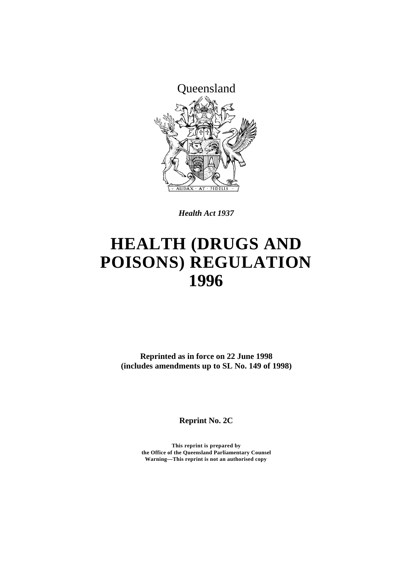

*Health Act 1937*

# **HEALTH (DRUGS AND POISONS) REGULATION 1996**

**Reprinted as in force on 22 June 1998 (includes amendments up to SL No. 149 of 1998)**

**Reprint No. 2C**

**This reprint is prepared by the Office of the Queensland Parliamentary Counsel Warning—This reprint is not an authorised copy**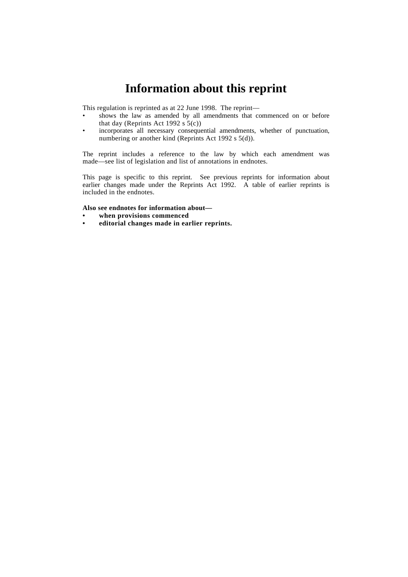# **Information about this reprint**

This regulation is reprinted as at 22 June 1998. The reprint—

- shows the law as amended by all amendments that commenced on or before that day (Reprints Act 1992 s  $5(c)$ )
- incorporates all necessary consequential amendments, whether of punctuation, numbering or another kind (Reprints Act 1992 s 5(d)).

The reprint includes a reference to the law by which each amendment was made—see list of legislation and list of annotations in endnotes.

This page is specific to this reprint. See previous reprints for information about earlier changes made under the Reprints Act 1992. A table of earlier reprints is included in the endnotes.

#### **Also see endnotes for information about—**

- **• when provisions commenced**
- **• editorial changes made in earlier reprints.**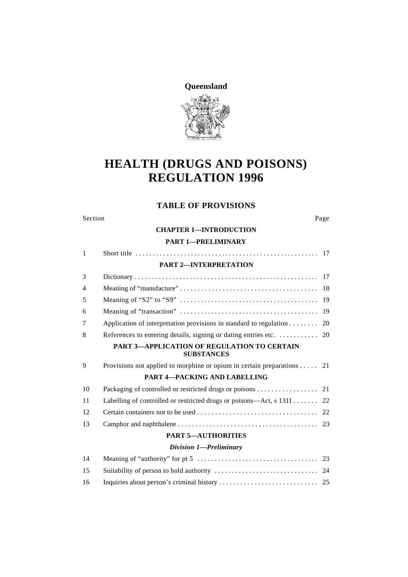**Queensland**



# **HEALTH (DRUGS AND POISONS) REGULATION 1996**

# **TABLE OF PROVISIONS**

| Section | Page |
|---------|------|
|---------|------|

### **CHAPTER 1—INTRODUCTION**

### **PART 1—PRELIMINARY**

| $\mathbf{1}$ |                                                                                  |     |
|--------------|----------------------------------------------------------------------------------|-----|
|              | <b>PART 2-INTERPRETATION</b>                                                     |     |
| 3            |                                                                                  |     |
| 4            |                                                                                  |     |
| 5            |                                                                                  |     |
| 6            |                                                                                  | -19 |
| 7            | Application of interpretation provisions in standard to regulation $\dots \dots$ | 20  |
| 8            |                                                                                  |     |
|              | <b>PART 3-APPLICATION OF REGULATION TO CERTAIN</b><br><b>SUBSTANCES</b>          |     |
| 9            | Provisions not applied to morphine or opium in certain preparations 21           |     |
|              | <b>PART 4-PACKING AND LABELLING</b>                                              |     |
| 10           | Packaging of controlled or restricted drugs or poisons 21                        |     |
| 11           | Labelling of controlled or restricted drugs or poisons—Act, $s$ 131I 22          |     |
| 12           |                                                                                  |     |
| 13           |                                                                                  |     |
|              | <b>PART 5-AUTHORITIES</b>                                                        |     |
|              | Division 1-Preliminary                                                           |     |
| 14           |                                                                                  |     |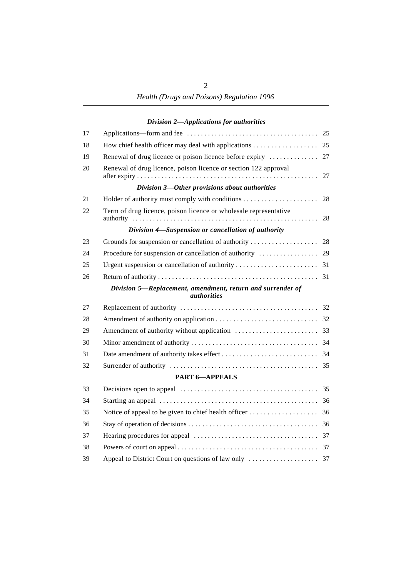# *Division 2—Applications for authorities*

| 17 |                                                                                  |    |
|----|----------------------------------------------------------------------------------|----|
| 18 |                                                                                  |    |
| 19 |                                                                                  |    |
| 20 | Renewal of drug licence, poison licence or section 122 approval                  | 27 |
|    | Division 3-Other provisions about authorities                                    |    |
| 21 |                                                                                  | 28 |
| 22 | Term of drug licence, poison licence or wholesale representative                 | 28 |
|    | Division 4-Suspension or cancellation of authority                               |    |
| 23 |                                                                                  |    |
| 24 |                                                                                  |    |
| 25 |                                                                                  |    |
| 26 |                                                                                  |    |
|    | Division 5-Replacement, amendment, return and surrender of<br><i>authorities</i> |    |
| 27 |                                                                                  |    |
| 28 |                                                                                  |    |
| 29 |                                                                                  |    |
| 30 |                                                                                  |    |
| 31 |                                                                                  |    |
| 32 |                                                                                  |    |
|    | <b>PART 6-APPEALS</b>                                                            |    |
| 33 |                                                                                  |    |
| 34 |                                                                                  |    |
| 35 |                                                                                  |    |
| 36 |                                                                                  |    |
| 37 |                                                                                  |    |
| 38 |                                                                                  |    |
| 39 |                                                                                  |    |
|    |                                                                                  |    |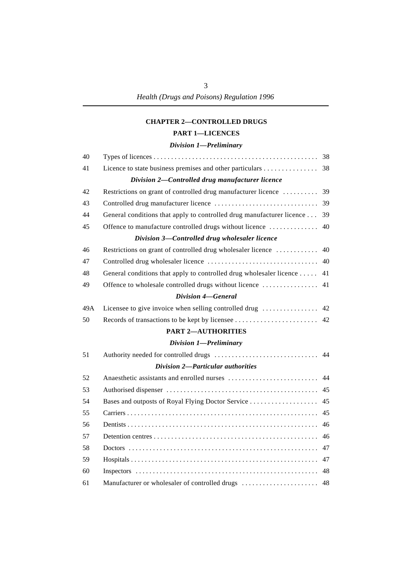### **CHAPTER 2—CONTROLLED DRUGS**

### **PART 1—LICENCES**

### *Division 1—Preliminary*

| 40  |                                                                       |    |
|-----|-----------------------------------------------------------------------|----|
| 41  | Licence to state business premises and other particulars 38           |    |
|     | Division 2-Controlled drug manufacturer licence                       |    |
| 42  | Restrictions on grant of controlled drug manufacturer licence         | 39 |
| 43  |                                                                       | 39 |
| 44  | General conditions that apply to controlled drug manufacturer licence | 39 |
| 45  | Offence to manufacture controlled drugs without licence               | 40 |
|     | Division 3-Controlled drug wholesaler licence                         |    |
| 46  | Restrictions on grant of controlled drug wholesaler licence           | 40 |
| 47  |                                                                       | 40 |
| 48  | General conditions that apply to controlled drug wholesaler licence   | 41 |
| 49  | Offence to wholesale controlled drugs without licence                 | 41 |
|     | Division 4-General                                                    |    |
| 49A | Licensee to give invoice when selling controlled drug                 | 42 |
| 50  |                                                                       | 42 |
|     | <b>PART 2-AUTHORITIES</b>                                             |    |
|     |                                                                       |    |
|     | Division 1-Preliminary                                                |    |
| 51  |                                                                       | 44 |
|     | <b>Division 2-Particular authorities</b>                              |    |
| 52  |                                                                       | 44 |
| 53  |                                                                       |    |
| 54  | Bases and outposts of Royal Flying Doctor Service                     | 45 |
| 55  |                                                                       | 45 |
| 56  |                                                                       | 46 |
| 57  |                                                                       | 46 |
| 58  |                                                                       | 47 |
| 59  |                                                                       |    |
| 60  |                                                                       |    |
| 61  |                                                                       |    |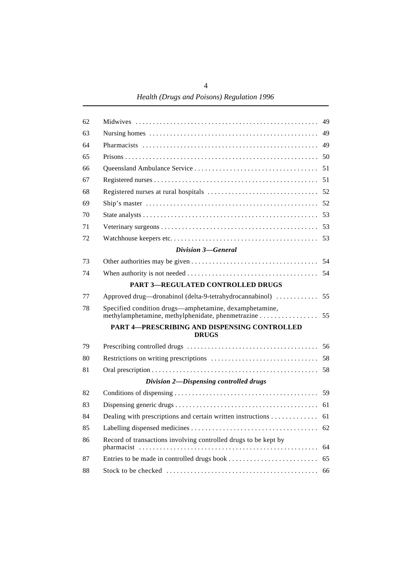*Health (Drugs and Poisons) Regulation 1996*

| 62 |                                                                 | 49 |
|----|-----------------------------------------------------------------|----|
| 63 |                                                                 |    |
| 64 |                                                                 |    |
| 65 |                                                                 |    |
| 66 |                                                                 |    |
| 67 |                                                                 |    |
| 68 |                                                                 |    |
| 69 |                                                                 |    |
| 70 |                                                                 |    |
| 71 |                                                                 |    |
| 72 |                                                                 |    |
|    | Division 3–General                                              |    |
| 73 |                                                                 |    |
| 74 |                                                                 |    |
|    | <b>PART 3-REGULATED CONTROLLED DRUGS</b>                        |    |
| 77 | Approved drug—dronabinol (delta-9-tetrahydrocannabinol)         | 55 |
| 78 | Specified condition drugs—amphetamine, dexamphetamine,          |    |
|    | PART 4-PRESCRIBING AND DISPENSING CONTROLLED<br><b>DRUGS</b>    |    |
| 79 |                                                                 |    |
| 80 |                                                                 |    |
| 81 |                                                                 |    |
|    | Division 2-Dispensing controlled drugs                          |    |
| 82 |                                                                 |    |
| 83 |                                                                 |    |
| 84 | Dealing with prescriptions and certain written instructions 61  |    |
| 85 |                                                                 | 62 |
| 86 | Record of transactions involving controlled drugs to be kept by | 64 |
| 87 |                                                                 | 65 |
| 88 |                                                                 | 66 |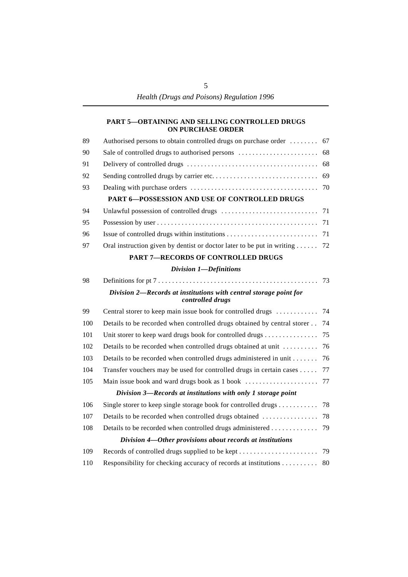### **PART 5—OBTAINING AND SELLING CONTROLLED DRUGS ON PURCHASE ORDER**

| 89  | Authorised persons to obtain controlled drugs on purchase order  67                   |    |
|-----|---------------------------------------------------------------------------------------|----|
| 90  |                                                                                       |    |
| 91  |                                                                                       |    |
| 92  |                                                                                       |    |
| 93  |                                                                                       |    |
|     | PART 6-POSSESSION AND USE OF CONTROLLED DRUGS                                         |    |
| 94  |                                                                                       |    |
| 95  |                                                                                       |    |
| 96  |                                                                                       |    |
| 97  | Oral instruction given by dentist or doctor later to be put in writing  72            |    |
|     | <b>PART 7-RECORDS OF CONTROLLED DRUGS</b>                                             |    |
|     | Division 1-Definitions                                                                |    |
| 98  |                                                                                       | 73 |
|     | Division 2-Records at institutions with central storage point for<br>controlled drugs |    |
| 99  | Central storer to keep main issue book for controlled drugs                           | 74 |
| 100 | Details to be recorded when controlled drugs obtained by central storer               | 74 |
| 101 | Unit storer to keep ward drugs book for controlled drugs                              | 75 |
| 102 | Details to be recorded when controlled drugs obtained at unit                         | 76 |
| 103 | Details to be recorded when controlled drugs administered in unit                     | 76 |
| 104 | Transfer vouchers may be used for controlled drugs in certain cases                   | 77 |
| 105 |                                                                                       |    |
|     | Division 3—Records at institutions with only 1 storage point                          |    |
| 106 | Single storer to keep single storage book for controlled drugs                        | 78 |
| 107 | Details to be recorded when controlled drugs obtained                                 | 78 |
| 108 | Details to be recorded when controlled drugs administered                             | 79 |
|     | Division 4—Other provisions about records at institutions                             |    |
| 109 |                                                                                       |    |
| 110 | Responsibility for checking accuracy of records at institutions                       | 80 |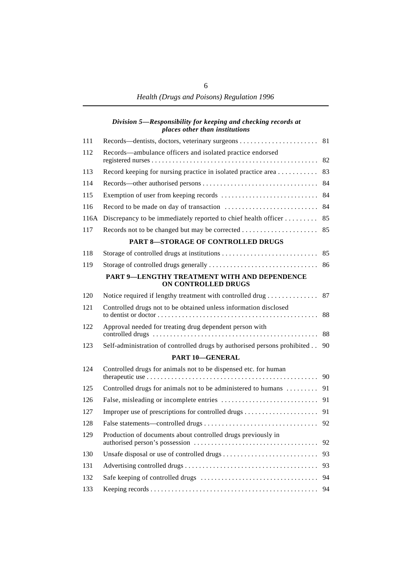### *Division 5—Responsibility for keeping and checking records at places other than institutions*

| 111  |                                                                          | 81 |
|------|--------------------------------------------------------------------------|----|
| 112  | Records—ambulance officers and isolated practice endorsed                | 82 |
| 113  | Record keeping for nursing practice in isolated practice area            | 83 |
| 114  |                                                                          | 84 |
| 115  |                                                                          | 84 |
| 116  |                                                                          | 84 |
| 116A | Discrepancy to be immediately reported to chief health officer           | 85 |
| 117  |                                                                          | 85 |
|      | PART 8-STORAGE OF CONTROLLED DRUGS                                       |    |
| 118  |                                                                          | 85 |
| 119  |                                                                          | 86 |
|      | PART 9-LENGTHY TREATMENT WITH AND DEPENDENCE<br>ON CONTROLLED DRUGS      |    |
| 120  | Notice required if lengthy treatment with controlled drug                | 87 |
| 121  | Controlled drugs not to be obtained unless information disclosed         | 88 |
| 122  | Approval needed for treating drug dependent person with                  | 88 |
| 123  | Self-administration of controlled drugs by authorised persons prohibited | 90 |
|      | <b>PART 10-GENERAL</b>                                                   |    |
| 124  | Controlled drugs for animals not to be dispensed etc. for human          | 90 |
| 125  | Controlled drugs for animals not to be administered to humans            | 91 |
| 126  |                                                                          | 91 |
| 127  |                                                                          | 91 |
| 128  |                                                                          | 92 |
| 129  | Production of documents about controlled drugs previously in             |    |
| 130  |                                                                          | 93 |
| 131  |                                                                          |    |
| 132  |                                                                          |    |
| 133  |                                                                          |    |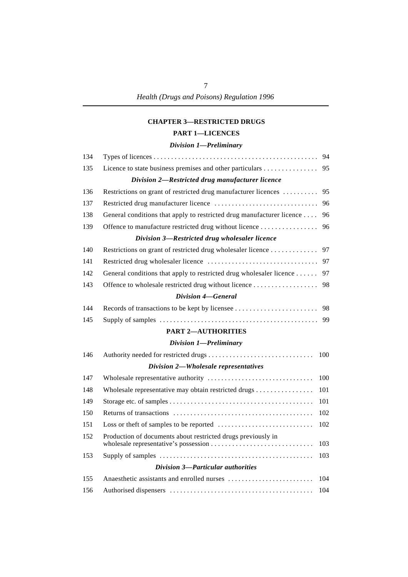### **CHAPTER 3—RESTRICTED DRUGS**

### **PART 1—LICENCES**

### *Division 1—Preliminary*

| 134 |                                                                       | 94  |
|-----|-----------------------------------------------------------------------|-----|
| 135 | Licence to state business premises and other particulars              | 95  |
|     | Division 2-Restricted drug manufacturer licence                       |     |
| 136 | Restrictions on grant of restricted drug manufacturer licences        | 95  |
| 137 |                                                                       | 96  |
| 138 | General conditions that apply to restricted drug manufacturer licence | 96  |
| 139 | Offence to manufacture restricted drug without licence                | 96  |
|     | Division 3-Restricted drug wholesaler licence                         |     |
| 140 | Restrictions on grant of restricted drug wholesaler licence           | 97  |
| 141 |                                                                       | 97  |
| 142 | General conditions that apply to restricted drug wholesaler licence   | 97  |
| 143 | Offence to wholesale restricted drug without licence                  | 98  |
|     | Division 4–General                                                    |     |
| 144 |                                                                       | 98  |
| 145 |                                                                       | 99  |
|     | <b>PART 2-AUTHORITIES</b>                                             |     |
|     | Division 1-Preliminary                                                |     |
| 146 |                                                                       | 100 |
|     | Division 2-Wholesale representatives                                  |     |
| 147 |                                                                       | 100 |
| 148 | Wholesale representative may obtain restricted drugs                  | 101 |
| 149 |                                                                       | 101 |
| 150 |                                                                       | 102 |
| 151 |                                                                       | 102 |
| 152 | Production of documents about restricted drugs previously in          | 103 |
| 153 |                                                                       | 103 |
|     | <b>Division 3-Particular authorities</b>                              |     |
| 155 |                                                                       | 104 |
| 156 |                                                                       | 104 |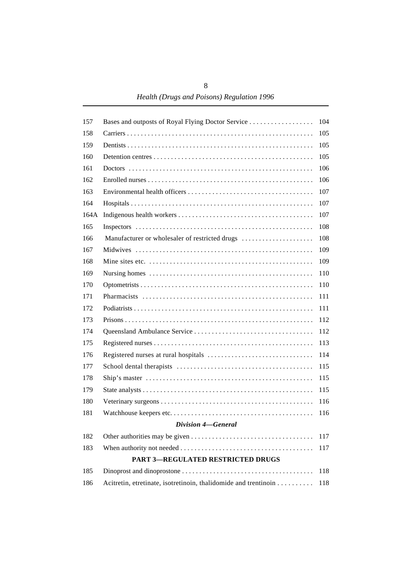| 157  | Bases and outposts of Royal Flying Doctor Service               | 104 |
|------|-----------------------------------------------------------------|-----|
| 158  |                                                                 | 105 |
| 159  |                                                                 | 105 |
| 160  |                                                                 | 105 |
| 161  |                                                                 | 106 |
| 162  |                                                                 | 106 |
| 163  |                                                                 | 107 |
| 164  |                                                                 | 107 |
| 164A |                                                                 | 107 |
| 165  |                                                                 | 108 |
| 166  | Manufacturer or wholesaler of restricted drugs                  | 108 |
| 167  |                                                                 | 109 |
| 168  |                                                                 | 109 |
| 169  |                                                                 | 110 |
| 170  |                                                                 | 110 |
| 171  |                                                                 | 111 |
| 172  |                                                                 | 111 |
| 173  |                                                                 | 112 |
| 174  |                                                                 | 112 |
| 175  |                                                                 | 113 |
| 176  |                                                                 | 114 |
| 177  |                                                                 | 115 |
| 178  |                                                                 | 115 |
| 179  |                                                                 | 115 |
| 180  |                                                                 | 116 |
| 181  |                                                                 | 116 |
|      | <b>Division 4-General</b>                                       |     |
| 182  |                                                                 | 117 |
| 183  |                                                                 | 117 |
|      | <b>PART 3-REGULATED RESTRICTED DRUGS</b>                        |     |
| 185  |                                                                 | 118 |
| 186  | Acitretin, etretinate, isotretinoin, thalidomide and trentinoin | 118 |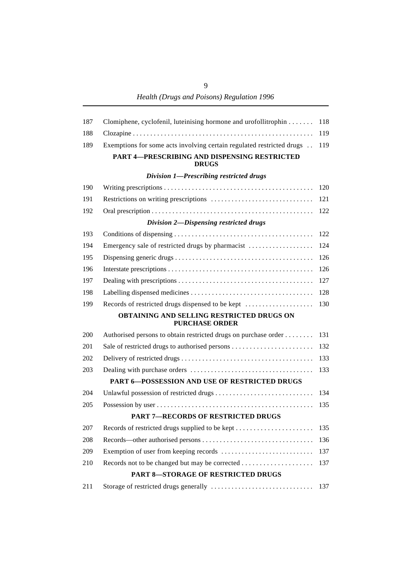*Health (Drugs and Poisons) Regulation 1996*

| 187 | Clomiphene, cyclofenil, luteinising hormone and urofollitrophin       | 118 |
|-----|-----------------------------------------------------------------------|-----|
| 188 |                                                                       | 119 |
| 189 | Exemptions for some acts involving certain regulated restricted drugs | 119 |
|     | <b>PART 4-PRESCRIBING AND DISPENSING RESTRICTED</b><br><b>DRUGS</b>   |     |
|     | Division 1-Prescribing restricted drugs                               |     |
| 190 |                                                                       | 120 |
| 191 |                                                                       | 121 |
| 192 |                                                                       | 122 |
|     | Division 2-Dispensing restricted drugs                                |     |
| 193 |                                                                       | 122 |
| 194 | Emergency sale of restricted drugs by pharmacist                      | 124 |
| 195 |                                                                       | 126 |
| 196 |                                                                       | 126 |
| 197 |                                                                       | 127 |
| 198 |                                                                       | 128 |
| 199 | Records of restricted drugs dispensed to be kept                      | 130 |
|     | OBTAINING AND SELLING RESTRICTED DRUGS ON<br><b>PURCHASE ORDER</b>    |     |
| 200 | Authorised persons to obtain restricted drugs on purchase order       | 131 |
| 201 |                                                                       | 132 |
| 202 |                                                                       | 133 |
| 203 |                                                                       | 133 |
|     | <b>PART 6-POSSESSION AND USE OF RESTRICTED DRUGS</b>                  |     |
| 204 | Unlawful possession of restricted drugs                               | 134 |
| 205 |                                                                       | 135 |
|     | <b>PART 7-RECORDS OF RESTRICTED DRUGS</b>                             |     |
| 207 |                                                                       | 135 |
| 208 |                                                                       | 136 |
| 209 |                                                                       | 137 |
| 210 |                                                                       | 137 |
|     | <b>PART 8-STORAGE OF RESTRICTED DRUGS</b>                             |     |
| 211 |                                                                       | 137 |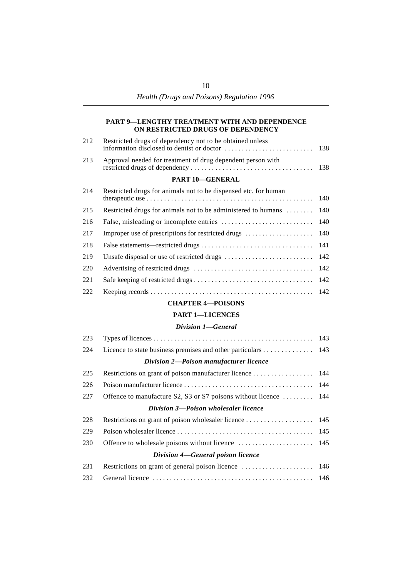#### **PART 9—LENGTHY TREATMENT WITH AND DEPENDENCE ON RESTRICTED DRUGS OF DEPENDENCY**

| 212 | Restricted drugs of dependency not to be obtained unless    |  |
|-----|-------------------------------------------------------------|--|
| 213 | Approval needed for treatment of drug dependent person with |  |

#### **PART 10—GENERAL**

| 214 | Restricted drugs for animals not to be dispensed etc. for human    |  |
|-----|--------------------------------------------------------------------|--|
|     |                                                                    |  |
| 215 | Restricted drugs for animals not to be administered to humans  140 |  |
| 216 |                                                                    |  |
| 217 |                                                                    |  |
| 218 |                                                                    |  |
| 219 |                                                                    |  |
| 220 |                                                                    |  |
| 221 |                                                                    |  |
| 222 |                                                                    |  |

### **CHAPTER 4—POISONS**

### **PART 1—LICENCES**

#### *Division 1—General*

| 223 |                                                                  |  |
|-----|------------------------------------------------------------------|--|
| 224 | Licence to state business premises and other particulars 143     |  |
|     | Division 2-Poison manufacturer licence                           |  |
| 225 |                                                                  |  |
| 226 |                                                                  |  |
| 227 | Offence to manufacture S2, S3 or S7 poisons without licence  144 |  |
|     | Division 3—Poison wholesaler licence                             |  |
| 228 |                                                                  |  |
| 229 |                                                                  |  |
| 230 |                                                                  |  |
|     | Division 4—General poison licence                                |  |
| 231 |                                                                  |  |
| 232 |                                                                  |  |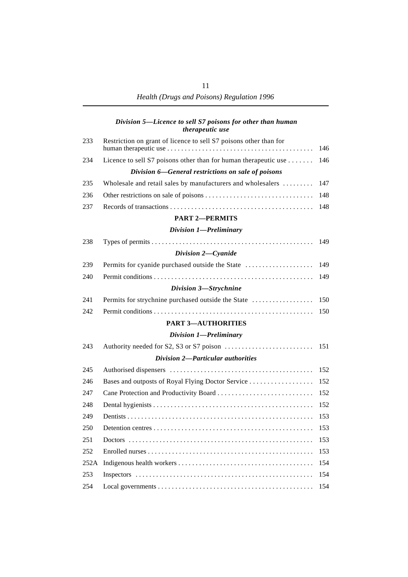### *Division 5—Licence to sell S7 poisons for other than human therapeutic use*

| 233  | Restriction on grant of licence to sell S7 poisons other than for | 146 |
|------|-------------------------------------------------------------------|-----|
| 234  | Licence to sell S7 poisons other than for human therapeutic use   | 146 |
|      | Division 6–General restrictions on sale of poisons                |     |
| 235  | Wholesale and retail sales by manufacturers and wholesalers       | 147 |
| 236  |                                                                   | 148 |
| 237  |                                                                   | 148 |
|      | <b>PART 2-PERMITS</b>                                             |     |
|      | Division 1-Preliminary                                            |     |
| 238  |                                                                   | 149 |
|      | Division 2-Cyanide                                                |     |
| 239  | Permits for cyanide purchased outside the State                   | 149 |
| 240  |                                                                   | 149 |
|      | Division 3-Strychnine                                             |     |
| 241  | Permits for strychnine purchased outside the State                | 150 |
| 242  |                                                                   | 150 |
|      | <b>PART 3-AUTHORITIES</b>                                         |     |
|      | Division 1-Preliminary                                            |     |
| 243  |                                                                   | 151 |
|      | <b>Division 2-Particular authorities</b>                          |     |
| 245  |                                                                   | 152 |
| 246  | Bases and outposts of Royal Flying Doctor Service                 | 152 |
| 247  | Cane Protection and Productivity Board                            | 152 |
| 248  |                                                                   | 152 |
| 249  |                                                                   | 153 |
| 250  |                                                                   | 153 |
| 251  |                                                                   | 153 |
| 252  |                                                                   | 153 |
| 252A |                                                                   | 154 |
| 253  |                                                                   | 154 |
| 254  |                                                                   | 154 |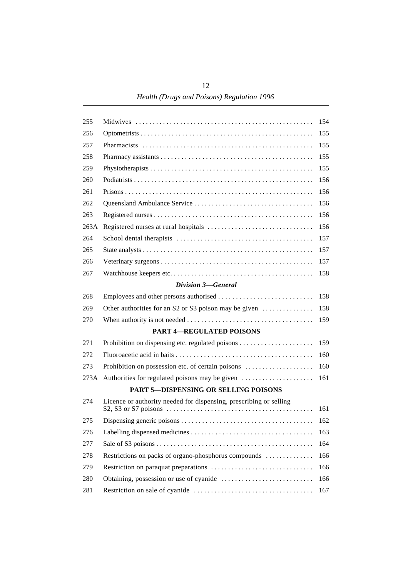*Health (Drugs and Poisons) Regulation 1996*

| 255  |                                                                    | 154 |
|------|--------------------------------------------------------------------|-----|
| 256  |                                                                    | 155 |
| 257  |                                                                    | 155 |
| 258  |                                                                    | 155 |
| 259  |                                                                    | 155 |
| 260  |                                                                    | 156 |
| 261  |                                                                    | 156 |
| 262  |                                                                    | 156 |
| 263  |                                                                    | 156 |
| 263A |                                                                    | 156 |
| 264  |                                                                    | 157 |
| 265  |                                                                    | 157 |
| 266  |                                                                    | 157 |
| 267  |                                                                    | 158 |
|      | Division 3-General                                                 |     |
| 268  |                                                                    | 158 |
| 269  | Other authorities for an S2 or S3 poison may be given              | 158 |
| 270  |                                                                    | 159 |
|      | <b>PART 4-REGULATED POISONS</b>                                    |     |
| 271  |                                                                    | 159 |
| 272  |                                                                    | 160 |
| 273  | Prohibition on possession etc. of certain poisons                  | 160 |
| 273A |                                                                    | 161 |
|      | <b>PART 5-DISPENSING OR SELLING POISONS</b>                        |     |
| 274  | Licence or authority needed for dispensing, prescribing or selling | 161 |
| 275  |                                                                    | 162 |
| 276  |                                                                    | 163 |
| 277  |                                                                    | 164 |
| 278  | Restrictions on packs of organo-phosphorus compounds               | 166 |
| 279  |                                                                    | 166 |
| 280  |                                                                    | 166 |
| 281  |                                                                    | 167 |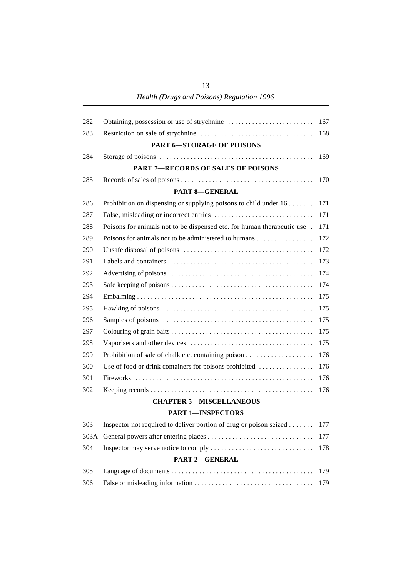*Health (Drugs and Poisons) Regulation 1996*

| 282  |                                                                                  | 167 |
|------|----------------------------------------------------------------------------------|-----|
| 283  |                                                                                  | 168 |
|      | <b>PART 6-STORAGE OF POISONS</b>                                                 |     |
| 284  |                                                                                  | 169 |
|      | <b>PART 7-RECORDS OF SALES OF POISONS</b>                                        |     |
| 285  |                                                                                  | 170 |
|      | <b>PART 8-GENERAL</b>                                                            |     |
| 286  | Prohibition on dispensing or supplying poisons to child under $16 \ldots \ldots$ | 171 |
| 287  |                                                                                  | 171 |
| 288  | Poisons for animals not to be dispensed etc. for human therapeutic use.          | 171 |
| 289  | Poisons for animals not to be administered to humans                             | 172 |
| 290  |                                                                                  | 172 |
| 291  |                                                                                  | 173 |
| 292  |                                                                                  | 174 |
| 293  |                                                                                  | 174 |
| 294  |                                                                                  | 175 |
| 295  |                                                                                  | 175 |
| 296  |                                                                                  | 175 |
| 297  |                                                                                  | 175 |
| 298  |                                                                                  | 175 |
| 299  |                                                                                  | 176 |
| 300  | Use of food or drink containers for poisons prohibited                           | 176 |
| 301  |                                                                                  | 176 |
| 302  |                                                                                  | 176 |
|      | <b>CHAPTER 5-MISCELLANEOUS</b>                                                   |     |
|      | <b>PART 1-INSPECTORS</b>                                                         |     |
| 303  | Inspector not required to deliver portion of drug or poison seized               | 177 |
| 303A |                                                                                  | 177 |
| 304  |                                                                                  | 178 |
|      | PART 2-GENERAL                                                                   |     |

13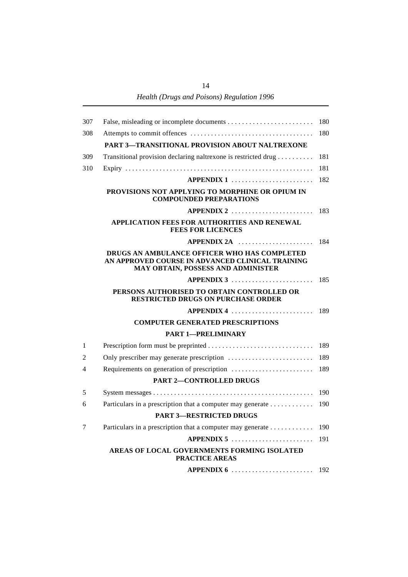*Health (Drugs and Poisons) Regulation 1996*

| 307 |                                                                                                                                        | 180 |
|-----|----------------------------------------------------------------------------------------------------------------------------------------|-----|
| 308 |                                                                                                                                        | 180 |
|     | PART 3-TRANSITIONAL PROVISION ABOUT NALTREXONE                                                                                         |     |
| 309 | Transitional provision declaring naltrexone is restricted drug                                                                         | 181 |
| 310 |                                                                                                                                        | 181 |
|     | APPENDIX 1                                                                                                                             | 182 |
|     | PROVISIONS NOT APPLYING TO MORPHINE OR OPIUM IN<br><b>COMPOUNDED PREPARATIONS</b>                                                      |     |
|     | APPENDIX 2                                                                                                                             | 183 |
|     | APPLICATION FEES FOR AUTHORITIES AND RENEWAL<br><b>FEES FOR LICENCES</b>                                                               |     |
|     | APPENDIX 2A                                                                                                                            | 184 |
|     | DRUGS AN AMBULANCE OFFICER WHO HAS COMPLETED<br>AN APPROVED COURSE IN ADVANCED CLINICAL TRAINING<br>MAY OBTAIN, POSSESS AND ADMINISTER |     |
|     | APPENDIX 3                                                                                                                             | 185 |
|     | PERSONS AUTHORISED TO OBTAIN CONTROLLED OR<br><b>RESTRICTED DRUGS ON PURCHASE ORDER</b>                                                |     |
|     | $APPENDIX 4$                                                                                                                           | 189 |
|     | <b>COMPUTER GENERATED PRESCRIPTIONS</b>                                                                                                |     |
|     | <b>PART 1-PRELIMINARY</b>                                                                                                              |     |
| 1   |                                                                                                                                        | 189 |
| 2   |                                                                                                                                        | 189 |
| 4   |                                                                                                                                        | 189 |
|     | <b>PART 2-CONTROLLED DRUGS</b>                                                                                                         |     |
| 5   |                                                                                                                                        | 190 |
| 6   | Particulars in a prescription that a computer may generate                                                                             | 190 |
|     | <b>PART 3-RESTRICTED DRUGS</b>                                                                                                         |     |
| 7   | Particulars in a prescription that a computer may generate                                                                             | 190 |
|     | $APPENDIX 5       $                                                                                                                    | 191 |
|     | AREAS OF LOCAL GOVERNMENTS FORMING ISOLATED<br><b>PRACTICE AREAS</b>                                                                   |     |
|     |                                                                                                                                        |     |

14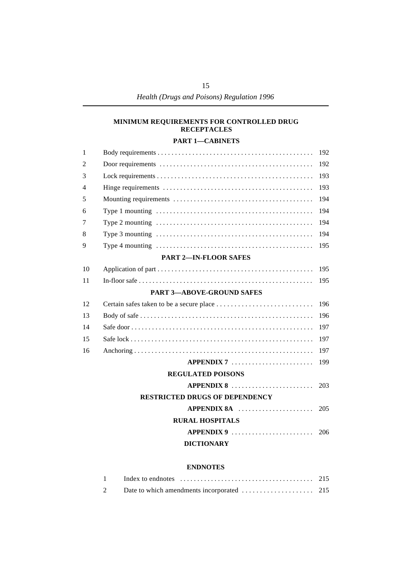### **MINIMUM REQUIREMENTS FOR CONTROLLED DRUG RECEPTACLES**

### **PART 1—CABINETS**

| $\mathbf{1}$ |                                                                                                             | 192 |
|--------------|-------------------------------------------------------------------------------------------------------------|-----|
| 2            |                                                                                                             | 192 |
| 3            |                                                                                                             | 193 |
| 4            |                                                                                                             | 193 |
| 5            |                                                                                                             | 194 |
| 6            | Type 1 mounting $\dots \dots \dots \dots \dots \dots \dots \dots \dots \dots \dots \dots \dots \dots \dots$ | 194 |
| 7            |                                                                                                             | 194 |
| 8            |                                                                                                             | 194 |
| 9            |                                                                                                             | 195 |
|              | <b>PART 2-IN-FLOOR SAFES</b>                                                                                |     |
| 10           |                                                                                                             | 195 |
| 11           |                                                                                                             | 195 |
|              | <b>PART 3-ABOVE-GROUND SAFES</b>                                                                            |     |
| 12           |                                                                                                             | 196 |
| 13           |                                                                                                             | 196 |
| 14           |                                                                                                             | 197 |
| 15           |                                                                                                             | 197 |
| 16           |                                                                                                             | 197 |
|              | $APPENDIX 7       $                                                                                         | 199 |
|              | <b>REGULATED POISONS</b>                                                                                    |     |
|              | APPENDIX 8                                                                                                  | 203 |
|              | <b>RESTRICTED DRUGS OF DEPENDENCY</b>                                                                       |     |
|              | $APPENDIX 8A$                                                                                               | 205 |
|              | <b>RURAL HOSPITALS</b>                                                                                      |     |
|              | APPENDIX 9                                                                                                  | 206 |
|              | <b>DICTIONARY</b>                                                                                           |     |
|              |                                                                                                             |     |

#### **ENDNOTES**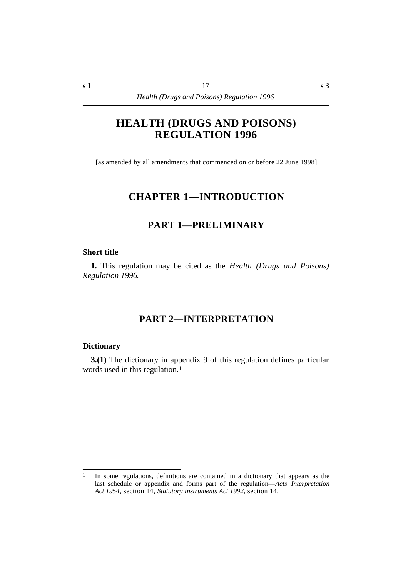# **HEALTH (DRUGS AND POISONS) REGULATION 1996**

[as amended by all amendments that commenced on or before 22 June 1998]

# **†CHAPTER 1—INTRODUCTION**

# **†PART 1—PRELIMINARY**

### **˙Short title**

**1.** This regulation may be cited as the *Health (Drugs and Poisons) Regulation 1996*.

# **†PART 2—INTERPRETATION**

### **˙Dictionary**

**3.(1)** The dictionary in appendix 9 of this regulation defines particular words used in this regulation.1

<sup>1</sup> In some regulations, definitions are contained in a dictionary that appears as the last schedule or appendix and forms part of the regulation—*Acts Interpretation Act 1954*, section 14, *Statutory Instruments Act 1992*, section 14.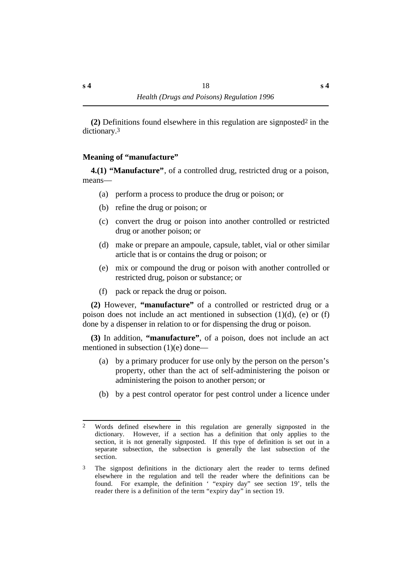**(2)** Definitions found elsewhere in this regulation are signposted2 in the dictionary.3

# **˙Meaning of "manufacture"**

**4.(1) "Manufacture"**, of a controlled drug, restricted drug or a poison, means—

- (a) perform a process to produce the drug or poison; or
- (b) refine the drug or poison; or
- (c) convert the drug or poison into another controlled or restricted drug or another poison; or
- (d) make or prepare an ampoule, capsule, tablet, vial or other similar article that is or contains the drug or poison; or
- (e) mix or compound the drug or poison with another controlled or restricted drug, poison or substance; or
- (f) pack or repack the drug or poison.

**(2)** However, **"manufacture"** of a controlled or restricted drug or a poison does not include an act mentioned in subsection (1)(d), (e) or (f) done by a dispenser in relation to or for dispensing the drug or poison.

**(3)** In addition, **"manufacture"**, of a poison, does not include an act mentioned in subsection (1)(e) done—

- (a) by a primary producer for use only by the person on the person's property, other than the act of self-administering the poison or administering the poison to another person; or
- (b) by a pest control operator for pest control under a licence under

<sup>2</sup> Words defined elsewhere in this regulation are generally signposted in the dictionary. However, if a section has a definition that only applies to the section, it is not generally signposted. If this type of definition is set out in a separate subsection, the subsection is generally the last subsection of the section.

<sup>&</sup>lt;sup>3</sup> The signpost definitions in the dictionary alert the reader to terms defined elsewhere in the regulation and tell the reader where the definitions can be found. For example, the definition ' "expiry day" see section 19', tells the reader there is a definition of the term "expiry day" in section 19.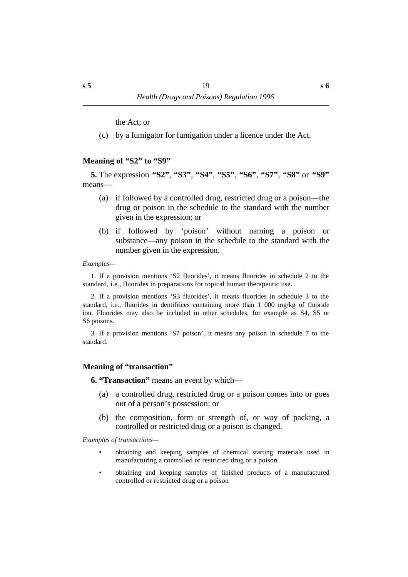the Act; or

(c) by a fumigator for fumigation under a licence under the Act.

### **˙Meaning of "S2" to "S9"**

**5.** The expression **"S2"**, **"S3"**, **"S4"**, **"S5"**, **"S6"**, **"S7"**, **"S8"** or **"S9"** means—

- (a) if followed by a controlled drug, restricted drug or a poison—the drug or poison in the schedule to the standard with the number given in the expression; or
- (b) if followed by 'poison' without naming a poison or substance—any poison in the schedule to the standard with the number given in the expression.

*Examples—*

1. If a provision mentions 'S2 fluorides', it means fluorides in schedule 2 to the standard, i.e., fluorides in preparations for topical human therapeutic use.

2. If a provision mentions 'S3 fluorides', it means fluorides in schedule 3 to the standard, i.e., fluorides in dentifrices containing more than 1 000 mg/kg of fluoride ion. Fluorides may also be included in other schedules, for example as S4, S5 or S6 poisons.

3. If a provision mentions 'S7 poison', it means any poison in schedule 7 to the standard.

### **˙Meaning of "transaction"**

**6. "Transaction"** means an event by which—

- (a) a controlled drug, restricted drug or a poison comes into or goes out of a person's possession; or
- (b) the composition, form or strength of, or way of packing, a controlled or restricted drug or a poison is changed.

*Examples of transactions—*

- obtaining and keeping samples of chemical starting materials used in manufacturing a controlled or restricted drug or a poison
- obtaining and keeping samples of finished products of a manufactured controlled or restricted drug or a poison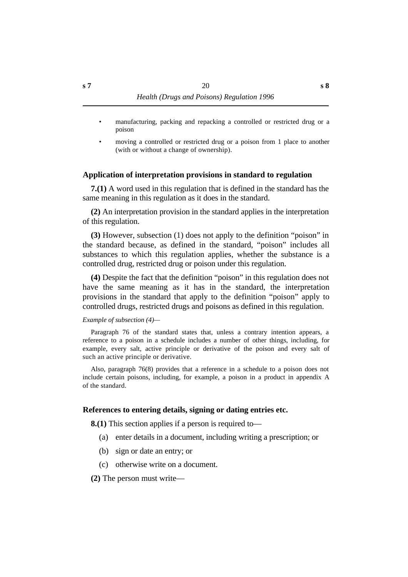- manufacturing, packing and repacking a controlled or restricted drug or a poison
- moving a controlled or restricted drug or a poison from 1 place to another (with or without a change of ownership).

### **˙Application of interpretation provisions in standard to regulation**

**7.(1)** A word used in this regulation that is defined in the standard has the same meaning in this regulation as it does in the standard.

**(2)** An interpretation provision in the standard applies in the interpretation of this regulation.

**(3)** However, subsection (1) does not apply to the definition "poison" in the standard because, as defined in the standard, "poison" includes all substances to which this regulation applies, whether the substance is a controlled drug, restricted drug or poison under this regulation.

**(4)** Despite the fact that the definition "poison" in this regulation does not have the same meaning as it has in the standard, the interpretation provisions in the standard that apply to the definition "poison" apply to controlled drugs, restricted drugs and poisons as defined in this regulation.

*Example of subsection (4)—*

Paragraph 76 of the standard states that, unless a contrary intention appears, a reference to a poison in a schedule includes a number of other things, including, for example, every salt, active principle or derivative of the poison and every salt of such an active principle or derivative.

Also, paragraph 76(8) provides that a reference in a schedule to a poison does not include certain poisons, including, for example, a poison in a product in appendix A of the standard.

### **˙References to entering details, signing or dating entries etc.**

**8.(1)** This section applies if a person is required to—

- (a) enter details in a document, including writing a prescription; or
- (b) sign or date an entry; or
- (c) otherwise write on a document.
- **(2)** The person must write—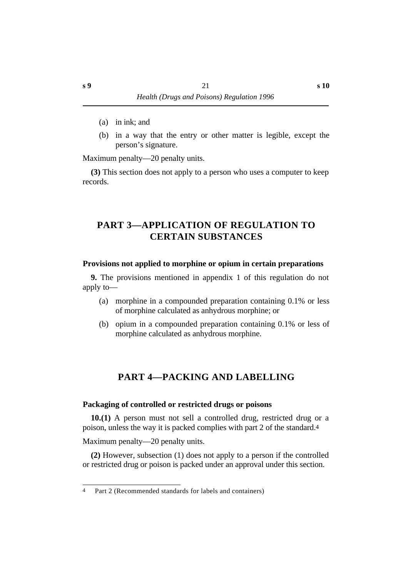- (a) in ink; and
- (b) in a way that the entry or other matter is legible, except the person's signature.

Maximum penalty—20 penalty units.

**(3)** This section does not apply to a person who uses a computer to keep records.

# **†PART 3—APPLICATION OF REGULATION TO CERTAIN SUBSTANCES**

### **˙Provisions not applied to morphine or opium in certain preparations**

**9.** The provisions mentioned in appendix 1 of this regulation do not apply to—

- (a) morphine in a compounded preparation containing 0.1% or less of morphine calculated as anhydrous morphine; or
- (b) opium in a compounded preparation containing 0.1% or less of morphine calculated as anhydrous morphine.

# **†PART 4—PACKING AND LABELLING**

### **˙Packaging of controlled or restricted drugs or poisons**

**10.(1)** A person must not sell a controlled drug, restricted drug or a poison, unless the way it is packed complies with part 2 of the standard.4

Maximum penalty—20 penalty units.

**(2)** However, subsection (1) does not apply to a person if the controlled or restricted drug or poison is packed under an approval under this section.

<sup>4</sup> Part 2 (Recommended standards for labels and containers)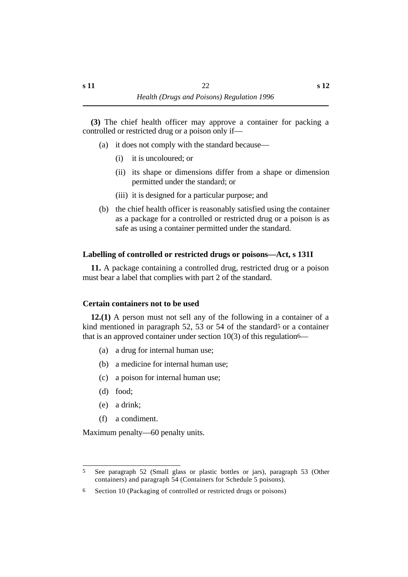**(3)** The chief health officer may approve a container for packing a controlled or restricted drug or a poison only if—

- (a) it does not comply with the standard because—
	- (i) it is uncoloured; or
	- (ii) its shape or dimensions differ from a shape or dimension permitted under the standard; or
	- (iii) it is designed for a particular purpose; and
- (b) the chief health officer is reasonably satisfied using the container as a package for a controlled or restricted drug or a poison is as safe as using a container permitted under the standard.

# **˙Labelling of controlled or restricted drugs or poisons—Act, s 131I**

**11.** A package containing a controlled drug, restricted drug or a poison must bear a label that complies with part 2 of the standard.

# **˙Certain containers not to be used**

**12.(1)** A person must not sell any of the following in a container of a kind mentioned in paragraph 52, 53 or 54 of the standard<sup>5</sup> or a container that is an approved container under section  $10(3)$  of this regulation<sup>6—</sup>

- (a) a drug for internal human use;
- (b) a medicine for internal human use;
- (c) a poison for internal human use;
- (d) food;
- (e) a drink;
- (f) a condiment.

Maximum penalty—60 penalty units.

<sup>5</sup> See paragraph 52 (Small glass or plastic bottles or jars), paragraph 53 (Other containers) and paragraph 54 (Containers for Schedule 5 poisons).

<sup>6</sup> Section 10 (Packaging of controlled or restricted drugs or poisons)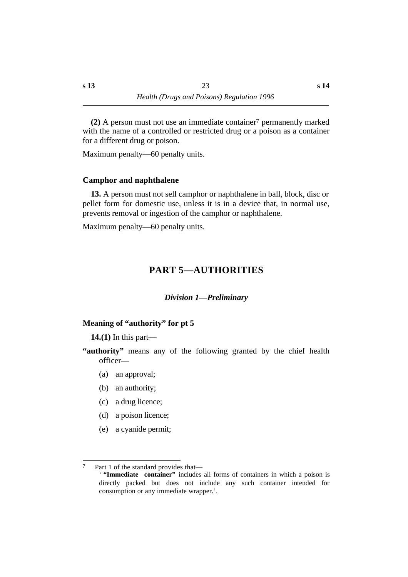**(2)** A person must not use an immediate container7 permanently marked with the name of a controlled or restricted drug or a poison as a container for a different drug or poison.

```
Maximum penalty—60 penalty units.
```
### **˙Camphor and naphthalene**

**13.** A person must not sell camphor or naphthalene in ball, block, disc or pellet form for domestic use, unless it is in a device that, in normal use, prevents removal or ingestion of the camphor or naphthalene.

Maximum penalty—60 penalty units.

# **†PART 5—AUTHORITIES**

### *†Division 1—Preliminary*

# **˙Meaning of "authority" for pt 5**

**14.(1)** In this part—

**"authority"** means any of the following granted by the chief health officer—

- (a) an approval;
- (b) an authority;
- (c) a drug licence;
- (d) a poison licence;
- (e) a cyanide permit;

<sup>7</sup> Part 1 of the standard provides that— ' **"Immediate container"** includes all forms of containers in which a poison is directly packed but does not include any such container intended for consumption or any immediate wrapper.'.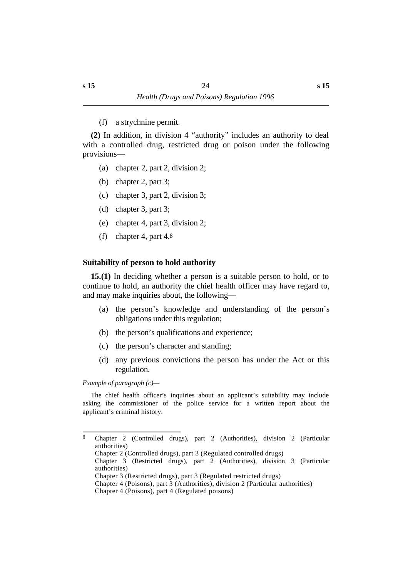(f) a strychnine permit.

**(2)** In addition, in division 4 "authority" includes an authority to deal with a controlled drug, restricted drug or poison under the following provisions—

- (a) chapter 2, part 2, division 2;
- (b) chapter 2, part 3;
- (c) chapter 3, part 2, division 3;
- (d) chapter 3, part 3;
- (e) chapter 4, part 3, division 2;
- (f) chapter 4, part 4.8

# **˙Suitability of person to hold authority**

**15.(1)** In deciding whether a person is a suitable person to hold, or to continue to hold, an authority the chief health officer may have regard to, and may make inquiries about, the following—

- (a) the person's knowledge and understanding of the person's obligations under this regulation;
- (b) the person's qualifications and experience;
- (c) the person's character and standing;
- (d) any previous convictions the person has under the Act or this regulation.

*Example of paragraph (c)—*

The chief health officer's inquiries about an applicant's suitability may include asking the commissioner of the police service for a written report about the applicant's criminal history.

<sup>8</sup> Chapter 2 (Controlled drugs), part 2 (Authorities), division 2 (Particular authorities) Chapter 2 (Controlled drugs), part 3 (Regulated controlled drugs) Chapter 3 (Restricted drugs), part 2 (Authorities), division 3 (Particular authorities) Chapter 3 (Restricted drugs), part 3 (Regulated restricted drugs) Chapter 4 (Poisons), part 3 (Authorities), division 2 (Particular authorities) Chapter 4 (Poisons), part 4 (Regulated poisons)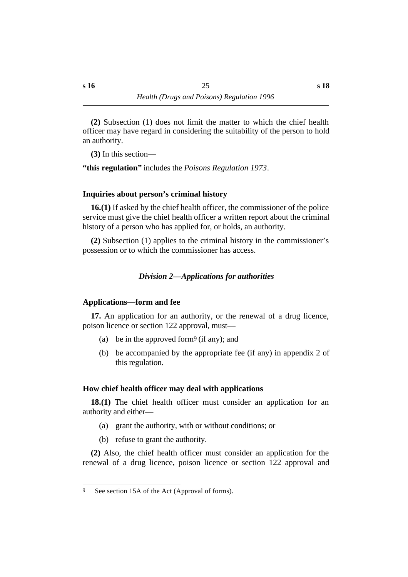**(2)** Subsection (1) does not limit the matter to which the chief health officer may have regard in considering the suitability of the person to hold an authority.

**(3)** In this section—

**"this regulation"** includes the *Poisons Regulation 1973*.

# **˙Inquiries about person's criminal history**

**16.(1)** If asked by the chief health officer, the commissioner of the police service must give the chief health officer a written report about the criminal history of a person who has applied for, or holds, an authority.

**(2)** Subsection (1) applies to the criminal history in the commissioner's possession or to which the commissioner has access.

# *†Division 2—Applications for authorities*

# **˙Applications—form and fee**

**17.** An application for an authority, or the renewal of a drug licence, poison licence or section 122 approval, must—

- (a) be in the approved form<sup>9</sup> (if any); and
- (b) be accompanied by the appropriate fee (if any) in appendix 2 of this regulation.

# **˙How chief health officer may deal with applications**

**18.(1)** The chief health officer must consider an application for an authority and either—

- (a) grant the authority, with or without conditions; or
- (b) refuse to grant the authority.

**(2)** Also, the chief health officer must consider an application for the renewal of a drug licence, poison licence or section 122 approval and

<sup>9</sup> See section 15A of the Act (Approval of forms).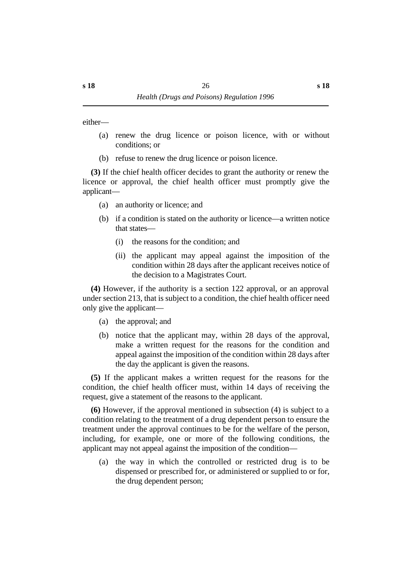either—

- (a) renew the drug licence or poison licence, with or without conditions; or
- (b) refuse to renew the drug licence or poison licence.

**(3)** If the chief health officer decides to grant the authority or renew the licence or approval, the chief health officer must promptly give the applicant—

- (a) an authority or licence; and
- (b) if a condition is stated on the authority or licence—a written notice that states—
	- (i) the reasons for the condition; and
	- (ii) the applicant may appeal against the imposition of the condition within 28 days after the applicant receives notice of the decision to a Magistrates Court.

**(4)** However, if the authority is a section 122 approval, or an approval under section 213, that is subject to a condition, the chief health officer need only give the applicant—

- (a) the approval; and
- (b) notice that the applicant may, within 28 days of the approval, make a written request for the reasons for the condition and appeal against the imposition of the condition within 28 days after the day the applicant is given the reasons.

**(5)** If the applicant makes a written request for the reasons for the condition, the chief health officer must, within 14 days of receiving the request, give a statement of the reasons to the applicant.

**(6)** However, if the approval mentioned in subsection (4) is subject to a condition relating to the treatment of a drug dependent person to ensure the treatment under the approval continues to be for the welfare of the person, including, for example, one or more of the following conditions, the applicant may not appeal against the imposition of the condition—

(a) the way in which the controlled or restricted drug is to be dispensed or prescribed for, or administered or supplied to or for, the drug dependent person;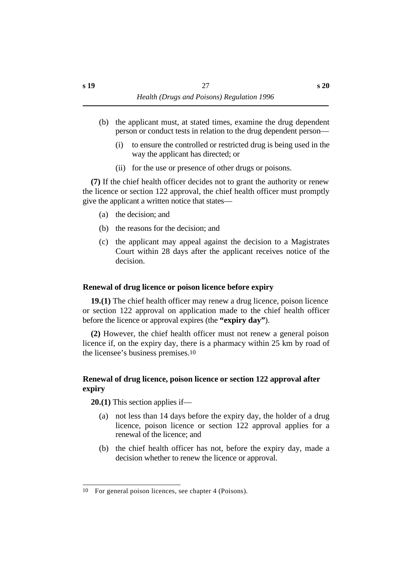- (b) the applicant must, at stated times, examine the drug dependent person or conduct tests in relation to the drug dependent person—
	- (i) to ensure the controlled or restricted drug is being used in the way the applicant has directed; or
	- (ii) for the use or presence of other drugs or poisons.

**(7)** If the chief health officer decides not to grant the authority or renew the licence or section 122 approval, the chief health officer must promptly give the applicant a written notice that states—

- (a) the decision; and
- (b) the reasons for the decision; and
- (c) the applicant may appeal against the decision to a Magistrates Court within 28 days after the applicant receives notice of the decision.

# **˙Renewal of drug licence or poison licence before expiry**

**19.(1)** The chief health officer may renew a drug licence, poison licence or section 122 approval on application made to the chief health officer before the licence or approval expires (the **"expiry day"**).

**(2)** However, the chief health officer must not renew a general poison licence if, on the expiry day, there is a pharmacy within 25 km by road of the licensee's business premises.10

# **˙Renewal of drug licence, poison licence or section 122 approval after expiry**

**20.(1)** This section applies if—

- (a) not less than 14 days before the expiry day, the holder of a drug licence, poison licence or section 122 approval applies for a renewal of the licence; and
- (b) the chief health officer has not, before the expiry day, made a decision whether to renew the licence or approval.

<sup>10</sup> For general poison licences, see chapter 4 (Poisons).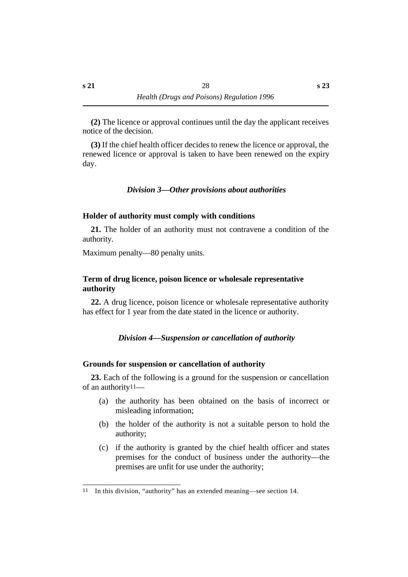**(2)** The licence or approval continues until the day the applicant receives notice of the decision.

**(3)** If the chief health officer decides to renew the licence or approval, the renewed licence or approval is taken to have been renewed on the expiry day.

# *†Division 3—Other provisions about authorities*

# **˙Holder of authority must comply with conditions**

**21.** The holder of an authority must not contravene a condition of the authority.

Maximum penalty—80 penalty units.

# **˙Term of drug licence, poison licence or wholesale representative authority**

**22.** A drug licence, poison licence or wholesale representative authority has effect for 1 year from the date stated in the licence or authority.

# *†Division 4—Suspension or cancellation of authority*

# **˙Grounds for suspension or cancellation of authority**

**23.** Each of the following is a ground for the suspension or cancellation of an authority11—

- (a) the authority has been obtained on the basis of incorrect or misleading information;
- (b) the holder of the authority is not a suitable person to hold the authority;
- (c) if the authority is granted by the chief health officer and states premises for the conduct of business under the authority—the premises are unfit for use under the authority;

<sup>11</sup> In this division, "authority" has an extended meaning—see section 14.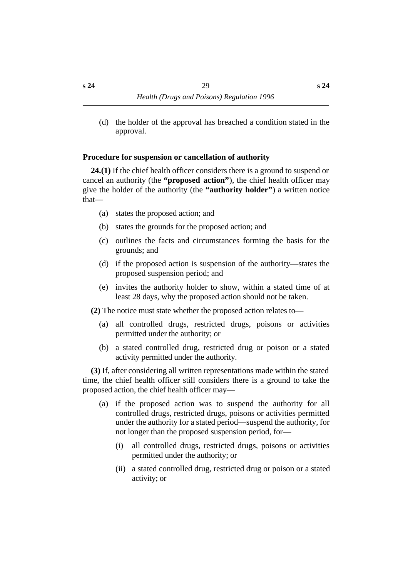(d) the holder of the approval has breached a condition stated in the approval.

### **˙Procedure for suspension or cancellation of authority**

**24.(1)** If the chief health officer considers there is a ground to suspend or cancel an authority (the **"proposed action"**), the chief health officer may give the holder of the authority (the **"authority holder"**) a written notice that—

- (a) states the proposed action; and
- (b) states the grounds for the proposed action; and
- (c) outlines the facts and circumstances forming the basis for the grounds; and
- (d) if the proposed action is suspension of the authority—states the proposed suspension period; and
- (e) invites the authority holder to show, within a stated time of at least 28 days, why the proposed action should not be taken.

**(2)** The notice must state whether the proposed action relates to—

- (a) all controlled drugs, restricted drugs, poisons or activities permitted under the authority; or
- (b) a stated controlled drug, restricted drug or poison or a stated activity permitted under the authority.

**(3)** If, after considering all written representations made within the stated time, the chief health officer still considers there is a ground to take the proposed action, the chief health officer may—

- (a) if the proposed action was to suspend the authority for all controlled drugs, restricted drugs, poisons or activities permitted under the authority for a stated period—suspend the authority, for not longer than the proposed suspension period, for—
	- (i) all controlled drugs, restricted drugs, poisons or activities permitted under the authority; or
	- (ii) a stated controlled drug, restricted drug or poison or a stated activity; or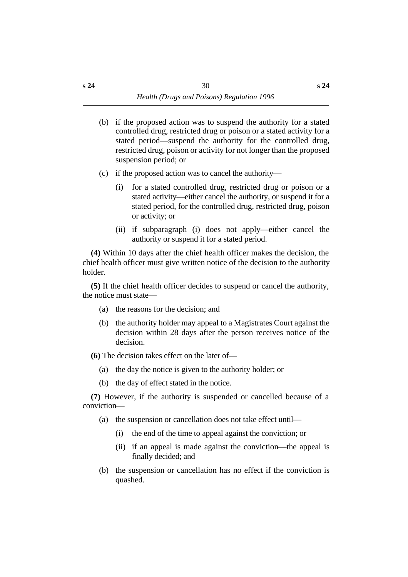- (b) if the proposed action was to suspend the authority for a stated controlled drug, restricted drug or poison or a stated activity for a stated period—suspend the authority for the controlled drug, restricted drug, poison or activity for not longer than the proposed suspension period; or
- (c) if the proposed action was to cancel the authority—
	- (i) for a stated controlled drug, restricted drug or poison or a stated activity—either cancel the authority, or suspend it for a stated period, for the controlled drug, restricted drug, poison or activity; or
	- (ii) if subparagraph (i) does not apply—either cancel the authority or suspend it for a stated period.

**(4)** Within 10 days after the chief health officer makes the decision, the chief health officer must give written notice of the decision to the authority holder.

**(5)** If the chief health officer decides to suspend or cancel the authority, the notice must state—

- (a) the reasons for the decision; and
- (b) the authority holder may appeal to a Magistrates Court against the decision within 28 days after the person receives notice of the decision.

**(6)** The decision takes effect on the later of—

- (a) the day the notice is given to the authority holder; or
- (b) the day of effect stated in the notice.

**(7)** However, if the authority is suspended or cancelled because of a conviction—

- (a) the suspension or cancellation does not take effect until—
	- (i) the end of the time to appeal against the conviction; or
	- (ii) if an appeal is made against the conviction—the appeal is finally decided; and
- (b) the suspension or cancellation has no effect if the conviction is quashed.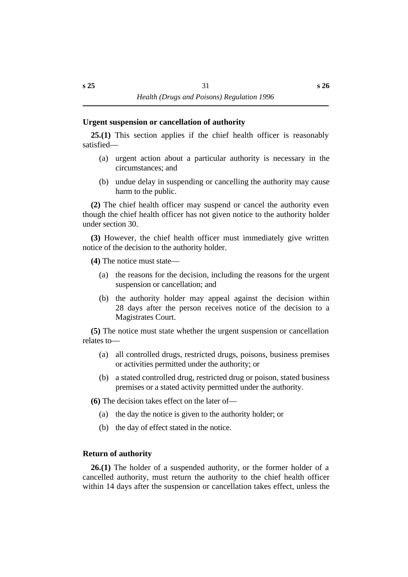### **˙Urgent suspension or cancellation of authority**

**25.(1)** This section applies if the chief health officer is reasonably satisfied—

- (a) urgent action about a particular authority is necessary in the circumstances; and
- (b) undue delay in suspending or cancelling the authority may cause harm to the public.

**(2)** The chief health officer may suspend or cancel the authority even though the chief health officer has not given notice to the authority holder under section 30.

**(3)** However, the chief health officer must immediately give written notice of the decision to the authority holder.

**(4)** The notice must state—

- (a) the reasons for the decision, including the reasons for the urgent suspension or cancellation; and
- (b) the authority holder may appeal against the decision within 28 days after the person receives notice of the decision to a Magistrates Court.

**(5)** The notice must state whether the urgent suspension or cancellation relates to—

- (a) all controlled drugs, restricted drugs, poisons, business premises or activities permitted under the authority; or
- (b) a stated controlled drug, restricted drug or poison, stated business premises or a stated activity permitted under the authority.

**(6)** The decision takes effect on the later of—

- (a) the day the notice is given to the authority holder; or
- (b) the day of effect stated in the notice.

# **˙Return of authority**

**26.(1)** The holder of a suspended authority, or the former holder of a cancelled authority, must return the authority to the chief health officer within 14 days after the suspension or cancellation takes effect, unless the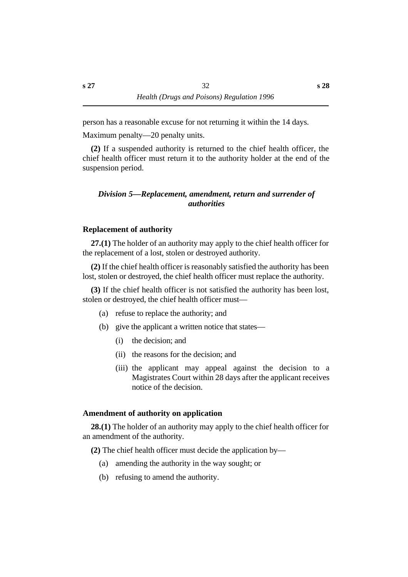person has a reasonable excuse for not returning it within the 14 days.

Maximum penalty—20 penalty units.

**(2)** If a suspended authority is returned to the chief health officer, the chief health officer must return it to the authority holder at the end of the suspension period.

# *†Division 5—Replacement, amendment, return and surrender of authorities*

# **˙Replacement of authority**

**27.(1)** The holder of an authority may apply to the chief health officer for the replacement of a lost, stolen or destroyed authority.

**(2)** If the chief health officer is reasonably satisfied the authority has been lost, stolen or destroyed, the chief health officer must replace the authority.

**(3)** If the chief health officer is not satisfied the authority has been lost, stolen or destroyed, the chief health officer must—

- (a) refuse to replace the authority; and
- (b) give the applicant a written notice that states—
	- (i) the decision; and
	- (ii) the reasons for the decision; and
	- (iii) the applicant may appeal against the decision to a Magistrates Court within 28 days after the applicant receives notice of the decision.

# **˙Amendment of authority on application**

**28.(1)** The holder of an authority may apply to the chief health officer for an amendment of the authority.

**(2)** The chief health officer must decide the application by—

- (a) amending the authority in the way sought; or
- (b) refusing to amend the authority.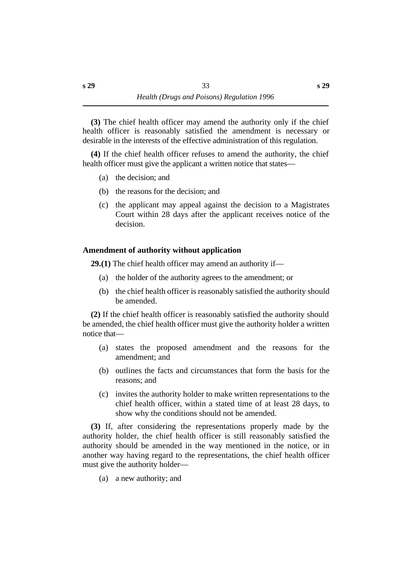**(3)** The chief health officer may amend the authority only if the chief health officer is reasonably satisfied the amendment is necessary or desirable in the interests of the effective administration of this regulation.

**(4)** If the chief health officer refuses to amend the authority, the chief health officer must give the applicant a written notice that states—

- (a) the decision; and
- (b) the reasons for the decision; and
- (c) the applicant may appeal against the decision to a Magistrates Court within 28 days after the applicant receives notice of the decision.

# **˙Amendment of authority without application**

**29.(1)** The chief health officer may amend an authority if—

- (a) the holder of the authority agrees to the amendment; or
- (b) the chief health officer is reasonably satisfied the authority should be amended.

**(2)** If the chief health officer is reasonably satisfied the authority should be amended, the chief health officer must give the authority holder a written notice that—

- (a) states the proposed amendment and the reasons for the amendment; and
- (b) outlines the facts and circumstances that form the basis for the reasons; and
- (c) invites the authority holder to make written representations to the chief health officer, within a stated time of at least 28 days, to show why the conditions should not be amended.

**(3)** If, after considering the representations properly made by the authority holder, the chief health officer is still reasonably satisfied the authority should be amended in the way mentioned in the notice, or in another way having regard to the representations, the chief health officer must give the authority holder—

(a) a new authority; and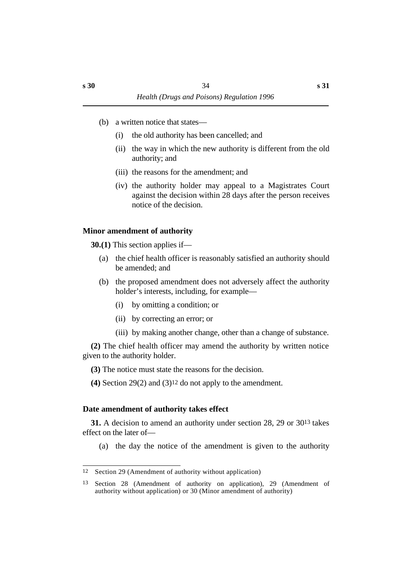- (b) a written notice that states—
	- (i) the old authority has been cancelled; and
	- (ii) the way in which the new authority is different from the old authority; and
	- (iii) the reasons for the amendment; and
	- (iv) the authority holder may appeal to a Magistrates Court against the decision within 28 days after the person receives notice of the decision.

# **˙Minor amendment of authority**

**30.(1)** This section applies if—

- (a) the chief health officer is reasonably satisfied an authority should be amended; and
- (b) the proposed amendment does not adversely affect the authority holder's interests, including, for example—
	- (i) by omitting a condition; or
	- (ii) by correcting an error; or
	- (iii) by making another change, other than a change of substance.

**(2)** The chief health officer may amend the authority by written notice given to the authority holder.

- **(3)** The notice must state the reasons for the decision.
- **(4)** Section 29(2) and (3)12 do not apply to the amendment.

# **˙Date amendment of authority takes effect**

**31.** A decision to amend an authority under section 28, 29 or 3013 takes effect on the later of—

(a) the day the notice of the amendment is given to the authority

<sup>12</sup> Section 29 (Amendment of authority without application)

<sup>13</sup> Section 28 (Amendment of authority on application), 29 (Amendment of authority without application) or 30 (Minor amendment of authority)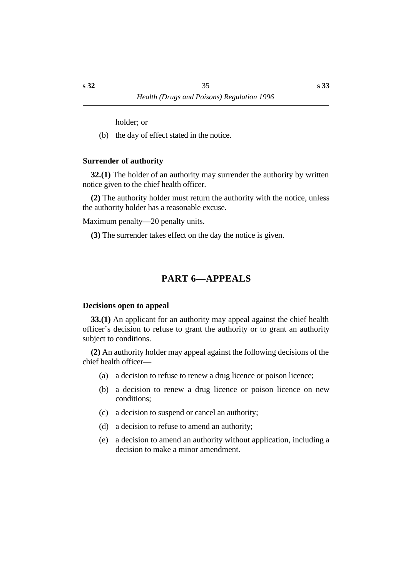holder; or

(b) the day of effect stated in the notice.

### **˙Surrender of authority**

**32.(1)** The holder of an authority may surrender the authority by written notice given to the chief health officer.

**(2)** The authority holder must return the authority with the notice, unless the authority holder has a reasonable excuse.

Maximum penalty—20 penalty units.

**(3)** The surrender takes effect on the day the notice is given.

# **†PART 6—APPEALS**

#### **˙Decisions open to appeal**

**33.(1)** An applicant for an authority may appeal against the chief health officer's decision to refuse to grant the authority or to grant an authority subject to conditions.

**(2)** An authority holder may appeal against the following decisions of the chief health officer—

- (a) a decision to refuse to renew a drug licence or poison licence;
- (b) a decision to renew a drug licence or poison licence on new conditions;
- (c) a decision to suspend or cancel an authority;
- (d) a decision to refuse to amend an authority;
- (e) a decision to amend an authority without application, including a decision to make a minor amendment.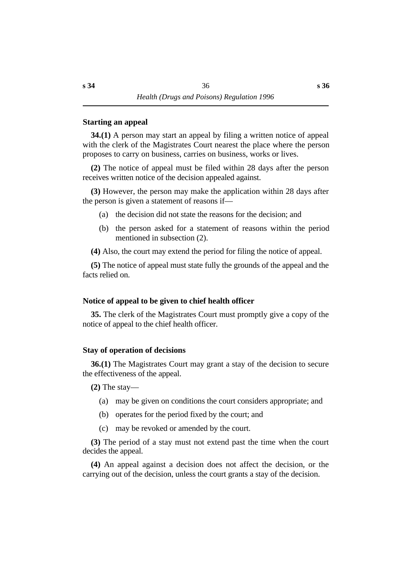#### **˙Starting an appeal**

**34.(1)** A person may start an appeal by filing a written notice of appeal with the clerk of the Magistrates Court nearest the place where the person proposes to carry on business, carries on business, works or lives.

**(2)** The notice of appeal must be filed within 28 days after the person receives written notice of the decision appealed against.

**(3)** However, the person may make the application within 28 days after the person is given a statement of reasons if—

- (a) the decision did not state the reasons for the decision; and
- (b) the person asked for a statement of reasons within the period mentioned in subsection (2).

**(4)** Also, the court may extend the period for filing the notice of appeal.

**(5)** The notice of appeal must state fully the grounds of the appeal and the facts relied on.

# **˙Notice of appeal to be given to chief health officer**

**35.** The clerk of the Magistrates Court must promptly give a copy of the notice of appeal to the chief health officer.

# **˙Stay of operation of decisions**

**36.(1)** The Magistrates Court may grant a stay of the decision to secure the effectiveness of the appeal.

**(2)** The stay—

- (a) may be given on conditions the court considers appropriate; and
- (b) operates for the period fixed by the court; and
- (c) may be revoked or amended by the court.

**(3)** The period of a stay must not extend past the time when the court decides the appeal.

**(4)** An appeal against a decision does not affect the decision, or the carrying out of the decision, unless the court grants a stay of the decision.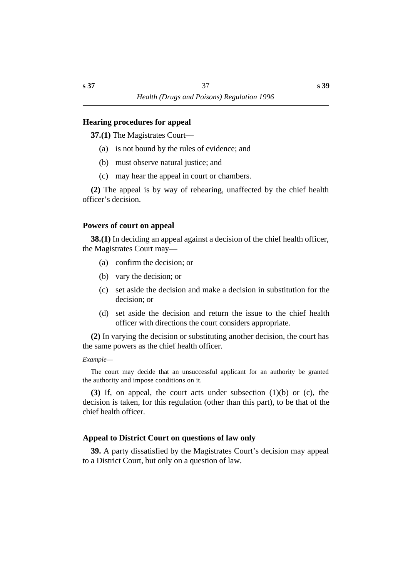#### **˙Hearing procedures for appeal**

**37.(1)** The Magistrates Court—

- (a) is not bound by the rules of evidence; and
- (b) must observe natural justice; and
- (c) may hear the appeal in court or chambers.

**(2)** The appeal is by way of rehearing, unaffected by the chief health officer's decision.

#### **˙Powers of court on appeal**

**38.(1)** In deciding an appeal against a decision of the chief health officer, the Magistrates Court may—

- (a) confirm the decision; or
- (b) vary the decision; or
- (c) set aside the decision and make a decision in substitution for the decision; or
- (d) set aside the decision and return the issue to the chief health officer with directions the court considers appropriate.

**(2)** In varying the decision or substituting another decision, the court has the same powers as the chief health officer.

#### *Example—*

The court may decide that an unsuccessful applicant for an authority be granted the authority and impose conditions on it.

**(3)** If, on appeal, the court acts under subsection (1)(b) or (c), the decision is taken, for this regulation (other than this part), to be that of the chief health officer.

#### **˙Appeal to District Court on questions of law only**

**39.** A party dissatisfied by the Magistrates Court's decision may appeal to a District Court, but only on a question of law.

**s 39**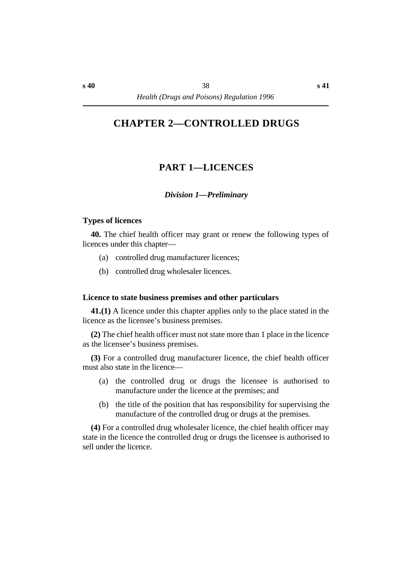# **†CHAPTER 2—CONTROLLED DRUGS**

# **†PART 1—LICENCES**

#### *†Division 1—Preliminary*

#### **˙Types of licences**

**40.** The chief health officer may grant or renew the following types of licences under this chapter—

- (a) controlled drug manufacturer licences;
- (b) controlled drug wholesaler licences.

#### **˙Licence to state business premises and other particulars**

**41.(1)** A licence under this chapter applies only to the place stated in the licence as the licensee's business premises.

**(2)** The chief health officer must not state more than 1 place in the licence as the licensee's business premises.

**(3)** For a controlled drug manufacturer licence, the chief health officer must also state in the licence—

- (a) the controlled drug or drugs the licensee is authorised to manufacture under the licence at the premises; and
- (b) the title of the position that has responsibility for supervising the manufacture of the controlled drug or drugs at the premises.

**(4)** For a controlled drug wholesaler licence, the chief health officer may state in the licence the controlled drug or drugs the licensee is authorised to sell under the licence.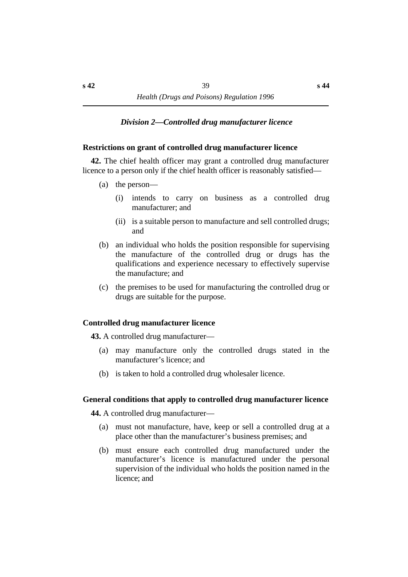### *†Division 2—Controlled drug manufacturer licence*

#### **˙Restrictions on grant of controlled drug manufacturer licence**

**42.** The chief health officer may grant a controlled drug manufacturer licence to a person only if the chief health officer is reasonably satisfied—

- (a) the person—
	- (i) intends to carry on business as a controlled drug manufacturer; and
	- (ii) is a suitable person to manufacture and sell controlled drugs; and
- (b) an individual who holds the position responsible for supervising the manufacture of the controlled drug or drugs has the qualifications and experience necessary to effectively supervise the manufacture; and
- (c) the premises to be used for manufacturing the controlled drug or drugs are suitable for the purpose.

#### **˙Controlled drug manufacturer licence**

**43.** A controlled drug manufacturer—

- (a) may manufacture only the controlled drugs stated in the manufacturer's licence; and
- (b) is taken to hold a controlled drug wholesaler licence.

#### **˙General conditions that apply to controlled drug manufacturer licence**

**44.** A controlled drug manufacturer—

- (a) must not manufacture, have, keep or sell a controlled drug at a place other than the manufacturer's business premises; and
- (b) must ensure each controlled drug manufactured under the manufacturer's licence is manufactured under the personal supervision of the individual who holds the position named in the licence; and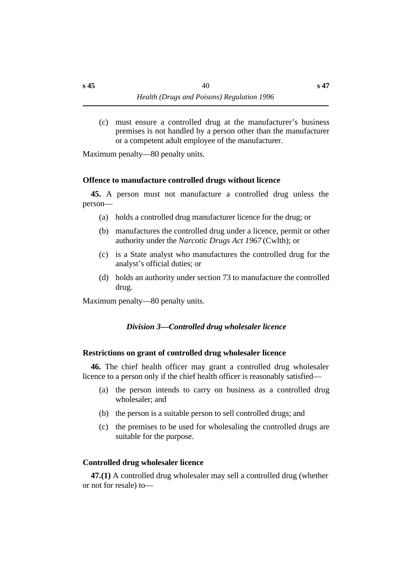(c) must ensure a controlled drug at the manufacturer's business premises is not handled by a person other than the manufacturer or a competent adult employee of the manufacturer.

Maximum penalty—80 penalty units.

#### **˙Offence to manufacture controlled drugs without licence**

**45.** A person must not manufacture a controlled drug unless the person—

- (a) holds a controlled drug manufacturer licence for the drug; or
- (b) manufactures the controlled drug under a licence, permit or other authority under the *Narcotic Drugs Act 1967* (Cwlth); or
- (c) is a State analyst who manufactures the controlled drug for the analyst's official duties; or
- (d) holds an authority under section 73 to manufacture the controlled drug.

Maximum penalty—80 penalty units.

#### *†Division 3—Controlled drug wholesaler licence*

#### **˙Restrictions on grant of controlled drug wholesaler licence**

**46.** The chief health officer may grant a controlled drug wholesaler licence to a person only if the chief health officer is reasonably satisfied—

- (a) the person intends to carry on business as a controlled drug wholesaler; and
- (b) the person is a suitable person to sell controlled drugs; and
- (c) the premises to be used for wholesaling the controlled drugs are suitable for the purpose.

#### **˙Controlled drug wholesaler licence**

**47.(1)** A controlled drug wholesaler may sell a controlled drug (whether or not for resale) to—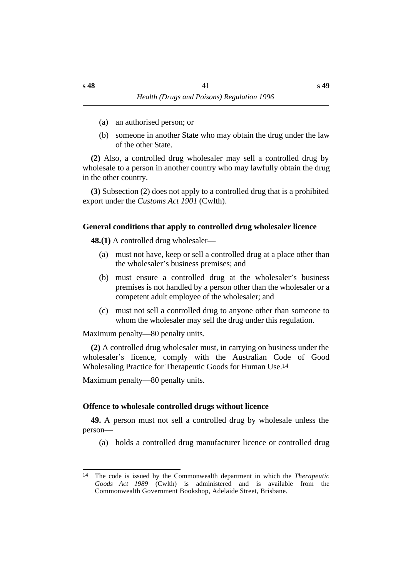- (a) an authorised person; or
- (b) someone in another State who may obtain the drug under the law of the other State.

**(2)** Also, a controlled drug wholesaler may sell a controlled drug by wholesale to a person in another country who may lawfully obtain the drug in the other country.

**(3)** Subsection (2) does not apply to a controlled drug that is a prohibited export under the *Customs Act 1901* (Cwlth).

#### **˙General conditions that apply to controlled drug wholesaler licence**

**48.(1)** A controlled drug wholesaler—

- (a) must not have, keep or sell a controlled drug at a place other than the wholesaler's business premises; and
- (b) must ensure a controlled drug at the wholesaler's business premises is not handled by a person other than the wholesaler or a competent adult employee of the wholesaler; and
- (c) must not sell a controlled drug to anyone other than someone to whom the wholesaler may sell the drug under this regulation.

Maximum penalty—80 penalty units.

**(2)** A controlled drug wholesaler must, in carrying on business under the wholesaler's licence, comply with the Australian Code of Good Wholesaling Practice for Therapeutic Goods for Human Use.14

Maximum penalty—80 penalty units.

#### **˙Offence to wholesale controlled drugs without licence**

**49.** A person must not sell a controlled drug by wholesale unless the person—

(a) holds a controlled drug manufacturer licence or controlled drug

<sup>14</sup> The code is issued by the Commonwealth department in which the *Therapeutic Goods Act 1989* (Cwlth) is administered and is available from the Commonwealth Government Bookshop, Adelaide Street, Brisbane.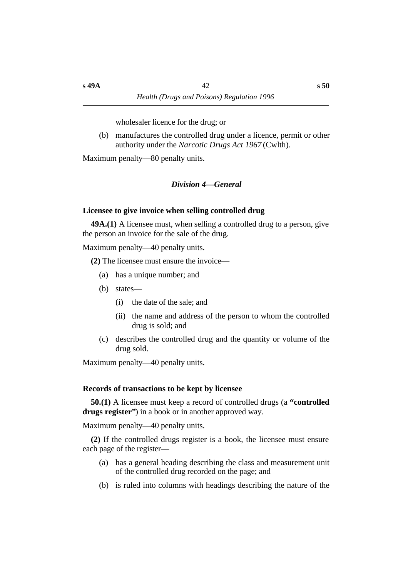wholesaler licence for the drug; or

(b) manufactures the controlled drug under a licence, permit or other authority under the *Narcotic Drugs Act 1967* (Cwlth).

Maximum penalty—80 penalty units.

#### *†Division 4—General*

#### **˙Licensee to give invoice when selling controlled drug**

**49A.(1)** A licensee must, when selling a controlled drug to a person, give the person an invoice for the sale of the drug.

Maximum penalty—40 penalty units.

**(2)** The licensee must ensure the invoice—

- (a) has a unique number; and
- (b) states—
	- (i) the date of the sale; and
	- (ii) the name and address of the person to whom the controlled drug is sold; and
- (c) describes the controlled drug and the quantity or volume of the drug sold.

Maximum penalty—40 penalty units.

#### **˙Records of transactions to be kept by licensee**

**50.(1)** A licensee must keep a record of controlled drugs (a **"controlled drugs register"**) in a book or in another approved way.

Maximum penalty—40 penalty units.

**(2)** If the controlled drugs register is a book, the licensee must ensure each page of the register—

- (a) has a general heading describing the class and measurement unit of the controlled drug recorded on the page; and
- (b) is ruled into columns with headings describing the nature of the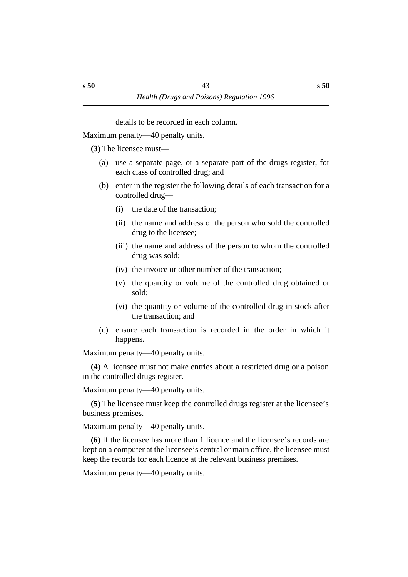details to be recorded in each column.

Maximum penalty—40 penalty units.

**(3)** The licensee must—

- (a) use a separate page, or a separate part of the drugs register, for each class of controlled drug; and
- (b) enter in the register the following details of each transaction for a controlled drug—
	- (i) the date of the transaction;
	- (ii) the name and address of the person who sold the controlled drug to the licensee;
	- (iii) the name and address of the person to whom the controlled drug was sold;
	- (iv) the invoice or other number of the transaction;
	- (v) the quantity or volume of the controlled drug obtained or sold;
	- (vi) the quantity or volume of the controlled drug in stock after the transaction; and
- (c) ensure each transaction is recorded in the order in which it happens.

Maximum penalty—40 penalty units.

**(4)** A licensee must not make entries about a restricted drug or a poison in the controlled drugs register.

Maximum penalty—40 penalty units.

**(5)** The licensee must keep the controlled drugs register at the licensee's business premises.

Maximum penalty—40 penalty units.

**(6)** If the licensee has more than 1 licence and the licensee's records are kept on a computer at the licensee's central or main office, the licensee must keep the records for each licence at the relevant business premises.

Maximum penalty—40 penalty units.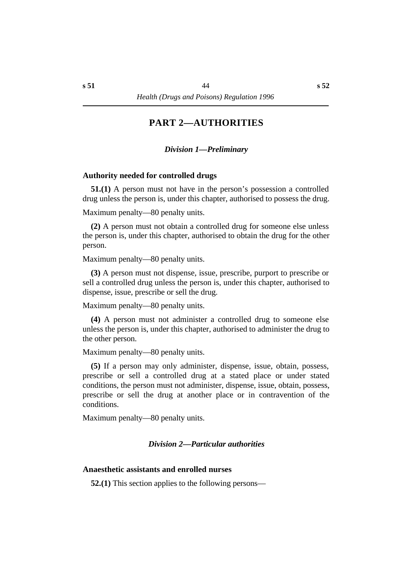# **†PART 2—AUTHORITIES**

#### *†Division 1—Preliminary*

#### **˙Authority needed for controlled drugs**

**51.(1)** A person must not have in the person's possession a controlled drug unless the person is, under this chapter, authorised to possess the drug.

Maximum penalty—80 penalty units.

**(2)** A person must not obtain a controlled drug for someone else unless the person is, under this chapter, authorised to obtain the drug for the other person.

Maximum penalty—80 penalty units.

**(3)** A person must not dispense, issue, prescribe, purport to prescribe or sell a controlled drug unless the person is, under this chapter, authorised to dispense, issue, prescribe or sell the drug.

Maximum penalty—80 penalty units.

**(4)** A person must not administer a controlled drug to someone else unless the person is, under this chapter, authorised to administer the drug to the other person.

Maximum penalty—80 penalty units.

**(5)** If a person may only administer, dispense, issue, obtain, possess, prescribe or sell a controlled drug at a stated place or under stated conditions, the person must not administer, dispense, issue, obtain, possess, prescribe or sell the drug at another place or in contravention of the conditions.

Maximum penalty—80 penalty units.

#### *†Division 2—Particular authorities*

#### **˙Anaesthetic assistants and enrolled nurses**

**52.(1)** This section applies to the following persons—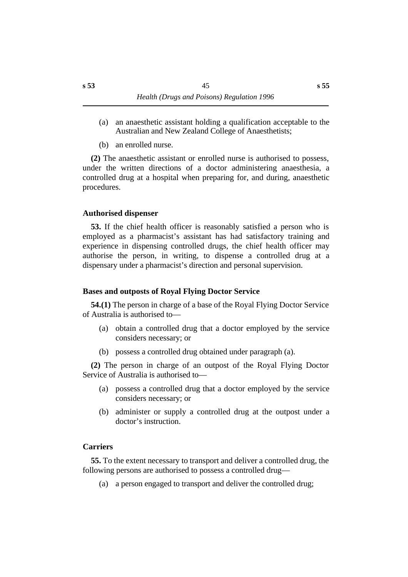- (a) an anaesthetic assistant holding a qualification acceptable to the Australian and New Zealand College of Anaesthetists;
- (b) an enrolled nurse.

**(2)** The anaesthetic assistant or enrolled nurse is authorised to possess, under the written directions of a doctor administering anaesthesia, a controlled drug at a hospital when preparing for, and during, anaesthetic procedures.

### **˙Authorised dispenser**

**53.** If the chief health officer is reasonably satisfied a person who is employed as a pharmacist's assistant has had satisfactory training and experience in dispensing controlled drugs, the chief health officer may authorise the person, in writing, to dispense a controlled drug at a dispensary under a pharmacist's direction and personal supervision.

# **˙Bases and outposts of Royal Flying Doctor Service**

**54.(1)** The person in charge of a base of the Royal Flying Doctor Service of Australia is authorised to—

- (a) obtain a controlled drug that a doctor employed by the service considers necessary; or
- (b) possess a controlled drug obtained under paragraph (a).

**(2)** The person in charge of an outpost of the Royal Flying Doctor Service of Australia is authorised to—

- (a) possess a controlled drug that a doctor employed by the service considers necessary; or
- (b) administer or supply a controlled drug at the outpost under a doctor's instruction.

# **˙Carriers**

**55.** To the extent necessary to transport and deliver a controlled drug, the following persons are authorised to possess a controlled drug—

(a) a person engaged to transport and deliver the controlled drug;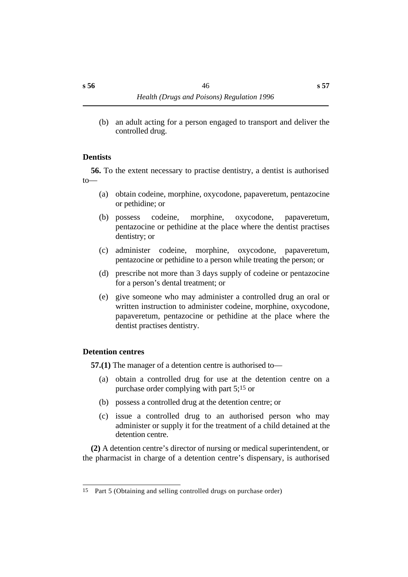(b) an adult acting for a person engaged to transport and deliver the controlled drug.

#### **˙Dentists**

**56.** To the extent necessary to practise dentistry, a dentist is authorised to—

- (a) obtain codeine, morphine, oxycodone, papaveretum, pentazocine or pethidine; or
- (b) possess codeine, morphine, oxycodone, papaveretum, pentazocine or pethidine at the place where the dentist practises dentistry; or
- (c) administer codeine, morphine, oxycodone, papaveretum, pentazocine or pethidine to a person while treating the person; or
- (d) prescribe not more than 3 days supply of codeine or pentazocine for a person's dental treatment; or
- (e) give someone who may administer a controlled drug an oral or written instruction to administer codeine, morphine, oxycodone, papaveretum, pentazocine or pethidine at the place where the dentist practises dentistry.

#### **˙Detention centres**

**57.(1)** The manager of a detention centre is authorised to—

- (a) obtain a controlled drug for use at the detention centre on a purchase order complying with part 5;15 or
- (b) possess a controlled drug at the detention centre; or
- (c) issue a controlled drug to an authorised person who may administer or supply it for the treatment of a child detained at the detention centre.

**(2)** A detention centre's director of nursing or medical superintendent, or the pharmacist in charge of a detention centre's dispensary, is authorised

<sup>15</sup> Part 5 (Obtaining and selling controlled drugs on purchase order)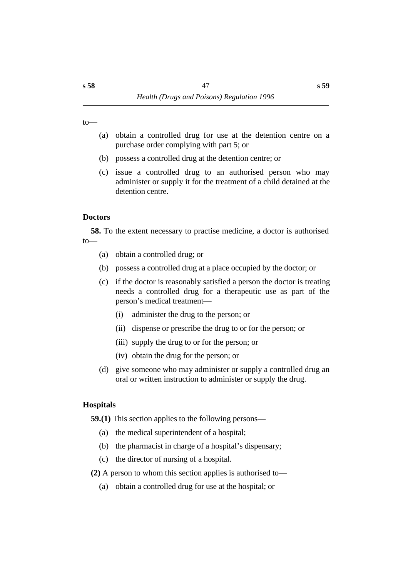to—

- (a) obtain a controlled drug for use at the detention centre on a purchase order complying with part 5; or
- (b) possess a controlled drug at the detention centre; or
- (c) issue a controlled drug to an authorised person who may administer or supply it for the treatment of a child detained at the detention centre.

#### **˙Doctors**

**58.** To the extent necessary to practise medicine, a doctor is authorised to—

- (a) obtain a controlled drug; or
- (b) possess a controlled drug at a place occupied by the doctor; or
- (c) if the doctor is reasonably satisfied a person the doctor is treating needs a controlled drug for a therapeutic use as part of the person's medical treatment—
	- (i) administer the drug to the person; or
	- (ii) dispense or prescribe the drug to or for the person; or
	- (iii) supply the drug to or for the person; or
	- (iv) obtain the drug for the person; or
- (d) give someone who may administer or supply a controlled drug an oral or written instruction to administer or supply the drug.

#### **˙Hospitals**

**59.(1)** This section applies to the following persons—

- (a) the medical superintendent of a hospital;
- (b) the pharmacist in charge of a hospital's dispensary;
- (c) the director of nursing of a hospital.

**(2)** A person to whom this section applies is authorised to—

(a) obtain a controlled drug for use at the hospital; or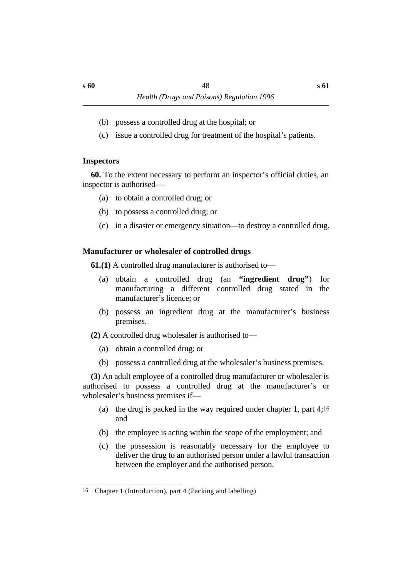- (b) possess a controlled drug at the hospital; or
- (c) issue a controlled drug for treatment of the hospital's patients.

#### **˙Inspectors**

**60.** To the extent necessary to perform an inspector's official duties, an inspector is authorised—

- (a) to obtain a controlled drug; or
- (b) to possess a controlled drug; or
- (c) in a disaster or emergency situation—to destroy a controlled drug.

# **˙Manufacturer or wholesaler of controlled drugs**

**61.(1)** A controlled drug manufacturer is authorised to—

- (a) obtain a controlled drug (an **"ingredient drug"**) for manufacturing a different controlled drug stated in the manufacturer's licence; or
- (b) possess an ingredient drug at the manufacturer's business premises.

**(2)** A controlled drug wholesaler is authorised to—

- (a) obtain a controlled drug; or
- (b) possess a controlled drug at the wholesaler's business premises.

**(3)** An adult employee of a controlled drug manufacturer or wholesaler is authorised to possess a controlled drug at the manufacturer's or wholesaler's business premises if—

- (a) the drug is packed in the way required under chapter 1, part 4;16 and
- (b) the employee is acting within the scope of the employment; and
- (c) the possession is reasonably necessary for the employee to deliver the drug to an authorised person under a lawful transaction between the employer and the authorised person.

<sup>16</sup> Chapter 1 (Introduction), part 4 (Packing and labelling)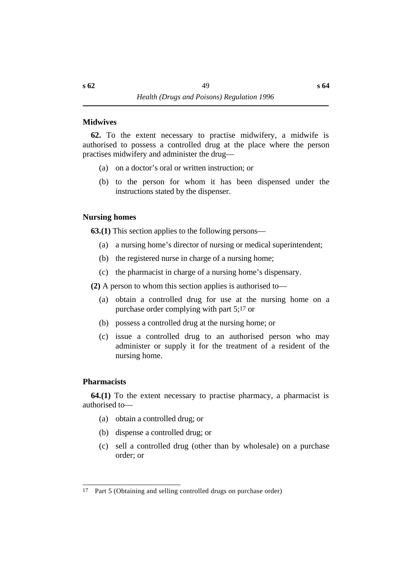#### **˙Midwives**

**62.** To the extent necessary to practise midwifery, a midwife is authorised to possess a controlled drug at the place where the person practises midwifery and administer the drug—

- (a) on a doctor's oral or written instruction; or
- (b) to the person for whom it has been dispensed under the instructions stated by the dispenser.

### **˙Nursing homes**

**63.(1)** This section applies to the following persons—

- (a) a nursing home's director of nursing or medical superintendent;
- (b) the registered nurse in charge of a nursing home;
- (c) the pharmacist in charge of a nursing home's dispensary.

**(2)** A person to whom this section applies is authorised to—

- (a) obtain a controlled drug for use at the nursing home on a purchase order complying with part 5;17 or
- (b) possess a controlled drug at the nursing home; or
- (c) issue a controlled drug to an authorised person who may administer or supply it for the treatment of a resident of the nursing home.

# **˙Pharmacists**

**64.(1)** To the extent necessary to practise pharmacy, a pharmacist is authorised to—

- (a) obtain a controlled drug; or
- (b) dispense a controlled drug; or
- (c) sell a controlled drug (other than by wholesale) on a purchase order; or

<sup>17</sup> Part 5 (Obtaining and selling controlled drugs on purchase order)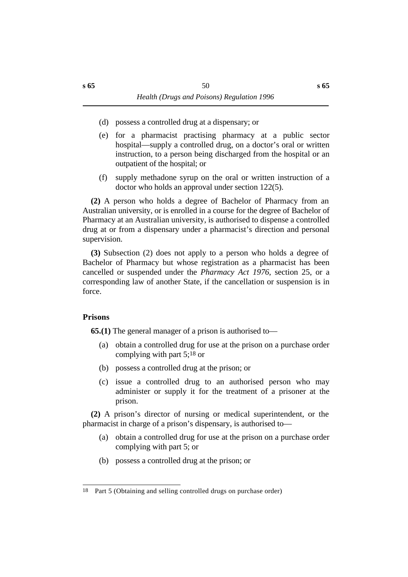- (d) possess a controlled drug at a dispensary; or
- (e) for a pharmacist practising pharmacy at a public sector hospital—supply a controlled drug, on a doctor's oral or written instruction, to a person being discharged from the hospital or an outpatient of the hospital; or
- (f) supply methadone syrup on the oral or written instruction of a doctor who holds an approval under section 122(5).

**(2)** A person who holds a degree of Bachelor of Pharmacy from an Australian university, or is enrolled in a course for the degree of Bachelor of Pharmacy at an Australian university, is authorised to dispense a controlled drug at or from a dispensary under a pharmacist's direction and personal supervision.

**(3)** Subsection (2) does not apply to a person who holds a degree of Bachelor of Pharmacy but whose registration as a pharmacist has been cancelled or suspended under the *Pharmacy Act 1976*, section 25, or a corresponding law of another State, if the cancellation or suspension is in force.

#### **˙Prisons**

**65.(1)** The general manager of a prison is authorised to—

- (a) obtain a controlled drug for use at the prison on a purchase order complying with part 5;18 or
- (b) possess a controlled drug at the prison; or
- (c) issue a controlled drug to an authorised person who may administer or supply it for the treatment of a prisoner at the prison.

**(2)** A prison's director of nursing or medical superintendent, or the pharmacist in charge of a prison's dispensary, is authorised to—

- (a) obtain a controlled drug for use at the prison on a purchase order complying with part 5; or
- (b) possess a controlled drug at the prison; or

<sup>18</sup> Part 5 (Obtaining and selling controlled drugs on purchase order)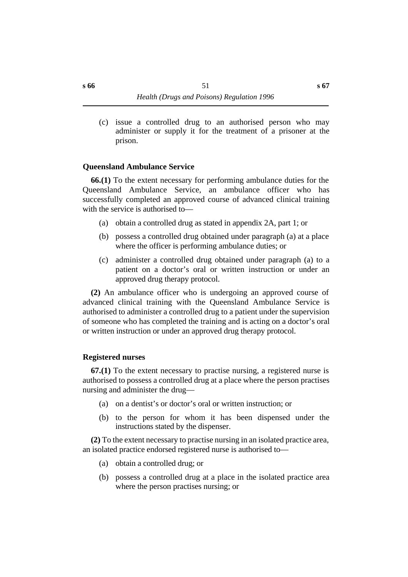(c) issue a controlled drug to an authorised person who may administer or supply it for the treatment of a prisoner at the prison.

#### **˙Queensland Ambulance Service**

**66.(1)** To the extent necessary for performing ambulance duties for the Queensland Ambulance Service, an ambulance officer who has successfully completed an approved course of advanced clinical training with the service is authorised to—

- (a) obtain a controlled drug as stated in appendix 2A, part 1; or
- (b) possess a controlled drug obtained under paragraph (a) at a place where the officer is performing ambulance duties; or
- (c) administer a controlled drug obtained under paragraph (a) to a patient on a doctor's oral or written instruction or under an approved drug therapy protocol.

**(2)** An ambulance officer who is undergoing an approved course of advanced clinical training with the Queensland Ambulance Service is authorised to administer a controlled drug to a patient under the supervision of someone who has completed the training and is acting on a doctor's oral or written instruction or under an approved drug therapy protocol.

#### **˙Registered nurses**

**67.(1)** To the extent necessary to practise nursing, a registered nurse is authorised to possess a controlled drug at a place where the person practises nursing and administer the drug—

- (a) on a dentist's or doctor's oral or written instruction; or
- (b) to the person for whom it has been dispensed under the instructions stated by the dispenser.

**(2)** To the extent necessary to practise nursing in an isolated practice area, an isolated practice endorsed registered nurse is authorised to—

- (a) obtain a controlled drug; or
- (b) possess a controlled drug at a place in the isolated practice area where the person practises nursing; or

**s 67**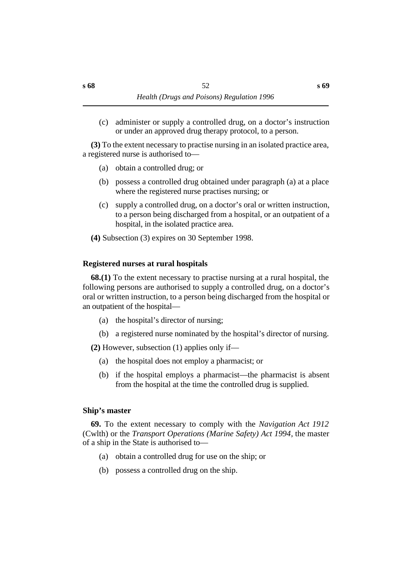(c) administer or supply a controlled drug, on a doctor's instruction or under an approved drug therapy protocol, to a person.

**(3)** To the extent necessary to practise nursing in an isolated practice area, a registered nurse is authorised to—

- (a) obtain a controlled drug; or
- (b) possess a controlled drug obtained under paragraph (a) at a place where the registered nurse practises nursing; or
- (c) supply a controlled drug, on a doctor's oral or written instruction, to a person being discharged from a hospital, or an outpatient of a hospital, in the isolated practice area.
- **(4)** Subsection (3) expires on 30 September 1998.

# **˙Registered nurses at rural hospitals**

**68.(1)** To the extent necessary to practise nursing at a rural hospital, the following persons are authorised to supply a controlled drug, on a doctor's oral or written instruction, to a person being discharged from the hospital or an outpatient of the hospital—

- (a) the hospital's director of nursing;
- (b) a registered nurse nominated by the hospital's director of nursing.

**(2)** However, subsection (1) applies only if—

- (a) the hospital does not employ a pharmacist; or
- (b) if the hospital employs a pharmacist—the pharmacist is absent from the hospital at the time the controlled drug is supplied.

# **˙Ship's master**

**69.** To the extent necessary to comply with the *Navigation Act 1912* (Cwlth) or the *Transport Operations (Marine Safety) Act 1994*, the master of a ship in the State is authorised to—

- (a) obtain a controlled drug for use on the ship; or
- (b) possess a controlled drug on the ship.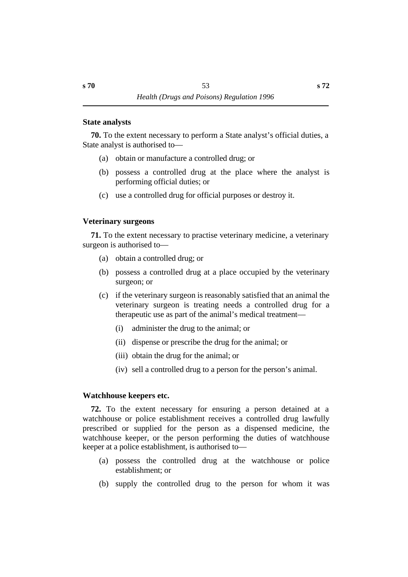#### **˙State analysts**

**70.** To the extent necessary to perform a State analyst's official duties, a State analyst is authorised to—

- (a) obtain or manufacture a controlled drug; or
- (b) possess a controlled drug at the place where the analyst is performing official duties; or
- (c) use a controlled drug for official purposes or destroy it.

### **˙Veterinary surgeons**

**71.** To the extent necessary to practise veterinary medicine, a veterinary surgeon is authorised to—

- (a) obtain a controlled drug; or
- (b) possess a controlled drug at a place occupied by the veterinary surgeon; or
- (c) if the veterinary surgeon is reasonably satisfied that an animal the veterinary surgeon is treating needs a controlled drug for a therapeutic use as part of the animal's medical treatment—
	- (i) administer the drug to the animal; or
	- (ii) dispense or prescribe the drug for the animal; or
	- (iii) obtain the drug for the animal; or
	- (iv) sell a controlled drug to a person for the person's animal.

#### **˙Watchhouse keepers etc.**

**72.** To the extent necessary for ensuring a person detained at a watchhouse or police establishment receives a controlled drug lawfully prescribed or supplied for the person as a dispensed medicine, the watchhouse keeper, or the person performing the duties of watchhouse keeper at a police establishment, is authorised to—

- (a) possess the controlled drug at the watchhouse or police establishment; or
- (b) supply the controlled drug to the person for whom it was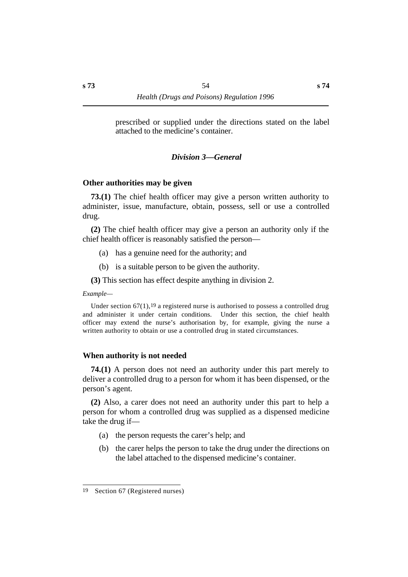prescribed or supplied under the directions stated on the label attached to the medicine's container.

#### *†Division 3—General*

#### **˙Other authorities may be given**

**73.(1)** The chief health officer may give a person written authority to administer, issue, manufacture, obtain, possess, sell or use a controlled drug.

**(2)** The chief health officer may give a person an authority only if the chief health officer is reasonably satisfied the person—

- (a) has a genuine need for the authority; and
- (b) is a suitable person to be given the authority.

**(3)** This section has effect despite anything in division 2.

*Example—*

Under section  $67(1)$ , <sup>19</sup> a registered nurse is authorised to possess a controlled drug and administer it under certain conditions. Under this section, the chief health officer may extend the nurse's authorisation by, for example, giving the nurse a written authority to obtain or use a controlled drug in stated circumstances.

#### **˙When authority is not needed**

**74.(1)** A person does not need an authority under this part merely to deliver a controlled drug to a person for whom it has been dispensed, or the person's agent.

**(2)** Also, a carer does not need an authority under this part to help a person for whom a controlled drug was supplied as a dispensed medicine take the drug if—

- (a) the person requests the carer's help; and
- (b) the carer helps the person to take the drug under the directions on the label attached to the dispensed medicine's container.

<sup>19</sup> Section 67 (Registered nurses)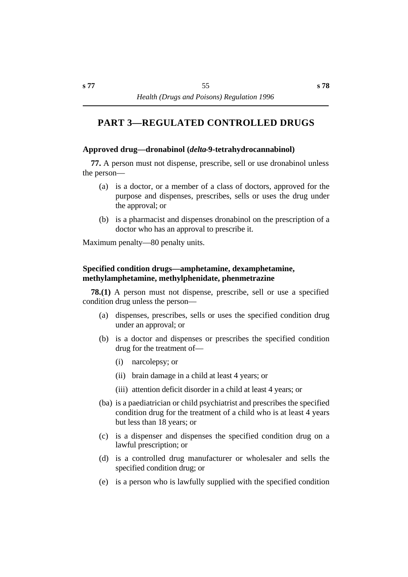# **†PART 3—REGULATED CONTROLLED DRUGS**

### **˙Approved drug—dronabinol (***delta***-9-tetrahydrocannabinol)**

**77.** A person must not dispense, prescribe, sell or use dronabinol unless the person—

- (a) is a doctor, or a member of a class of doctors, approved for the purpose and dispenses, prescribes, sells or uses the drug under the approval; or
- (b) is a pharmacist and dispenses dronabinol on the prescription of a doctor who has an approval to prescribe it.

Maximum penalty—80 penalty units.

# **˙Specified condition drugs—amphetamine, dexamphetamine, methylamphetamine, methylphenidate, phenmetrazine**

**78.(1)** A person must not dispense, prescribe, sell or use a specified condition drug unless the person—

- (a) dispenses, prescribes, sells or uses the specified condition drug under an approval; or
- (b) is a doctor and dispenses or prescribes the specified condition drug for the treatment of—
	- (i) narcolepsy; or
	- (ii) brain damage in a child at least 4 years; or
	- (iii) attention deficit disorder in a child at least 4 years; or
- (ba) is a paediatrician or child psychiatrist and prescribes the specified condition drug for the treatment of a child who is at least 4 years but less than 18 years; or
- (c) is a dispenser and dispenses the specified condition drug on a lawful prescription; or
- (d) is a controlled drug manufacturer or wholesaler and sells the specified condition drug; or
- (e) is a person who is lawfully supplied with the specified condition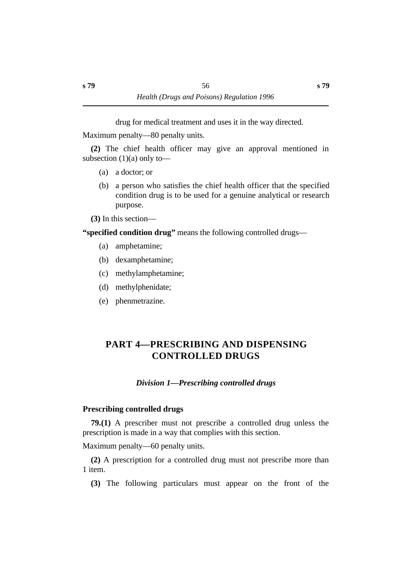drug for medical treatment and uses it in the way directed.

Maximum penalty—80 penalty units.

**(2)** The chief health officer may give an approval mentioned in subsection  $(1)(a)$  only to—

- (a) a doctor; or
- (b) a person who satisfies the chief health officer that the specified condition drug is to be used for a genuine analytical or research purpose.

**(3)** In this section—

**"specified condition drug"** means the following controlled drugs—

- (a) amphetamine;
- (b) dexamphetamine;
- (c) methylamphetamine;
- (d) methylphenidate;
- (e) phenmetrazine.

# **†PART 4—PRESCRIBING AND DISPENSING CONTROLLED DRUGS**

# *Division 1—Prescribing controlled drugs*

# **˙Prescribing controlled drugs**

**79.(1)** A prescriber must not prescribe a controlled drug unless the prescription is made in a way that complies with this section.

Maximum penalty—60 penalty units.

**(2)** A prescription for a controlled drug must not prescribe more than 1 item.

**(3)** The following particulars must appear on the front of the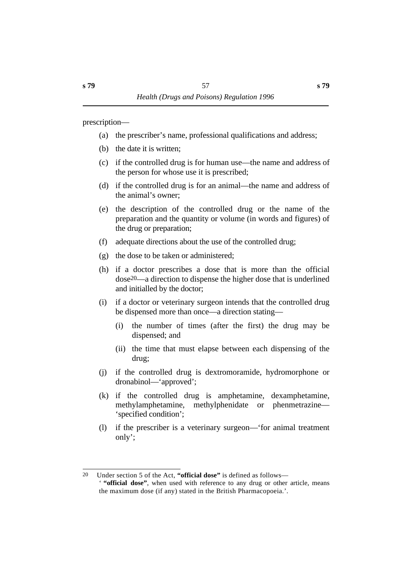prescription—

- (a) the prescriber's name, professional qualifications and address;
- (b) the date it is written;
- (c) if the controlled drug is for human use—the name and address of the person for whose use it is prescribed;
- (d) if the controlled drug is for an animal—the name and address of the animal's owner;
- (e) the description of the controlled drug or the name of the preparation and the quantity or volume (in words and figures) of the drug or preparation;
- (f) adequate directions about the use of the controlled drug;
- (g) the dose to be taken or administered;
- (h) if a doctor prescribes a dose that is more than the official dose20—a direction to dispense the higher dose that is underlined and initialled by the doctor;
- (i) if a doctor or veterinary surgeon intends that the controlled drug be dispensed more than once—a direction stating—
	- (i) the number of times (after the first) the drug may be dispensed; and
	- (ii) the time that must elapse between each dispensing of the drug;
- (j) if the controlled drug is dextromoramide, hydromorphone or dronabinol—'approved';
- (k) if the controlled drug is amphetamine, dexamphetamine, methylamphetamine, methylphenidate or phenmetrazine— 'specified condition';
- (l) if the prescriber is a veterinary surgeon—'for animal treatment only';

<sup>20</sup> Under section 5 of the Act, **"official dose"** is defined as follows— ' **"official dose"**, when used with reference to any drug or other article, means the maximum dose (if any) stated in the British Pharmacopoeia.'.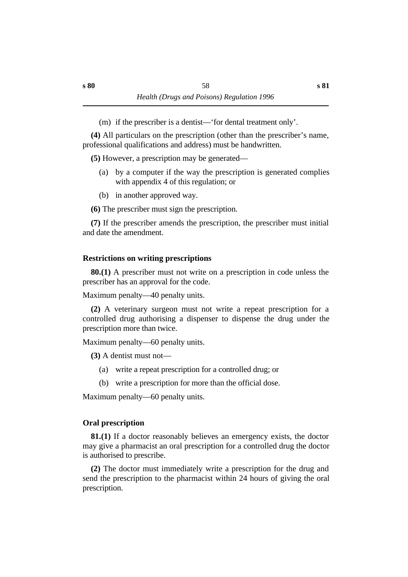(m) if the prescriber is a dentist—'for dental treatment only'.

**(4)** All particulars on the prescription (other than the prescriber's name, professional qualifications and address) must be handwritten.

**(5)** However, a prescription may be generated—

- (a) by a computer if the way the prescription is generated complies with appendix 4 of this regulation; or
- (b) in another approved way.

**(6)** The prescriber must sign the prescription.

**(7)** If the prescriber amends the prescription, the prescriber must initial and date the amendment.

# **˙Restrictions on writing prescriptions**

**80.(1)** A prescriber must not write on a prescription in code unless the prescriber has an approval for the code.

Maximum penalty—40 penalty units.

**(2)** A veterinary surgeon must not write a repeat prescription for a controlled drug authorising a dispenser to dispense the drug under the prescription more than twice.

Maximum penalty—60 penalty units.

**(3)** A dentist must not—

- (a) write a repeat prescription for a controlled drug; or
- (b) write a prescription for more than the official dose.

Maximum penalty—60 penalty units.

# **˙Oral prescription**

**81.(1)** If a doctor reasonably believes an emergency exists, the doctor may give a pharmacist an oral prescription for a controlled drug the doctor is authorised to prescribe.

**(2)** The doctor must immediately write a prescription for the drug and send the prescription to the pharmacist within 24 hours of giving the oral prescription.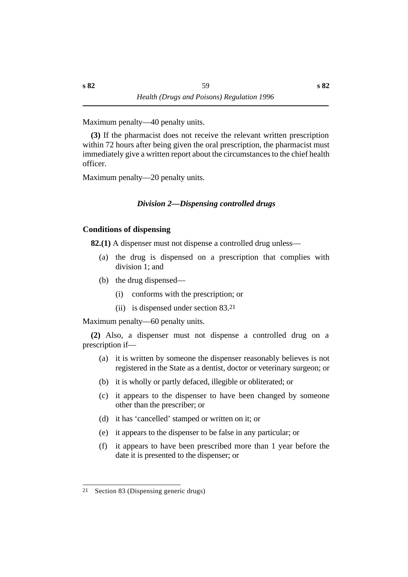Maximum penalty—40 penalty units.

**(3)** If the pharmacist does not receive the relevant written prescription within 72 hours after being given the oral prescription, the pharmacist must immediately give a written report about the circumstances to the chief health officer.

Maximum penalty—20 penalty units.

# *†Division 2—Dispensing controlled drugs*

### **˙Conditions of dispensing**

**82.(1)** A dispenser must not dispense a controlled drug unless—

- (a) the drug is dispensed on a prescription that complies with division 1; and
- (b) the drug dispensed—
	- (i) conforms with the prescription; or
	- (ii) is dispensed under section 83.21

Maximum penalty—60 penalty units.

**(2)** Also, a dispenser must not dispense a controlled drug on a prescription if—

- (a) it is written by someone the dispenser reasonably believes is not registered in the State as a dentist, doctor or veterinary surgeon; or
- (b) it is wholly or partly defaced, illegible or obliterated; or
- (c) it appears to the dispenser to have been changed by someone other than the prescriber; or
- (d) it has 'cancelled' stamped or written on it; or
- (e) it appears to the dispenser to be false in any particular; or
- (f) it appears to have been prescribed more than 1 year before the date it is presented to the dispenser; or

<sup>21</sup> Section 83 (Dispensing generic drugs)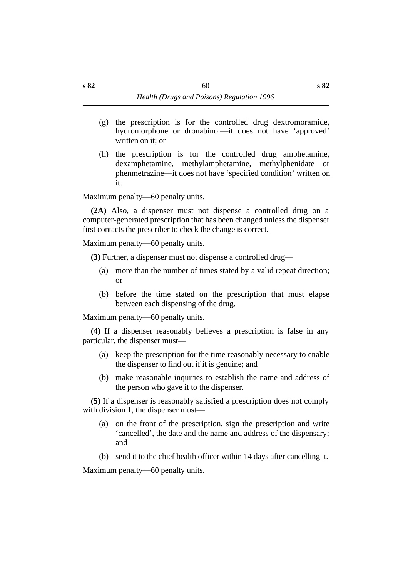- (g) the prescription is for the controlled drug dextromoramide, hydromorphone or dronabinol—it does not have 'approved' written on it; or
- (h) the prescription is for the controlled drug amphetamine, dexamphetamine, methylamphetamine, methylphenidate or phenmetrazine—it does not have 'specified condition' written on it.

Maximum penalty—60 penalty units.

**(2A)** Also, a dispenser must not dispense a controlled drug on a computer-generated prescription that has been changed unless the dispenser first contacts the prescriber to check the change is correct.

Maximum penalty—60 penalty units.

**(3)** Further, a dispenser must not dispense a controlled drug—

- (a) more than the number of times stated by a valid repeat direction; or
- (b) before the time stated on the prescription that must elapse between each dispensing of the drug.

Maximum penalty—60 penalty units.

**(4)** If a dispenser reasonably believes a prescription is false in any particular, the dispenser must—

- (a) keep the prescription for the time reasonably necessary to enable the dispenser to find out if it is genuine; and
- (b) make reasonable inquiries to establish the name and address of the person who gave it to the dispenser.

**(5)** If a dispenser is reasonably satisfied a prescription does not comply with division 1, the dispenser must—

- (a) on the front of the prescription, sign the prescription and write 'cancelled', the date and the name and address of the dispensary; and
- (b) send it to the chief health officer within 14 days after cancelling it.

Maximum penalty—60 penalty units.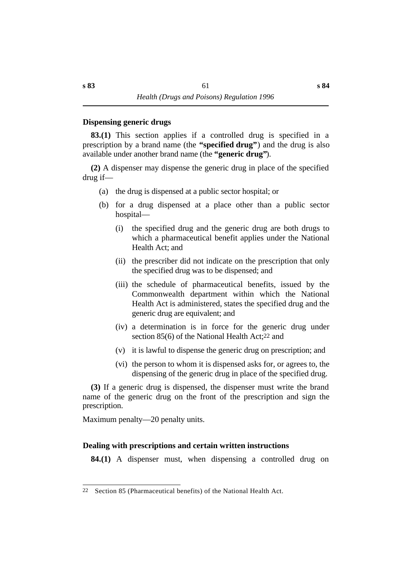#### **˙Dispensing generic drugs**

**83.(1)** This section applies if a controlled drug is specified in a prescription by a brand name (the **"specified drug"**) and the drug is also available under another brand name (the **"generic drug"**).

**(2)** A dispenser may dispense the generic drug in place of the specified drug if—

- (a) the drug is dispensed at a public sector hospital; or
- (b) for a drug dispensed at a place other than a public sector hospital—
	- (i) the specified drug and the generic drug are both drugs to which a pharmaceutical benefit applies under the National Health Act; and
	- (ii) the prescriber did not indicate on the prescription that only the specified drug was to be dispensed; and
	- (iii) the schedule of pharmaceutical benefits, issued by the Commonwealth department within which the National Health Act is administered, states the specified drug and the generic drug are equivalent; and
	- (iv) a determination is in force for the generic drug under section 85(6) of the National Health Act;22 and
	- (v) it is lawful to dispense the generic drug on prescription; and
	- (vi) the person to whom it is dispensed asks for, or agrees to, the dispensing of the generic drug in place of the specified drug.

**(3)** If a generic drug is dispensed, the dispenser must write the brand name of the generic drug on the front of the prescription and sign the prescription.

Maximum penalty—20 penalty units.

# **˙Dealing with prescriptions and certain written instructions**

**84.(1)** A dispenser must, when dispensing a controlled drug on

<sup>22</sup> Section 85 (Pharmaceutical benefits) of the National Health Act.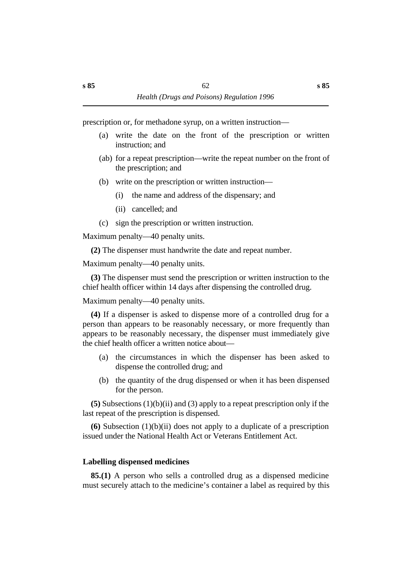prescription or, for methadone syrup, on a written instruction—

- (a) write the date on the front of the prescription or written instruction; and
- (ab) for a repeat prescription—write the repeat number on the front of the prescription; and
- (b) write on the prescription or written instruction—
	- (i) the name and address of the dispensary; and
	- (ii) cancelled; and
- (c) sign the prescription or written instruction.

Maximum penalty—40 penalty units.

**(2)** The dispenser must handwrite the date and repeat number.

Maximum penalty—40 penalty units.

**(3)** The dispenser must send the prescription or written instruction to the chief health officer within 14 days after dispensing the controlled drug.

Maximum penalty—40 penalty units.

**(4)** If a dispenser is asked to dispense more of a controlled drug for a person than appears to be reasonably necessary, or more frequently than appears to be reasonably necessary, the dispenser must immediately give the chief health officer a written notice about—

- (a) the circumstances in which the dispenser has been asked to dispense the controlled drug; and
- (b) the quantity of the drug dispensed or when it has been dispensed for the person.

**(5)** Subsections (1)(b)(ii) and (3) apply to a repeat prescription only if the last repeat of the prescription is dispensed.

**(6)** Subsection (1)(b)(ii) does not apply to a duplicate of a prescription issued under the National Health Act or Veterans Entitlement Act.

# **˙Labelling dispensed medicines**

**85.(1)** A person who sells a controlled drug as a dispensed medicine must securely attach to the medicine's container a label as required by this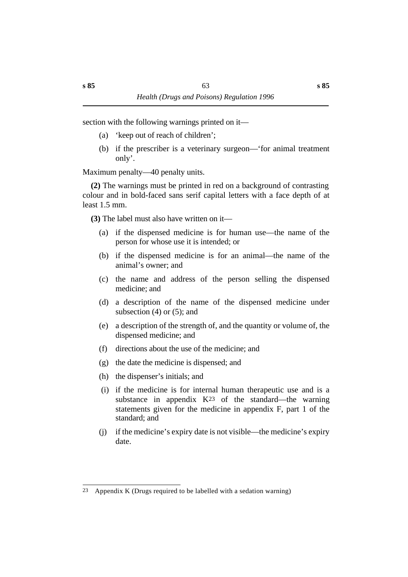section with the following warnings printed on it—

- (a) 'keep out of reach of children';
- (b) if the prescriber is a veterinary surgeon—'for animal treatment only'.

Maximum penalty—40 penalty units.

**(2)** The warnings must be printed in red on a background of contrasting colour and in bold-faced sans serif capital letters with a face depth of at least 1.5 mm.

**(3)** The label must also have written on it—

- (a) if the dispensed medicine is for human use—the name of the person for whose use it is intended; or
- (b) if the dispensed medicine is for an animal—the name of the animal's owner; and
- (c) the name and address of the person selling the dispensed medicine; and
- (d) a description of the name of the dispensed medicine under subsection  $(4)$  or  $(5)$ ; and
- (e) a description of the strength of, and the quantity or volume of, the dispensed medicine; and
- (f) directions about the use of the medicine; and
- (g) the date the medicine is dispensed; and
- (h) the dispenser's initials; and
- (i) if the medicine is for internal human therapeutic use and is a substance in appendix  $K^{23}$  of the standard—the warning statements given for the medicine in appendix F, part 1 of the standard; and
- (j) if the medicine's expiry date is not visible—the medicine's expiry date.

<sup>23</sup> Appendix K (Drugs required to be labelled with a sedation warning)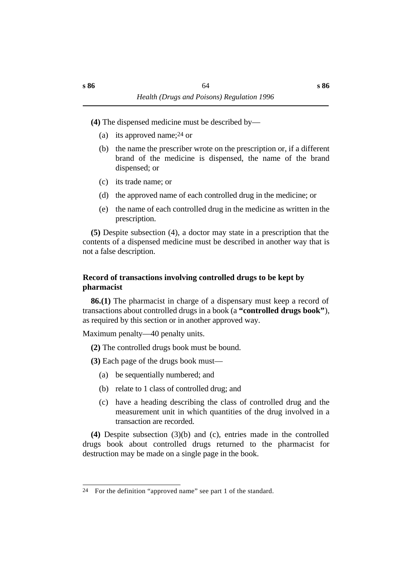**(4)** The dispensed medicine must be described by—

- (a) its approved name;24 or
- (b) the name the prescriber wrote on the prescription or, if a different brand of the medicine is dispensed, the name of the brand dispensed; or
- (c) its trade name; or
- (d) the approved name of each controlled drug in the medicine; or
- (e) the name of each controlled drug in the medicine as written in the prescription.

**(5)** Despite subsection (4), a doctor may state in a prescription that the contents of a dispensed medicine must be described in another way that is not a false description.

# **˙Record of transactions involving controlled drugs to be kept by pharmacist**

**86.(1)** The pharmacist in charge of a dispensary must keep a record of transactions about controlled drugs in a book (a **"controlled drugs book"**), as required by this section or in another approved way.

Maximum penalty—40 penalty units.

**(2)** The controlled drugs book must be bound.

**(3)** Each page of the drugs book must—

- (a) be sequentially numbered; and
- (b) relate to 1 class of controlled drug; and
- (c) have a heading describing the class of controlled drug and the measurement unit in which quantities of the drug involved in a transaction are recorded.

**(4)** Despite subsection (3)(b) and (c), entries made in the controlled drugs book about controlled drugs returned to the pharmacist for destruction may be made on a single page in the book.

<sup>24</sup> For the definition "approved name" see part 1 of the standard.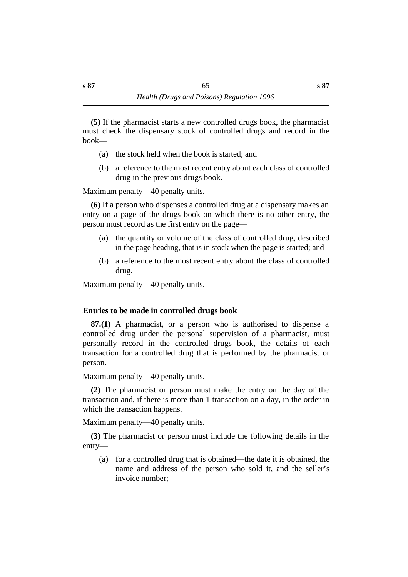**(5)** If the pharmacist starts a new controlled drugs book, the pharmacist must check the dispensary stock of controlled drugs and record in the book—

- (a) the stock held when the book is started; and
- (b) a reference to the most recent entry about each class of controlled drug in the previous drugs book.

Maximum penalty—40 penalty units.

**(6)** If a person who dispenses a controlled drug at a dispensary makes an entry on a page of the drugs book on which there is no other entry, the person must record as the first entry on the page—

- (a) the quantity or volume of the class of controlled drug, described in the page heading, that is in stock when the page is started; and
- (b) a reference to the most recent entry about the class of controlled drug.

Maximum penalty—40 penalty units.

# **˙Entries to be made in controlled drugs book**

**87.(1)** A pharmacist, or a person who is authorised to dispense a controlled drug under the personal supervision of a pharmacist, must personally record in the controlled drugs book, the details of each transaction for a controlled drug that is performed by the pharmacist or person.

Maximum penalty—40 penalty units.

**(2)** The pharmacist or person must make the entry on the day of the transaction and, if there is more than 1 transaction on a day, in the order in which the transaction happens.

Maximum penalty—40 penalty units.

**(3)** The pharmacist or person must include the following details in the entry—

(a) for a controlled drug that is obtained—the date it is obtained, the name and address of the person who sold it, and the seller's invoice number;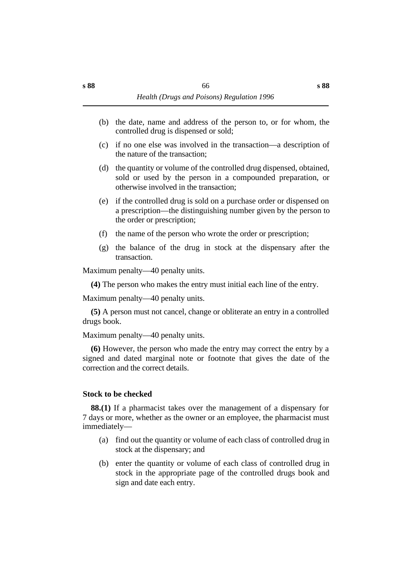- (b) the date, name and address of the person to, or for whom, the controlled drug is dispensed or sold;
- (c) if no one else was involved in the transaction—a description of the nature of the transaction;
- (d) the quantity or volume of the controlled drug dispensed, obtained, sold or used by the person in a compounded preparation, or otherwise involved in the transaction;
- (e) if the controlled drug is sold on a purchase order or dispensed on a prescription—the distinguishing number given by the person to the order or prescription;
- (f) the name of the person who wrote the order or prescription;
- (g) the balance of the drug in stock at the dispensary after the transaction.

Maximum penalty—40 penalty units.

**(4)** The person who makes the entry must initial each line of the entry.

Maximum penalty—40 penalty units.

**(5)** A person must not cancel, change or obliterate an entry in a controlled drugs book.

Maximum penalty—40 penalty units.

**(6)** However, the person who made the entry may correct the entry by a signed and dated marginal note or footnote that gives the date of the correction and the correct details.

#### **˙Stock to be checked**

**88.(1)** If a pharmacist takes over the management of a dispensary for 7 days or more, whether as the owner or an employee, the pharmacist must immediately—

- (a) find out the quantity or volume of each class of controlled drug in stock at the dispensary; and
- (b) enter the quantity or volume of each class of controlled drug in stock in the appropriate page of the controlled drugs book and sign and date each entry.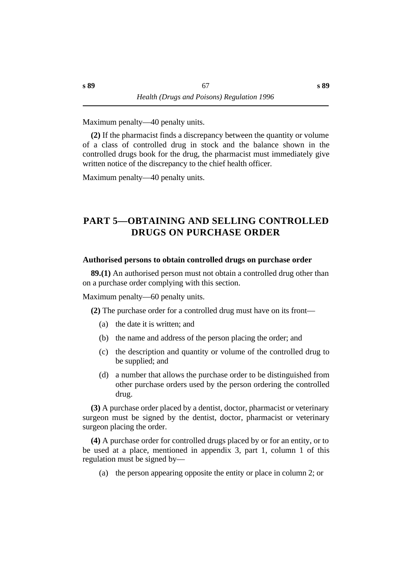Maximum penalty—40 penalty units.

**(2)** If the pharmacist finds a discrepancy between the quantity or volume of a class of controlled drug in stock and the balance shown in the controlled drugs book for the drug, the pharmacist must immediately give written notice of the discrepancy to the chief health officer.

Maximum penalty—40 penalty units.

# **†PART 5—OBTAINING AND SELLING CONTROLLED DRUGS ON PURCHASE ORDER**

#### **˙Authorised persons to obtain controlled drugs on purchase order**

**89.(1)** An authorised person must not obtain a controlled drug other than on a purchase order complying with this section.

Maximum penalty—60 penalty units.

**(2)** The purchase order for a controlled drug must have on its front—

- (a) the date it is written; and
- (b) the name and address of the person placing the order; and
- (c) the description and quantity or volume of the controlled drug to be supplied; and
- (d) a number that allows the purchase order to be distinguished from other purchase orders used by the person ordering the controlled drug.

**(3)** A purchase order placed by a dentist, doctor, pharmacist or veterinary surgeon must be signed by the dentist, doctor, pharmacist or veterinary surgeon placing the order.

**(4)** A purchase order for controlled drugs placed by or for an entity, or to be used at a place, mentioned in appendix 3, part 1, column 1 of this regulation must be signed by—

(a) the person appearing opposite the entity or place in column 2; or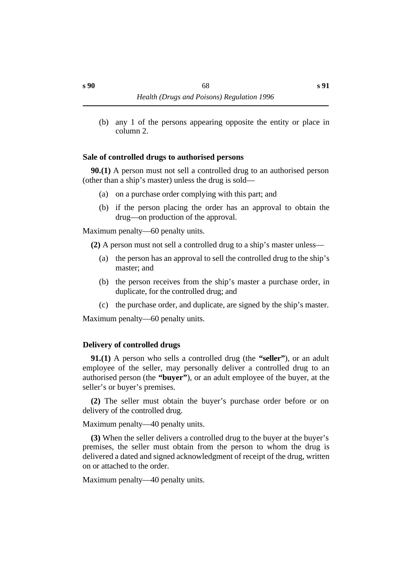(b) any 1 of the persons appearing opposite the entity or place in column 2.

#### **˙Sale of controlled drugs to authorised persons**

**90.(1)** A person must not sell a controlled drug to an authorised person (other than a ship's master) unless the drug is sold—

- (a) on a purchase order complying with this part; and
- (b) if the person placing the order has an approval to obtain the drug—on production of the approval.

Maximum penalty—60 penalty units.

**(2)** A person must not sell a controlled drug to a ship's master unless—

- (a) the person has an approval to sell the controlled drug to the ship's master; and
- (b) the person receives from the ship's master a purchase order, in duplicate, for the controlled drug; and
- (c) the purchase order, and duplicate, are signed by the ship's master.

Maximum penalty—60 penalty units.

# **˙Delivery of controlled drugs**

**91.(1)** A person who sells a controlled drug (the **"seller"**), or an adult employee of the seller, may personally deliver a controlled drug to an authorised person (the **"buyer"**), or an adult employee of the buyer, at the seller's or buyer's premises.

**(2)** The seller must obtain the buyer's purchase order before or on delivery of the controlled drug.

Maximum penalty—40 penalty units.

**(3)** When the seller delivers a controlled drug to the buyer at the buyer's premises, the seller must obtain from the person to whom the drug is delivered a dated and signed acknowledgment of receipt of the drug, written on or attached to the order.

Maximum penalty—40 penalty units.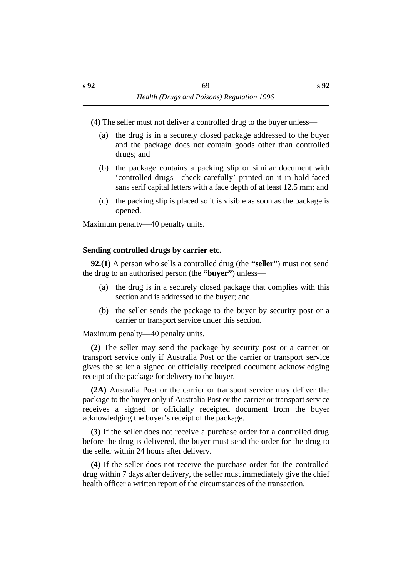**(4)** The seller must not deliver a controlled drug to the buyer unless—

- (a) the drug is in a securely closed package addressed to the buyer and the package does not contain goods other than controlled drugs; and
- (b) the package contains a packing slip or similar document with 'controlled drugs—check carefully' printed on it in bold-faced sans serif capital letters with a face depth of at least 12.5 mm; and
- (c) the packing slip is placed so it is visible as soon as the package is opened.

Maximum penalty—40 penalty units.

### **˙Sending controlled drugs by carrier etc.**

**92.(1)** A person who sells a controlled drug (the **"seller"**) must not send the drug to an authorised person (the **"buyer"**) unless—

- (a) the drug is in a securely closed package that complies with this section and is addressed to the buyer; and
- (b) the seller sends the package to the buyer by security post or a carrier or transport service under this section.

Maximum penalty—40 penalty units.

**(2)** The seller may send the package by security post or a carrier or transport service only if Australia Post or the carrier or transport service gives the seller a signed or officially receipted document acknowledging receipt of the package for delivery to the buyer.

**(2A)** Australia Post or the carrier or transport service may deliver the package to the buyer only if Australia Post or the carrier or transport service receives a signed or officially receipted document from the buyer acknowledging the buyer's receipt of the package.

**(3)** If the seller does not receive a purchase order for a controlled drug before the drug is delivered, the buyer must send the order for the drug to the seller within 24 hours after delivery.

**(4)** If the seller does not receive the purchase order for the controlled drug within 7 days after delivery, the seller must immediately give the chief health officer a written report of the circumstances of the transaction.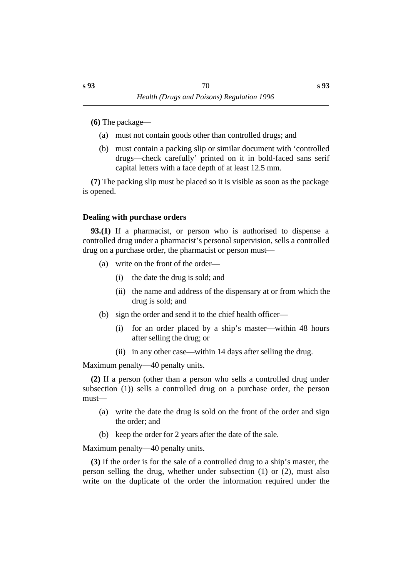**(6)** The package—

- (a) must not contain goods other than controlled drugs; and
- (b) must contain a packing slip or similar document with 'controlled drugs—check carefully' printed on it in bold-faced sans serif capital letters with a face depth of at least 12.5 mm.

**(7)** The packing slip must be placed so it is visible as soon as the package is opened.

# **˙Dealing with purchase orders**

**93.(1)** If a pharmacist, or person who is authorised to dispense a controlled drug under a pharmacist's personal supervision, sells a controlled drug on a purchase order, the pharmacist or person must—

- (a) write on the front of the order—
	- (i) the date the drug is sold; and
	- (ii) the name and address of the dispensary at or from which the drug is sold; and
- (b) sign the order and send it to the chief health officer—
	- (i) for an order placed by a ship's master—within 48 hours after selling the drug; or
	- (ii) in any other case—within 14 days after selling the drug.

Maximum penalty—40 penalty units.

**(2)** If a person (other than a person who sells a controlled drug under subsection (1)) sells a controlled drug on a purchase order, the person must—

- (a) write the date the drug is sold on the front of the order and sign the order; and
- (b) keep the order for 2 years after the date of the sale.

Maximum penalty—40 penalty units.

**(3)** If the order is for the sale of a controlled drug to a ship's master, the person selling the drug, whether under subsection (1) or (2), must also write on the duplicate of the order the information required under the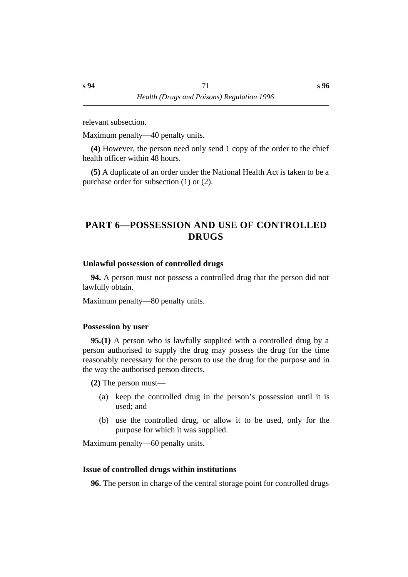relevant subsection.

Maximum penalty—40 penalty units.

**(4)** However, the person need only send 1 copy of the order to the chief health officer within 48 hours.

**(5)** A duplicate of an order under the National Health Act is taken to be a purchase order for subsection (1) or (2).

# **†PART 6—POSSESSION AND USE OF CONTROLLED DRUGS**

### **˙Unlawful possession of controlled drugs**

**94.** A person must not possess a controlled drug that the person did not lawfully obtain.

Maximum penalty—80 penalty units.

#### **˙Possession by user**

**95.(1)** A person who is lawfully supplied with a controlled drug by a person authorised to supply the drug may possess the drug for the time reasonably necessary for the person to use the drug for the purpose and in the way the authorised person directs.

**(2)** The person must—

- (a) keep the controlled drug in the person's possession until it is used; and
- (b) use the controlled drug, or allow it to be used, only for the purpose for which it was supplied.

Maximum penalty—60 penalty units.

#### **˙Issue of controlled drugs within institutions**

**96.** The person in charge of the central storage point for controlled drugs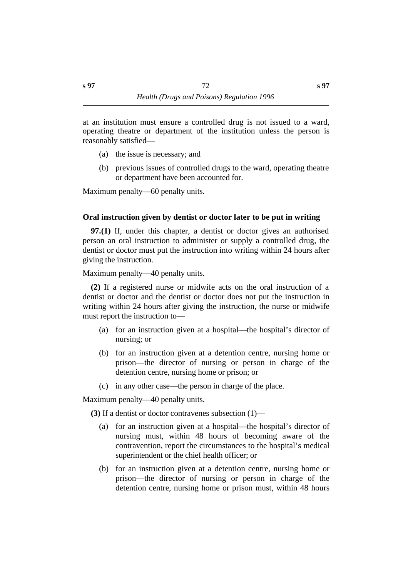at an institution must ensure a controlled drug is not issued to a ward, operating theatre or department of the institution unless the person is reasonably satisfied—

- (a) the issue is necessary; and
- (b) previous issues of controlled drugs to the ward, operating theatre or department have been accounted for.

Maximum penalty—60 penalty units.

# **˙Oral instruction given by dentist or doctor later to be put in writing**

**97.(1)** If, under this chapter, a dentist or doctor gives an authorised person an oral instruction to administer or supply a controlled drug, the dentist or doctor must put the instruction into writing within 24 hours after giving the instruction.

Maximum penalty—40 penalty units.

**(2)** If a registered nurse or midwife acts on the oral instruction of a dentist or doctor and the dentist or doctor does not put the instruction in writing within 24 hours after giving the instruction, the nurse or midwife must report the instruction to—

- (a) for an instruction given at a hospital—the hospital's director of nursing; or
- (b) for an instruction given at a detention centre, nursing home or prison—the director of nursing or person in charge of the detention centre, nursing home or prison; or
- (c) in any other case—the person in charge of the place.

Maximum penalty—40 penalty units.

**(3)** If a dentist or doctor contravenes subsection (1)—

- (a) for an instruction given at a hospital—the hospital's director of nursing must, within 48 hours of becoming aware of the contravention, report the circumstances to the hospital's medical superintendent or the chief health officer; or
- (b) for an instruction given at a detention centre, nursing home or prison—the director of nursing or person in charge of the detention centre, nursing home or prison must, within 48 hours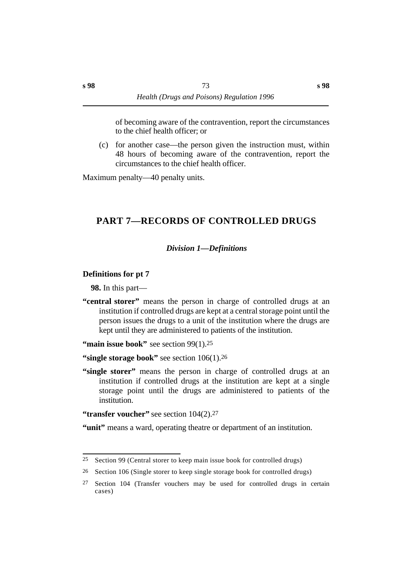of becoming aware of the contravention, report the circumstances to the chief health officer; or

(c) for another case—the person given the instruction must, within 48 hours of becoming aware of the contravention, report the circumstances to the chief health officer.

Maximum penalty—40 penalty units.

# **†PART 7—RECORDS OF CONTROLLED DRUGS**

# *†Division 1—Definitions*

# **˙Definitions for pt 7**

**98.** In this part—

**"central storer"** means the person in charge of controlled drugs at an institution if controlled drugs are kept at a central storage point until the person issues the drugs to a unit of the institution where the drugs are kept until they are administered to patients of the institution.

**"main issue book"** see section 99(1).<sup>25</sup>

**"single storage book"** see section  $106(1)$ .<sup>26</sup>

**"single storer"** means the person in charge of controlled drugs at an institution if controlled drugs at the institution are kept at a single storage point until the drugs are administered to patients of the institution.

**"transfer voucher"** see section  $104(2)$ .<sup>27</sup>

"unit" means a ward, operating theatre or department of an institution.

 $25$  Section 99 (Central storer to keep main issue book for controlled drugs)

<sup>26</sup> Section 106 (Single storer to keep single storage book for controlled drugs)

<sup>27</sup> Section 104 (Transfer vouchers may be used for controlled drugs in certain cases)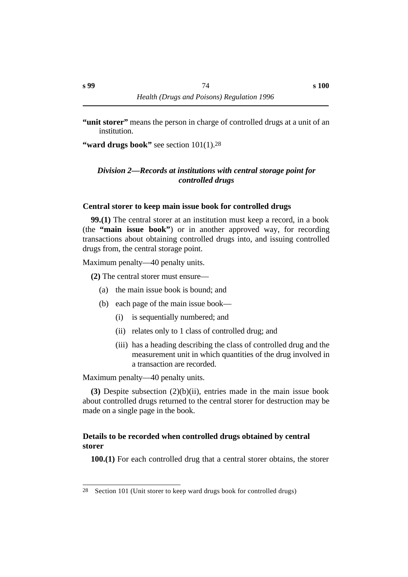**"ward drugs book"** see section 101(1).<sup>28</sup>

# *†Division 2—Records at institutions with central storage point for controlled drugs*

# **˙Central storer to keep main issue book for controlled drugs**

**99.(1)** The central storer at an institution must keep a record, in a book (the **"main issue book"**) or in another approved way, for recording transactions about obtaining controlled drugs into, and issuing controlled drugs from, the central storage point.

Maximum penalty—40 penalty units.

**(2)** The central storer must ensure—

- (a) the main issue book is bound; and
- (b) each page of the main issue book—
	- (i) is sequentially numbered; and
	- (ii) relates only to 1 class of controlled drug; and
	- (iii) has a heading describing the class of controlled drug and the measurement unit in which quantities of the drug involved in a transaction are recorded.

Maximum penalty—40 penalty units.

**(3)** Despite subsection (2)(b)(ii), entries made in the main issue book about controlled drugs returned to the central storer for destruction may be made on a single page in the book.

# **˙Details to be recorded when controlled drugs obtained by central storer**

**100.(1)** For each controlled drug that a central storer obtains, the storer

<sup>28</sup> Section 101 (Unit storer to keep ward drugs book for controlled drugs)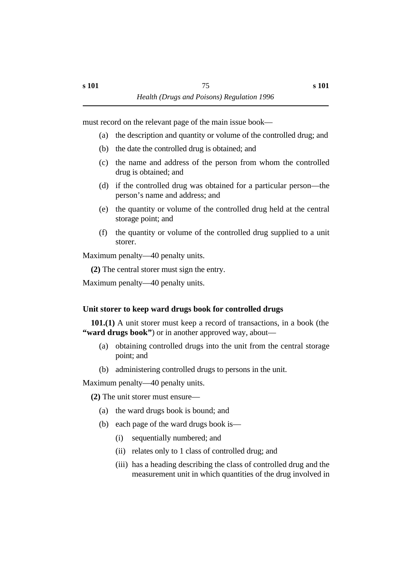must record on the relevant page of the main issue book—

- (a) the description and quantity or volume of the controlled drug; and
- (b) the date the controlled drug is obtained; and
- (c) the name and address of the person from whom the controlled drug is obtained; and
- (d) if the controlled drug was obtained for a particular person—the person's name and address; and
- (e) the quantity or volume of the controlled drug held at the central storage point; and
- (f) the quantity or volume of the controlled drug supplied to a unit storer.

Maximum penalty—40 penalty units.

**(2)** The central storer must sign the entry.

Maximum penalty—40 penalty units.

# **˙Unit storer to keep ward drugs book for controlled drugs**

**101.(1)** A unit storer must keep a record of transactions, in a book (the **"ward drugs book"**) or in another approved way, about—

- (a) obtaining controlled drugs into the unit from the central storage point; and
- (b) administering controlled drugs to persons in the unit.

Maximum penalty—40 penalty units.

**(2)** The unit storer must ensure—

- (a) the ward drugs book is bound; and
- (b) each page of the ward drugs book is—
	- (i) sequentially numbered; and
	- (ii) relates only to 1 class of controlled drug; and
	- (iii) has a heading describing the class of controlled drug and the measurement unit in which quantities of the drug involved in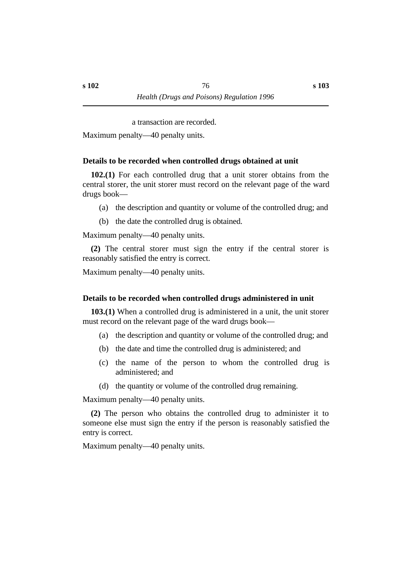a transaction are recorded.

Maximum penalty—40 penalty units.

#### **˙Details to be recorded when controlled drugs obtained at unit**

**102.(1)** For each controlled drug that a unit storer obtains from the central storer, the unit storer must record on the relevant page of the ward drugs book—

- (a) the description and quantity or volume of the controlled drug; and
- (b) the date the controlled drug is obtained.

Maximum penalty—40 penalty units.

**(2)** The central storer must sign the entry if the central storer is reasonably satisfied the entry is correct.

Maximum penalty—40 penalty units.

#### **˙Details to be recorded when controlled drugs administered in unit**

**103.(1)** When a controlled drug is administered in a unit, the unit storer must record on the relevant page of the ward drugs book—

- (a) the description and quantity or volume of the controlled drug; and
- (b) the date and time the controlled drug is administered; and
- (c) the name of the person to whom the controlled drug is administered; and
- (d) the quantity or volume of the controlled drug remaining.

Maximum penalty—40 penalty units.

**(2)** The person who obtains the controlled drug to administer it to someone else must sign the entry if the person is reasonably satisfied the entry is correct.

Maximum penalty—40 penalty units.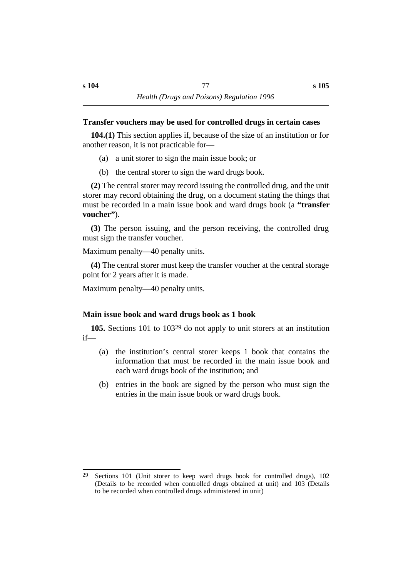# **˙Transfer vouchers may be used for controlled drugs in certain cases**

**104.(1)** This section applies if, because of the size of an institution or for another reason, it is not practicable for—

- (a) a unit storer to sign the main issue book; or
- (b) the central storer to sign the ward drugs book.

**(2)** The central storer may record issuing the controlled drug, and the unit storer may record obtaining the drug, on a document stating the things that must be recorded in a main issue book and ward drugs book (a **"transfer voucher"**).

**(3)** The person issuing, and the person receiving, the controlled drug must sign the transfer voucher.

Maximum penalty—40 penalty units.

**(4)** The central storer must keep the transfer voucher at the central storage point for 2 years after it is made.

Maximum penalty—40 penalty units.

# **˙Main issue book and ward drugs book as 1 book**

**105.** Sections 101 to 10329 do not apply to unit storers at an institution if—

- (a) the institution's central storer keeps 1 book that contains the information that must be recorded in the main issue book and each ward drugs book of the institution; and
- (b) entries in the book are signed by the person who must sign the entries in the main issue book or ward drugs book.

<sup>29</sup> Sections 101 (Unit storer to keep ward drugs book for controlled drugs), 102 (Details to be recorded when controlled drugs obtained at unit) and 103 (Details to be recorded when controlled drugs administered in unit)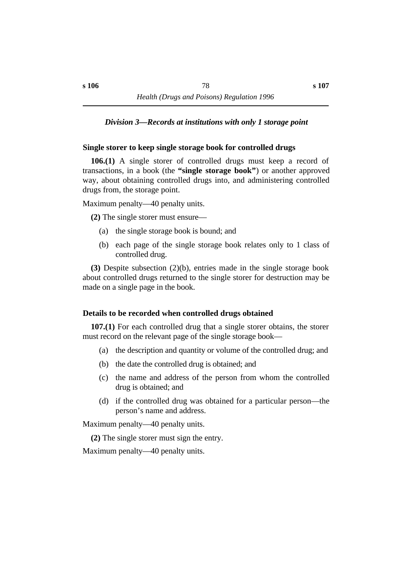### *†Division 3—Records at institutions with only 1 storage point*

### **˙Single storer to keep single storage book for controlled drugs**

**106.(1)** A single storer of controlled drugs must keep a record of transactions, in a book (the **"single storage book"**) or another approved way, about obtaining controlled drugs into, and administering controlled drugs from, the storage point.

Maximum penalty—40 penalty units.

**(2)** The single storer must ensure—

- (a) the single storage book is bound; and
- (b) each page of the single storage book relates only to 1 class of controlled drug.

**(3)** Despite subsection (2)(b), entries made in the single storage book about controlled drugs returned to the single storer for destruction may be made on a single page in the book.

### **˙Details to be recorded when controlled drugs obtained**

**107.(1)** For each controlled drug that a single storer obtains, the storer must record on the relevant page of the single storage book—

- (a) the description and quantity or volume of the controlled drug; and
- (b) the date the controlled drug is obtained; and
- (c) the name and address of the person from whom the controlled drug is obtained; and
- (d) if the controlled drug was obtained for a particular person—the person's name and address.

Maximum penalty—40 penalty units.

**(2)** The single storer must sign the entry.

Maximum penalty—40 penalty units.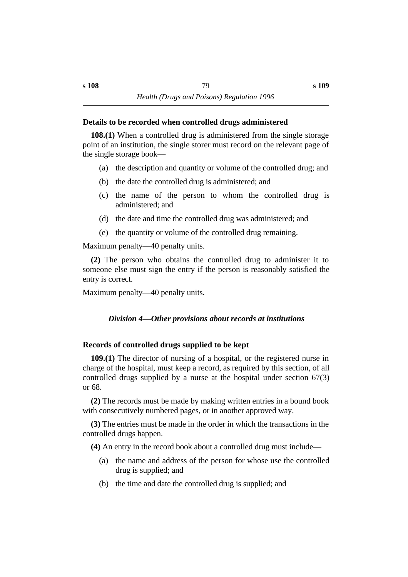### **˙Details to be recorded when controlled drugs administered**

**108.(1)** When a controlled drug is administered from the single storage point of an institution, the single storer must record on the relevant page of the single storage book—

- (a) the description and quantity or volume of the controlled drug; and
- (b) the date the controlled drug is administered; and
- (c) the name of the person to whom the controlled drug is administered; and
- (d) the date and time the controlled drug was administered; and
- (e) the quantity or volume of the controlled drug remaining.

Maximum penalty—40 penalty units.

**(2)** The person who obtains the controlled drug to administer it to someone else must sign the entry if the person is reasonably satisfied the entry is correct.

Maximum penalty—40 penalty units.

# *†Division 4—Other provisions about records at institutions*

# **˙Records of controlled drugs supplied to be kept**

**109.(1)** The director of nursing of a hospital, or the registered nurse in charge of the hospital, must keep a record, as required by this section, of all controlled drugs supplied by a nurse at the hospital under section 67(3) or 68.

**(2)** The records must be made by making written entries in a bound book with consecutively numbered pages, or in another approved way.

**(3)** The entries must be made in the order in which the transactions in the controlled drugs happen.

**(4)** An entry in the record book about a controlled drug must include—

- (a) the name and address of the person for whose use the controlled drug is supplied; and
- (b) the time and date the controlled drug is supplied; and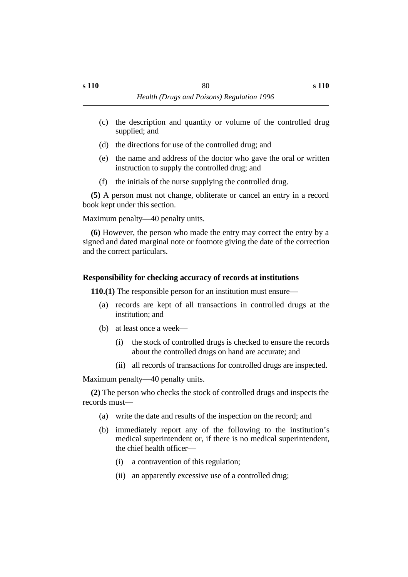- (c) the description and quantity or volume of the controlled drug supplied; and
- (d) the directions for use of the controlled drug; and
- (e) the name and address of the doctor who gave the oral or written instruction to supply the controlled drug; and
- (f) the initials of the nurse supplying the controlled drug.

**(5)** A person must not change, obliterate or cancel an entry in a record book kept under this section.

Maximum penalty—40 penalty units.

**(6)** However, the person who made the entry may correct the entry by a signed and dated marginal note or footnote giving the date of the correction and the correct particulars.

# **˙Responsibility for checking accuracy of records at institutions**

**110.(1)** The responsible person for an institution must ensure—

- (a) records are kept of all transactions in controlled drugs at the institution; and
- (b) at least once a week—
	- (i) the stock of controlled drugs is checked to ensure the records about the controlled drugs on hand are accurate; and
	- (ii) all records of transactions for controlled drugs are inspected.

Maximum penalty—40 penalty units.

**(2)** The person who checks the stock of controlled drugs and inspects the records must—

- (a) write the date and results of the inspection on the record; and
- (b) immediately report any of the following to the institution's medical superintendent or, if there is no medical superintendent, the chief health officer—
	- (i) a contravention of this regulation;
	- (ii) an apparently excessive use of a controlled drug;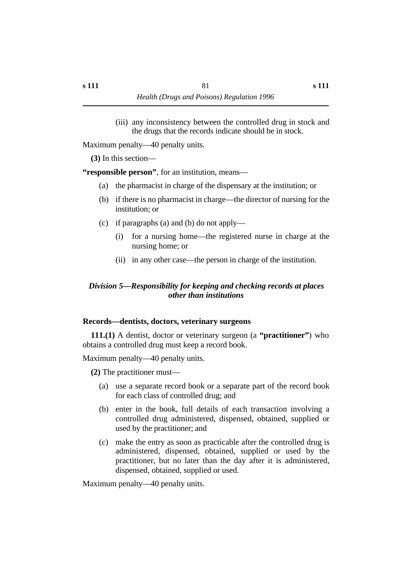(iii) any inconsistency between the controlled drug in stock and the drugs that the records indicate should be in stock.

Maximum penalty—40 penalty units.

**(3)** In this section—

**"responsible person"**, for an institution, means—

- (a) the pharmacist in charge of the dispensary at the institution; or
- (b) if there is no pharmacist in charge—the director of nursing for the institution; or
- (c) if paragraphs (a) and (b) do not apply—
	- (i) for a nursing home—the registered nurse in charge at the nursing home; or
	- (ii) in any other case—the person in charge of the institution.

# *†Division 5—Responsibility for keeping and checking records at places other than institutions*

# **˙Records—dentists, doctors, veterinary surgeons**

**111.(1)** A dentist, doctor or veterinary surgeon (a **"practitioner"**) who obtains a controlled drug must keep a record book.

Maximum penalty—40 penalty units.

**(2)** The practitioner must—

- (a) use a separate record book or a separate part of the record book for each class of controlled drug; and
- (b) enter in the book, full details of each transaction involving a controlled drug administered, dispensed, obtained, supplied or used by the practitioner; and
- (c) make the entry as soon as practicable after the controlled drug is administered, dispensed, obtained, supplied or used by the practitioner, but no later than the day after it is administered, dispensed, obtained, supplied or used.

Maximum penalty—40 penalty units.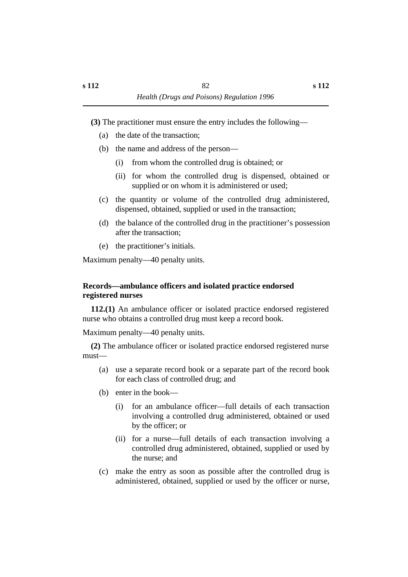**(3)** The practitioner must ensure the entry includes the following—

- (a) the date of the transaction;
- (b) the name and address of the person—
	- (i) from whom the controlled drug is obtained; or
	- (ii) for whom the controlled drug is dispensed, obtained or supplied or on whom it is administered or used;
- (c) the quantity or volume of the controlled drug administered, dispensed, obtained, supplied or used in the transaction;
- (d) the balance of the controlled drug in the practitioner's possession after the transaction;
- (e) the practitioner's initials.

Maximum penalty—40 penalty units.

# **˙Records—ambulance officers and isolated practice endorsed registered nurses**

**112.(1)** An ambulance officer or isolated practice endorsed registered nurse who obtains a controlled drug must keep a record book.

Maximum penalty—40 penalty units.

**(2)** The ambulance officer or isolated practice endorsed registered nurse must—

- (a) use a separate record book or a separate part of the record book for each class of controlled drug; and
- (b) enter in the book—
	- (i) for an ambulance officer—full details of each transaction involving a controlled drug administered, obtained or used by the officer; or
	- (ii) for a nurse—full details of each transaction involving a controlled drug administered, obtained, supplied or used by the nurse; and
- (c) make the entry as soon as possible after the controlled drug is administered, obtained, supplied or used by the officer or nurse,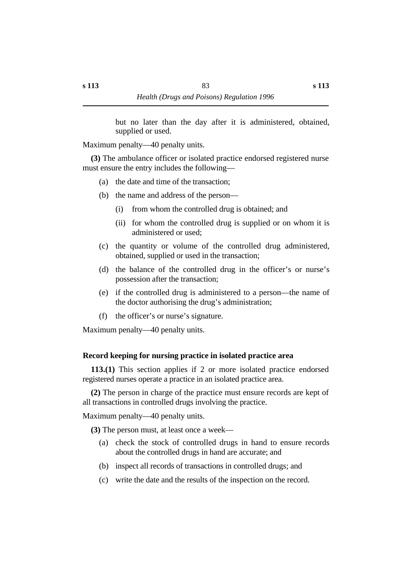but no later than the day after it is administered, obtained, supplied or used.

Maximum penalty—40 penalty units.

**(3)** The ambulance officer or isolated practice endorsed registered nurse must ensure the entry includes the following—

- (a) the date and time of the transaction;
- (b) the name and address of the person—
	- (i) from whom the controlled drug is obtained; and
	- (ii) for whom the controlled drug is supplied or on whom it is administered or used;
- (c) the quantity or volume of the controlled drug administered, obtained, supplied or used in the transaction;
- (d) the balance of the controlled drug in the officer's or nurse's possession after the transaction;
- (e) if the controlled drug is administered to a person—the name of the doctor authorising the drug's administration;
- (f) the officer's or nurse's signature.

Maximum penalty—40 penalty units.

### **˙Record keeping for nursing practice in isolated practice area**

**113.(1)** This section applies if 2 or more isolated practice endorsed registered nurses operate a practice in an isolated practice area.

**(2)** The person in charge of the practice must ensure records are kept of all transactions in controlled drugs involving the practice.

Maximum penalty—40 penalty units.

**(3)** The person must, at least once a week—

- (a) check the stock of controlled drugs in hand to ensure records about the controlled drugs in hand are accurate; and
- (b) inspect all records of transactions in controlled drugs; and
- (c) write the date and the results of the inspection on the record.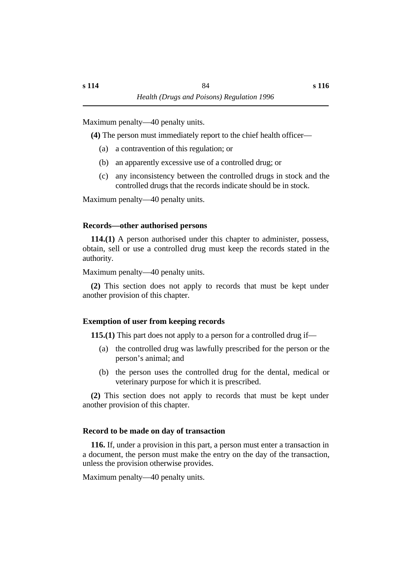Maximum penalty—40 penalty units.

**(4)** The person must immediately report to the chief health officer—

- (a) a contravention of this regulation; or
- (b) an apparently excessive use of a controlled drug; or
- (c) any inconsistency between the controlled drugs in stock and the controlled drugs that the records indicate should be in stock.

Maximum penalty—40 penalty units.

# **˙Records—other authorised persons**

**114.(1)** A person authorised under this chapter to administer, possess, obtain, sell or use a controlled drug must keep the records stated in the authority.

Maximum penalty—40 penalty units.

**(2)** This section does not apply to records that must be kept under another provision of this chapter.

# **˙Exemption of user from keeping records**

**115.(1)** This part does not apply to a person for a controlled drug if—

- (a) the controlled drug was lawfully prescribed for the person or the person's animal; and
- (b) the person uses the controlled drug for the dental, medical or veterinary purpose for which it is prescribed.

**(2)** This section does not apply to records that must be kept under another provision of this chapter.

# **˙Record to be made on day of transaction**

**116.** If, under a provision in this part, a person must enter a transaction in a document, the person must make the entry on the day of the transaction, unless the provision otherwise provides.

Maximum penalty—40 penalty units.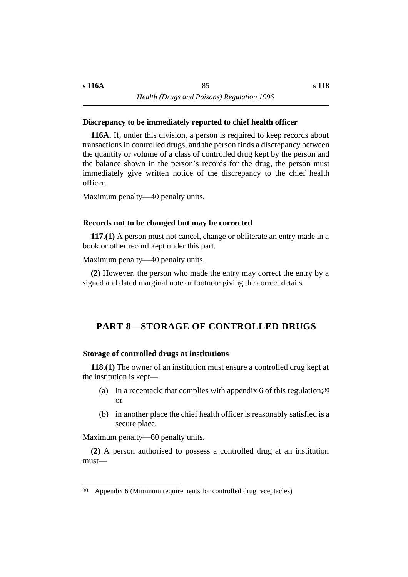### **˙Discrepancy to be immediately reported to chief health officer**

**116A.** If, under this division, a person is required to keep records about transactions in controlled drugs, and the person finds a discrepancy between the quantity or volume of a class of controlled drug kept by the person and the balance shown in the person's records for the drug, the person must immediately give written notice of the discrepancy to the chief health officer.

Maximum penalty—40 penalty units.

#### **˙Records not to be changed but may be corrected**

**117.(1)** A person must not cancel, change or obliterate an entry made in a book or other record kept under this part.

Maximum penalty—40 penalty units.

**(2)** However, the person who made the entry may correct the entry by a signed and dated marginal note or footnote giving the correct details.

# **†PART 8—STORAGE OF CONTROLLED DRUGS**

#### **˙Storage of controlled drugs at institutions**

**118.(1)** The owner of an institution must ensure a controlled drug kept at the institution is kept—

- (a) in a receptacle that complies with appendix 6 of this regulation;30 or
- (b) in another place the chief health officer is reasonably satisfied is a secure place.

Maximum penalty—60 penalty units.

**(2)** A person authorised to possess a controlled drug at an institution must—

<sup>30</sup> Appendix 6 (Minimum requirements for controlled drug receptacles)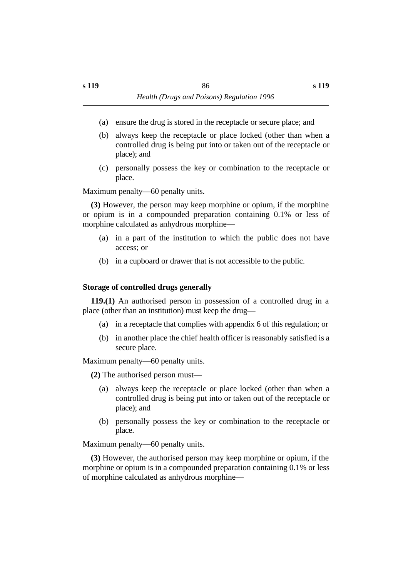- (a) ensure the drug is stored in the receptacle or secure place; and
- (b) always keep the receptacle or place locked (other than when a controlled drug is being put into or taken out of the receptacle or place); and
- (c) personally possess the key or combination to the receptacle or place.

Maximum penalty—60 penalty units.

**(3)** However, the person may keep morphine or opium, if the morphine or opium is in a compounded preparation containing 0.1% or less of morphine calculated as anhydrous morphine—

- (a) in a part of the institution to which the public does not have access; or
- (b) in a cupboard or drawer that is not accessible to the public.

### **˙Storage of controlled drugs generally**

**119.(1)** An authorised person in possession of a controlled drug in a place (other than an institution) must keep the drug—

- (a) in a receptacle that complies with appendix 6 of this regulation; or
- (b) in another place the chief health officer is reasonably satisfied is a secure place.

Maximum penalty—60 penalty units.

**(2)** The authorised person must—

- (a) always keep the receptacle or place locked (other than when a controlled drug is being put into or taken out of the receptacle or place); and
- (b) personally possess the key or combination to the receptacle or place.

Maximum penalty—60 penalty units.

**(3)** However, the authorised person may keep morphine or opium, if the morphine or opium is in a compounded preparation containing 0.1% or less of morphine calculated as anhydrous morphine—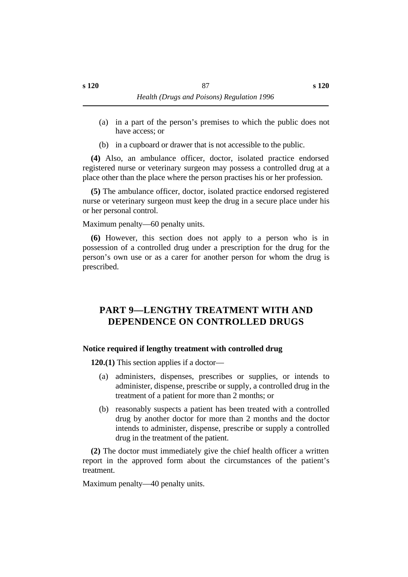- (a) in a part of the person's premises to which the public does not have access; or
- (b) in a cupboard or drawer that is not accessible to the public.

**(4)** Also, an ambulance officer, doctor, isolated practice endorsed registered nurse or veterinary surgeon may possess a controlled drug at a place other than the place where the person practises his or her profession.

**(5)** The ambulance officer, doctor, isolated practice endorsed registered nurse or veterinary surgeon must keep the drug in a secure place under his or her personal control.

Maximum penalty—60 penalty units.

**(6)** However, this section does not apply to a person who is in possession of a controlled drug under a prescription for the drug for the person's own use or as a carer for another person for whom the drug is prescribed.

# **†PART 9—LENGTHY TREATMENT WITH AND DEPENDENCE ON CONTROLLED DRUGS**

# **˙Notice required if lengthy treatment with controlled drug**

**120.(1)** This section applies if a doctor—

- (a) administers, dispenses, prescribes or supplies, or intends to administer, dispense, prescribe or supply, a controlled drug in the treatment of a patient for more than 2 months; or
- (b) reasonably suspects a patient has been treated with a controlled drug by another doctor for more than 2 months and the doctor intends to administer, dispense, prescribe or supply a controlled drug in the treatment of the patient.

**(2)** The doctor must immediately give the chief health officer a written report in the approved form about the circumstances of the patient's treatment.

Maximum penalty—40 penalty units.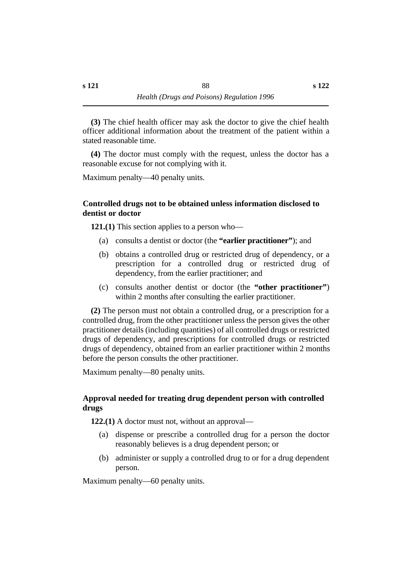**(3)** The chief health officer may ask the doctor to give the chief health officer additional information about the treatment of the patient within a stated reasonable time.

**(4)** The doctor must comply with the request, unless the doctor has a reasonable excuse for not complying with it.

Maximum penalty—40 penalty units.

# **˙Controlled drugs not to be obtained unless information disclosed to dentist or doctor**

**121.(1)** This section applies to a person who—

- (a) consults a dentist or doctor (the **"earlier practitioner"**); and
- (b) obtains a controlled drug or restricted drug of dependency, or a prescription for a controlled drug or restricted drug of dependency, from the earlier practitioner; and
- (c) consults another dentist or doctor (the **"other practitioner"**) within 2 months after consulting the earlier practitioner.

**(2)** The person must not obtain a controlled drug, or a prescription for a controlled drug, from the other practitioner unless the person gives the other practitioner details (including quantities) of all controlled drugs or restricted drugs of dependency, and prescriptions for controlled drugs or restricted drugs of dependency, obtained from an earlier practitioner within 2 months before the person consults the other practitioner.

Maximum penalty—80 penalty units.

# **˙Approval needed for treating drug dependent person with controlled drugs**

**122.(1)** A doctor must not, without an approval—

- (a) dispense or prescribe a controlled drug for a person the doctor reasonably believes is a drug dependent person; or
- (b) administer or supply a controlled drug to or for a drug dependent person.

Maximum penalty—60 penalty units.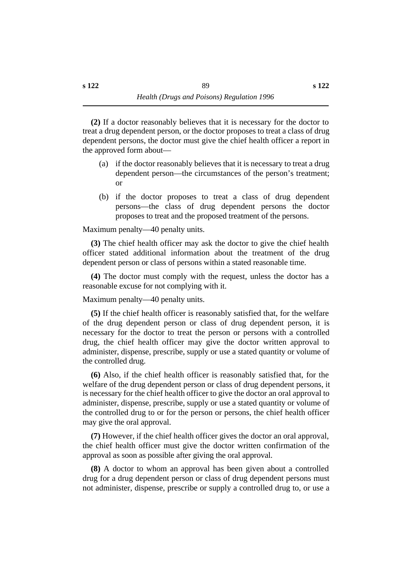**(2)** If a doctor reasonably believes that it is necessary for the doctor to treat a drug dependent person, or the doctor proposes to treat a class of drug dependent persons, the doctor must give the chief health officer a report in the approved form about—

- (a) if the doctor reasonably believes that it is necessary to treat a drug dependent person—the circumstances of the person's treatment; or
- (b) if the doctor proposes to treat a class of drug dependent persons—the class of drug dependent persons the doctor proposes to treat and the proposed treatment of the persons.

Maximum penalty—40 penalty units.

**(3)** The chief health officer may ask the doctor to give the chief health officer stated additional information about the treatment of the drug dependent person or class of persons within a stated reasonable time.

**(4)** The doctor must comply with the request, unless the doctor has a reasonable excuse for not complying with it.

Maximum penalty—40 penalty units.

**(5)** If the chief health officer is reasonably satisfied that, for the welfare of the drug dependent person or class of drug dependent person, it is necessary for the doctor to treat the person or persons with a controlled drug, the chief health officer may give the doctor written approval to administer, dispense, prescribe, supply or use a stated quantity or volume of the controlled drug.

**(6)** Also, if the chief health officer is reasonably satisfied that, for the welfare of the drug dependent person or class of drug dependent persons, it is necessary for the chief health officer to give the doctor an oral approval to administer, dispense, prescribe, supply or use a stated quantity or volume of the controlled drug to or for the person or persons, the chief health officer may give the oral approval.

**(7)** However, if the chief health officer gives the doctor an oral approval, the chief health officer must give the doctor written confirmation of the approval as soon as possible after giving the oral approval.

**(8)** A doctor to whom an approval has been given about a controlled drug for a drug dependent person or class of drug dependent persons must not administer, dispense, prescribe or supply a controlled drug to, or use a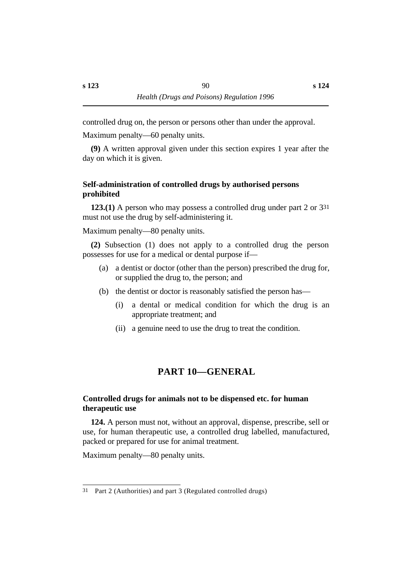controlled drug on, the person or persons other than under the approval.

Maximum penalty—60 penalty units.

**(9)** A written approval given under this section expires 1 year after the day on which it is given.

# **˙Self-administration of controlled drugs by authorised persons prohibited**

**123.(1)** A person who may possess a controlled drug under part 2 or 331 must not use the drug by self-administering it.

Maximum penalty—80 penalty units.

**(2)** Subsection (1) does not apply to a controlled drug the person possesses for use for a medical or dental purpose if—

- (a) a dentist or doctor (other than the person) prescribed the drug for, or supplied the drug to, the person; and
- (b) the dentist or doctor is reasonably satisfied the person has—
	- (i) a dental or medical condition for which the drug is an appropriate treatment; and
	- (ii) a genuine need to use the drug to treat the condition.

# **†PART 10—GENERAL**

# **˙Controlled drugs for animals not to be dispensed etc. for human therapeutic use**

**124.** A person must not, without an approval, dispense, prescribe, sell or use, for human therapeutic use, a controlled drug labelled, manufactured, packed or prepared for use for animal treatment.

Maximum penalty—80 penalty units.

<sup>31</sup> Part 2 (Authorities) and part 3 (Regulated controlled drugs)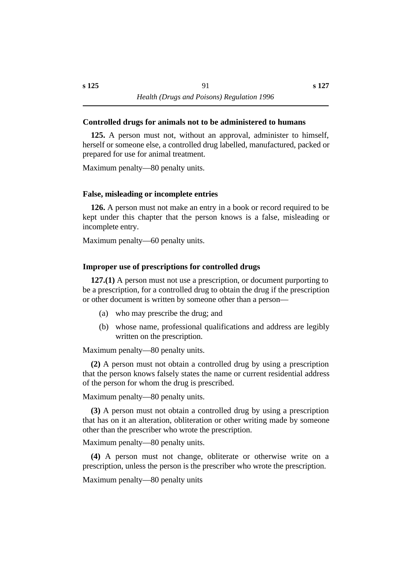### **˙Controlled drugs for animals not to be administered to humans**

**125.** A person must not, without an approval, administer to himself, herself or someone else, a controlled drug labelled, manufactured, packed or prepared for use for animal treatment.

Maximum penalty—80 penalty units.

# **˙False, misleading or incomplete entries**

**126.** A person must not make an entry in a book or record required to be kept under this chapter that the person knows is a false, misleading or incomplete entry.

Maximum penalty—60 penalty units.

# **˙Improper use of prescriptions for controlled drugs**

**127.(1)** A person must not use a prescription, or document purporting to be a prescription, for a controlled drug to obtain the drug if the prescription or other document is written by someone other than a person—

- (a) who may prescribe the drug; and
- (b) whose name, professional qualifications and address are legibly written on the prescription.

Maximum penalty—80 penalty units.

**(2)** A person must not obtain a controlled drug by using a prescription that the person knows falsely states the name or current residential address of the person for whom the drug is prescribed.

Maximum penalty—80 penalty units.

**(3)** A person must not obtain a controlled drug by using a prescription that has on it an alteration, obliteration or other writing made by someone other than the prescriber who wrote the prescription.

Maximum penalty—80 penalty units.

**(4)** A person must not change, obliterate or otherwise write on a prescription, unless the person is the prescriber who wrote the prescription.

Maximum penalty—80 penalty units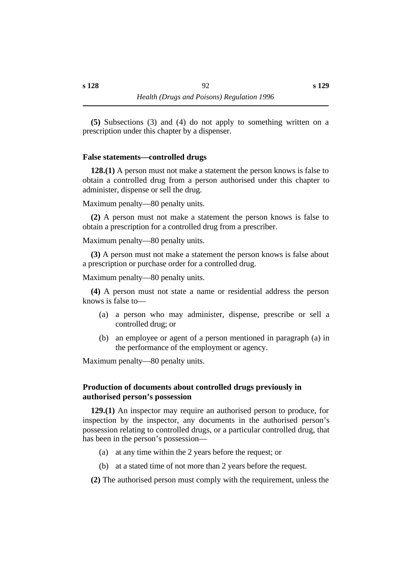**(5)** Subsections (3) and (4) do not apply to something written on a prescription under this chapter by a dispenser.

### **˙False statements—controlled drugs**

**128.(1)** A person must not make a statement the person knows is false to obtain a controlled drug from a person authorised under this chapter to administer, dispense or sell the drug.

Maximum penalty—80 penalty units.

**(2)** A person must not make a statement the person knows is false to obtain a prescription for a controlled drug from a prescriber.

Maximum penalty—80 penalty units.

**(3)** A person must not make a statement the person knows is false about a prescription or purchase order for a controlled drug.

Maximum penalty—80 penalty units.

**(4)** A person must not state a name or residential address the person knows is false to—

- (a) a person who may administer, dispense, prescribe or sell a controlled drug; or
- (b) an employee or agent of a person mentioned in paragraph (a) in the performance of the employment or agency.

Maximum penalty—80 penalty units.

# **˙Production of documents about controlled drugs previously in authorised person's possession**

**129.(1)** An inspector may require an authorised person to produce, for inspection by the inspector, any documents in the authorised person's possession relating to controlled drugs, or a particular controlled drug, that has been in the person's possession—

- (a) at any time within the 2 years before the request; or
- (b) at a stated time of not more than 2 years before the request.

**(2)** The authorised person must comply with the requirement, unless the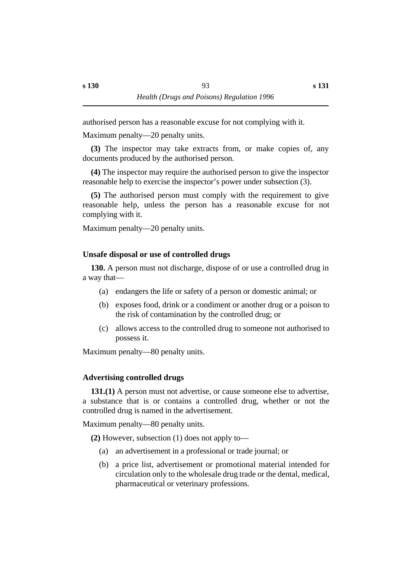authorised person has a reasonable excuse for not complying with it.

Maximum penalty—20 penalty units.

**(3)** The inspector may take extracts from, or make copies of, any documents produced by the authorised person.

**(4)** The inspector may require the authorised person to give the inspector reasonable help to exercise the inspector's power under subsection (3).

**(5)** The authorised person must comply with the requirement to give reasonable help, unless the person has a reasonable excuse for not complying with it.

Maximum penalty—20 penalty units.

# **˙Unsafe disposal or use of controlled drugs**

**130.** A person must not discharge, dispose of or use a controlled drug in a way that—

- (a) endangers the life or safety of a person or domestic animal; or
- (b) exposes food, drink or a condiment or another drug or a poison to the risk of contamination by the controlled drug; or
- (c) allows access to the controlled drug to someone not authorised to possess it.

Maximum penalty—80 penalty units.

# **˙Advertising controlled drugs**

**131.(1)** A person must not advertise, or cause someone else to advertise, a substance that is or contains a controlled drug, whether or not the controlled drug is named in the advertisement.

Maximum penalty—80 penalty units.

**(2)** However, subsection (1) does not apply to—

- (a) an advertisement in a professional or trade journal; or
- (b) a price list, advertisement or promotional material intended for circulation only to the wholesale drug trade or the dental, medical, pharmaceutical or veterinary professions.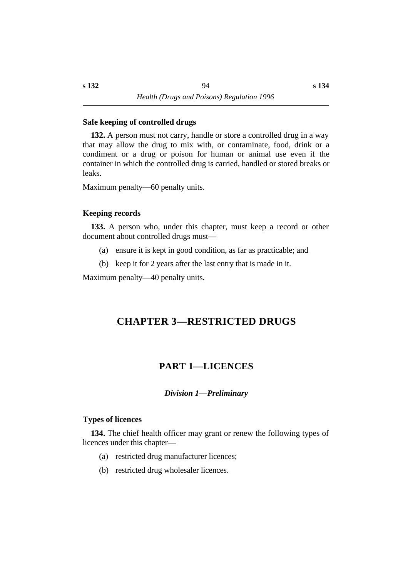### **˙Safe keeping of controlled drugs**

**132.** A person must not carry, handle or store a controlled drug in a way that may allow the drug to mix with, or contaminate, food, drink or a condiment or a drug or poison for human or animal use even if the container in which the controlled drug is carried, handled or stored breaks or leaks.

Maximum penalty—60 penalty units.

### **˙Keeping records**

**133.** A person who, under this chapter, must keep a record or other document about controlled drugs must—

- (a) ensure it is kept in good condition, as far as practicable; and
- (b) keep it for 2 years after the last entry that is made in it.

Maximum penalty—40 penalty units.

# **†CHAPTER 3—RESTRICTED DRUGS**

# **†PART 1—LICENCES**

*†Division 1—Preliminary*

# **˙Types of licences**

**134.** The chief health officer may grant or renew the following types of licences under this chapter—

- (a) restricted drug manufacturer licences;
- (b) restricted drug wholesaler licences.

**s 134**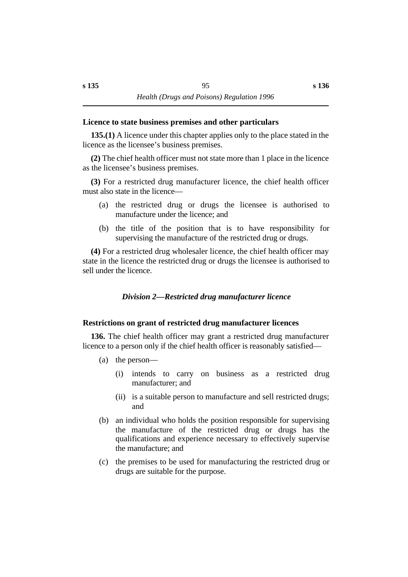#### **˙Licence to state business premises and other particulars**

**135.(1)** A licence under this chapter applies only to the place stated in the licence as the licensee's business premises.

**(2)** The chief health officer must not state more than 1 place in the licence as the licensee's business premises.

**(3)** For a restricted drug manufacturer licence, the chief health officer must also state in the licence—

- (a) the restricted drug or drugs the licensee is authorised to manufacture under the licence; and
- (b) the title of the position that is to have responsibility for supervising the manufacture of the restricted drug or drugs.

**(4)** For a restricted drug wholesaler licence, the chief health officer may state in the licence the restricted drug or drugs the licensee is authorised to sell under the licence.

### *†Division 2—Restricted drug manufacturer licence*

### **˙Restrictions on grant of restricted drug manufacturer licences**

**136.** The chief health officer may grant a restricted drug manufacturer licence to a person only if the chief health officer is reasonably satisfied—

- (a) the person—
	- (i) intends to carry on business as a restricted drug manufacturer; and
	- (ii) is a suitable person to manufacture and sell restricted drugs; and
- (b) an individual who holds the position responsible for supervising the manufacture of the restricted drug or drugs has the qualifications and experience necessary to effectively supervise the manufacture; and
- (c) the premises to be used for manufacturing the restricted drug or drugs are suitable for the purpose.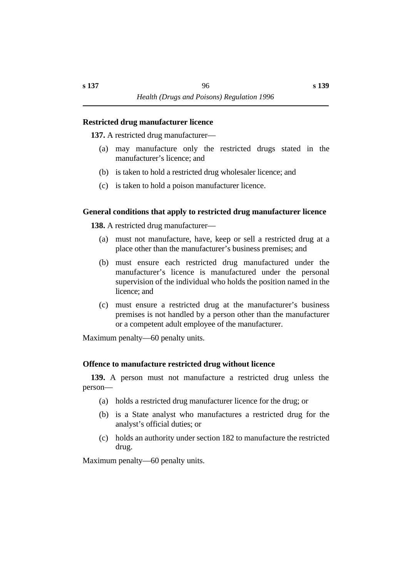#### **˙Restricted drug manufacturer licence**

**137.** A restricted drug manufacturer—

- (a) may manufacture only the restricted drugs stated in the manufacturer's licence; and
- (b) is taken to hold a restricted drug wholesaler licence; and
- (c) is taken to hold a poison manufacturer licence.

# **˙General conditions that apply to restricted drug manufacturer licence**

**138.** A restricted drug manufacturer—

- (a) must not manufacture, have, keep or sell a restricted drug at a place other than the manufacturer's business premises; and
- (b) must ensure each restricted drug manufactured under the manufacturer's licence is manufactured under the personal supervision of the individual who holds the position named in the licence; and
- (c) must ensure a restricted drug at the manufacturer's business premises is not handled by a person other than the manufacturer or a competent adult employee of the manufacturer.

Maximum penalty—60 penalty units.

# **˙Offence to manufacture restricted drug without licence**

**139.** A person must not manufacture a restricted drug unless the person—

- (a) holds a restricted drug manufacturer licence for the drug; or
- (b) is a State analyst who manufactures a restricted drug for the analyst's official duties; or
- (c) holds an authority under section 182 to manufacture the restricted drug.

Maximum penalty—60 penalty units.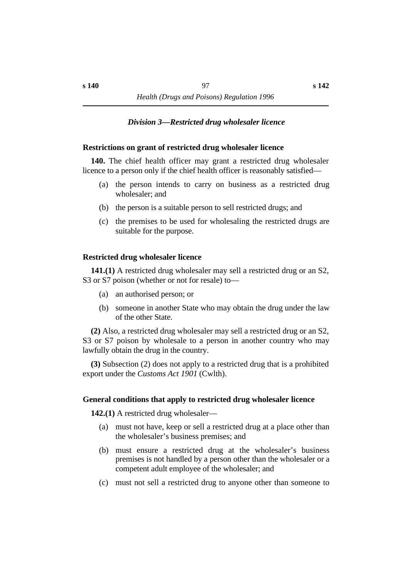### *†Division 3—Restricted drug wholesaler licence*

#### **˙Restrictions on grant of restricted drug wholesaler licence**

**140.** The chief health officer may grant a restricted drug wholesaler licence to a person only if the chief health officer is reasonably satisfied—

- (a) the person intends to carry on business as a restricted drug wholesaler; and
- (b) the person is a suitable person to sell restricted drugs; and
- (c) the premises to be used for wholesaling the restricted drugs are suitable for the purpose.

### **˙Restricted drug wholesaler licence**

**141.(1)** A restricted drug wholesaler may sell a restricted drug or an S2, S3 or S7 poison (whether or not for resale) to—

- (a) an authorised person; or
- (b) someone in another State who may obtain the drug under the law of the other State.

**(2)** Also, a restricted drug wholesaler may sell a restricted drug or an S2, S3 or S7 poison by wholesale to a person in another country who may lawfully obtain the drug in the country.

**(3)** Subsection (2) does not apply to a restricted drug that is a prohibited export under the *Customs Act 1901* (Cwlth).

### **˙General conditions that apply to restricted drug wholesaler licence**

**142.(1)** A restricted drug wholesaler—

- (a) must not have, keep or sell a restricted drug at a place other than the wholesaler's business premises; and
- (b) must ensure a restricted drug at the wholesaler's business premises is not handled by a person other than the wholesaler or a competent adult employee of the wholesaler; and
- (c) must not sell a restricted drug to anyone other than someone to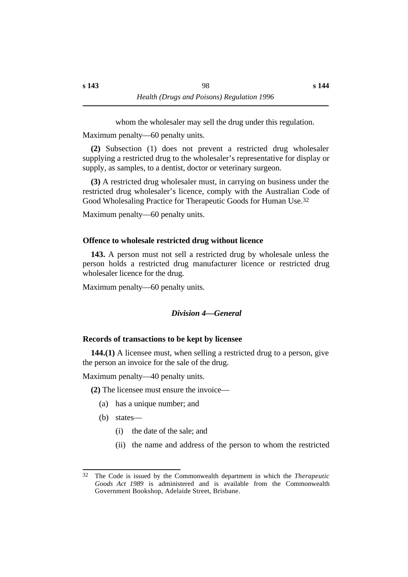whom the wholesaler may sell the drug under this regulation.

Maximum penalty—60 penalty units.

**(2)** Subsection (1) does not prevent a restricted drug wholesaler supplying a restricted drug to the wholesaler's representative for display or supply, as samples, to a dentist, doctor or veterinary surgeon.

**(3)** A restricted drug wholesaler must, in carrying on business under the restricted drug wholesaler's licence, comply with the Australian Code of Good Wholesaling Practice for Therapeutic Goods for Human Use.32

Maximum penalty—60 penalty units.

# **˙Offence to wholesale restricted drug without licence**

**143.** A person must not sell a restricted drug by wholesale unless the person holds a restricted drug manufacturer licence or restricted drug wholesaler licence for the drug.

Maximum penalty—60 penalty units.

# *†Division 4—General*

# **˙Records of transactions to be kept by licensee**

**144.(1)** A licensee must, when selling a restricted drug to a person, give the person an invoice for the sale of the drug.

Maximum penalty—40 penalty units.

**(2)** The licensee must ensure the invoice—

- (a) has a unique number; and
- (b) states—
	- (i) the date of the sale; and
	- (ii) the name and address of the person to whom the restricted

<sup>32</sup> The Code is issued by the Commonwealth department in which the *Therapeutic Goods Act 1989* is administered and is available from the Commonwealth Government Bookshop, Adelaide Street, Brisbane.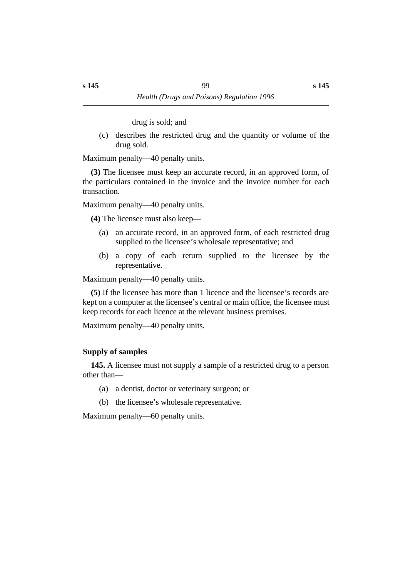drug is sold; and

(c) describes the restricted drug and the quantity or volume of the drug sold.

Maximum penalty—40 penalty units.

**(3)** The licensee must keep an accurate record, in an approved form, of the particulars contained in the invoice and the invoice number for each transaction.

Maximum penalty—40 penalty units.

**(4)** The licensee must also keep—

- (a) an accurate record, in an approved form, of each restricted drug supplied to the licensee's wholesale representative; and
- (b) a copy of each return supplied to the licensee by the representative.

Maximum penalty—40 penalty units.

**(5)** If the licensee has more than 1 licence and the licensee's records are kept on a computer at the licensee's central or main office, the licensee must keep records for each licence at the relevant business premises.

Maximum penalty—40 penalty units.

# **˙Supply of samples**

**145.** A licensee must not supply a sample of a restricted drug to a person other than—

- (a) a dentist, doctor or veterinary surgeon; or
- (b) the licensee's wholesale representative.

Maximum penalty—60 penalty units.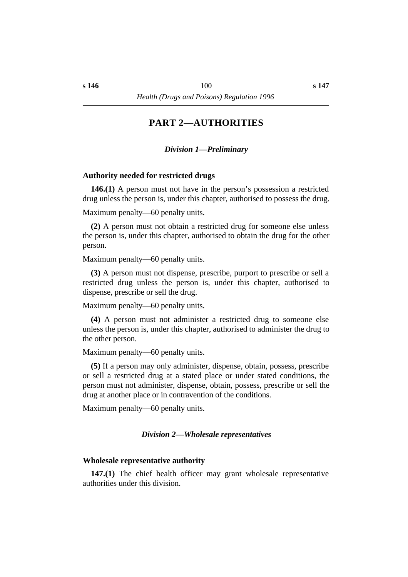# **†PART 2—AUTHORITIES**

### *†Division 1—Preliminary*

#### **˙Authority needed for restricted drugs**

**146.(1)** A person must not have in the person's possession a restricted drug unless the person is, under this chapter, authorised to possess the drug.

Maximum penalty—60 penalty units.

**(2)** A person must not obtain a restricted drug for someone else unless the person is, under this chapter, authorised to obtain the drug for the other person.

Maximum penalty—60 penalty units.

**(3)** A person must not dispense, prescribe, purport to prescribe or sell a restricted drug unless the person is, under this chapter, authorised to dispense, prescribe or sell the drug.

Maximum penalty—60 penalty units.

**(4)** A person must not administer a restricted drug to someone else unless the person is, under this chapter, authorised to administer the drug to the other person.

Maximum penalty—60 penalty units.

**(5)** If a person may only administer, dispense, obtain, possess, prescribe or sell a restricted drug at a stated place or under stated conditions, the person must not administer, dispense, obtain, possess, prescribe or sell the drug at another place or in contravention of the conditions.

Maximum penalty—60 penalty units.

#### *†Division 2—Wholesale representatives*

#### **˙Wholesale representative authority**

**147.(1)** The chief health officer may grant wholesale representative authorities under this division.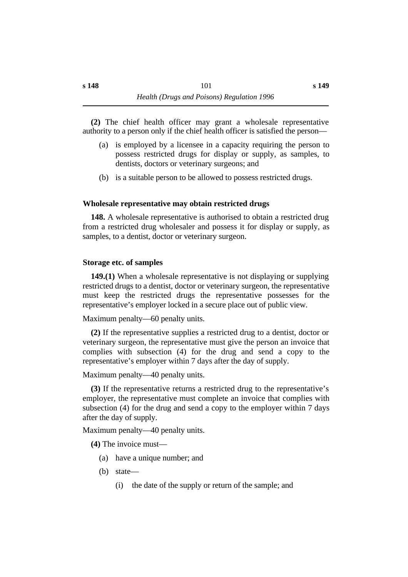**(2)** The chief health officer may grant a wholesale representative authority to a person only if the chief health officer is satisfied the person—

- (a) is employed by a licensee in a capacity requiring the person to possess restricted drugs for display or supply, as samples, to dentists, doctors or veterinary surgeons; and
- (b) is a suitable person to be allowed to possess restricted drugs.

# **˙Wholesale representative may obtain restricted drugs**

**148.** A wholesale representative is authorised to obtain a restricted drug from a restricted drug wholesaler and possess it for display or supply, as samples, to a dentist, doctor or veterinary surgeon.

# **˙Storage etc. of samples**

**149.(1)** When a wholesale representative is not displaying or supplying restricted drugs to a dentist, doctor or veterinary surgeon, the representative must keep the restricted drugs the representative possesses for the representative's employer locked in a secure place out of public view.

Maximum penalty—60 penalty units.

**(2)** If the representative supplies a restricted drug to a dentist, doctor or veterinary surgeon, the representative must give the person an invoice that complies with subsection (4) for the drug and send a copy to the representative's employer within 7 days after the day of supply.

Maximum penalty—40 penalty units.

**(3)** If the representative returns a restricted drug to the representative's employer, the representative must complete an invoice that complies with subsection (4) for the drug and send a copy to the employer within 7 days after the day of supply.

Maximum penalty—40 penalty units.

**(4)** The invoice must—

- (a) have a unique number; and
- (b) state—
	- (i) the date of the supply or return of the sample; and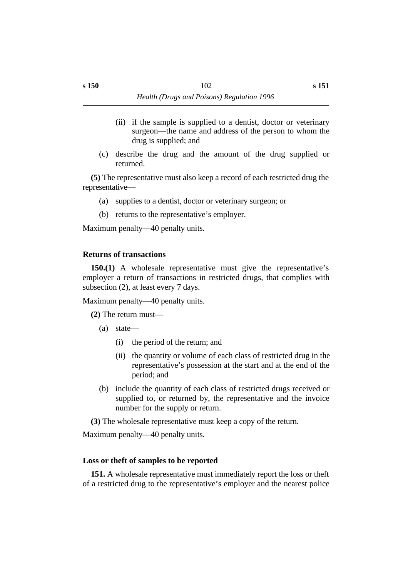(c) describe the drug and the amount of the drug supplied or returned.

**(5)** The representative must also keep a record of each restricted drug the representative—

- (a) supplies to a dentist, doctor or veterinary surgeon; or
- (b) returns to the representative's employer.

Maximum penalty—40 penalty units.

# **˙Returns of transactions**

**150.(1)** A wholesale representative must give the representative's employer a return of transactions in restricted drugs, that complies with subsection (2), at least every 7 days.

Maximum penalty—40 penalty units.

**(2)** The return must—

- (a) state—
	- (i) the period of the return; and
	- (ii) the quantity or volume of each class of restricted drug in the representative's possession at the start and at the end of the period; and
- (b) include the quantity of each class of restricted drugs received or supplied to, or returned by, the representative and the invoice number for the supply or return.

**(3)** The wholesale representative must keep a copy of the return.

Maximum penalty—40 penalty units.

# **˙Loss or theft of samples to be reported**

**151.** A wholesale representative must immediately report the loss or theft of a restricted drug to the representative's employer and the nearest police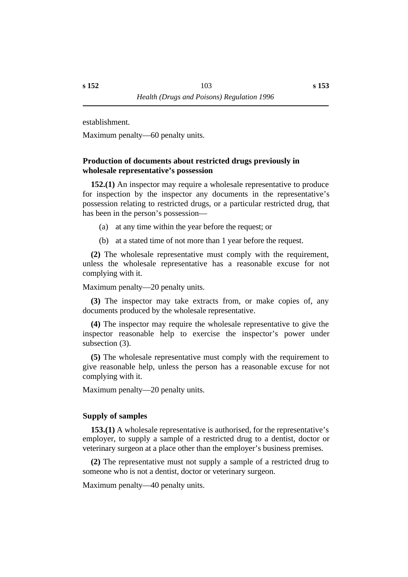establishment.

Maximum penalty—60 penalty units.

### **˙Production of documents about restricted drugs previously in wholesale representative's possession**

**152.(1)** An inspector may require a wholesale representative to produce for inspection by the inspector any documents in the representative's possession relating to restricted drugs, or a particular restricted drug, that has been in the person's possession—

- (a) at any time within the year before the request; or
- (b) at a stated time of not more than 1 year before the request.

**(2)** The wholesale representative must comply with the requirement, unless the wholesale representative has a reasonable excuse for not complying with it.

Maximum penalty—20 penalty units.

**(3)** The inspector may take extracts from, or make copies of, any documents produced by the wholesale representative.

**(4)** The inspector may require the wholesale representative to give the inspector reasonable help to exercise the inspector's power under subsection (3).

**(5)** The wholesale representative must comply with the requirement to give reasonable help, unless the person has a reasonable excuse for not complying with it.

Maximum penalty—20 penalty units.

# **˙Supply of samples**

**153.(1)** A wholesale representative is authorised, for the representative's employer, to supply a sample of a restricted drug to a dentist, doctor or veterinary surgeon at a place other than the employer's business premises.

**(2)** The representative must not supply a sample of a restricted drug to someone who is not a dentist, doctor or veterinary surgeon.

Maximum penalty—40 penalty units.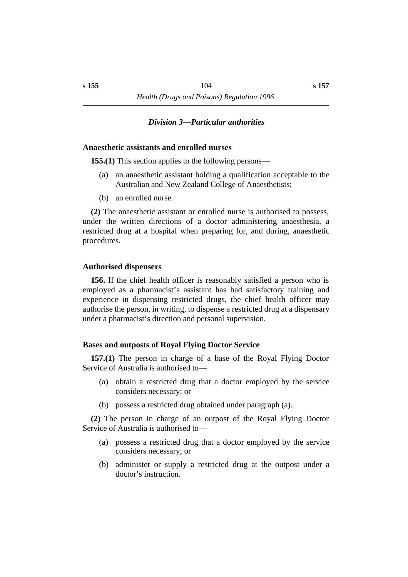# *†Division 3—Particular authorities*

### **˙Anaesthetic assistants and enrolled nurses**

**155.(1)** This section applies to the following persons—

- (a) an anaesthetic assistant holding a qualification acceptable to the Australian and New Zealand College of Anaesthetists;
- (b) an enrolled nurse.

**(2)** The anaesthetic assistant or enrolled nurse is authorised to possess, under the written directions of a doctor administering anaesthesia, a restricted drug at a hospital when preparing for, and during, anaesthetic procedures.

# **˙Authorised dispensers**

**156.** If the chief health officer is reasonably satisfied a person who is employed as a pharmacist's assistant has had satisfactory training and experience in dispensing restricted drugs, the chief health officer may authorise the person, in writing, to dispense a restricted drug at a dispensary under a pharmacist's direction and personal supervision.

# **˙Bases and outposts of Royal Flying Doctor Service**

**157.(1)** The person in charge of a base of the Royal Flying Doctor Service of Australia is authorised to—

- (a) obtain a restricted drug that a doctor employed by the service considers necessary; or
- (b) possess a restricted drug obtained under paragraph (a).

**(2)** The person in charge of an outpost of the Royal Flying Doctor Service of Australia is authorised to—

- (a) possess a restricted drug that a doctor employed by the service considers necessary; or
- (b) administer or supply a restricted drug at the outpost under a doctor's instruction.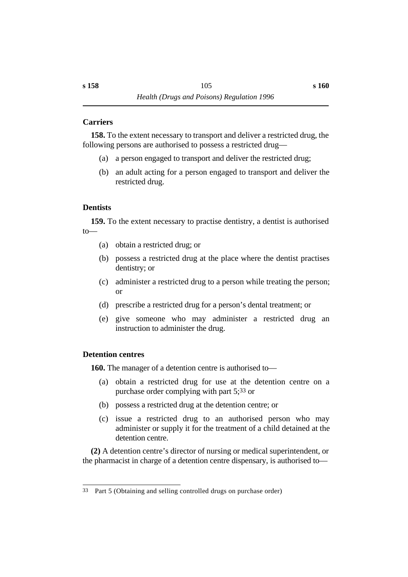# **˙Carriers**

**158.** To the extent necessary to transport and deliver a restricted drug, the following persons are authorised to possess a restricted drug—

- (a) a person engaged to transport and deliver the restricted drug;
- (b) an adult acting for a person engaged to transport and deliver the restricted drug.

# **˙Dentists**

**159.** To the extent necessary to practise dentistry, a dentist is authorised to—

- (a) obtain a restricted drug; or
- (b) possess a restricted drug at the place where the dentist practises dentistry; or
- (c) administer a restricted drug to a person while treating the person; or
- (d) prescribe a restricted drug for a person's dental treatment; or
- (e) give someone who may administer a restricted drug an instruction to administer the drug.

# **˙Detention centres**

**160.** The manager of a detention centre is authorised to—

- (a) obtain a restricted drug for use at the detention centre on a purchase order complying with part 5;33 or
- (b) possess a restricted drug at the detention centre; or
- (c) issue a restricted drug to an authorised person who may administer or supply it for the treatment of a child detained at the detention centre.

**(2)** A detention centre's director of nursing or medical superintendent, or the pharmacist in charge of a detention centre dispensary, is authorised to—

<sup>33</sup> Part 5 (Obtaining and selling controlled drugs on purchase order)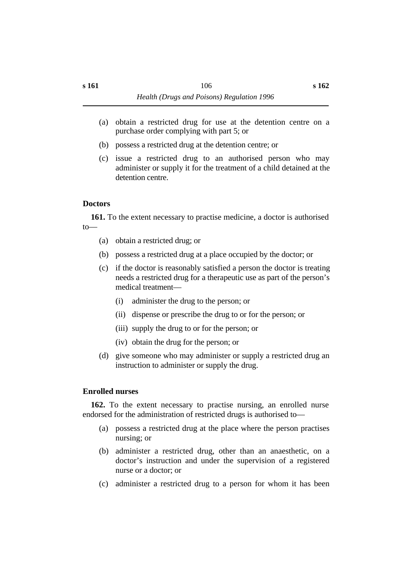- (a) obtain a restricted drug for use at the detention centre on a purchase order complying with part 5; or
- (b) possess a restricted drug at the detention centre; or
- (c) issue a restricted drug to an authorised person who may administer or supply it for the treatment of a child detained at the detention centre.

# **˙Doctors**

**161.** To the extent necessary to practise medicine, a doctor is authorised to—

- (a) obtain a restricted drug; or
- (b) possess a restricted drug at a place occupied by the doctor; or
- (c) if the doctor is reasonably satisfied a person the doctor is treating needs a restricted drug for a therapeutic use as part of the person's medical treatment—
	- (i) administer the drug to the person; or
	- (ii) dispense or prescribe the drug to or for the person; or
	- (iii) supply the drug to or for the person; or
	- (iv) obtain the drug for the person; or
- (d) give someone who may administer or supply a restricted drug an instruction to administer or supply the drug.

# **˙Enrolled nurses**

**162.** To the extent necessary to practise nursing, an enrolled nurse endorsed for the administration of restricted drugs is authorised to—

- (a) possess a restricted drug at the place where the person practises nursing; or
- (b) administer a restricted drug, other than an anaesthetic, on a doctor's instruction and under the supervision of a registered nurse or a doctor; or
- (c) administer a restricted drug to a person for whom it has been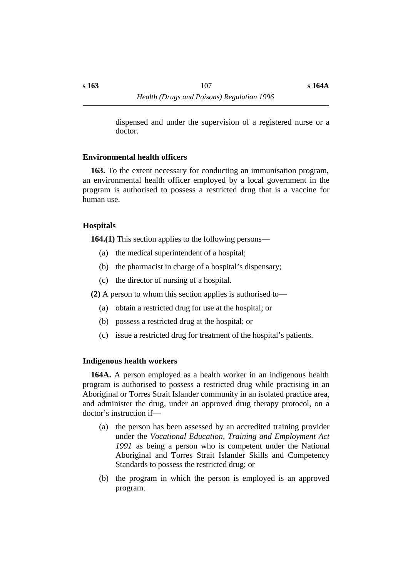#### **˙Environmental health officers**

**163.** To the extent necessary for conducting an immunisation program, an environmental health officer employed by a local government in the program is authorised to possess a restricted drug that is a vaccine for human use.

# **˙Hospitals**

**164.(1)** This section applies to the following persons—

- (a) the medical superintendent of a hospital;
- (b) the pharmacist in charge of a hospital's dispensary;
- (c) the director of nursing of a hospital.

**(2)** A person to whom this section applies is authorised to—

- (a) obtain a restricted drug for use at the hospital; or
- (b) possess a restricted drug at the hospital; or
- (c) issue a restricted drug for treatment of the hospital's patients.

# **˙Indigenous health workers**

**164A.** A person employed as a health worker in an indigenous health program is authorised to possess a restricted drug while practising in an Aboriginal or Torres Strait Islander community in an isolated practice area, and administer the drug, under an approved drug therapy protocol, on a doctor's instruction if—

- (a) the person has been assessed by an accredited training provider under the *Vocational Education, Training and Employment Act 1991* as being a person who is competent under the National Aboriginal and Torres Strait Islander Skills and Competency Standards to possess the restricted drug; or
- (b) the program in which the person is employed is an approved program.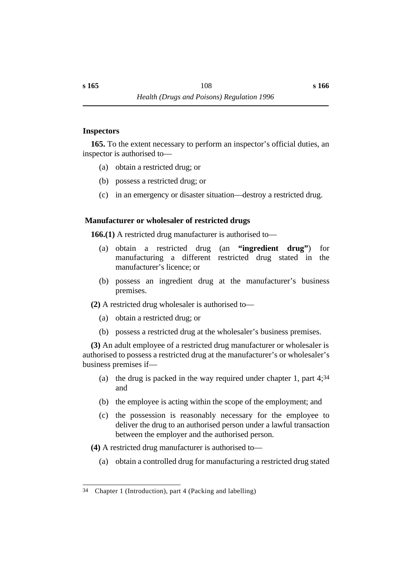#### **˙Inspectors**

**165.** To the extent necessary to perform an inspector's official duties, an inspector is authorised to—

- (a) obtain a restricted drug; or
- (b) possess a restricted drug; or
- (c) in an emergency or disaster situation—destroy a restricted drug.

# **˙ Manufacturer or wholesaler of restricted drugs**

**166.(1)** A restricted drug manufacturer is authorised to—

- (a) obtain a restricted drug (an **"ingredient drug"**) for manufacturing a different restricted drug stated in the manufacturer's licence; or
- (b) possess an ingredient drug at the manufacturer's business premises.
- **(2)** A restricted drug wholesaler is authorised to—
	- (a) obtain a restricted drug; or
	- (b) possess a restricted drug at the wholesaler's business premises.

**(3)** An adult employee of a restricted drug manufacturer or wholesaler is authorised to possess a restricted drug at the manufacturer's or wholesaler's business premises if—

- (a) the drug is packed in the way required under chapter 1, part 4;34 and
- (b) the employee is acting within the scope of the employment; and
- (c) the possession is reasonably necessary for the employee to deliver the drug to an authorised person under a lawful transaction between the employer and the authorised person.
- **(4)** A restricted drug manufacturer is authorised to—
	- (a) obtain a controlled drug for manufacturing a restricted drug stated

<sup>34</sup> Chapter 1 (Introduction), part 4 (Packing and labelling)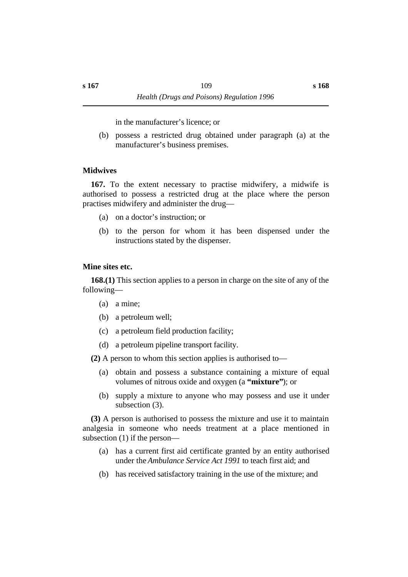in the manufacturer's licence; or

(b) possess a restricted drug obtained under paragraph (a) at the manufacturer's business premises.

# **˙Midwives**

**167.** To the extent necessary to practise midwifery, a midwife is authorised to possess a restricted drug at the place where the person practises midwifery and administer the drug—

- (a) on a doctor's instruction; or
- (b) to the person for whom it has been dispensed under the instructions stated by the dispenser.

# **˙Mine sites etc.**

**168.(1)** This section applies to a person in charge on the site of any of the following—

- (a) a mine;
- (b) a petroleum well;
- (c) a petroleum field production facility;
- (d) a petroleum pipeline transport facility.

**(2)** A person to whom this section applies is authorised to—

- (a) obtain and possess a substance containing a mixture of equal volumes of nitrous oxide and oxygen (a **"mixture"**); or
- (b) supply a mixture to anyone who may possess and use it under subsection (3).

**(3)** A person is authorised to possess the mixture and use it to maintain analgesia in someone who needs treatment at a place mentioned in subsection (1) if the person—

- (a) has a current first aid certificate granted by an entity authorised under the *Ambulance Service Act 1991* to teach first aid; and
- (b) has received satisfactory training in the use of the mixture; and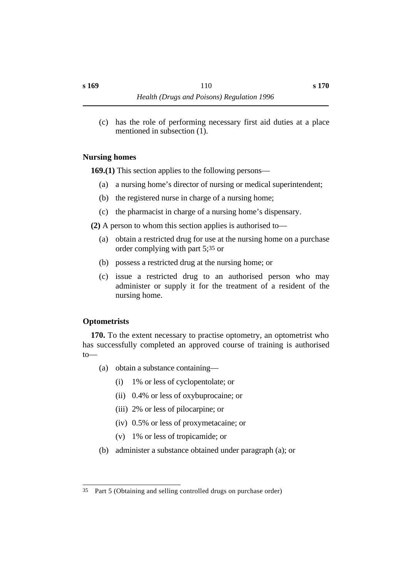(c) has the role of performing necessary first aid duties at a place mentioned in subsection (1).

### **˙Nursing homes**

**169.(1)** This section applies to the following persons—

- (a) a nursing home's director of nursing or medical superintendent;
- (b) the registered nurse in charge of a nursing home;
- (c) the pharmacist in charge of a nursing home's dispensary.
- **(2)** A person to whom this section applies is authorised to—
	- (a) obtain a restricted drug for use at the nursing home on a purchase order complying with part 5;35 or
	- (b) possess a restricted drug at the nursing home; or
	- (c) issue a restricted drug to an authorised person who may administer or supply it for the treatment of a resident of the nursing home.

# **˙Optometrists**

**170.** To the extent necessary to practise optometry, an optometrist who has successfully completed an approved course of training is authorised to—

- (a) obtain a substance containing—
	- (i) 1% or less of cyclopentolate; or
	- (ii) 0.4% or less of oxybuprocaine; or
	- (iii) 2% or less of pilocarpine; or
	- (iv) 0.5% or less of proxymetacaine; or
	- (v) 1% or less of tropicamide; or
- (b) administer a substance obtained under paragraph (a); or

<sup>35</sup> Part 5 (Obtaining and selling controlled drugs on purchase order)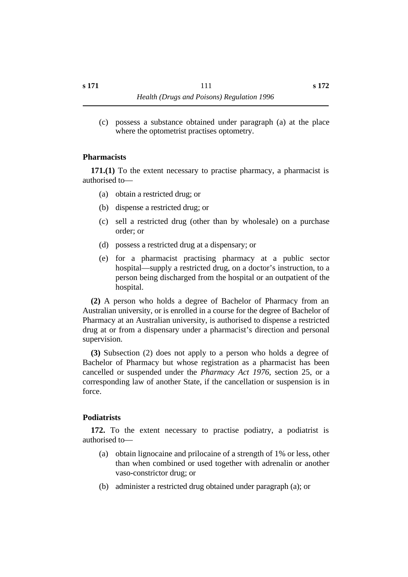(c) possess a substance obtained under paragraph (a) at the place where the optometrist practises optometry.

#### **˙Pharmacists**

**171.(1)** To the extent necessary to practise pharmacy, a pharmacist is authorised to—

- (a) obtain a restricted drug; or
- (b) dispense a restricted drug; or
- (c) sell a restricted drug (other than by wholesale) on a purchase order; or
- (d) possess a restricted drug at a dispensary; or
- (e) for a pharmacist practising pharmacy at a public sector hospital—supply a restricted drug, on a doctor's instruction, to a person being discharged from the hospital or an outpatient of the hospital.

**(2)** A person who holds a degree of Bachelor of Pharmacy from an Australian university, or is enrolled in a course for the degree of Bachelor of Pharmacy at an Australian university, is authorised to dispense a restricted drug at or from a dispensary under a pharmacist's direction and personal supervision.

**(3)** Subsection (2) does not apply to a person who holds a degree of Bachelor of Pharmacy but whose registration as a pharmacist has been cancelled or suspended under the *Pharmacy Act 1976*, section 25, or a corresponding law of another State, if the cancellation or suspension is in force.

#### **˙Podiatrists**

**172.** To the extent necessary to practise podiatry, a podiatrist is authorised to—

- (a) obtain lignocaine and prilocaine of a strength of 1% or less, other than when combined or used together with adrenalin or another vaso-constrictor drug; or
- (b) administer a restricted drug obtained under paragraph (a); or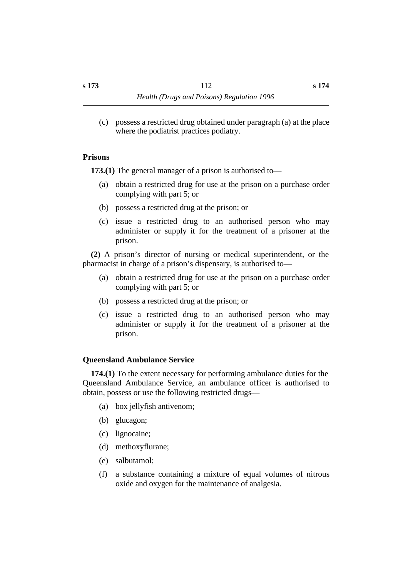(c) possess a restricted drug obtained under paragraph (a) at the place where the podiatrist practices podiatry.

#### **˙Prisons**

**173.(1)** The general manager of a prison is authorised to—

- (a) obtain a restricted drug for use at the prison on a purchase order complying with part 5; or
- (b) possess a restricted drug at the prison; or
- (c) issue a restricted drug to an authorised person who may administer or supply it for the treatment of a prisoner at the prison.

**(2)** A prison's director of nursing or medical superintendent, or the pharmacist in charge of a prison's dispensary, is authorised to—

- (a) obtain a restricted drug for use at the prison on a purchase order complying with part 5; or
- (b) possess a restricted drug at the prison; or
- (c) issue a restricted drug to an authorised person who may administer or supply it for the treatment of a prisoner at the prison.

# **˙Queensland Ambulance Service**

**174.(1)** To the extent necessary for performing ambulance duties for the Queensland Ambulance Service, an ambulance officer is authorised to obtain, possess or use the following restricted drugs—

- (a) box jellyfish antivenom;
- (b) glucagon;
- (c) lignocaine;
- (d) methoxyflurane;
- (e) salbutamol;
- (f) a substance containing a mixture of equal volumes of nitrous oxide and oxygen for the maintenance of analgesia.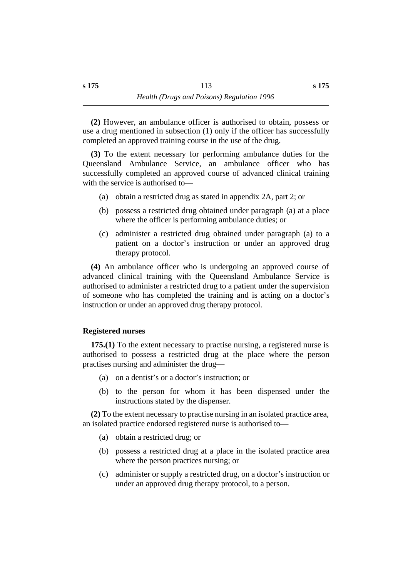**(2)** However, an ambulance officer is authorised to obtain, possess or use a drug mentioned in subsection (1) only if the officer has successfully completed an approved training course in the use of the drug.

**(3)** To the extent necessary for performing ambulance duties for the Queensland Ambulance Service, an ambulance officer who has successfully completed an approved course of advanced clinical training with the service is authorised to—

- (a) obtain a restricted drug as stated in appendix 2A, part 2; or
- (b) possess a restricted drug obtained under paragraph (a) at a place where the officer is performing ambulance duties; or
- (c) administer a restricted drug obtained under paragraph (a) to a patient on a doctor's instruction or under an approved drug therapy protocol.

**(4)** An ambulance officer who is undergoing an approved course of advanced clinical training with the Queensland Ambulance Service is authorised to administer a restricted drug to a patient under the supervision of someone who has completed the training and is acting on a doctor's instruction or under an approved drug therapy protocol.

# **˙Registered nurses**

**175.(1)** To the extent necessary to practise nursing, a registered nurse is authorised to possess a restricted drug at the place where the person practises nursing and administer the drug—

- (a) on a dentist's or a doctor's instruction; or
- (b) to the person for whom it has been dispensed under the instructions stated by the dispenser.

**(2)** To the extent necessary to practise nursing in an isolated practice area, an isolated practice endorsed registered nurse is authorised to—

- (a) obtain a restricted drug; or
- (b) possess a restricted drug at a place in the isolated practice area where the person practices nursing; or
- (c) administer or supply a restricted drug, on a doctor's instruction or under an approved drug therapy protocol, to a person.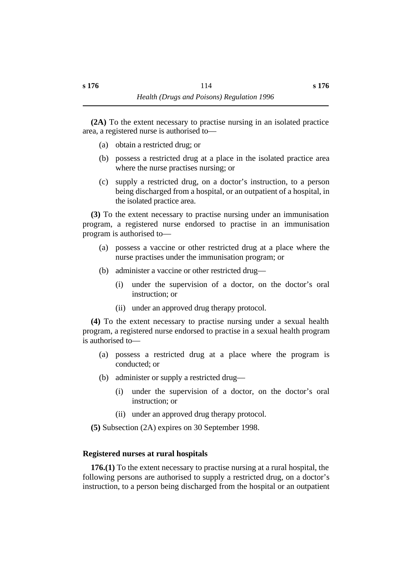**(2A)** To the extent necessary to practise nursing in an isolated practice area, a registered nurse is authorised to—

- (a) obtain a restricted drug; or
- (b) possess a restricted drug at a place in the isolated practice area where the nurse practises nursing; or
- (c) supply a restricted drug, on a doctor's instruction, to a person being discharged from a hospital, or an outpatient of a hospital, in the isolated practice area.

**(3)** To the extent necessary to practise nursing under an immunisation program, a registered nurse endorsed to practise in an immunisation program is authorised to—

- (a) possess a vaccine or other restricted drug at a place where the nurse practises under the immunisation program; or
- (b) administer a vaccine or other restricted drug—
	- (i) under the supervision of a doctor, on the doctor's oral instruction; or
	- (ii) under an approved drug therapy protocol.

**(4)** To the extent necessary to practise nursing under a sexual health program, a registered nurse endorsed to practise in a sexual health program is authorised to—

- (a) possess a restricted drug at a place where the program is conducted; or
- (b) administer or supply a restricted drug—
	- (i) under the supervision of a doctor, on the doctor's oral instruction; or
	- (ii) under an approved drug therapy protocol.

**(5)** Subsection (2A) expires on 30 September 1998.

#### **˙Registered nurses at rural hospitals**

**176.(1)** To the extent necessary to practise nursing at a rural hospital, the following persons are authorised to supply a restricted drug, on a doctor's instruction, to a person being discharged from the hospital or an outpatient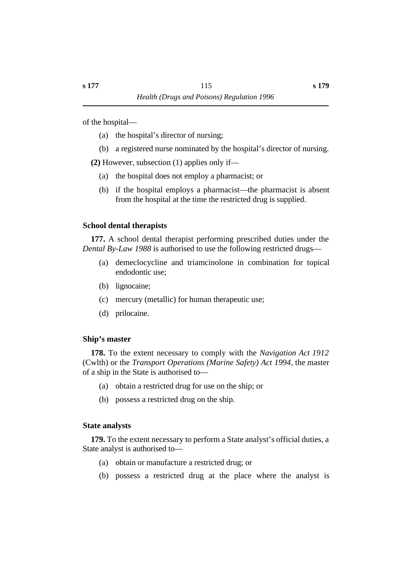of the hospital—

- (a) the hospital's director of nursing;
- (b) a registered nurse nominated by the hospital's director of nursing.

**(2)** However, subsection (1) applies only if—

- (a) the hospital does not employ a pharmacist; or
- (b) if the hospital employs a pharmacist—the pharmacist is absent from the hospital at the time the restricted drug is supplied.

# **˙School dental therapists**

**177.** A school dental therapist performing prescribed duties under the *Dental By-Law 1988* is authorised to use the following restricted drugs—

- (a) demeclocycline and triamcinolone in combination for topical endodontic use;
- (b) lignocaine;
- (c) mercury (metallic) for human therapeutic use;
- (d) prilocaine.

# **˙Ship's master**

**178.** To the extent necessary to comply with the *Navigation Act 1912* (Cwlth) or the *Transport Operations (Marine Safety) Act 1994*, the master of a ship in the State is authorised to—

- (a) obtain a restricted drug for use on the ship; or
- (b) possess a restricted drug on the ship.

# **˙State analysts**

**179.** To the extent necessary to perform a State analyst's official duties, a State analyst is authorised to—

- (a) obtain or manufacture a restricted drug; or
- (b) possess a restricted drug at the place where the analyst is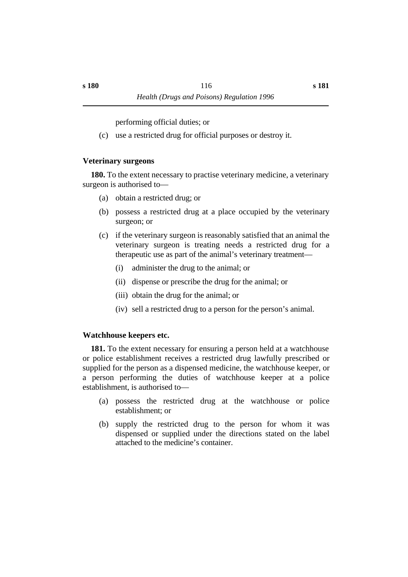performing official duties; or

(c) use a restricted drug for official purposes or destroy it.

# **˙Veterinary surgeons**

**180.** To the extent necessary to practise veterinary medicine, a veterinary surgeon is authorised to—

- (a) obtain a restricted drug; or
- (b) possess a restricted drug at a place occupied by the veterinary surgeon; or
- (c) if the veterinary surgeon is reasonably satisfied that an animal the veterinary surgeon is treating needs a restricted drug for a therapeutic use as part of the animal's veterinary treatment—
	- (i) administer the drug to the animal; or
	- (ii) dispense or prescribe the drug for the animal; or
	- (iii) obtain the drug for the animal; or
	- (iv) sell a restricted drug to a person for the person's animal.

# **˙Watchhouse keepers etc.**

**181.** To the extent necessary for ensuring a person held at a watchhouse or police establishment receives a restricted drug lawfully prescribed or supplied for the person as a dispensed medicine, the watchhouse keeper, or a person performing the duties of watchhouse keeper at a police establishment, is authorised to—

- (a) possess the restricted drug at the watchhouse or police establishment; or
- (b) supply the restricted drug to the person for whom it was dispensed or supplied under the directions stated on the label attached to the medicine's container.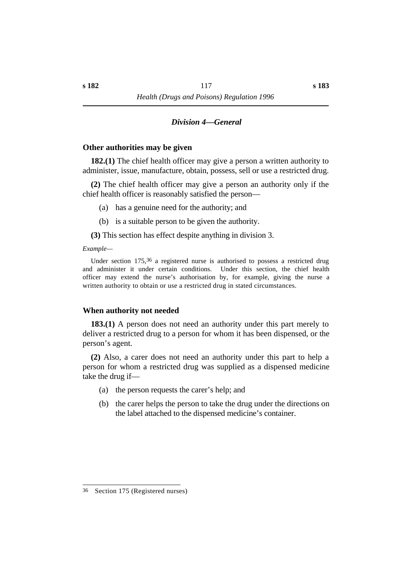#### *†Division 4—General*

#### **˙Other authorities may be given**

**182.(1)** The chief health officer may give a person a written authority to administer, issue, manufacture, obtain, possess, sell or use a restricted drug.

**(2)** The chief health officer may give a person an authority only if the chief health officer is reasonably satisfied the person—

- (a) has a genuine need for the authority; and
- (b) is a suitable person to be given the authority.
- **(3)** This section has effect despite anything in division 3.

#### *Example—*

Under section 175,36 a registered nurse is authorised to possess a restricted drug and administer it under certain conditions. Under this section, the chief health officer may extend the nurse's authorisation by, for example, giving the nurse a written authority to obtain or use a restricted drug in stated circumstances.

#### **˙When authority not needed**

**183.(1)** A person does not need an authority under this part merely to deliver a restricted drug to a person for whom it has been dispensed, or the person's agent.

**(2)** Also, a carer does not need an authority under this part to help a person for whom a restricted drug was supplied as a dispensed medicine take the drug if—

- (a) the person requests the carer's help; and
- (b) the carer helps the person to take the drug under the directions on the label attached to the dispensed medicine's container.

<sup>36</sup> Section 175 (Registered nurses)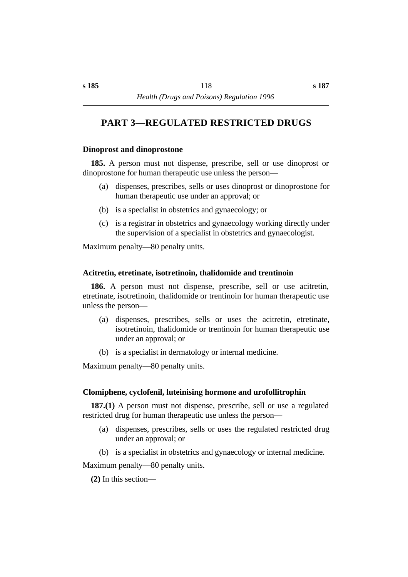# **†PART 3—REGULATED RESTRICTED DRUGS**

#### **˙Dinoprost and dinoprostone**

**185.** A person must not dispense, prescribe, sell or use dinoprost or dinoprostone for human therapeutic use unless the person—

- (a) dispenses, prescribes, sells or uses dinoprost or dinoprostone for human therapeutic use under an approval; or
- (b) is a specialist in obstetrics and gynaecology; or
- (c) is a registrar in obstetrics and gynaecology working directly under the supervision of a specialist in obstetrics and gynaecologist.

Maximum penalty—80 penalty units.

#### **˙Acitretin, etretinate, isotretinoin, thalidomide and trentinoin**

**186.** A person must not dispense, prescribe, sell or use acitretin, etretinate, isotretinoin, thalidomide or trentinoin for human therapeutic use unless the person—

- (a) dispenses, prescribes, sells or uses the acitretin, etretinate, isotretinoin, thalidomide or trentinoin for human therapeutic use under an approval; or
- (b) is a specialist in dermatology or internal medicine.

Maximum penalty—80 penalty units.

#### **˙Clomiphene, cyclofenil, luteinising hormone and urofollitrophin**

**187.(1)** A person must not dispense, prescribe, sell or use a regulated restricted drug for human therapeutic use unless the person—

- (a) dispenses, prescribes, sells or uses the regulated restricted drug under an approval; or
- (b) is a specialist in obstetrics and gynaecology or internal medicine.

Maximum penalty—80 penalty units.

**(2)** In this section—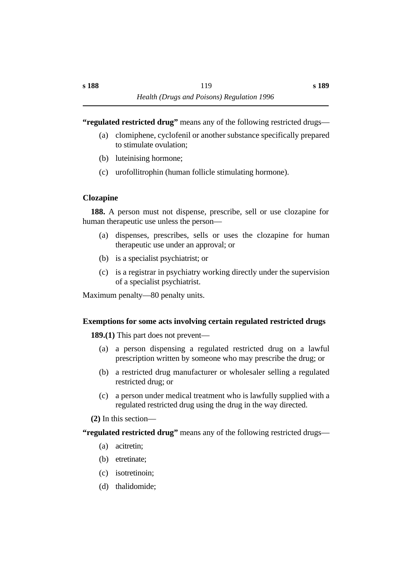**"regulated restricted drug"** means any of the following restricted drugs—

- (a) clomiphene, cyclofenil or another substance specifically prepared to stimulate ovulation;
- (b) luteinising hormone;
- (c) urofollitrophin (human follicle stimulating hormone).

# **˙Clozapine**

**188.** A person must not dispense, prescribe, sell or use clozapine for human therapeutic use unless the person—

- (a) dispenses, prescribes, sells or uses the clozapine for human therapeutic use under an approval; or
- (b) is a specialist psychiatrist; or
- (c) is a registrar in psychiatry working directly under the supervision of a specialist psychiatrist.

Maximum penalty—80 penalty units.

# **˙Exemptions for some acts involving certain regulated restricted drugs**

**189.(1)** This part does not prevent—

- (a) a person dispensing a regulated restricted drug on a lawful prescription written by someone who may prescribe the drug; or
- (b) a restricted drug manufacturer or wholesaler selling a regulated restricted drug; or
- (c) a person under medical treatment who is lawfully supplied with a regulated restricted drug using the drug in the way directed.

**(2)** In this section—

**"regulated restricted drug"** means any of the following restricted drugs—

- (a) acitretin;
- (b) etretinate;
- (c) isotretinoin;
- (d) thalidomide;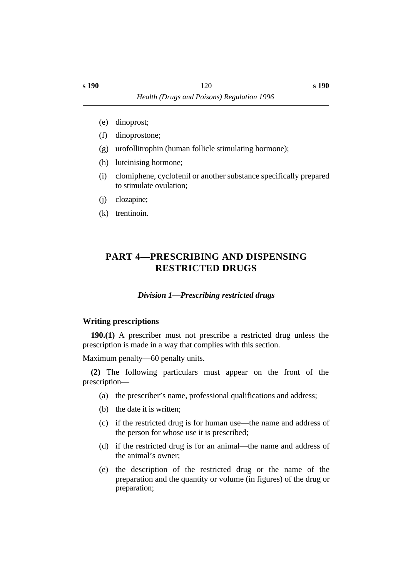- (e) dinoprost;
- (f) dinoprostone;
- (g) urofollitrophin (human follicle stimulating hormone);
- (h) luteinising hormone;
- (i) clomiphene, cyclofenil or another substance specifically prepared to stimulate ovulation;
- (j) clozapine;
- (k) trentinoin.

# **†PART 4—PRESCRIBING AND DISPENSING RESTRICTED DRUGS**

# *†Division 1—Prescribing restricted drugs*

#### **˙Writing prescriptions**

**190.(1)** A prescriber must not prescribe a restricted drug unless the prescription is made in a way that complies with this section.

Maximum penalty—60 penalty units.

**(2)** The following particulars must appear on the front of the prescription—

- (a) the prescriber's name, professional qualifications and address;
- (b) the date it is written;
- (c) if the restricted drug is for human use—the name and address of the person for whose use it is prescribed;
- (d) if the restricted drug is for an animal—the name and address of the animal's owner;
- (e) the description of the restricted drug or the name of the preparation and the quantity or volume (in figures) of the drug or preparation;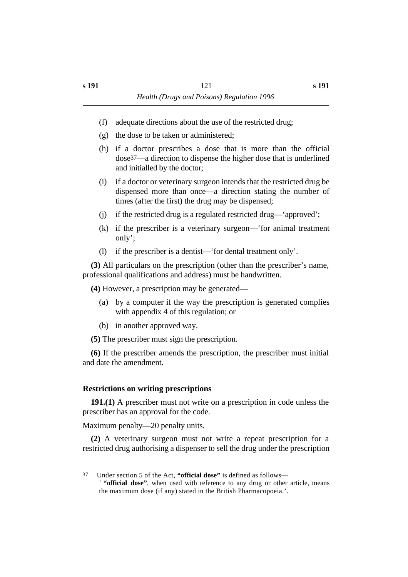- (f) adequate directions about the use of the restricted drug;
- (g) the dose to be taken or administered;
- (h) if a doctor prescribes a dose that is more than the official dose37—a direction to dispense the higher dose that is underlined and initialled by the doctor;
- (i) if a doctor or veterinary surgeon intends that the restricted drug be dispensed more than once—a direction stating the number of times (after the first) the drug may be dispensed;
- (j) if the restricted drug is a regulated restricted drug—'approved';
- (k) if the prescriber is a veterinary surgeon—'for animal treatment only';
- (l) if the prescriber is a dentist—'for dental treatment only'.

**(3)** All particulars on the prescription (other than the prescriber's name, professional qualifications and address) must be handwritten.

**(4)** However, a prescription may be generated—

- (a) by a computer if the way the prescription is generated complies with appendix 4 of this regulation; or
- (b) in another approved way.

**(5)** The prescriber must sign the prescription.

**(6)** If the prescriber amends the prescription, the prescriber must initial and date the amendment.

#### **˙Restrictions on writing prescriptions**

**191.(1)** A prescriber must not write on a prescription in code unless the prescriber has an approval for the code.

Maximum penalty—20 penalty units.

**(2)** A veterinary surgeon must not write a repeat prescription for a restricted drug authorising a dispenser to sell the drug under the prescription

<sup>37</sup> Under section 5 of the Act, **"official dose"** is defined as follows— ' **"official dose"**, when used with reference to any drug or other article, means the maximum dose (if any) stated in the British Pharmacopoeia.'.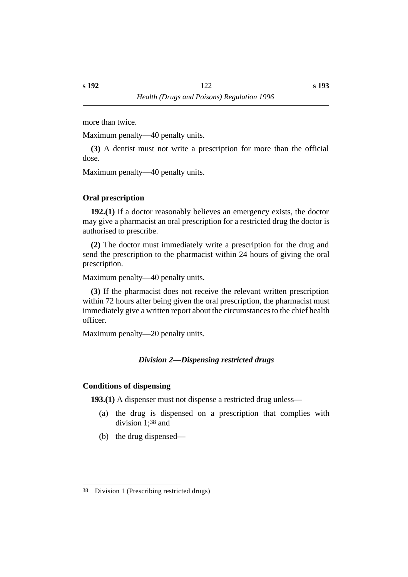more than twice.

Maximum penalty—40 penalty units.

**(3)** A dentist must not write a prescription for more than the official dose.

Maximum penalty—40 penalty units.

# **˙Oral prescription**

**192.(1)** If a doctor reasonably believes an emergency exists, the doctor may give a pharmacist an oral prescription for a restricted drug the doctor is authorised to prescribe.

**(2)** The doctor must immediately write a prescription for the drug and send the prescription to the pharmacist within 24 hours of giving the oral prescription.

Maximum penalty—40 penalty units.

**(3)** If the pharmacist does not receive the relevant written prescription within 72 hours after being given the oral prescription, the pharmacist must immediately give a written report about the circumstances to the chief health officer.

Maximum penalty—20 penalty units.

# *†Division 2—Dispensing restricted drugs*

# **˙Conditions of dispensing**

**193.(1)** A dispenser must not dispense a restricted drug unless—

- (a) the drug is dispensed on a prescription that complies with division 1;38 and
- (b) the drug dispensed—

<sup>38</sup> Division 1 (Prescribing restricted drugs)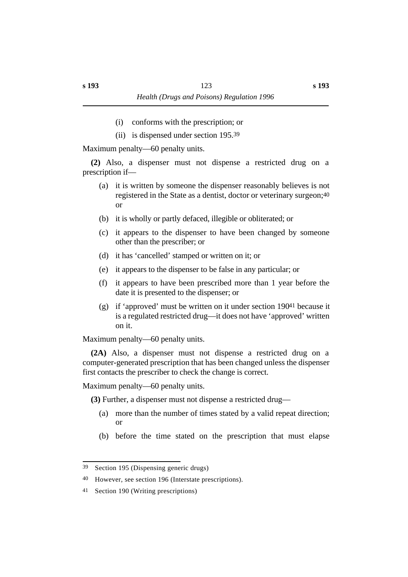- (i) conforms with the prescription; or
- (ii) is dispensed under section 195.39

Maximum penalty—60 penalty units.

**(2)** Also, a dispenser must not dispense a restricted drug on a prescription if—

- (a) it is written by someone the dispenser reasonably believes is not registered in the State as a dentist, doctor or veterinary surgeon;40 or
- (b) it is wholly or partly defaced, illegible or obliterated; or
- (c) it appears to the dispenser to have been changed by someone other than the prescriber; or
- (d) it has 'cancelled' stamped or written on it; or
- (e) it appears to the dispenser to be false in any particular; or
- (f) it appears to have been prescribed more than 1 year before the date it is presented to the dispenser; or
- (g) if 'approved' must be written on it under section  $19041$  because it is a regulated restricted drug—it does not have 'approved' written on it.

Maximum penalty—60 penalty units.

**(2A)** Also, a dispenser must not dispense a restricted drug on a computer-generated prescription that has been changed unless the dispenser first contacts the prescriber to check the change is correct.

Maximum penalty—60 penalty units.

**(3)** Further, a dispenser must not dispense a restricted drug—

- (a) more than the number of times stated by a valid repeat direction; or
- (b) before the time stated on the prescription that must elapse

<sup>39</sup> Section 195 (Dispensing generic drugs)

<sup>40</sup> However, see section 196 (Interstate prescriptions).

<sup>41</sup> Section 190 (Writing prescriptions)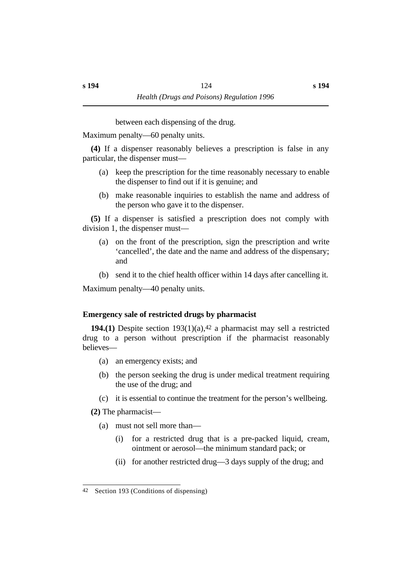between each dispensing of the drug.

Maximum penalty—60 penalty units.

**(4)** If a dispenser reasonably believes a prescription is false in any particular, the dispenser must—

- (a) keep the prescription for the time reasonably necessary to enable the dispenser to find out if it is genuine; and
- (b) make reasonable inquiries to establish the name and address of the person who gave it to the dispenser.

**(5)** If a dispenser is satisfied a prescription does not comply with division 1, the dispenser must—

- (a) on the front of the prescription, sign the prescription and write 'cancelled', the date and the name and address of the dispensary; and
- (b) send it to the chief health officer within 14 days after cancelling it.

Maximum penalty—40 penalty units.

# **˙Emergency sale of restricted drugs by pharmacist**

**194.(1)** Despite section 193(1)(a),42 a pharmacist may sell a restricted drug to a person without prescription if the pharmacist reasonably believes—

- (a) an emergency exists; and
- (b) the person seeking the drug is under medical treatment requiring the use of the drug; and
- (c) it is essential to continue the treatment for the person's wellbeing.

**(2)** The pharmacist—

- (a) must not sell more than—
	- (i) for a restricted drug that is a pre-packed liquid, cream, ointment or aerosol—the minimum standard pack; or
	- (ii) for another restricted drug—3 days supply of the drug; and

<sup>42</sup> Section 193 (Conditions of dispensing)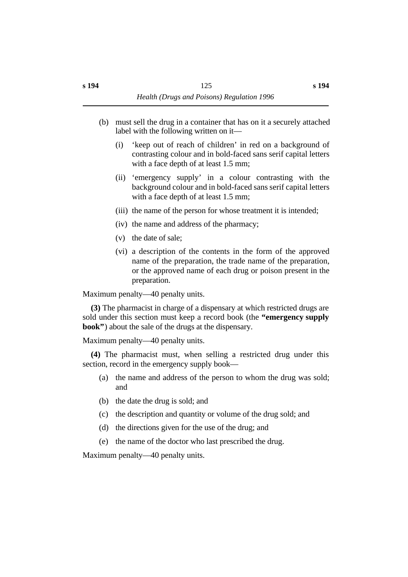- (b) must sell the drug in a container that has on it a securely attached label with the following written on it—
	- (i) 'keep out of reach of children' in red on a background of contrasting colour and in bold-faced sans serif capital letters with a face depth of at least 1.5 mm;
	- (ii) 'emergency supply' in a colour contrasting with the background colour and in bold-faced sans serif capital letters with a face depth of at least 1.5 mm;
	- (iii) the name of the person for whose treatment it is intended;
	- (iv) the name and address of the pharmacy;
	- (v) the date of sale;
	- (vi) a description of the contents in the form of the approved name of the preparation, the trade name of the preparation, or the approved name of each drug or poison present in the preparation.

Maximum penalty—40 penalty units.

**(3)** The pharmacist in charge of a dispensary at which restricted drugs are sold under this section must keep a record book (the **"emergency supply book"**) about the sale of the drugs at the dispensary.

Maximum penalty—40 penalty units.

**(4)** The pharmacist must, when selling a restricted drug under this section, record in the emergency supply book—

- (a) the name and address of the person to whom the drug was sold; and
- (b) the date the drug is sold; and
- (c) the description and quantity or volume of the drug sold; and
- (d) the directions given for the use of the drug; and
- (e) the name of the doctor who last prescribed the drug.

Maximum penalty—40 penalty units.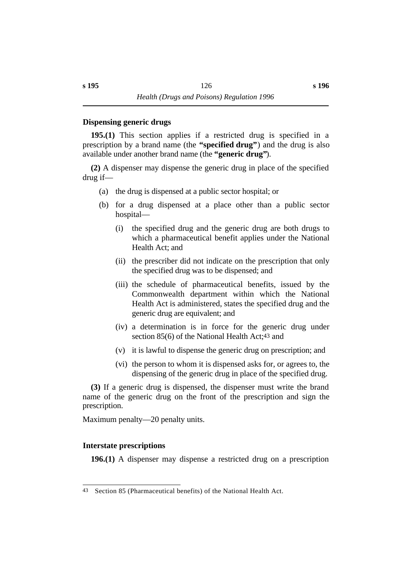#### **˙Dispensing generic drugs**

**195.(1)** This section applies if a restricted drug is specified in a prescription by a brand name (the **"specified drug"**) and the drug is also available under another brand name (the **"generic drug"**).

**(2)** A dispenser may dispense the generic drug in place of the specified drug if—

- (a) the drug is dispensed at a public sector hospital; or
- (b) for a drug dispensed at a place other than a public sector hospital—
	- (i) the specified drug and the generic drug are both drugs to which a pharmaceutical benefit applies under the National Health Act; and
	- (ii) the prescriber did not indicate on the prescription that only the specified drug was to be dispensed; and
	- (iii) the schedule of pharmaceutical benefits, issued by the Commonwealth department within which the National Health Act is administered, states the specified drug and the generic drug are equivalent; and
	- (iv) a determination is in force for the generic drug under section 85(6) of the National Health Act;43 and
	- (v) it is lawful to dispense the generic drug on prescription; and
	- (vi) the person to whom it is dispensed asks for, or agrees to, the dispensing of the generic drug in place of the specified drug.

**(3)** If a generic drug is dispensed, the dispenser must write the brand name of the generic drug on the front of the prescription and sign the prescription.

Maximum penalty—20 penalty units.

# **˙Interstate prescriptions**

**196.(1)** A dispenser may dispense a restricted drug on a prescription

<sup>43</sup> Section 85 (Pharmaceutical benefits) of the National Health Act.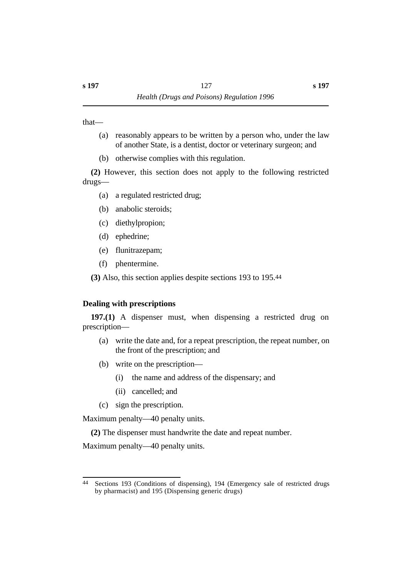that—

- (a) reasonably appears to be written by a person who, under the law of another State, is a dentist, doctor or veterinary surgeon; and
- (b) otherwise complies with this regulation.

**(2)** However, this section does not apply to the following restricted drugs—

- (a) a regulated restricted drug;
- (b) anabolic steroids;
- (c) diethylpropion;
- (d) ephedrine;
- (e) flunitrazepam;
- (f) phentermine.

**(3)** Also, this section applies despite sections 193 to 195.44

# **˙Dealing with prescriptions**

**197.(1)** A dispenser must, when dispensing a restricted drug on prescription—

- (a) write the date and, for a repeat prescription, the repeat number, on the front of the prescription; and
- (b) write on the prescription—
	- (i) the name and address of the dispensary; and
	- (ii) cancelled; and
- (c) sign the prescription.

Maximum penalty—40 penalty units.

**(2)** The dispenser must handwrite the date and repeat number.

Maximum penalty—40 penalty units.

<sup>44</sup> Sections 193 (Conditions of dispensing), 194 (Emergency sale of restricted drugs by pharmacist) and 195 (Dispensing generic drugs)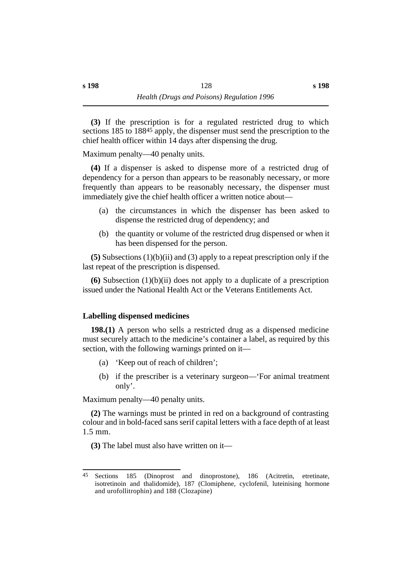**(3)** If the prescription is for a regulated restricted drug to which sections 185 to 18845 apply, the dispenser must send the prescription to the chief health officer within 14 days after dispensing the drug.

Maximum penalty—40 penalty units.

**(4)** If a dispenser is asked to dispense more of a restricted drug of dependency for a person than appears to be reasonably necessary, or more frequently than appears to be reasonably necessary, the dispenser must immediately give the chief health officer a written notice about—

- (a) the circumstances in which the dispenser has been asked to dispense the restricted drug of dependency; and
- (b) the quantity or volume of the restricted drug dispensed or when it has been dispensed for the person.

**(5)** Subsections (1)(b)(ii) and (3) apply to a repeat prescription only if the last repeat of the prescription is dispensed.

**(6)** Subsection (1)(b)(ii) does not apply to a duplicate of a prescription issued under the National Health Act or the Veterans Entitlements Act.

# **˙Labelling dispensed medicines**

**198.(1)** A person who sells a restricted drug as a dispensed medicine must securely attach to the medicine's container a label, as required by this section, with the following warnings printed on it—

- (a) 'Keep out of reach of children';
- (b) if the prescriber is a veterinary surgeon—'For animal treatment only'.

Maximum penalty—40 penalty units.

**(2)** The warnings must be printed in red on a background of contrasting colour and in bold-faced sans serif capital letters with a face depth of at least 1.5 mm.

**(3)** The label must also have written on it—

<sup>45</sup> Sections 185 (Dinoprost and dinoprostone), 186 (Acitretin, etretinate, isotretinoin and thalidomide), 187 (Clomiphene, cyclofenil, luteinising hormone and urofollitrophin) and 188 (Clozapine)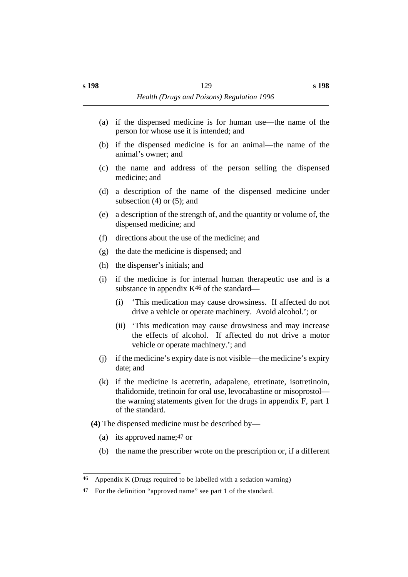- (a) if the dispensed medicine is for human use—the name of the person for whose use it is intended; and
- (b) if the dispensed medicine is for an animal—the name of the animal's owner; and
- (c) the name and address of the person selling the dispensed medicine; and
- (d) a description of the name of the dispensed medicine under subsection  $(4)$  or  $(5)$ ; and
- (e) a description of the strength of, and the quantity or volume of, the dispensed medicine; and
- (f) directions about the use of the medicine; and
- (g) the date the medicine is dispensed; and
- (h) the dispenser's initials; and
- (i) if the medicine is for internal human therapeutic use and is a substance in appendix  $K^{46}$  of the standard—
	- (i) 'This medication may cause drowsiness. If affected do not drive a vehicle or operate machinery. Avoid alcohol.'; or
	- (ii) 'This medication may cause drowsiness and may increase the effects of alcohol. If affected do not drive a motor vehicle or operate machinery.'; and
- (j) if the medicine's expiry date is not visible—the medicine's expiry date; and
- (k) if the medicine is acetretin, adapalene, etretinate, isotretinoin, thalidomide, tretinoin for oral use, levocabastine or misoprostol the warning statements given for the drugs in appendix F, part 1 of the standard.
- **(4)** The dispensed medicine must be described by—
	- (a) its approved name;47 or
	- (b) the name the prescriber wrote on the prescription or, if a different

<sup>46</sup> Appendix K (Drugs required to be labelled with a sedation warning)

<sup>47</sup> For the definition "approved name" see part 1 of the standard.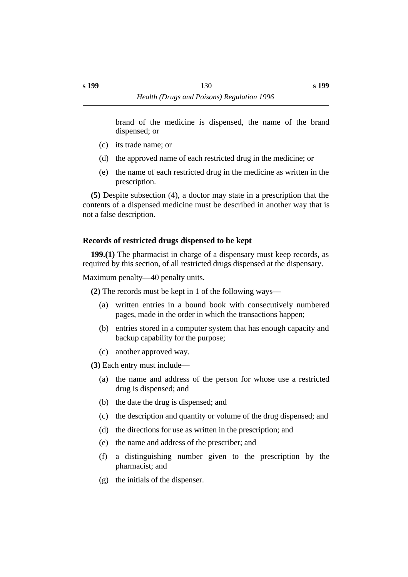brand of the medicine is dispensed, the name of the brand dispensed; or

- (c) its trade name; or
- (d) the approved name of each restricted drug in the medicine; or
- (e) the name of each restricted drug in the medicine as written in the prescription.

**(5)** Despite subsection (4), a doctor may state in a prescription that the contents of a dispensed medicine must be described in another way that is not a false description.

# **˙Records of restricted drugs dispensed to be kept**

**199.(1)** The pharmacist in charge of a dispensary must keep records, as required by this section, of all restricted drugs dispensed at the dispensary.

Maximum penalty—40 penalty units.

**(2)** The records must be kept in 1 of the following ways—

- (a) written entries in a bound book with consecutively numbered pages, made in the order in which the transactions happen;
- (b) entries stored in a computer system that has enough capacity and backup capability for the purpose;
- (c) another approved way.

**(3)** Each entry must include—

- (a) the name and address of the person for whose use a restricted drug is dispensed; and
- (b) the date the drug is dispensed; and
- (c) the description and quantity or volume of the drug dispensed; and
- (d) the directions for use as written in the prescription; and
- (e) the name and address of the prescriber; and
- (f) a distinguishing number given to the prescription by the pharmacist; and
- (g) the initials of the dispenser.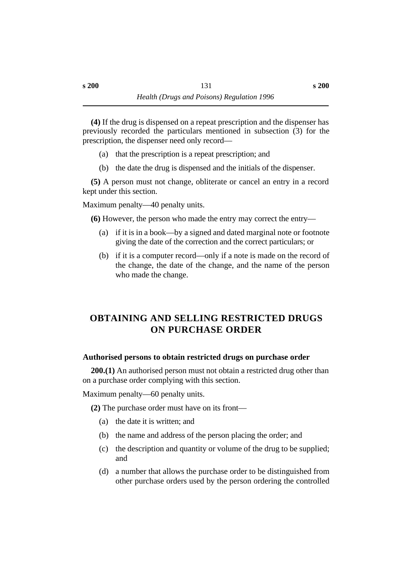**(4)** If the drug is dispensed on a repeat prescription and the dispenser has previously recorded the particulars mentioned in subsection (3) for the prescription, the dispenser need only record—

- (a) that the prescription is a repeat prescription; and
- (b) the date the drug is dispensed and the initials of the dispenser.

**(5)** A person must not change, obliterate or cancel an entry in a record kept under this section.

Maximum penalty—40 penalty units.

**(6)** However, the person who made the entry may correct the entry—

- (a) if it is in a book—by a signed and dated marginal note or footnote giving the date of the correction and the correct particulars; or
- (b) if it is a computer record—only if a note is made on the record of the change, the date of the change, and the name of the person who made the change.

# **†OBTAINING AND SELLING RESTRICTED DRUGS ON PURCHASE ORDER**

# **˙Authorised persons to obtain restricted drugs on purchase order**

**200.(1)** An authorised person must not obtain a restricted drug other than on a purchase order complying with this section.

Maximum penalty—60 penalty units.

**(2)** The purchase order must have on its front—

- (a) the date it is written; and
- (b) the name and address of the person placing the order; and
- (c) the description and quantity or volume of the drug to be supplied; and
- (d) a number that allows the purchase order to be distinguished from other purchase orders used by the person ordering the controlled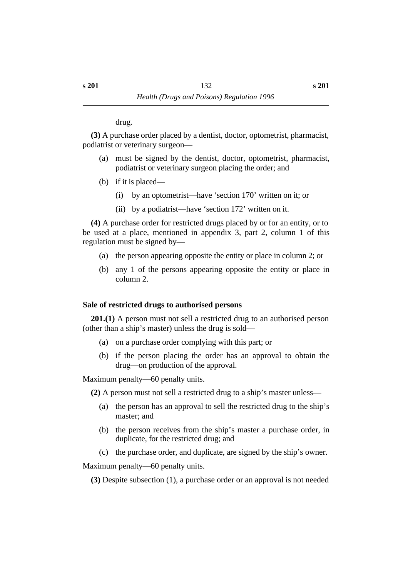drug.

**(3)** A purchase order placed by a dentist, doctor, optometrist, pharmacist, podiatrist or veterinary surgeon—

- (a) must be signed by the dentist, doctor, optometrist, pharmacist, podiatrist or veterinary surgeon placing the order; and
- (b) if it is placed—
	- (i) by an optometrist—have 'section 170' written on it; or
	- (ii) by a podiatrist—have 'section 172' written on it.

**(4)** A purchase order for restricted drugs placed by or for an entity, or to be used at a place, mentioned in appendix 3, part 2, column 1 of this regulation must be signed by—

- (a) the person appearing opposite the entity or place in column 2; or
- (b) any 1 of the persons appearing opposite the entity or place in column 2.

# **˙Sale of restricted drugs to authorised persons**

**201.(1)** A person must not sell a restricted drug to an authorised person (other than a ship's master) unless the drug is sold—

- (a) on a purchase order complying with this part; or
- (b) if the person placing the order has an approval to obtain the drug—on production of the approval.

Maximum penalty—60 penalty units.

**(2)** A person must not sell a restricted drug to a ship's master unless—

- (a) the person has an approval to sell the restricted drug to the ship's master; and
- (b) the person receives from the ship's master a purchase order, in duplicate, for the restricted drug; and
- (c) the purchase order, and duplicate, are signed by the ship's owner.

Maximum penalty—60 penalty units.

**(3)** Despite subsection (1), a purchase order or an approval is not needed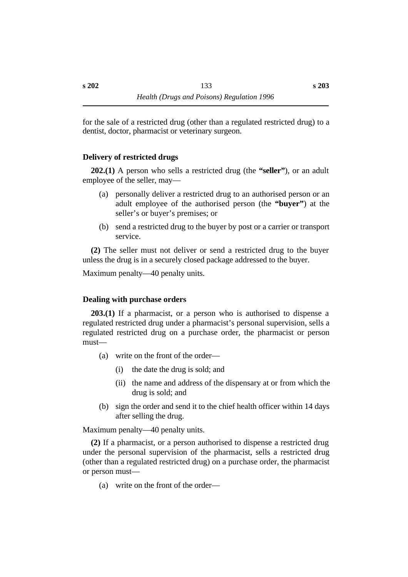for the sale of a restricted drug (other than a regulated restricted drug) to a dentist, doctor, pharmacist or veterinary surgeon.

# **˙Delivery of restricted drugs**

**202.(1)** A person who sells a restricted drug (the **"seller"**), or an adult employee of the seller, may—

- (a) personally deliver a restricted drug to an authorised person or an adult employee of the authorised person (the **"buyer"**) at the seller's or buyer's premises; or
- (b) send a restricted drug to the buyer by post or a carrier or transport service.

**(2)** The seller must not deliver or send a restricted drug to the buyer unless the drug is in a securely closed package addressed to the buyer.

Maximum penalty—40 penalty units.

#### **˙Dealing with purchase orders**

**203.(1)** If a pharmacist, or a person who is authorised to dispense a regulated restricted drug under a pharmacist's personal supervision, sells a regulated restricted drug on a purchase order, the pharmacist or person must—

- (a) write on the front of the order—
	- (i) the date the drug is sold; and
	- (ii) the name and address of the dispensary at or from which the drug is sold; and
- (b) sign the order and send it to the chief health officer within 14 days after selling the drug.

Maximum penalty—40 penalty units.

**(2)** If a pharmacist, or a person authorised to dispense a restricted drug under the personal supervision of the pharmacist, sells a restricted drug (other than a regulated restricted drug) on a purchase order, the pharmacist or person must—

(a) write on the front of the order—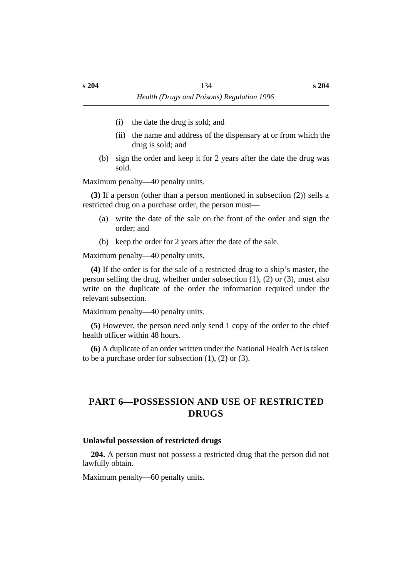- (i) the date the drug is sold; and
- (ii) the name and address of the dispensary at or from which the drug is sold; and
- (b) sign the order and keep it for 2 years after the date the drug was sold.

Maximum penalty—40 penalty units.

**(3)** If a person (other than a person mentioned in subsection (2)) sells a restricted drug on a purchase order, the person must—

- (a) write the date of the sale on the front of the order and sign the order; and
- (b) keep the order for 2 years after the date of the sale.

Maximum penalty—40 penalty units.

**(4)** If the order is for the sale of a restricted drug to a ship's master, the person selling the drug, whether under subsection (1), (2) or (3), must also write on the duplicate of the order the information required under the relevant subsection.

Maximum penalty—40 penalty units.

**(5)** However, the person need only send 1 copy of the order to the chief health officer within 48 hours.

**(6)** A duplicate of an order written under the National Health Act is taken to be a purchase order for subsection  $(1)$ ,  $(2)$  or  $(3)$ .

# **†PART 6—POSSESSION AND USE OF RESTRICTED DRUGS**

#### **˙Unlawful possession of restricted drugs**

**204.** A person must not possess a restricted drug that the person did not lawfully obtain.

Maximum penalty—60 penalty units.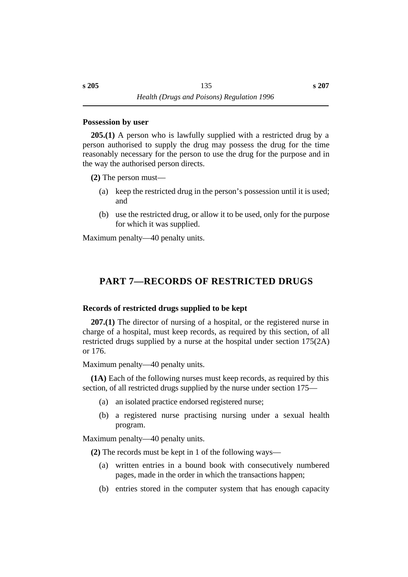### **˙Possession by user**

**205.(1)** A person who is lawfully supplied with a restricted drug by a person authorised to supply the drug may possess the drug for the time reasonably necessary for the person to use the drug for the purpose and in the way the authorised person directs.

**(2)** The person must—

- (a) keep the restricted drug in the person's possession until it is used; and
- (b) use the restricted drug, or allow it to be used, only for the purpose for which it was supplied.

Maximum penalty—40 penalty units.

# **†PART 7—RECORDS OF RESTRICTED DRUGS**

# **˙Records of restricted drugs supplied to be kept**

**207.(1)** The director of nursing of a hospital, or the registered nurse in charge of a hospital, must keep records, as required by this section, of all restricted drugs supplied by a nurse at the hospital under section  $175(2A)$ or 176.

Maximum penalty—40 penalty units.

**(1A)** Each of the following nurses must keep records, as required by this section, of all restricted drugs supplied by the nurse under section 175—

- (a) an isolated practice endorsed registered nurse;
- (b) a registered nurse practising nursing under a sexual health program.

Maximum penalty—40 penalty units.

**(2)** The records must be kept in 1 of the following ways—

- (a) written entries in a bound book with consecutively numbered pages, made in the order in which the transactions happen;
- (b) entries stored in the computer system that has enough capacity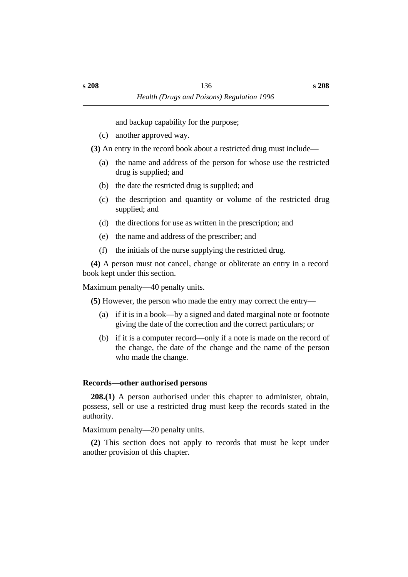and backup capability for the purpose;

(c) another approved way.

**(3)** An entry in the record book about a restricted drug must include—

- (a) the name and address of the person for whose use the restricted drug is supplied; and
- (b) the date the restricted drug is supplied; and
- (c) the description and quantity or volume of the restricted drug supplied; and
- (d) the directions for use as written in the prescription; and
- (e) the name and address of the prescriber; and
- (f) the initials of the nurse supplying the restricted drug.

**(4)** A person must not cancel, change or obliterate an entry in a record book kept under this section.

Maximum penalty—40 penalty units.

**(5)** However, the person who made the entry may correct the entry—

- (a) if it is in a book—by a signed and dated marginal note or footnote giving the date of the correction and the correct particulars; or
- (b) if it is a computer record—only if a note is made on the record of the change, the date of the change and the name of the person who made the change.

# **˙Records—other authorised persons**

**208.(1)** A person authorised under this chapter to administer, obtain, possess, sell or use a restricted drug must keep the records stated in the authority.

Maximum penalty—20 penalty units.

**(2)** This section does not apply to records that must be kept under another provision of this chapter.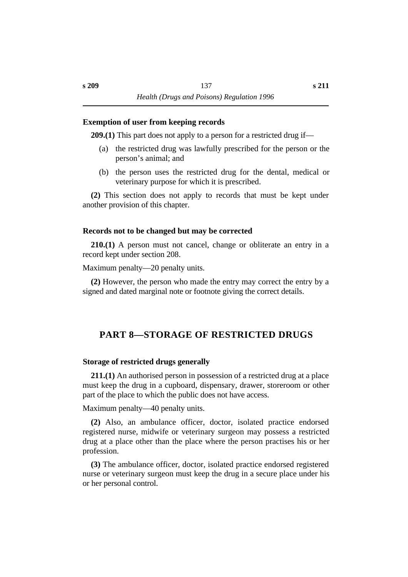#### **˙Exemption of user from keeping records**

**209.(1)** This part does not apply to a person for a restricted drug if—

- (a) the restricted drug was lawfully prescribed for the person or the person's animal; and
- (b) the person uses the restricted drug for the dental, medical or veterinary purpose for which it is prescribed.

**(2)** This section does not apply to records that must be kept under another provision of this chapter.

### **˙Records not to be changed but may be corrected**

**210.(1)** A person must not cancel, change or obliterate an entry in a record kept under section 208.

Maximum penalty—20 penalty units.

**(2)** However, the person who made the entry may correct the entry by a signed and dated marginal note or footnote giving the correct details.

# **†PART 8—STORAGE OF RESTRICTED DRUGS**

#### **˙Storage of restricted drugs generally**

**211.(1)** An authorised person in possession of a restricted drug at a place must keep the drug in a cupboard, dispensary, drawer, storeroom or other part of the place to which the public does not have access.

Maximum penalty—40 penalty units.

**(2)** Also, an ambulance officer, doctor, isolated practice endorsed registered nurse, midwife or veterinary surgeon may possess a restricted drug at a place other than the place where the person practises his or her profession.

**(3)** The ambulance officer, doctor, isolated practice endorsed registered nurse or veterinary surgeon must keep the drug in a secure place under his or her personal control.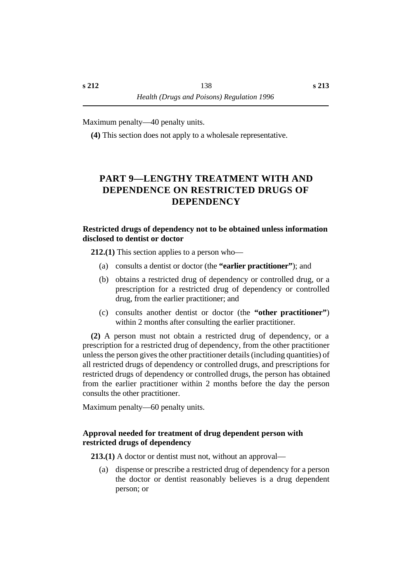Maximum penalty—40 penalty units.

**(4)** This section does not apply to a wholesale representative.

# **†PART 9—LENGTHY TREATMENT WITH AND DEPENDENCE ON RESTRICTED DRUGS OF DEPENDENCY**

### **˙Restricted drugs of dependency not to be obtained unless information disclosed to dentist or doctor**

**212.(1)** This section applies to a person who—

- (a) consults a dentist or doctor (the **"earlier practitioner"**); and
- (b) obtains a restricted drug of dependency or controlled drug, or a prescription for a restricted drug of dependency or controlled drug, from the earlier practitioner; and
- (c) consults another dentist or doctor (the **"other practitioner"**) within 2 months after consulting the earlier practitioner.

**(2)** A person must not obtain a restricted drug of dependency, or a prescription for a restricted drug of dependency, from the other practitioner unless the person gives the other practitioner details (including quantities) of all restricted drugs of dependency or controlled drugs, and prescriptions for restricted drugs of dependency or controlled drugs, the person has obtained from the earlier practitioner within 2 months before the day the person consults the other practitioner.

Maximum penalty—60 penalty units.

# **˙Approval needed for treatment of drug dependent person with restricted drugs of dependency**

**213.(1)** A doctor or dentist must not, without an approval—

(a) dispense or prescribe a restricted drug of dependency for a person the doctor or dentist reasonably believes is a drug dependent person; or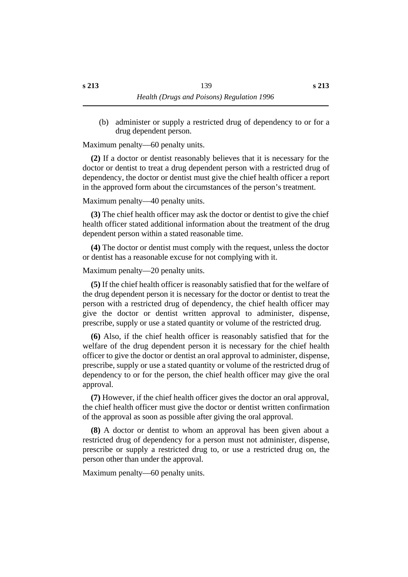(b) administer or supply a restricted drug of dependency to or for a drug dependent person.

Maximum penalty—60 penalty units.

**(2)** If a doctor or dentist reasonably believes that it is necessary for the doctor or dentist to treat a drug dependent person with a restricted drug of dependency, the doctor or dentist must give the chief health officer a report in the approved form about the circumstances of the person's treatment.

Maximum penalty—40 penalty units.

**(3)** The chief health officer may ask the doctor or dentist to give the chief health officer stated additional information about the treatment of the drug dependent person within a stated reasonable time.

**(4)** The doctor or dentist must comply with the request, unless the doctor or dentist has a reasonable excuse for not complying with it.

Maximum penalty—20 penalty units.

**(5)** If the chief health officer is reasonably satisfied that for the welfare of the drug dependent person it is necessary for the doctor or dentist to treat the person with a restricted drug of dependency, the chief health officer may give the doctor or dentist written approval to administer, dispense, prescribe, supply or use a stated quantity or volume of the restricted drug.

**(6)** Also, if the chief health officer is reasonably satisfied that for the welfare of the drug dependent person it is necessary for the chief health officer to give the doctor or dentist an oral approval to administer, dispense, prescribe, supply or use a stated quantity or volume of the restricted drug of dependency to or for the person, the chief health officer may give the oral approval.

**(7)** However, if the chief health officer gives the doctor an oral approval, the chief health officer must give the doctor or dentist written confirmation of the approval as soon as possible after giving the oral approval.

**(8)** A doctor or dentist to whom an approval has been given about a restricted drug of dependency for a person must not administer, dispense, prescribe or supply a restricted drug to, or use a restricted drug on, the person other than under the approval.

Maximum penalty—60 penalty units.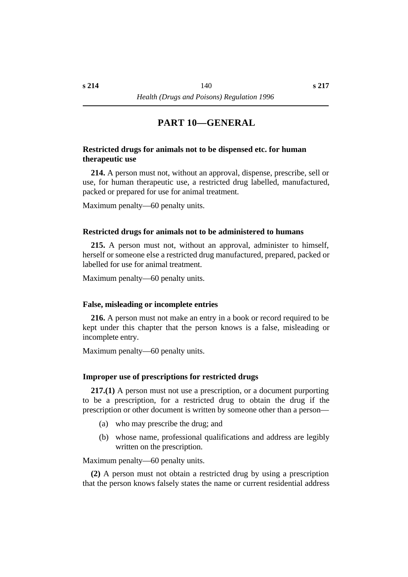# **†PART 10—GENERAL**

### **˙Restricted drugs for animals not to be dispensed etc. for human therapeutic use**

**214.** A person must not, without an approval, dispense, prescribe, sell or use, for human therapeutic use, a restricted drug labelled, manufactured, packed or prepared for use for animal treatment.

Maximum penalty—60 penalty units.

#### **˙Restricted drugs for animals not to be administered to humans**

**215.** A person must not, without an approval, administer to himself, herself or someone else a restricted drug manufactured, prepared, packed or labelled for use for animal treatment.

Maximum penalty—60 penalty units.

#### **˙False, misleading or incomplete entries**

**216.** A person must not make an entry in a book or record required to be kept under this chapter that the person knows is a false, misleading or incomplete entry.

Maximum penalty—60 penalty units.

#### **˙Improper use of prescriptions for restricted drugs**

**217.(1)** A person must not use a prescription, or a document purporting to be a prescription, for a restricted drug to obtain the drug if the prescription or other document is written by someone other than a person—

- (a) who may prescribe the drug; and
- (b) whose name, professional qualifications and address are legibly written on the prescription.

Maximum penalty—60 penalty units.

**(2)** A person must not obtain a restricted drug by using a prescription that the person knows falsely states the name or current residential address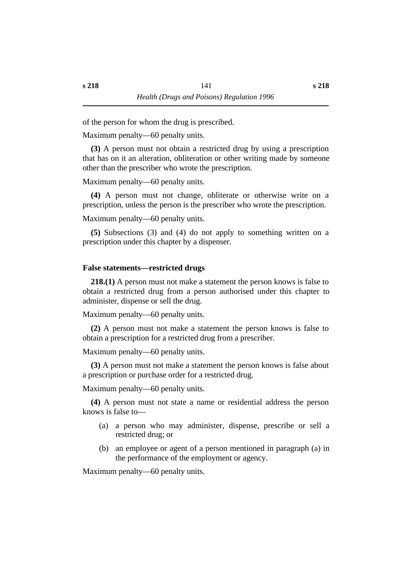of the person for whom the drug is prescribed.

Maximum penalty—60 penalty units.

**(3)** A person must not obtain a restricted drug by using a prescription that has on it an alteration, obliteration or other writing made by someone other than the prescriber who wrote the prescription.

Maximum penalty—60 penalty units.

**(4)** A person must not change, obliterate or otherwise write on a prescription, unless the person is the prescriber who wrote the prescription.

Maximum penalty—60 penalty units.

**(5)** Subsections (3) and (4) do not apply to something written on a prescription under this chapter by a dispenser.

#### **˙False statements—restricted drugs**

**218.(1)** A person must not make a statement the person knows is false to obtain a restricted drug from a person authorised under this chapter to administer, dispense or sell the drug.

Maximum penalty—60 penalty units.

**(2)** A person must not make a statement the person knows is false to obtain a prescription for a restricted drug from a prescriber.

Maximum penalty—60 penalty units.

**(3)** A person must not make a statement the person knows is false about a prescription or purchase order for a restricted drug.

Maximum penalty—60 penalty units.

**(4)** A person must not state a name or residential address the person knows is false to—

- (a) a person who may administer, dispense, prescribe or sell a restricted drug; or
- (b) an employee or agent of a person mentioned in paragraph (a) in the performance of the employment or agency.

Maximum penalty—60 penalty units.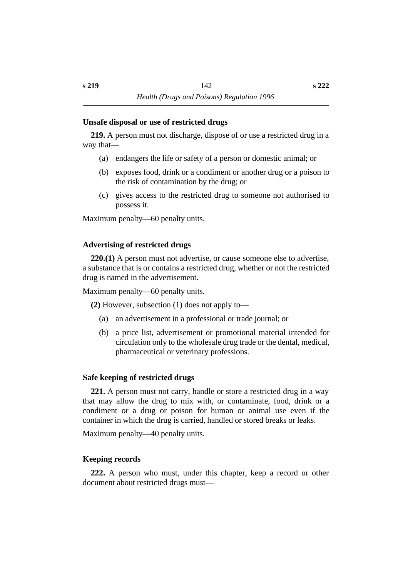#### **˙Unsafe disposal or use of restricted drugs**

**219.** A person must not discharge, dispose of or use a restricted drug in a way that—

- (a) endangers the life or safety of a person or domestic animal; or
- (b) exposes food, drink or a condiment or another drug or a poison to the risk of contamination by the drug; or
- (c) gives access to the restricted drug to someone not authorised to possess it.

Maximum penalty—60 penalty units.

# **˙Advertising of restricted drugs**

**220.(1)** A person must not advertise, or cause someone else to advertise, a substance that is or contains a restricted drug, whether or not the restricted drug is named in the advertisement.

Maximum penalty—60 penalty units.

**(2)** However, subsection (1) does not apply to—

- (a) an advertisement in a professional or trade journal; or
- (b) a price list, advertisement or promotional material intended for circulation only to the wholesale drug trade or the dental, medical, pharmaceutical or veterinary professions.

#### **˙Safe keeping of restricted drugs**

**221.** A person must not carry, handle or store a restricted drug in a way that may allow the drug to mix with, or contaminate, food, drink or a condiment or a drug or poison for human or animal use even if the container in which the drug is carried, handled or stored breaks or leaks.

Maximum penalty—40 penalty units.

# **˙Keeping records**

**222.** A person who must, under this chapter, keep a record or other document about restricted drugs must—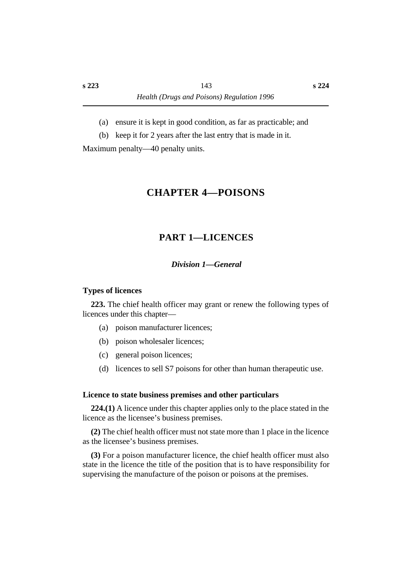- (a) ensure it is kept in good condition, as far as practicable; and
- (b) keep it for 2 years after the last entry that is made in it.

Maximum penalty—40 penalty units.

# **†CHAPTER 4—POISONS**

# **†PART 1—LICENCES**

### *†Division 1—General*

### **˙Types of licences**

**223.** The chief health officer may grant or renew the following types of licences under this chapter—

- (a) poison manufacturer licences;
- (b) poison wholesaler licences;
- (c) general poison licences;
- (d) licences to sell S7 poisons for other than human therapeutic use.

#### **˙Licence to state business premises and other particulars**

**224.(1)** A licence under this chapter applies only to the place stated in the licence as the licensee's business premises.

**(2)** The chief health officer must not state more than 1 place in the licence as the licensee's business premises.

**(3)** For a poison manufacturer licence, the chief health officer must also state in the licence the title of the position that is to have responsibility for supervising the manufacture of the poison or poisons at the premises.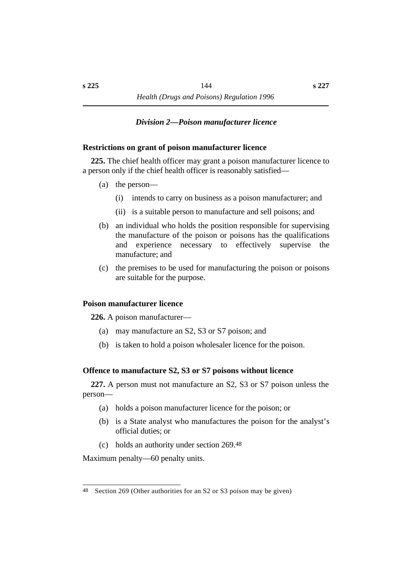#### *†Division 2—Poison manufacturer licence*

### **˙Restrictions on grant of poison manufacturer licence**

**225.** The chief health officer may grant a poison manufacturer licence to a person only if the chief health officer is reasonably satisfied—

- (a) the person—
	- (i) intends to carry on business as a poison manufacturer; and
	- (ii) is a suitable person to manufacture and sell poisons; and
- (b) an individual who holds the position responsible for supervising the manufacture of the poison or poisons has the qualifications and experience necessary to effectively supervise the manufacture; and
- (c) the premises to be used for manufacturing the poison or poisons are suitable for the purpose.

#### **˙Poison manufacturer licence**

**226.** A poison manufacturer—

- (a) may manufacture an S2, S3 or S7 poison; and
- (b) is taken to hold a poison wholesaler licence for the poison.

### **˙Offence to manufacture S2, S3 or S7 poisons without licence**

**227.** A person must not manufacture an S2, S3 or S7 poison unless the person—

- (a) holds a poison manufacturer licence for the poison; or
- (b) is a State analyst who manufactures the poison for the analyst's official duties; or
- (c) holds an authority under section 269.48

Maximum penalty—60 penalty units.

<sup>48</sup> Section 269 (Other authorities for an S2 or S3 poison may be given)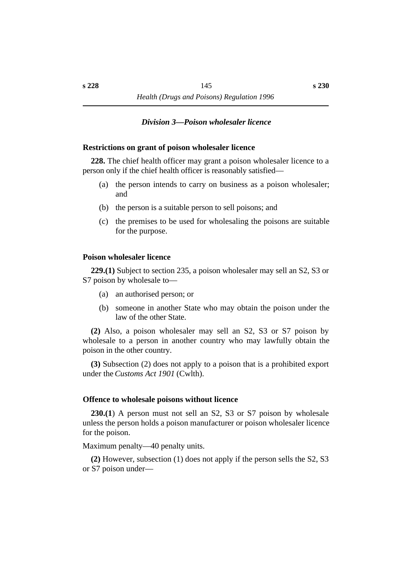#### *†Division 3—Poison wholesaler licence*

#### **˙Restrictions on grant of poison wholesaler licence**

**228.** The chief health officer may grant a poison wholesaler licence to a person only if the chief health officer is reasonably satisfied—

- (a) the person intends to carry on business as a poison wholesaler; and
- (b) the person is a suitable person to sell poisons; and
- (c) the premises to be used for wholesaling the poisons are suitable for the purpose.

#### **˙Poison wholesaler licence**

**229.(1)** Subject to section 235, a poison wholesaler may sell an S2, S3 or S7 poison by wholesale to—

- (a) an authorised person; or
- (b) someone in another State who may obtain the poison under the law of the other State.

**(2)** Also, a poison wholesaler may sell an S2, S3 or S7 poison by wholesale to a person in another country who may lawfully obtain the poison in the other country.

**(3)** Subsection (2) does not apply to a poison that is a prohibited export under the *Customs Act 1901* (Cwlth).

#### **˙Offence to wholesale poisons without licence**

**230.(1**) A person must not sell an S2, S3 or S7 poison by wholesale unless the person holds a poison manufacturer or poison wholesaler licence for the poison.

Maximum penalty—40 penalty units.

**(2)** However, subsection (1) does not apply if the person sells the S2, S3 or S7 poison under—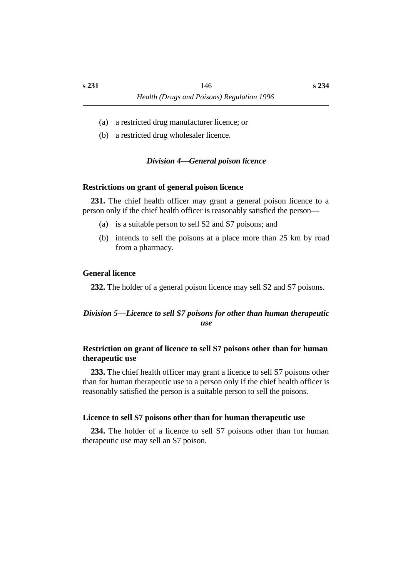- (a) a restricted drug manufacturer licence; or
- (b) a restricted drug wholesaler licence.

### *†Division 4—General poison licence*

#### **˙Restrictions on grant of general poison licence**

**231.** The chief health officer may grant a general poison licence to a person only if the chief health officer is reasonably satisfied the person—

- (a) is a suitable person to sell S2 and S7 poisons; and
- (b) intends to sell the poisons at a place more than 25 km by road from a pharmacy.

#### **˙General licence**

**232.** The holder of a general poison licence may sell S2 and S7 poisons.

### *†Division 5—Licence to sell S7 poisons for other than human therapeutic use*

### **˙Restriction on grant of licence to sell S7 poisons other than for human therapeutic use**

**233.** The chief health officer may grant a licence to sell S7 poisons other than for human therapeutic use to a person only if the chief health officer is reasonably satisfied the person is a suitable person to sell the poisons.

#### **˙Licence to sell S7 poisons other than for human therapeutic use**

**234.** The holder of a licence to sell S7 poisons other than for human therapeutic use may sell an S7 poison.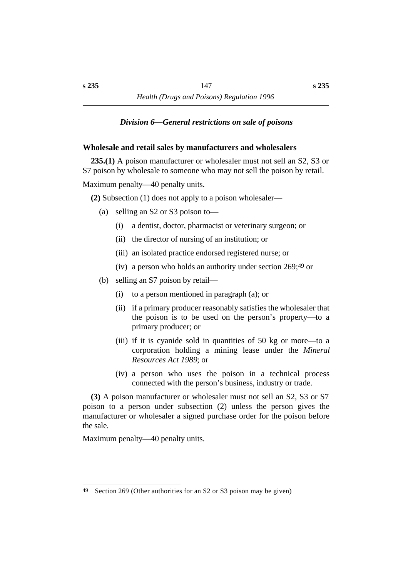### *†Division 6—General restrictions on sale of poisons*

#### **˙Wholesale and retail sales by manufacturers and wholesalers**

**235.(1)** A poison manufacturer or wholesaler must not sell an S2, S3 or S7 poison by wholesale to someone who may not sell the poison by retail.

Maximum penalty—40 penalty units.

**(2)** Subsection (1) does not apply to a poison wholesaler—

- (a) selling an S2 or S3 poison to—
	- (i) a dentist, doctor, pharmacist or veterinary surgeon; or
	- (ii) the director of nursing of an institution; or
	- (iii) an isolated practice endorsed registered nurse; or
	- (iv) a person who holds an authority under section 269;49 or
- (b) selling an S7 poison by retail—
	- (i) to a person mentioned in paragraph (a); or
	- (ii) if a primary producer reasonably satisfies the wholesaler that the poison is to be used on the person's property—to a primary producer; or
	- (iii) if it is cyanide sold in quantities of 50 kg or more—to a corporation holding a mining lease under the *Mineral Resources Act 1989*; or
	- (iv) a person who uses the poison in a technical process connected with the person's business, industry or trade.

**(3)** A poison manufacturer or wholesaler must not sell an S2, S3 or S7 poison to a person under subsection (2) unless the person gives the manufacturer or wholesaler a signed purchase order for the poison before the sale.

Maximum penalty—40 penalty units.

<sup>49</sup> Section 269 (Other authorities for an S2 or S3 poison may be given)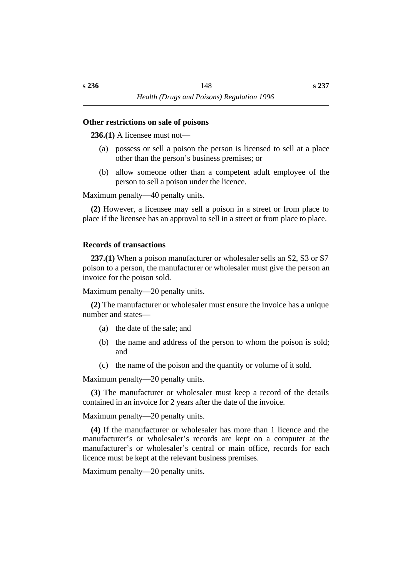#### **˙Other restrictions on sale of poisons**

**236.(1)** A licensee must not—

- (a) possess or sell a poison the person is licensed to sell at a place other than the person's business premises; or
- (b) allow someone other than a competent adult employee of the person to sell a poison under the licence.

Maximum penalty—40 penalty units.

**(2)** However, a licensee may sell a poison in a street or from place to place if the licensee has an approval to sell in a street or from place to place.

#### **˙Records of transactions**

**237.(1)** When a poison manufacturer or wholesaler sells an S2, S3 or S7 poison to a person, the manufacturer or wholesaler must give the person an invoice for the poison sold.

Maximum penalty—20 penalty units.

**(2)** The manufacturer or wholesaler must ensure the invoice has a unique number and states—

- (a) the date of the sale; and
- (b) the name and address of the person to whom the poison is sold; and
- (c) the name of the poison and the quantity or volume of it sold.

Maximum penalty—20 penalty units.

**(3)** The manufacturer or wholesaler must keep a record of the details contained in an invoice for 2 years after the date of the invoice.

Maximum penalty—20 penalty units.

**(4)** If the manufacturer or wholesaler has more than 1 licence and the manufacturer's or wholesaler's records are kept on a computer at the manufacturer's or wholesaler's central or main office, records for each licence must be kept at the relevant business premises.

Maximum penalty—20 penalty units.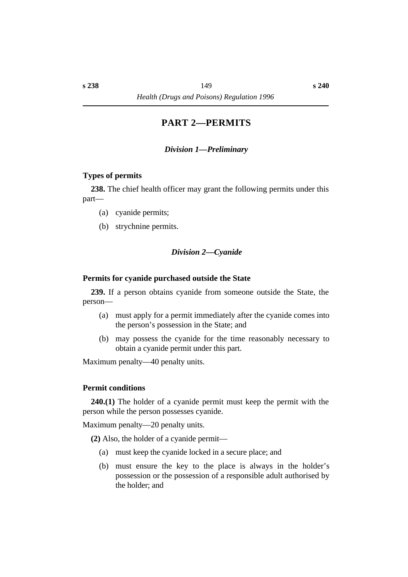# **†PART 2—PERMITS**

### *†Division 1—Preliminary*

#### **˙Types of permits**

**238.** The chief health officer may grant the following permits under this part—

- (a) cyanide permits;
- (b) strychnine permits.

### *†Division 2—Cyanide*

#### **˙Permits for cyanide purchased outside the State**

**239.** If a person obtains cyanide from someone outside the State, the person—

- (a) must apply for a permit immediately after the cyanide comes into the person's possession in the State; and
- (b) may possess the cyanide for the time reasonably necessary to obtain a cyanide permit under this part.

Maximum penalty—40 penalty units.

#### **˙Permit conditions**

**240.(1)** The holder of a cyanide permit must keep the permit with the person while the person possesses cyanide.

Maximum penalty—20 penalty units.

**(2)** Also, the holder of a cyanide permit—

- (a) must keep the cyanide locked in a secure place; and
- (b) must ensure the key to the place is always in the holder's possession or the possession of a responsible adult authorised by the holder; and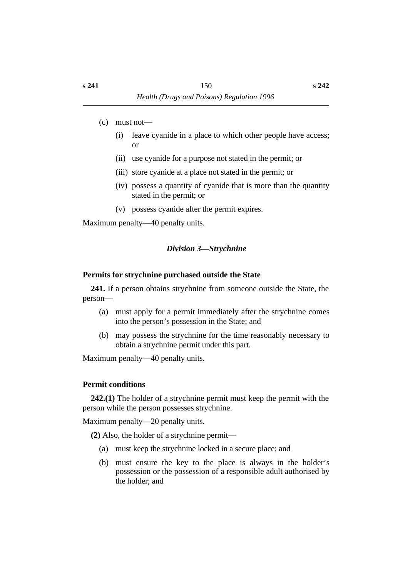- (c) must not—
	- (i) leave cyanide in a place to which other people have access; or
	- (ii) use cyanide for a purpose not stated in the permit; or
	- (iii) store cyanide at a place not stated in the permit; or
	- (iv) possess a quantity of cyanide that is more than the quantity stated in the permit; or
	- (v) possess cyanide after the permit expires.

Maximum penalty—40 penalty units.

# *†Division 3—Strychnine*

## **˙Permits for strychnine purchased outside the State**

**241.** If a person obtains strychnine from someone outside the State, the person—

- (a) must apply for a permit immediately after the strychnine comes into the person's possession in the State; and
- (b) may possess the strychnine for the time reasonably necessary to obtain a strychnine permit under this part.

Maximum penalty—40 penalty units.

# **˙Permit conditions**

**242.(1)** The holder of a strychnine permit must keep the permit with the person while the person possesses strychnine.

Maximum penalty—20 penalty units.

**(2)** Also, the holder of a strychnine permit—

- (a) must keep the strychnine locked in a secure place; and
- (b) must ensure the key to the place is always in the holder's possession or the possession of a responsible adult authorised by the holder; and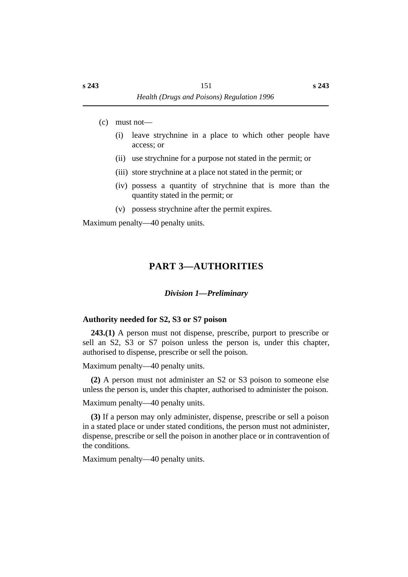- (c) must not—
	- (i) leave strychnine in a place to which other people have access; or
	- (ii) use strychnine for a purpose not stated in the permit; or
	- (iii) store strychnine at a place not stated in the permit; or
	- (iv) possess a quantity of strychnine that is more than the quantity stated in the permit; or
	- (v) possess strychnine after the permit expires.

Maximum penalty—40 penalty units.

# **†PART 3—AUTHORITIES**

### *†Division 1—Preliminary*

### **˙Authority needed for S2, S3 or S7 poison**

**243.(1)** A person must not dispense, prescribe, purport to prescribe or sell an S2, S3 or S7 poison unless the person is, under this chapter, authorised to dispense, prescribe or sell the poison.

Maximum penalty—40 penalty units.

**(2)** A person must not administer an S2 or S3 poison to someone else unless the person is, under this chapter, authorised to administer the poison.

Maximum penalty—40 penalty units.

**(3)** If a person may only administer, dispense, prescribe or sell a poison in a stated place or under stated conditions, the person must not administer, dispense, prescribe or sell the poison in another place or in contravention of the conditions.

Maximum penalty—40 penalty units.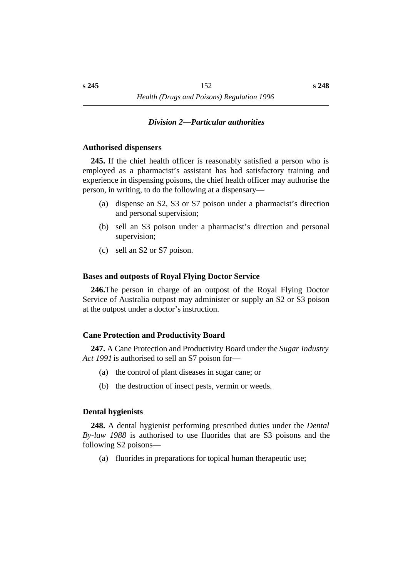#### *†Division 2—Particular authorities*

#### **˙Authorised dispensers**

**245.** If the chief health officer is reasonably satisfied a person who is employed as a pharmacist's assistant has had satisfactory training and experience in dispensing poisons, the chief health officer may authorise the person, in writing, to do the following at a dispensary—

- (a) dispense an S2, S3 or S7 poison under a pharmacist's direction and personal supervision;
- (b) sell an S3 poison under a pharmacist's direction and personal supervision;
- (c) sell an S2 or S7 poison.

#### **˙Bases and outposts of Royal Flying Doctor Service**

**246.**The person in charge of an outpost of the Royal Flying Doctor Service of Australia outpost may administer or supply an S2 or S3 poison at the outpost under a doctor's instruction.

#### **˙Cane Protection and Productivity Board**

**247.** A Cane Protection and Productivity Board under the *Sugar Industry Act 1991* is authorised to sell an S7 poison for—

- (a) the control of plant diseases in sugar cane; or
- (b) the destruction of insect pests, vermin or weeds.

#### **˙Dental hygienists**

**248.** A dental hygienist performing prescribed duties under the *Dental By-law 1988* is authorised to use fluorides that are S3 poisons and the following S2 poisons—

(a) fluorides in preparations for topical human therapeutic use;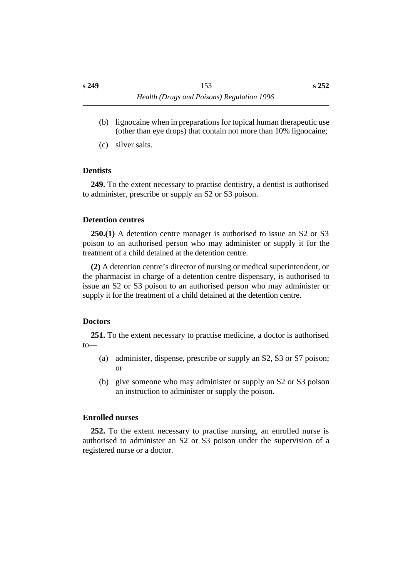- (b) lignocaine when in preparations for topical human therapeutic use (other than eye drops) that contain not more than 10% lignocaine;
- (c) silver salts.

#### **˙Dentists**

**249.** To the extent necessary to practise dentistry, a dentist is authorised to administer, prescribe or supply an S2 or S3 poison.

#### **˙Detention centres**

**250.(1)** A detention centre manager is authorised to issue an S2 or S3 poison to an authorised person who may administer or supply it for the treatment of a child detained at the detention centre.

**(2)** A detention centre's director of nursing or medical superintendent, or the pharmacist in charge of a detention centre dispensary, is authorised to issue an S2 or S3 poison to an authorised person who may administer or supply it for the treatment of a child detained at the detention centre.

#### **˙Doctors**

**251.** To the extent necessary to practise medicine, a doctor is authorised to—

- (a) administer, dispense, prescribe or supply an S2, S3 or S7 poison; or
- (b) give someone who may administer or supply an S2 or S3 poison an instruction to administer or supply the poison.

#### **˙Enrolled nurses**

**252.** To the extent necessary to practise nursing, an enrolled nurse is authorised to administer an S2 or S3 poison under the supervision of a registered nurse or a doctor.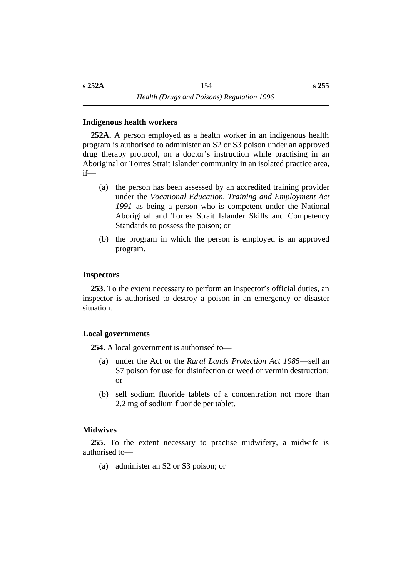#### **˙Indigenous health workers**

**252A.** A person employed as a health worker in an indigenous health program is authorised to administer an S2 or S3 poison under an approved drug therapy protocol, on a doctor's instruction while practising in an Aboriginal or Torres Strait Islander community in an isolated practice area, if—

- (a) the person has been assessed by an accredited training provider under the *Vocational Education, Training and Employment Act 1991* as being a person who is competent under the National Aboriginal and Torres Strait Islander Skills and Competency Standards to possess the poison; or
- (b) the program in which the person is employed is an approved program.

#### **˙Inspectors**

**253.** To the extent necessary to perform an inspector's official duties, an inspector is authorised to destroy a poison in an emergency or disaster situation.

#### **˙Local governments**

**254.** A local government is authorised to—

- (a) under the Act or the *Rural Lands Protection Act 1985*—sell an S7 poison for use for disinfection or weed or vermin destruction; or
- (b) sell sodium fluoride tablets of a concentration not more than 2.2 mg of sodium fluoride per tablet.

#### **˙Midwives**

**255.** To the extent necessary to practise midwifery, a midwife is authorised to—

(a) administer an S2 or S3 poison; or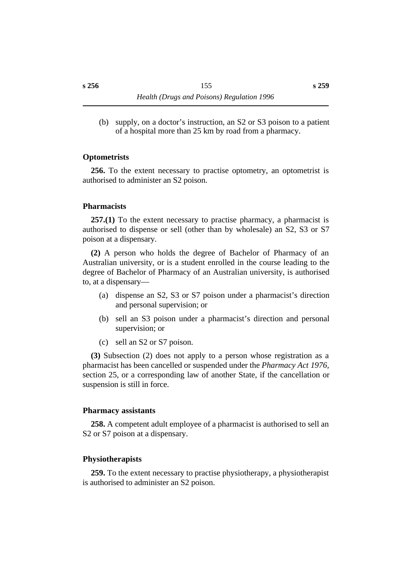(b) supply, on a doctor's instruction, an S2 or S3 poison to a patient of a hospital more than 25 km by road from a pharmacy.

### **˙Optometrists**

**256.** To the extent necessary to practise optometry, an optometrist is authorised to administer an S2 poison.

### **˙Pharmacists**

**257.(1)** To the extent necessary to practise pharmacy, a pharmacist is authorised to dispense or sell (other than by wholesale) an S2, S3 or S7 poison at a dispensary.

**(2)** A person who holds the degree of Bachelor of Pharmacy of an Australian university, or is a student enrolled in the course leading to the degree of Bachelor of Pharmacy of an Australian university, is authorised to, at a dispensary—

- (a) dispense an S2, S3 or S7 poison under a pharmacist's direction and personal supervision; or
- (b) sell an S3 poison under a pharmacist's direction and personal supervision; or
- (c) sell an S2 or S7 poison.

**(3)** Subsection (2) does not apply to a person whose registration as a pharmacist has been cancelled or suspended under the *Pharmacy Act 1976,* section 25, or a corresponding law of another State, if the cancellation or suspension is still in force.

#### **˙Pharmacy assistants**

**258.** A competent adult employee of a pharmacist is authorised to sell an S<sub>2</sub> or S<sub>7</sub> poison at a dispensary.

### **˙Physiotherapists**

**259.** To the extent necessary to practise physiotherapy, a physiotherapist is authorised to administer an S2 poison.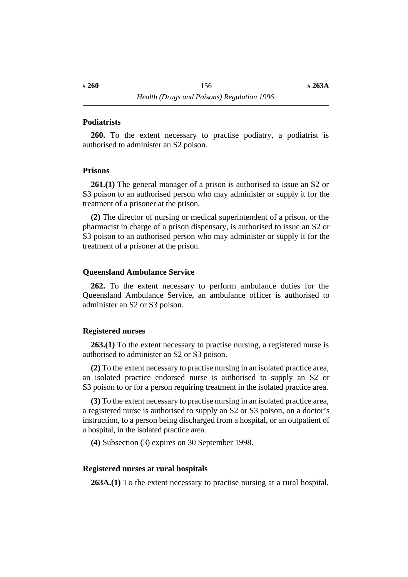#### **˙Podiatrists**

**260.** To the extent necessary to practise podiatry, a podiatrist is authorised to administer an S2 poison.

#### **˙Prisons**

**261.(1)** The general manager of a prison is authorised to issue an S2 or S3 poison to an authorised person who may administer or supply it for the treatment of a prisoner at the prison.

**(2)** The director of nursing or medical superintendent of a prison, or the pharmacist in charge of a prison dispensary, is authorised to issue an S2 or S3 poison to an authorised person who may administer or supply it for the treatment of a prisoner at the prison.

#### **˙Queensland Ambulance Service**

**262.** To the extent necessary to perform ambulance duties for the Queensland Ambulance Service, an ambulance officer is authorised to administer an S2 or S3 poison.

#### **˙Registered nurses**

**263.(1)** To the extent necessary to practise nursing, a registered nurse is authorised to administer an S2 or S3 poison.

**(2)** To the extent necessary to practise nursing in an isolated practice area, an isolated practice endorsed nurse is authorised to supply an S2 or S3 poison to or for a person requiring treatment in the isolated practice area.

**(3)** To the extent necessary to practise nursing in an isolated practice area, a registered nurse is authorised to supply an S2 or S3 poison, on a doctor's instruction, to a person being discharged from a hospital, or an outpatient of a hospital, in the isolated practice area.

**(4)** Subsection (3) expires on 30 September 1998.

#### **˙Registered nurses at rural hospitals**

**263A.(1)** To the extent necessary to practise nursing at a rural hospital,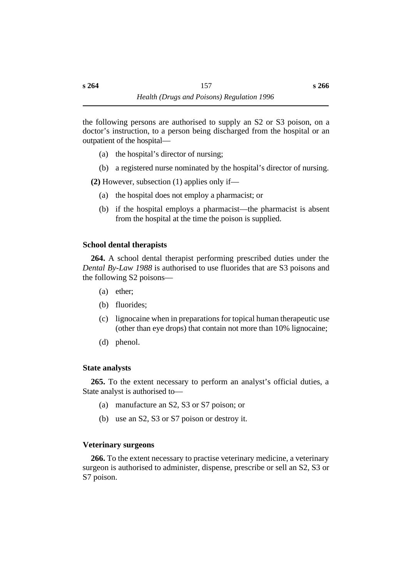the following persons are authorised to supply an S2 or S3 poison, on a doctor's instruction, to a person being discharged from the hospital or an outpatient of the hospital—

- (a) the hospital's director of nursing;
- (b) a registered nurse nominated by the hospital's director of nursing.

**(2)** However, subsection (1) applies only if—

- (a) the hospital does not employ a pharmacist; or
- (b) if the hospital employs a pharmacist—the pharmacist is absent from the hospital at the time the poison is supplied.

### **˙School dental therapists**

**264.** A school dental therapist performing prescribed duties under the *Dental By-Law 1988* is authorised to use fluorides that are S3 poisons and the following S2 poisons—

- (a) ether;
- (b) fluorides;
- (c) lignocaine when in preparations for topical human therapeutic use (other than eye drops) that contain not more than 10% lignocaine;
- (d) phenol.

### **˙State analysts**

**265.** To the extent necessary to perform an analyst's official duties, a State analyst is authorised to—

- (a) manufacture an S2, S3 or S7 poison; or
- (b) use an S2, S3 or S7 poison or destroy it.

### **˙Veterinary surgeons**

**266.** To the extent necessary to practise veterinary medicine, a veterinary surgeon is authorised to administer, dispense, prescribe or sell an S2, S3 or S7 poison.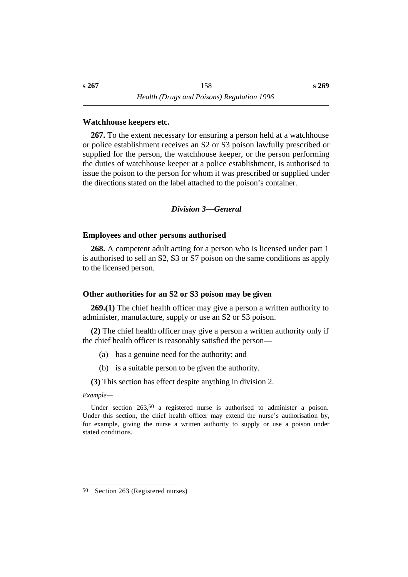#### **˙Watchhouse keepers etc.**

**267.** To the extent necessary for ensuring a person held at a watchhouse or police establishment receives an S2 or S3 poison lawfully prescribed or supplied for the person, the watchhouse keeper, or the person performing the duties of watchhouse keeper at a police establishment, is authorised to issue the poison to the person for whom it was prescribed or supplied under the directions stated on the label attached to the poison's container.

#### *†Division 3—General*

#### **˙Employees and other persons authorised**

**268.** A competent adult acting for a person who is licensed under part 1 is authorised to sell an S2, S3 or S7 poison on the same conditions as apply to the licensed person.

#### **˙Other authorities for an S2 or S3 poison may be given**

**269.(1)** The chief health officer may give a person a written authority to administer, manufacture, supply or use an S2 or S3 poison.

**(2)** The chief health officer may give a person a written authority only if the chief health officer is reasonably satisfied the person—

- (a) has a genuine need for the authority; and
- (b) is a suitable person to be given the authority.

**(3)** This section has effect despite anything in division 2.

#### *Example—*

Under section 263,<sup>50</sup> a registered nurse is authorised to administer a poison. Under this section, the chief health officer may extend the nurse's authorisation by, for example, giving the nurse a written authority to supply or use a poison under stated conditions.

<sup>50</sup> Section 263 (Registered nurses)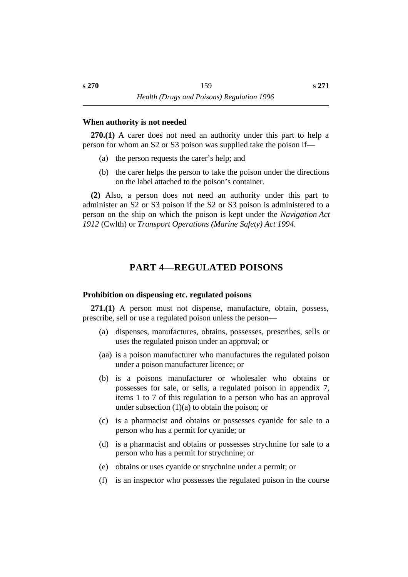#### **˙When authority is not needed**

**270.(1)** A carer does not need an authority under this part to help a person for whom an S2 or S3 poison was supplied take the poison if—

- (a) the person requests the carer's help; and
- (b) the carer helps the person to take the poison under the directions on the label attached to the poison's container.

**(2)** Also, a person does not need an authority under this part to administer an S2 or S3 poison if the S2 or S3 poison is administered to a person on the ship on which the poison is kept under the *Navigation Act 1912* (Cwlth) or *Transport Operations (Marine Safety) Act 1994*.

# **†PART 4—REGULATED POISONS**

#### **˙Prohibition on dispensing etc. regulated poisons**

**271.(1)** A person must not dispense, manufacture, obtain, possess, prescribe, sell or use a regulated poison unless the person—

- (a) dispenses, manufactures, obtains, possesses, prescribes, sells or uses the regulated poison under an approval; or
- (aa) is a poison manufacturer who manufactures the regulated poison under a poison manufacturer licence; or
- (b) is a poisons manufacturer or wholesaler who obtains or possesses for sale, or sells, a regulated poison in appendix 7, items 1 to 7 of this regulation to a person who has an approval under subsection  $(1)(a)$  to obtain the poison; or
- (c) is a pharmacist and obtains or possesses cyanide for sale to a person who has a permit for cyanide; or
- (d) is a pharmacist and obtains or possesses strychnine for sale to a person who has a permit for strychnine; or
- (e) obtains or uses cyanide or strychnine under a permit; or
- (f) is an inspector who possesses the regulated poison in the course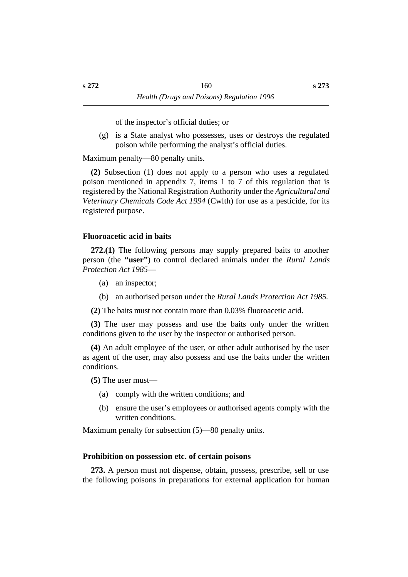of the inspector's official duties; or

(g) is a State analyst who possesses, uses or destroys the regulated poison while performing the analyst's official duties.

Maximum penalty—80 penalty units.

**(2)** Subsection (1) does not apply to a person who uses a regulated poison mentioned in appendix 7, items 1 to 7 of this regulation that is registered by the National Registration Authority under the *Agricultural and Veterinary Chemicals Code Act 1994* (Cwlth) for use as a pesticide, for its registered purpose.

### **˙Fluoroacetic acid in baits**

**272.(1)** The following persons may supply prepared baits to another person (the **"user"**) to control declared animals under the *Rural Lands Protection Act 1985*—

- (a) an inspector;
- (b) an authorised person under the *Rural Lands Protection Act 1985*.
- **(2)** The baits must not contain more than 0.03% fluoroacetic acid.

**(3)** The user may possess and use the baits only under the written conditions given to the user by the inspector or authorised person.

**(4)** An adult employee of the user, or other adult authorised by the user as agent of the user, may also possess and use the baits under the written conditions.

**(5)** The user must—

- (a) comply with the written conditions; and
- (b) ensure the user's employees or authorised agents comply with the written conditions.

Maximum penalty for subsection (5)—80 penalty units.

### **˙Prohibition on possession etc. of certain poisons**

**273.** A person must not dispense, obtain, possess, prescribe, sell or use the following poisons in preparations for external application for human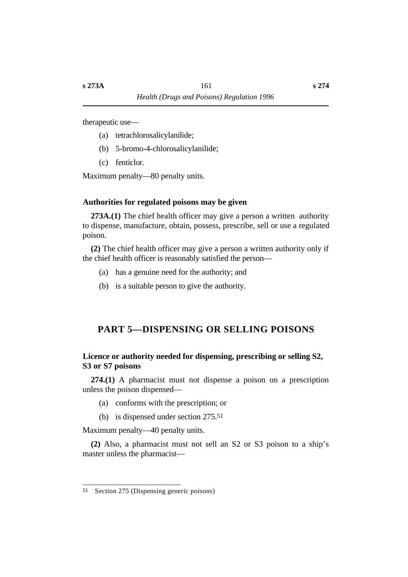therapeutic use—

- (a) tetrachlorosalicylanilide;
- (b) 5-bromo-4-chlorosalicylanilide;
- (c) fenticlor.

Maximum penalty—80 penalty units.

### **˙Authorities for regulated poisons may be given**

**273A.(1)** The chief health officer may give a person a written authority to dispense, manufacture, obtain, possess, prescribe, sell or use a regulated poison.

**(2)** The chief health officer may give a person a written authority only if the chief health officer is reasonably satisfied the person—

- (a) has a genuine need for the authority; and
- (b) is a suitable person to give the authority.

# **†PART 5—DISPENSING OR SELLING POISONS**

### **˙Licence or authority needed for dispensing, prescribing or selling S2, S3 or S7 poisons**

**274.(1)** A pharmacist must not dispense a poison on a prescription unless the poison dispensed—

- (a) conforms with the prescription; or
- (b) is dispensed under section 275.51

Maximum penalty—40 penalty units.

**(2)** Also, a pharmacist must not sell an S2 or S3 poison to a ship's master unless the pharmacist—

<sup>51</sup> Section 275 (Dispensing generic poisons)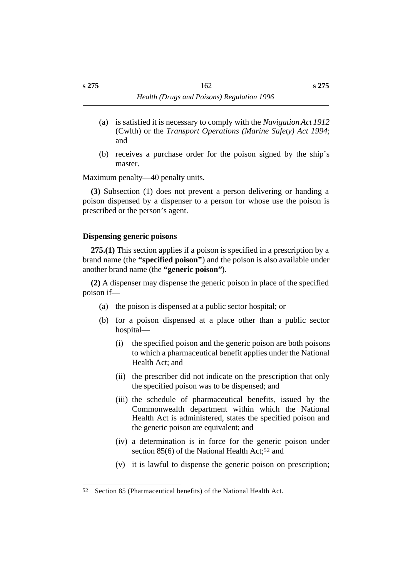- (a) is satisfied it is necessary to comply with the *Navigation Act 1912* (Cwlth) or the *Transport Operations (Marine Safety) Act 1994*; and
- (b) receives a purchase order for the poison signed by the ship's master.

Maximum penalty—40 penalty units.

**(3)** Subsection (1) does not prevent a person delivering or handing a poison dispensed by a dispenser to a person for whose use the poison is prescribed or the person's agent.

### **˙Dispensing generic poisons**

**275.(1)** This section applies if a poison is specified in a prescription by a brand name (the **"specified poison"**) and the poison is also available under another brand name (the **"generic poison"**).

**(2)** A dispenser may dispense the generic poison in place of the specified poison if—

- (a) the poison is dispensed at a public sector hospital; or
- (b) for a poison dispensed at a place other than a public sector hospital—
	- (i) the specified poison and the generic poison are both poisons to which a pharmaceutical benefit applies under the National Health Act; and
	- (ii) the prescriber did not indicate on the prescription that only the specified poison was to be dispensed; and
	- (iii) the schedule of pharmaceutical benefits, issued by the Commonwealth department within which the National Health Act is administered, states the specified poison and the generic poison are equivalent; and
	- (iv) a determination is in force for the generic poison under section 85(6) of the National Health Act;52 and
	- (v) it is lawful to dispense the generic poison on prescription;

<sup>52</sup> Section 85 (Pharmaceutical benefits) of the National Health Act.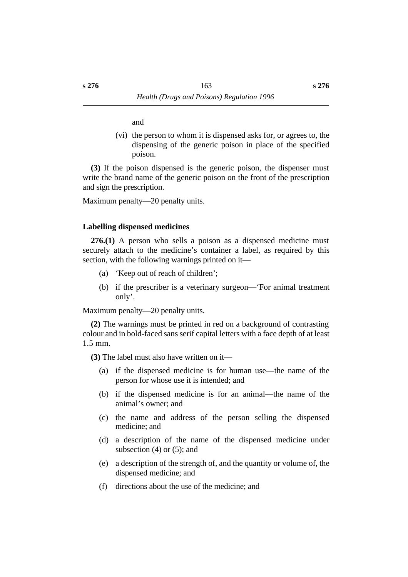and

(vi) the person to whom it is dispensed asks for, or agrees to, the dispensing of the generic poison in place of the specified poison.

**(3)** If the poison dispensed is the generic poison, the dispenser must write the brand name of the generic poison on the front of the prescription and sign the prescription.

Maximum penalty—20 penalty units.

#### **˙Labelling dispensed medicines**

**276.(1)** A person who sells a poison as a dispensed medicine must securely attach to the medicine's container a label, as required by this section, with the following warnings printed on it—

- (a) 'Keep out of reach of children';
- (b) if the prescriber is a veterinary surgeon—'For animal treatment only'.

Maximum penalty—20 penalty units.

**(2)** The warnings must be printed in red on a background of contrasting colour and in bold-faced sans serif capital letters with a face depth of at least 1.5 mm.

**(3)** The label must also have written on it—

- (a) if the dispensed medicine is for human use—the name of the person for whose use it is intended; and
- (b) if the dispensed medicine is for an animal—the name of the animal's owner; and
- (c) the name and address of the person selling the dispensed medicine; and
- (d) a description of the name of the dispensed medicine under subsection  $(4)$  or  $(5)$ ; and
- (e) a description of the strength of, and the quantity or volume of, the dispensed medicine; and
- (f) directions about the use of the medicine; and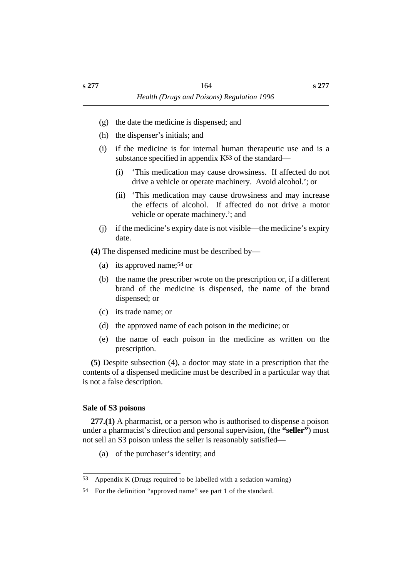- (g) the date the medicine is dispensed; and
- (h) the dispenser's initials; and
- (i) if the medicine is for internal human therapeutic use and is a substance specified in appendix  $K^{53}$  of the standard—
	- (i) 'This medication may cause drowsiness. If affected do not drive a vehicle or operate machinery. Avoid alcohol.'; or
	- (ii) 'This medication may cause drowsiness and may increase the effects of alcohol. If affected do not drive a motor vehicle or operate machinery.'; and
- (j) if the medicine's expiry date is not visible—the medicine's expiry date.
- **(4)** The dispensed medicine must be described by—
	- (a) its approved name;54 or
	- (b) the name the prescriber wrote on the prescription or, if a different brand of the medicine is dispensed, the name of the brand dispensed; or
	- (c) its trade name; or
	- (d) the approved name of each poison in the medicine; or
	- (e) the name of each poison in the medicine as written on the prescription.

**(5)** Despite subsection (4), a doctor may state in a prescription that the contents of a dispensed medicine must be described in a particular way that is not a false description.

#### **˙Sale of S3 poisons**

**277.(1)** A pharmacist, or a person who is authorised to dispense a poison under a pharmacist's direction and personal supervision, (the **"seller"**) must not sell an S3 poison unless the seller is reasonably satisfied—

(a) of the purchaser's identity; and

<sup>53</sup> Appendix K (Drugs required to be labelled with a sedation warning)

<sup>54</sup> For the definition "approved name" see part 1 of the standard.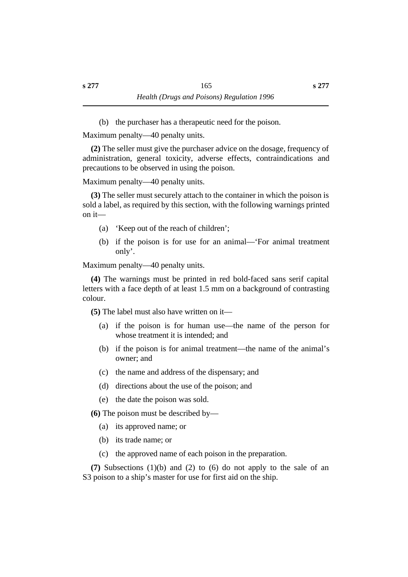(b) the purchaser has a therapeutic need for the poison.

Maximum penalty—40 penalty units.

**(2)** The seller must give the purchaser advice on the dosage, frequency of administration, general toxicity, adverse effects, contraindications and precautions to be observed in using the poison.

Maximum penalty—40 penalty units.

**(3)** The seller must securely attach to the container in which the poison is sold a label, as required by this section, with the following warnings printed on it—

- (a) 'Keep out of the reach of children';
- (b) if the poison is for use for an animal—'For animal treatment only'.

Maximum penalty—40 penalty units.

**(4)** The warnings must be printed in red bold-faced sans serif capital letters with a face depth of at least 1.5 mm on a background of contrasting colour.

**(5)** The label must also have written on it—

- (a) if the poison is for human use—the name of the person for whose treatment it is intended; and
- (b) if the poison is for animal treatment—the name of the animal's owner; and
- (c) the name and address of the dispensary; and
- (d) directions about the use of the poison; and
- (e) the date the poison was sold.

**(6)** The poison must be described by—

- (a) its approved name; or
- (b) its trade name; or
- (c) the approved name of each poison in the preparation.

**(7)** Subsections (1)(b) and (2) to (6) do not apply to the sale of an S3 poison to a ship's master for use for first aid on the ship.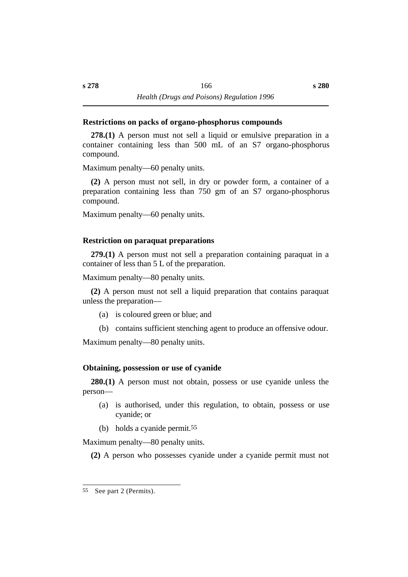### **˙Restrictions on packs of organo-phosphorus compounds**

**278.(1)** A person must not sell a liquid or emulsive preparation in a container containing less than 500 mL of an S7 organo-phosphorus compound.

Maximum penalty—60 penalty units.

**(2)** A person must not sell, in dry or powder form, a container of a preparation containing less than 750 gm of an S7 organo-phosphorus compound.

Maximum penalty—60 penalty units.

### **˙Restriction on paraquat preparations**

**279.(1)** A person must not sell a preparation containing paraquat in a container of less than 5 L of the preparation.

Maximum penalty—80 penalty units.

**(2)** A person must not sell a liquid preparation that contains paraquat unless the preparation—

- (a) is coloured green or blue; and
- (b) contains sufficient stenching agent to produce an offensive odour.

Maximum penalty—80 penalty units.

### **˙Obtaining, possession or use of cyanide**

**280.(1)** A person must not obtain, possess or use cyanide unless the person—

- (a) is authorised, under this regulation, to obtain, possess or use cyanide; or
- (b) holds a cyanide permit.55

Maximum penalty—80 penalty units.

**(2)** A person who possesses cyanide under a cyanide permit must not

<sup>55</sup> See part 2 (Permits).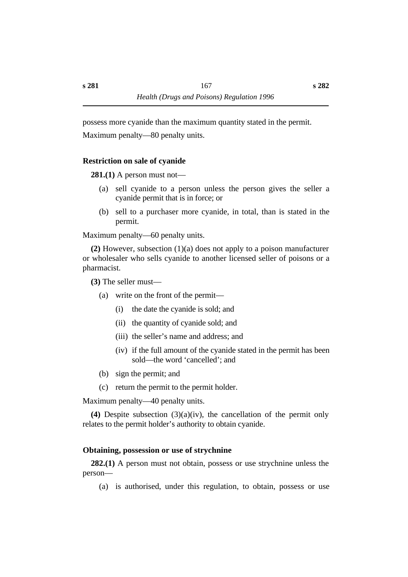possess more cyanide than the maximum quantity stated in the permit.

Maximum penalty—80 penalty units.

### **˙Restriction on sale of cyanide**

**281.(1)** A person must not—

- (a) sell cyanide to a person unless the person gives the seller a cyanide permit that is in force; or
- (b) sell to a purchaser more cyanide, in total, than is stated in the permit.

Maximum penalty—60 penalty units.

**(2)** However, subsection (1)(a) does not apply to a poison manufacturer or wholesaler who sells cyanide to another licensed seller of poisons or a pharmacist.

**(3)** The seller must—

- (a) write on the front of the permit—
	- (i) the date the cyanide is sold; and
	- (ii) the quantity of cyanide sold; and
	- (iii) the seller's name and address; and
	- (iv) if the full amount of the cyanide stated in the permit has been sold—the word 'cancelled'; and
- (b) sign the permit; and
- (c) return the permit to the permit holder.

Maximum penalty—40 penalty units.

**(4)** Despite subsection (3)(a)(iv), the cancellation of the permit only relates to the permit holder's authority to obtain cyanide.

# **˙Obtaining, possession or use of strychnine**

**282.(1)** A person must not obtain, possess or use strychnine unless the person—

(a) is authorised, under this regulation, to obtain, possess or use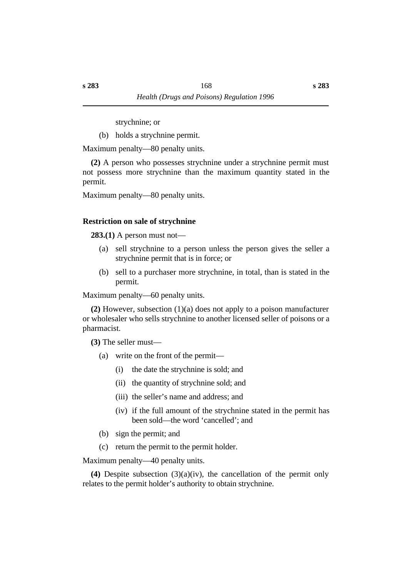**s 283**

strychnine; or

(b) holds a strychnine permit.

Maximum penalty—80 penalty units.

**(2)** A person who possesses strychnine under a strychnine permit must not possess more strychnine than the maximum quantity stated in the permit.

Maximum penalty—80 penalty units.

# **˙Restriction on sale of strychnine**

**283.(1)** A person must not—

- (a) sell strychnine to a person unless the person gives the seller a strychnine permit that is in force; or
- (b) sell to a purchaser more strychnine, in total, than is stated in the permit.

Maximum penalty—60 penalty units.

**(2)** However, subsection (1)(a) does not apply to a poison manufacturer or wholesaler who sells strychnine to another licensed seller of poisons or a pharmacist.

**(3)** The seller must—

- (a) write on the front of the permit—
	- (i) the date the strychnine is sold; and
	- (ii) the quantity of strychnine sold; and
	- (iii) the seller's name and address; and
	- (iv) if the full amount of the strychnine stated in the permit has been sold—the word 'cancelled'; and
- (b) sign the permit; and
- (c) return the permit to the permit holder.

Maximum penalty—40 penalty units.

**(4)** Despite subsection (3)(a)(iv), the cancellation of the permit only relates to the permit holder's authority to obtain strychnine.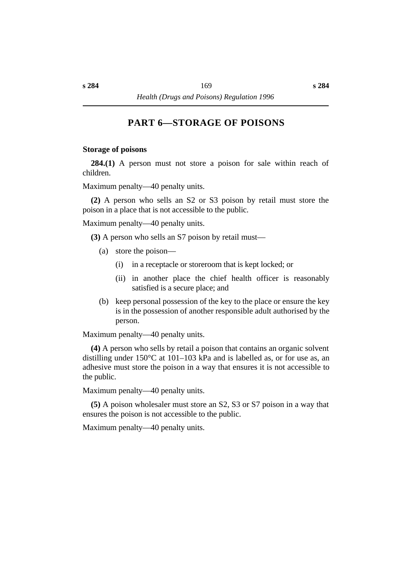# **†PART 6—STORAGE OF POISONS**

#### **˙Storage of poisons**

**284.(1)** A person must not store a poison for sale within reach of children.

Maximum penalty—40 penalty units.

**(2)** A person who sells an S2 or S3 poison by retail must store the poison in a place that is not accessible to the public.

Maximum penalty—40 penalty units.

**(3)** A person who sells an S7 poison by retail must—

- (a) store the poison—
	- (i) in a receptacle or storeroom that is kept locked; or
	- (ii) in another place the chief health officer is reasonably satisfied is a secure place; and
- (b) keep personal possession of the key to the place or ensure the key is in the possession of another responsible adult authorised by the person.

Maximum penalty—40 penalty units.

**(4)** A person who sells by retail a poison that contains an organic solvent distilling under 150°C at 101–103 kPa and is labelled as, or for use as, an adhesive must store the poison in a way that ensures it is not accessible to the public.

Maximum penalty—40 penalty units.

**(5)** A poison wholesaler must store an S2, S3 or S7 poison in a way that ensures the poison is not accessible to the public.

Maximum penalty—40 penalty units.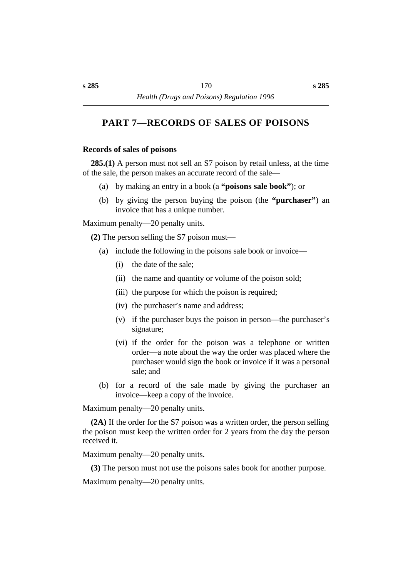# **†PART 7—RECORDS OF SALES OF POISONS**

#### **˙Records of sales of poisons**

**285.(1)** A person must not sell an S7 poison by retail unless, at the time of the sale, the person makes an accurate record of the sale—

- (a) by making an entry in a book (a **"poisons sale book"**); or
- (b) by giving the person buying the poison (the **"purchaser"**) an invoice that has a unique number.

Maximum penalty—20 penalty units.

**(2)** The person selling the S7 poison must—

- (a) include the following in the poisons sale book or invoice—
	- (i) the date of the sale;
	- (ii) the name and quantity or volume of the poison sold;
	- (iii) the purpose for which the poison is required;
	- (iv) the purchaser's name and address;
	- (v) if the purchaser buys the poison in person—the purchaser's signature;
	- (vi) if the order for the poison was a telephone or written order—a note about the way the order was placed where the purchaser would sign the book or invoice if it was a personal sale; and
- (b) for a record of the sale made by giving the purchaser an invoice—keep a copy of the invoice.

Maximum penalty—20 penalty units.

**(2A)** If the order for the S7 poison was a written order, the person selling the poison must keep the written order for 2 years from the day the person received it.

Maximum penalty—20 penalty units.

**(3)** The person must not use the poisons sales book for another purpose.

Maximum penalty—20 penalty units.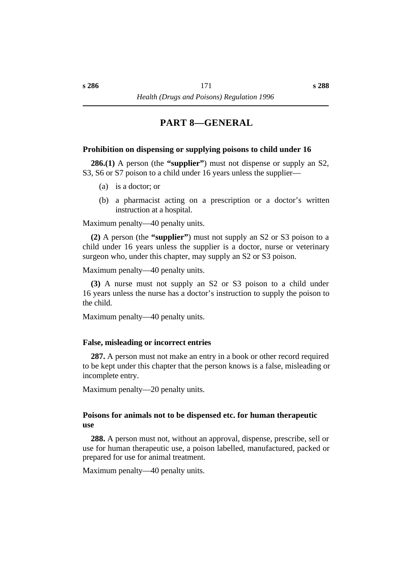# **†PART 8—GENERAL**

#### **˙Prohibition on dispensing or supplying poisons to child under 16**

**286.(1)** A person (the **"supplier"**) must not dispense or supply an S2, S3, S6 or S7 poison to a child under 16 years unless the supplier—

- (a) is a doctor; or
- (b) a pharmacist acting on a prescription or a doctor's written instruction at a hospital.

Maximum penalty—40 penalty units.

**(2)** A person (the **"supplier"**) must not supply an S2 or S3 poison to a child under 16 years unless the supplier is a doctor, nurse or veterinary surgeon who, under this chapter, may supply an S2 or S3 poison.

Maximum penalty—40 penalty units.

**(3)** A nurse must not supply an S2 or S3 poison to a child under 16 years unless the nurse has a doctor's instruction to supply the poison to the child.

Maximum penalty—40 penalty units.

#### **˙False, misleading or incorrect entries**

**287.** A person must not make an entry in a book or other record required to be kept under this chapter that the person knows is a false, misleading or incomplete entry.

Maximum penalty—20 penalty units.

#### **˙Poisons for animals not to be dispensed etc. for human therapeutic use**

**288.** A person must not, without an approval, dispense, prescribe, sell or use for human therapeutic use, a poison labelled, manufactured, packed or prepared for use for animal treatment.

Maximum penalty—40 penalty units.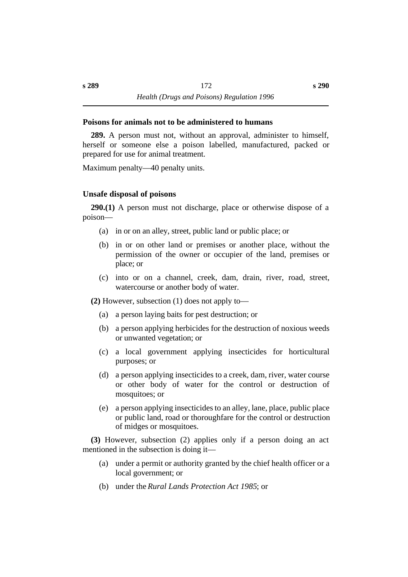#### **˙Poisons for animals not to be administered to humans**

**289.** A person must not, without an approval, administer to himself, herself or someone else a poison labelled, manufactured, packed or prepared for use for animal treatment.

Maximum penalty—40 penalty units.

#### **˙Unsafe disposal of poisons**

**290.(1)** A person must not discharge, place or otherwise dispose of a poison—

- (a) in or on an alley, street, public land or public place; or
- (b) in or on other land or premises or another place, without the permission of the owner or occupier of the land, premises or place; or
- (c) into or on a channel, creek, dam, drain, river, road, street, watercourse or another body of water.

**(2)** However, subsection (1) does not apply to—

- (a) a person laying baits for pest destruction; or
- (b) a person applying herbicides for the destruction of noxious weeds or unwanted vegetation; or
- (c) a local government applying insecticides for horticultural purposes; or
- (d) a person applying insecticides to a creek, dam, river, water course or other body of water for the control or destruction of mosquitoes; or
- (e) a person applying insecticides to an alley, lane, place, public place or public land, road or thoroughfare for the control or destruction of midges or mosquitoes.

**(3)** However, subsection (2) applies only if a person doing an act mentioned in the subsection is doing it—

- (a) under a permit or authority granted by the chief health officer or a local government; or
- (b) under the *Rural Lands Protection Act 1985*; or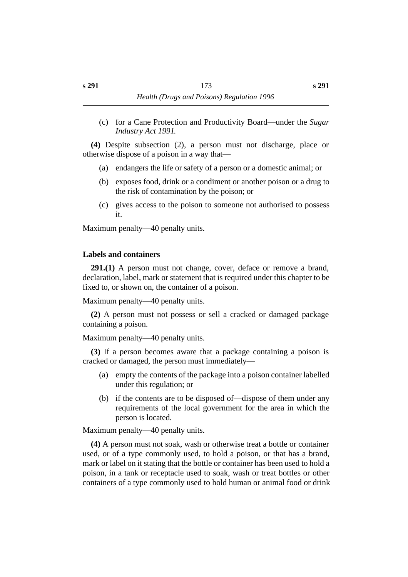(c) for a Cane Protection and Productivity Board—under the *Sugar Industry Act 1991*.

**(4)** Despite subsection (2), a person must not discharge, place or otherwise dispose of a poison in a way that—

- (a) endangers the life or safety of a person or a domestic animal; or
- (b) exposes food, drink or a condiment or another poison or a drug to the risk of contamination by the poison; or
- (c) gives access to the poison to someone not authorised to possess it.

Maximum penalty—40 penalty units.

### **˙Labels and containers**

**291.(1)** A person must not change, cover, deface or remove a brand, declaration, label, mark or statement that is required under this chapter to be fixed to, or shown on, the container of a poison.

Maximum penalty—40 penalty units.

**(2)** A person must not possess or sell a cracked or damaged package containing a poison.

Maximum penalty—40 penalty units.

**(3)** If a person becomes aware that a package containing a poison is cracked or damaged, the person must immediately—

- (a) empty the contents of the package into a poison container labelled under this regulation; or
- (b) if the contents are to be disposed of—dispose of them under any requirements of the local government for the area in which the person is located.

Maximum penalty—40 penalty units.

**(4)** A person must not soak, wash or otherwise treat a bottle or container used, or of a type commonly used, to hold a poison, or that has a brand, mark or label on it stating that the bottle or container has been used to hold a poison, in a tank or receptacle used to soak, wash or treat bottles or other containers of a type commonly used to hold human or animal food or drink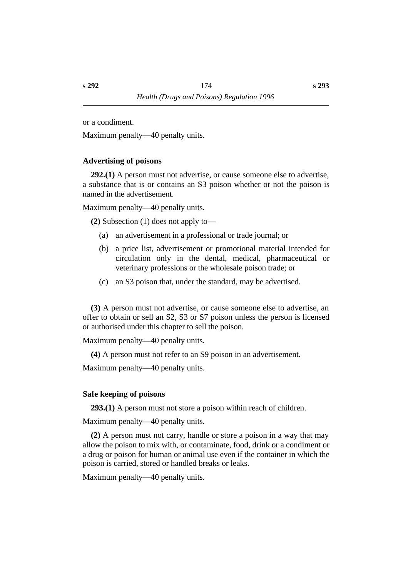or a condiment.

Maximum penalty—40 penalty units.

### **˙Advertising of poisons**

**292.(1)** A person must not advertise, or cause someone else to advertise, a substance that is or contains an S3 poison whether or not the poison is named in the advertisement.

Maximum penalty—40 penalty units.

**(2)** Subsection (1) does not apply to—

- (a) an advertisement in a professional or trade journal; or
- (b) a price list, advertisement or promotional material intended for circulation only in the dental, medical, pharmaceutical or veterinary professions or the wholesale poison trade; or
- (c) an S3 poison that, under the standard, may be advertised.

**(3)** A person must not advertise, or cause someone else to advertise, an offer to obtain or sell an S2, S3 or S7 poison unless the person is licensed or authorised under this chapter to sell the poison.

Maximum penalty—40 penalty units.

**(4)** A person must not refer to an S9 poison in an advertisement.

Maximum penalty—40 penalty units.

### **˙Safe keeping of poisons**

**293.(1)** A person must not store a poison within reach of children.

Maximum penalty—40 penalty units.

**(2)** A person must not carry, handle or store a poison in a way that may allow the poison to mix with, or contaminate, food, drink or a condiment or a drug or poison for human or animal use even if the container in which the poison is carried, stored or handled breaks or leaks.

Maximum penalty—40 penalty units.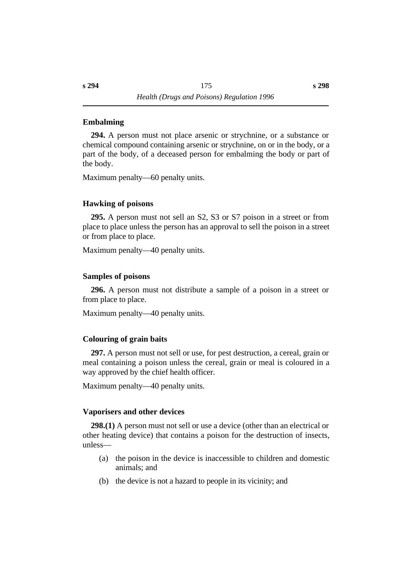### **˙Embalming**

**294.** A person must not place arsenic or strychnine, or a substance or chemical compound containing arsenic or strychnine, on or in the body, or a part of the body, of a deceased person for embalming the body or part of the body.

Maximum penalty—60 penalty units.

### **˙Hawking of poisons**

**295.** A person must not sell an S2, S3 or S7 poison in a street or from place to place unless the person has an approval to sell the poison in a street or from place to place.

Maximum penalty—40 penalty units.

### **˙Samples of poisons**

**296.** A person must not distribute a sample of a poison in a street or from place to place.

Maximum penalty—40 penalty units.

### **˙Colouring of grain baits**

**297.** A person must not sell or use, for pest destruction, a cereal, grain or meal containing a poison unless the cereal, grain or meal is coloured in a way approved by the chief health officer.

Maximum penalty—40 penalty units.

### **˙Vaporisers and other devices**

**298.(1)** A person must not sell or use a device (other than an electrical or other heating device) that contains a poison for the destruction of insects, unless—

- (a) the poison in the device is inaccessible to children and domestic animals; and
- (b) the device is not a hazard to people in its vicinity; and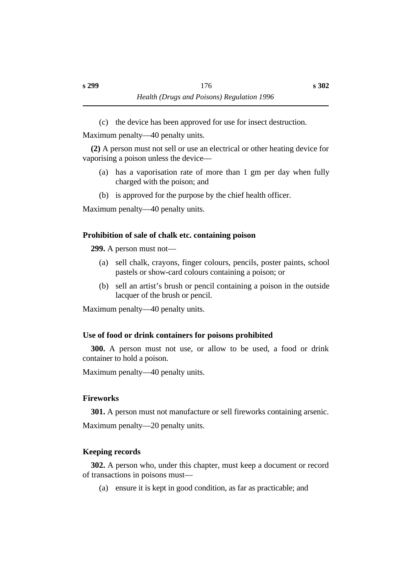(c) the device has been approved for use for insect destruction.

Maximum penalty—40 penalty units.

**(2)** A person must not sell or use an electrical or other heating device for vaporising a poison unless the device—

- (a) has a vaporisation rate of more than 1 gm per day when fully charged with the poison; and
- (b) is approved for the purpose by the chief health officer.

Maximum penalty—40 penalty units.

### **˙Prohibition of sale of chalk etc. containing poison**

**299.** A person must not—

- (a) sell chalk, crayons, finger colours, pencils, poster paints, school pastels or show-card colours containing a poison; or
- (b) sell an artist's brush or pencil containing a poison in the outside lacquer of the brush or pencil.

Maximum penalty—40 penalty units.

### **˙Use of food or drink containers for poisons prohibited**

**300.** A person must not use, or allow to be used, a food or drink container to hold a poison.

Maximum penalty—40 penalty units.

### **˙Fireworks**

**301.** A person must not manufacture or sell fireworks containing arsenic.

Maximum penalty—20 penalty units.

### **˙Keeping records**

**302.** A person who, under this chapter, must keep a document or record of transactions in poisons must—

(a) ensure it is kept in good condition, as far as practicable; and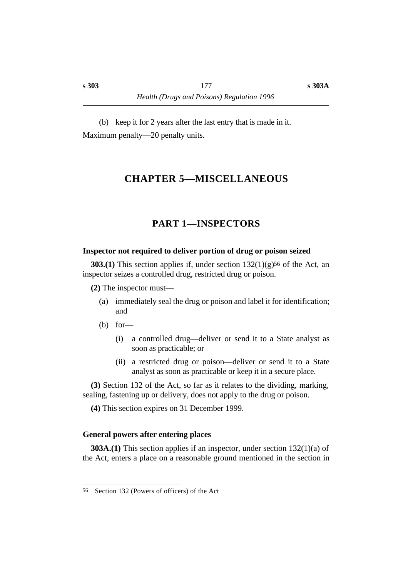(b) keep it for 2 years after the last entry that is made in it. Maximum penalty—20 penalty units.

# **†CHAPTER 5—MISCELLANEOUS**

# **†PART 1—INSPECTORS**

#### **˙Inspector not required to deliver portion of drug or poison seized**

**303.(1)** This section applies if, under section 132(1)(g)<sup>56</sup> of the Act, an inspector seizes a controlled drug, restricted drug or poison.

**(2)** The inspector must—

- (a) immediately seal the drug or poison and label it for identification; and
- $(b)$  for
	- (i) a controlled drug—deliver or send it to a State analyst as soon as practicable; or
	- (ii) a restricted drug or poison—deliver or send it to a State analyst as soon as practicable or keep it in a secure place.

**(3)** Section 132 of the Act, so far as it relates to the dividing, marking, sealing, fastening up or delivery, does not apply to the drug or poison.

**(4)** This section expires on 31 December 1999.

### **˙General powers after entering places**

**303A.(1)** This section applies if an inspector, under section 132(1)(a) of the Act, enters a place on a reasonable ground mentioned in the section in

<sup>56</sup> Section 132 (Powers of officers) of the Act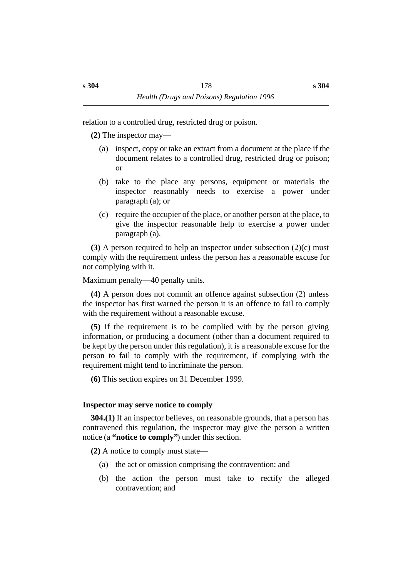relation to a controlled drug, restricted drug or poison.

**(2)** The inspector may—

- (a) inspect, copy or take an extract from a document at the place if the document relates to a controlled drug, restricted drug or poison; or
- (b) take to the place any persons, equipment or materials the inspector reasonably needs to exercise a power under paragraph (a); or
- (c) require the occupier of the place, or another person at the place, to give the inspector reasonable help to exercise a power under paragraph (a).

**(3)** A person required to help an inspector under subsection (2)(c) must comply with the requirement unless the person has a reasonable excuse for not complying with it.

Maximum penalty—40 penalty units.

**(4)** A person does not commit an offence against subsection (2) unless the inspector has first warned the person it is an offence to fail to comply with the requirement without a reasonable excuse.

**(5)** If the requirement is to be complied with by the person giving information, or producing a document (other than a document required to be kept by the person under this regulation), it is a reasonable excuse for the person to fail to comply with the requirement, if complying with the requirement might tend to incriminate the person.

**(6)** This section expires on 31 December 1999.

#### **˙Inspector may serve notice to comply**

**304.(1)** If an inspector believes, on reasonable grounds, that a person has contravened this regulation, the inspector may give the person a written notice (a **"notice to comply"**) under this section.

**(2)** A notice to comply must state—

- (a) the act or omission comprising the contravention; and
- (b) the action the person must take to rectify the alleged contravention; and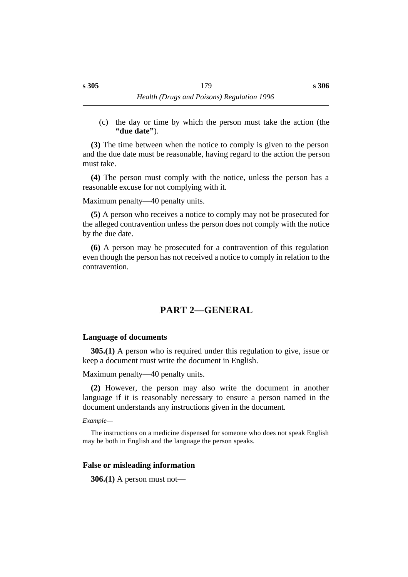(c) the day or time by which the person must take the action (the **"due date"**).

**(3)** The time between when the notice to comply is given to the person and the due date must be reasonable, having regard to the action the person must take.

**(4)** The person must comply with the notice, unless the person has a reasonable excuse for not complying with it.

Maximum penalty—40 penalty units.

**(5)** A person who receives a notice to comply may not be prosecuted for the alleged contravention unless the person does not comply with the notice by the due date.

**(6)** A person may be prosecuted for a contravention of this regulation even though the person has not received a notice to comply in relation to the contravention.

# **†PART 2—GENERAL**

### **˙Language of documents**

**305.(1)** A person who is required under this regulation to give, issue or keep a document must write the document in English.

Maximum penalty—40 penalty units.

**(2)** However, the person may also write the document in another language if it is reasonably necessary to ensure a person named in the document understands any instructions given in the document.

#### *Example—*

The instructions on a medicine dispensed for someone who does not speak English may be both in English and the language the person speaks.

### **˙False or misleading information**

**306.(1)** A person must not—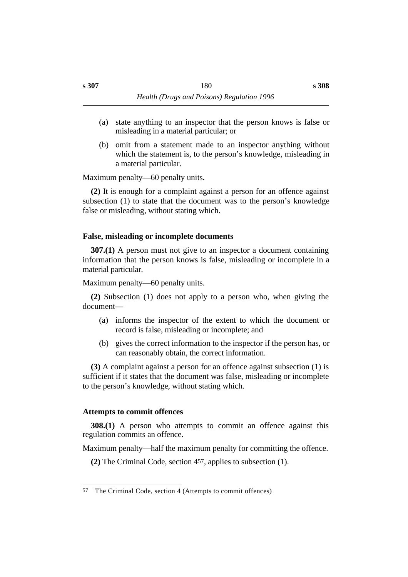- (a) state anything to an inspector that the person knows is false or misleading in a material particular; or
- (b) omit from a statement made to an inspector anything without which the statement is, to the person's knowledge, misleading in a material particular.

Maximum penalty—60 penalty units.

**(2)** It is enough for a complaint against a person for an offence against subsection (1) to state that the document was to the person's knowledge false or misleading, without stating which.

### **˙False, misleading or incomplete documents**

**307.(1)** A person must not give to an inspector a document containing information that the person knows is false, misleading or incomplete in a material particular.

Maximum penalty—60 penalty units.

**(2)** Subsection (1) does not apply to a person who, when giving the document—

- (a) informs the inspector of the extent to which the document or record is false, misleading or incomplete; and
- (b) gives the correct information to the inspector if the person has, or can reasonably obtain, the correct information.

**(3)** A complaint against a person for an offence against subsection (1) is sufficient if it states that the document was false, misleading or incomplete to the person's knowledge, without stating which.

### **˙Attempts to commit offences**

**308.(1)** A person who attempts to commit an offence against this regulation commits an offence.

Maximum penalty—half the maximum penalty for committing the offence.

**(2)** The Criminal Code, section 457, applies to subsection (1).

<sup>57</sup> The Criminal Code, section 4 (Attempts to commit offences)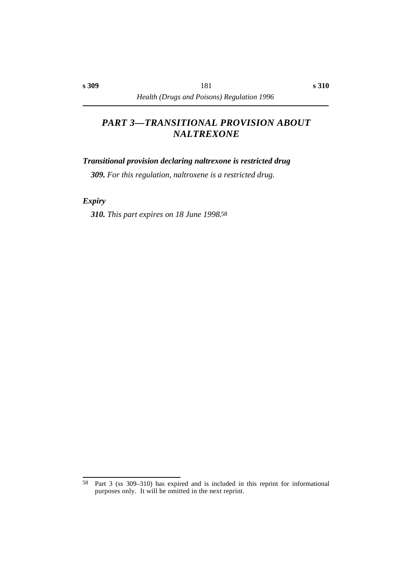# *†PART 3—TRANSITIONAL PROVISION ABOUT NALTREXONE*

### *˙Transitional provision declaring naltrexone is restricted drug*

*309. For this regulation, naltroxene is a restricted drug.*

*˙Expiry*

*310. This part expires on 18 June 1998.*58

<sup>58</sup> Part 3 (ss 309–310) has expired and is included in this reprint for informational purposes only. It will be omitted in the next reprint.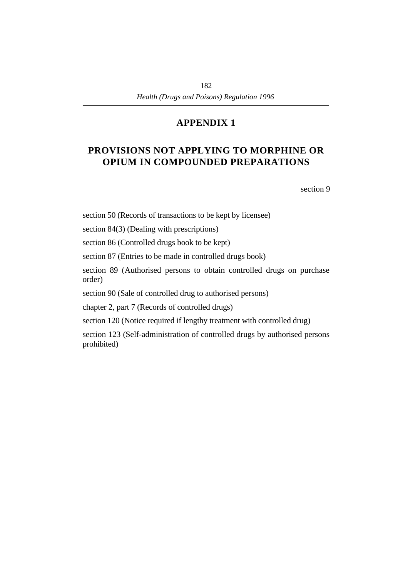# **†PROVISIONS NOT APPLYING TO MORPHINE OR OPIUM IN COMPOUNDED PREPARATIONS**

section 9

section 50 (Records of transactions to be kept by licensee)

section 84(3) (Dealing with prescriptions)

section 86 (Controlled drugs book to be kept)

section 87 (Entries to be made in controlled drugs book)

section 89 (Authorised persons to obtain controlled drugs on purchase order)

section 90 (Sale of controlled drug to authorised persons)

chapter 2, part 7 (Records of controlled drugs)

section 120 (Notice required if lengthy treatment with controlled drug)

section 123 (Self-administration of controlled drugs by authorised persons prohibited)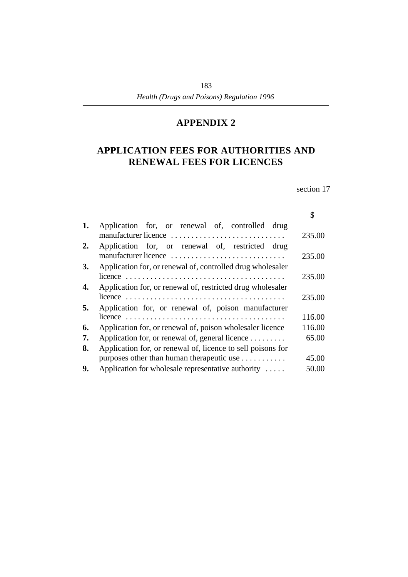# **†APPLICATION FEES FOR AUTHORITIES AND RENEWAL FEES FOR LICENCES**

section 17

|    |                                                                         | \$     |
|----|-------------------------------------------------------------------------|--------|
| 1. | Application for, or renewal of, controlled drug<br>manufacturer licence | 235.00 |
| 2. | Application for, or renewal of, restricted drug<br>manufacturer licence | 235.00 |
| 3. | Application for, or renewal of, controlled drug wholesaler              |        |
|    |                                                                         | 235.00 |
| 4. | Application for, or renewal of, restricted drug wholesaler              |        |
|    |                                                                         | 235.00 |
| 5. | Application for, or renewal of, poison manufacturer                     |        |
|    |                                                                         | 116.00 |
| 6. | Application for, or renewal of, poison wholesaler licence               | 116.00 |
| 7. | Application for, or renewal of, general licence                         | 65.00  |
| 8. | Application for, or renewal of, licence to sell poisons for             |        |
|    | purposes other than human therapeutic use                               | 45.00  |
| 9. | Application for wholesale representative authority $\dots$              | 50.00  |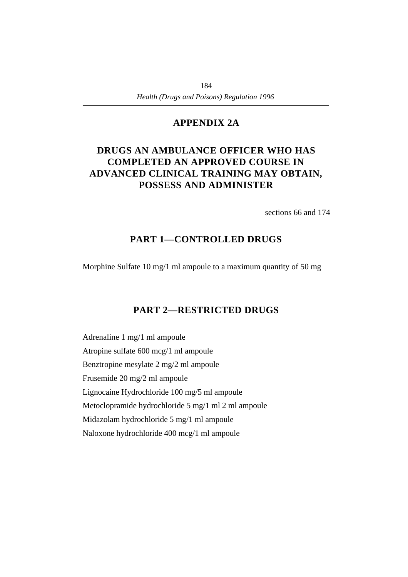### **¡APPENDIX 2A**

# **†DRUGS AN AMBULANCE OFFICER WHO HAS COMPLETED AN APPROVED COURSE IN ADVANCED CLINICAL TRAINING MAY OBTAIN, POSSESS AND ADMINISTER**

sections 66 and 174

### **PART 1—CONTROLLED DRUGS**

Morphine Sulfate 10 mg/1 ml ampoule to a maximum quantity of 50 mg

# **PART 2—RESTRICTED DRUGS**

Adrenaline 1 mg/1 ml ampoule Atropine sulfate 600 mcg/1 ml ampoule Benztropine mesylate 2 mg/2 ml ampoule Frusemide 20 mg/2 ml ampoule Lignocaine Hydrochloride 100 mg/5 ml ampoule Metoclopramide hydrochloride 5 mg/1 ml 2 ml ampoule Midazolam hydrochloride 5 mg/1 ml ampoule Naloxone hydrochloride 400 mcg/1 ml ampoule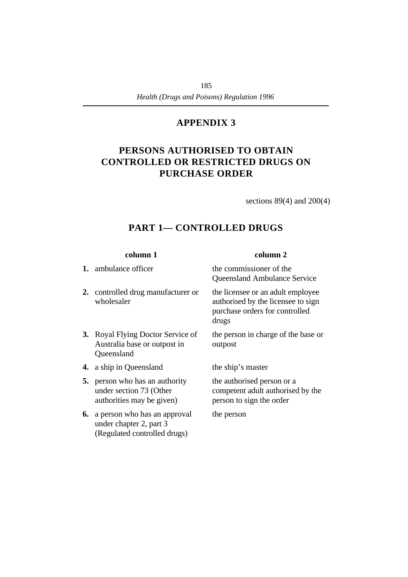# **†PERSONS AUTHORISED TO OBTAIN CONTROLLED OR RESTRICTED DRUGS ON PURCHASE ORDER**

sections 89(4) and 200(4)

# **PART 1— CONTROLLED DRUGS**

**2.** controlled drug manufacturer or wholesaler

- **3.** Royal Flying Doctor Service of Australia base or outpost in Queensland
- **4.** a ship in Queensland the ship's master
- **5.** person who has an authority under section 73 (Other authorities may be given)
- **6.** a person who has an approval under chapter 2, part 3 (Regulated controlled drugs)

### **column 1 column 2**

**1.** ambulance officer the commissioner of the Queensland Ambulance Service

> the licensee or an adult employee authorised by the licensee to sign purchase orders for controlled drugs

the person in charge of the base or outpost

the authorised person or a competent adult authorised by the person to sign the order

the person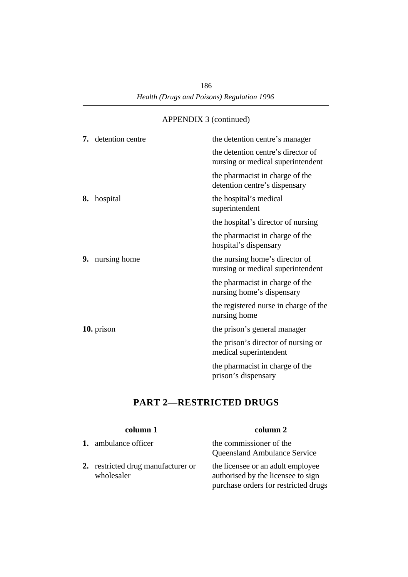|  | 7. detention centre    | the detention centre's manager                                          |
|--|------------------------|-------------------------------------------------------------------------|
|  |                        | the detention centre's director of<br>nursing or medical superintendent |
|  |                        | the pharmacist in charge of the<br>detention centre's dispensary        |
|  | 8. hospital            | the hospital's medical<br>superintendent                                |
|  |                        | the hospital's director of nursing                                      |
|  |                        | the pharmacist in charge of the<br>hospital's dispensary                |
|  | <b>9.</b> nursing home | the nursing home's director of<br>nursing or medical superintendent     |
|  |                        | the pharmacist in charge of the<br>nursing home's dispensary            |
|  |                        | the registered nurse in charge of the<br>nursing home                   |
|  | 10. prison             | the prison's general manager                                            |
|  |                        | the prison's director of nursing or<br>medical superintendent           |
|  |                        | the pharmacist in charge of the<br>prison's dispensary                  |

# **PART 2—RESTRICTED DRUGS**

|                             | column 1                           | column 2                                                                                                        |
|-----------------------------|------------------------------------|-----------------------------------------------------------------------------------------------------------------|
| <b>1.</b> ambulance officer |                                    | the commissioner of the<br><b>Queensland Ambulance Service</b>                                                  |
| wholesaler                  | 2. restricted drug manufacturer or | the licensee or an adult employee<br>authorised by the licensee to sign<br>purchase orders for restricted drugs |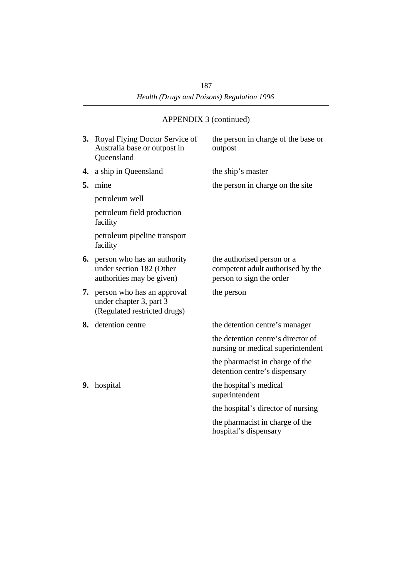| 3. | Royal Flying Doctor Service of<br>Australia base or outpost in<br>Queensland                   | the person in charge of the base or<br>outpost                                              |
|----|------------------------------------------------------------------------------------------------|---------------------------------------------------------------------------------------------|
| 4. | a ship in Queensland                                                                           | the ship's master                                                                           |
| 5. | mine                                                                                           | the person in charge on the site                                                            |
|    | petroleum well                                                                                 |                                                                                             |
|    | petroleum field production<br>facility                                                         |                                                                                             |
|    | petroleum pipeline transport<br>facility                                                       |                                                                                             |
|    | <b>6.</b> person who has an authority<br>under section 182 (Other<br>authorities may be given) | the authorised person or a<br>competent adult authorised by the<br>person to sign the order |
| 7. | person who has an approval<br>under chapter 3, part 3<br>(Regulated restricted drugs)          | the person                                                                                  |
| 8. | detention centre                                                                               | the detention centre's manager                                                              |
|    |                                                                                                | the detention centre's director of<br>nursing or medical superintendent                     |
|    |                                                                                                | the pharmacist in charge of the<br>detention centre's dispensary                            |
| 9. | hospital                                                                                       | the hospital's medical<br>superintendent                                                    |
|    |                                                                                                | the hospital's director of nursing                                                          |
|    |                                                                                                | the pharmacist in charge of the<br>hospital's dispensary                                    |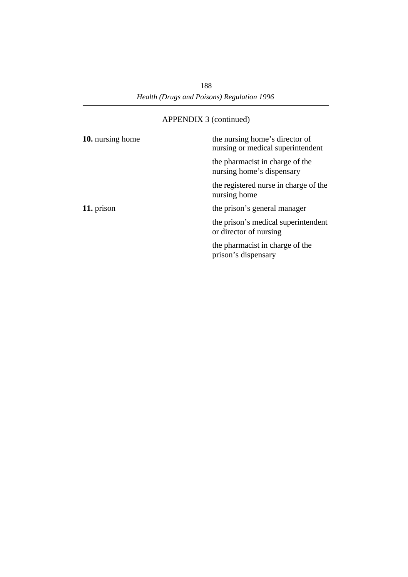| 10. nursing home | the nursing home's director of<br>nursing or medical superintendent |
|------------------|---------------------------------------------------------------------|
|                  | the pharmacist in charge of the<br>nursing home's dispensary        |
|                  | the registered nurse in charge of the<br>nursing home               |
| 11. prison       | the prison's general manager                                        |
|                  | the prison's medical superintendent<br>or director of nursing       |
|                  | the pharmacist in charge of the<br>prison's dispensary              |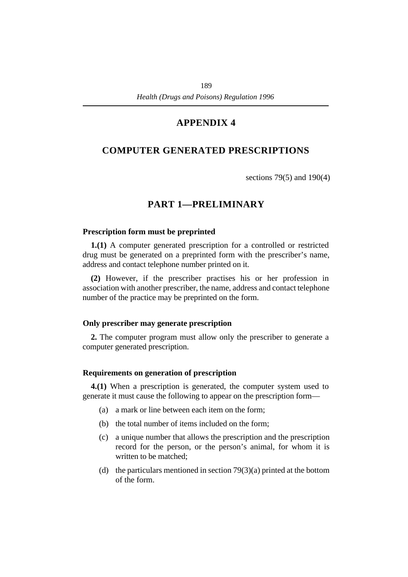# **†COMPUTER GENERATED PRESCRIPTIONS**

sections 79(5) and 190(4)

# **†PART 1—PRELIMINARY**

#### **˙Prescription form must be preprinted**

**1.(1)** A computer generated prescription for a controlled or restricted drug must be generated on a preprinted form with the prescriber's name, address and contact telephone number printed on it.

**(2)** However, if the prescriber practises his or her profession in association with another prescriber, the name, address and contact telephone number of the practice may be preprinted on the form.

#### **˙Only prescriber may generate prescription**

**2.** The computer program must allow only the prescriber to generate a computer generated prescription.

#### **˙Requirements on generation of prescription**

**4.(1)** When a prescription is generated, the computer system used to generate it must cause the following to appear on the prescription form—

- (a) a mark or line between each item on the form;
- (b) the total number of items included on the form;
- (c) a unique number that allows the prescription and the prescription record for the person, or the person's animal, for whom it is written to be matched;
- (d) the particulars mentioned in section  $79(3)(a)$  printed at the bottom of the form.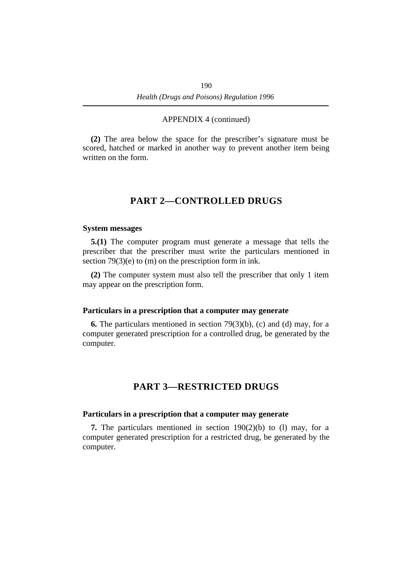**(2)** The area below the space for the prescriber's signature must be scored, hatched or marked in another way to prevent another item being written on the form.

### **†PART 2—CONTROLLED DRUGS**

#### **˙System messages**

**5.(1)** The computer program must generate a message that tells the prescriber that the prescriber must write the particulars mentioned in section 79(3)(e) to (m) on the prescription form in ink.

**(2)** The computer system must also tell the prescriber that only 1 item may appear on the prescription form.

#### **˙Particulars in a prescription that a computer may generate**

**6.** The particulars mentioned in section 79(3)(b), (c) and (d) may, for a computer generated prescription for a controlled drug, be generated by the computer.

### **†PART 3—RESTRICTED DRUGS**

#### **˙Particulars in a prescription that a computer may generate**

**7.** The particulars mentioned in section 190(2)(b) to (l) may, for a computer generated prescription for a restricted drug, be generated by the computer.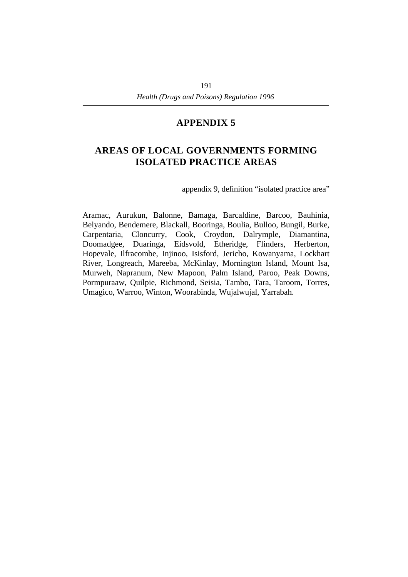# **†AREAS OF LOCAL GOVERNMENTS FORMING ISOLATED PRACTICE AREAS**

appendix 9, definition "isolated practice area"

Aramac, Aurukun, Balonne, Bamaga, Barcaldine, Barcoo, Bauhinia, Belyando, Bendemere, Blackall, Booringa, Boulia, Bulloo, Bungil, Burke, Carpentaria, Cloncurry, Cook, Croydon, Dalrymple, Diamantina, Doomadgee, Duaringa, Eidsvold, Etheridge, Flinders, Herberton, Hopevale, Ilfracombe, Injinoo, Isisford, Jericho, Kowanyama, Lockhart River, Longreach, Mareeba, McKinlay, Mornington Island, Mount Isa, Murweh, Napranum, New Mapoon, Palm Island, Paroo, Peak Downs, Pormpuraaw, Quilpie, Richmond, Seisia, Tambo, Tara, Taroom, Torres, Umagico, Warroo, Winton, Woorabinda, Wujalwujal, Yarrabah.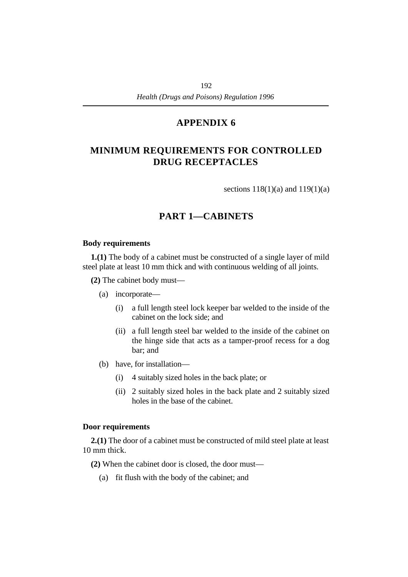# **†MINIMUM REQUIREMENTS FOR CONTROLLED DRUG RECEPTACLES**

sections  $118(1)(a)$  and  $119(1)(a)$ 

# **†PART 1—CABINETS**

### **˙Body requirements**

**1.(1)** The body of a cabinet must be constructed of a single layer of mild steel plate at least 10 mm thick and with continuous welding of all joints.

**(2)** The cabinet body must—

- (a) incorporate—
	- (i) a full length steel lock keeper bar welded to the inside of the cabinet on the lock side; and
	- (ii) a full length steel bar welded to the inside of the cabinet on the hinge side that acts as a tamper-proof recess for a dog bar; and
- (b) have, for installation—
	- (i) 4 suitably sized holes in the back plate; or
	- (ii) 2 suitably sized holes in the back plate and 2 suitably sized holes in the base of the cabinet.

### **˙Door requirements**

**2.(1)** The door of a cabinet must be constructed of mild steel plate at least 10 mm thick.

**(2)** When the cabinet door is closed, the door must—

(a) fit flush with the body of the cabinet; and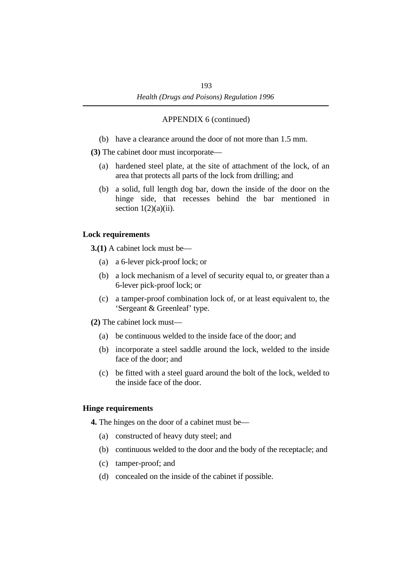(b) have a clearance around the door of not more than 1.5 mm.

**(3)** The cabinet door must incorporate—

- (a) hardened steel plate, at the site of attachment of the lock, of an area that protects all parts of the lock from drilling; and
- (b) a solid, full length dog bar, down the inside of the door on the hinge side, that recesses behind the bar mentioned in section  $1(2)(a)(ii)$ .

### **˙Lock requirements**

**3.(1)** A cabinet lock must be—

- (a) a 6-lever pick-proof lock; or
- (b) a lock mechanism of a level of security equal to, or greater than a 6-lever pick-proof lock; or
- (c) a tamper-proof combination lock of, or at least equivalent to, the 'Sergeant & Greenleaf' type.

**(2)** The cabinet lock must—

- (a) be continuous welded to the inside face of the door; and
- (b) incorporate a steel saddle around the lock, welded to the inside face of the door; and
- (c) be fitted with a steel guard around the bolt of the lock, welded to the inside face of the door.

### **˙Hinge requirements**

**4.** The hinges on the door of a cabinet must be—

- (a) constructed of heavy duty steel; and
- (b) continuous welded to the door and the body of the receptacle; and
- (c) tamper-proof; and
- (d) concealed on the inside of the cabinet if possible.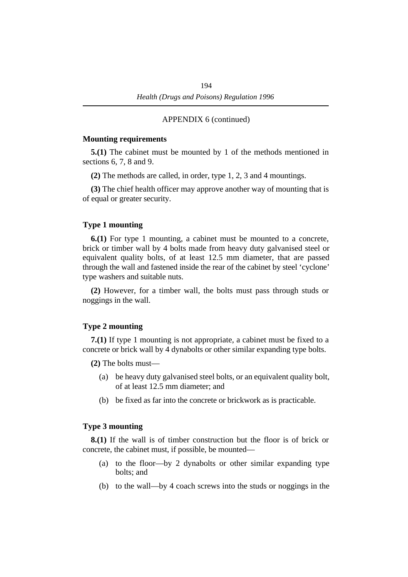#### **˙Mounting requirements**

**5.(1)** The cabinet must be mounted by 1 of the methods mentioned in sections 6, 7, 8 and 9.

**(2)** The methods are called, in order, type 1, 2, 3 and 4 mountings.

**(3)** The chief health officer may approve another way of mounting that is of equal or greater security.

#### **˙Type 1 mounting**

**6.(1)** For type 1 mounting, a cabinet must be mounted to a concrete, brick or timber wall by 4 bolts made from heavy duty galvanised steel or equivalent quality bolts, of at least 12.5 mm diameter, that are passed through the wall and fastened inside the rear of the cabinet by steel 'cyclone' type washers and suitable nuts.

**(2)** However, for a timber wall, the bolts must pass through studs or noggings in the wall.

#### **˙Type 2 mounting**

**7.(1)** If type 1 mounting is not appropriate, a cabinet must be fixed to a concrete or brick wall by 4 dynabolts or other similar expanding type bolts.

**(2)** The bolts must—

- (a) be heavy duty galvanised steel bolts, or an equivalent quality bolt, of at least 12.5 mm diameter; and
- (b) be fixed as far into the concrete or brickwork as is practicable.

#### **˙Type 3 mounting**

**8.(1)** If the wall is of timber construction but the floor is of brick or concrete, the cabinet must, if possible, be mounted—

- (a) to the floor—by 2 dynabolts or other similar expanding type bolts; and
- (b) to the wall—by 4 coach screws into the studs or noggings in the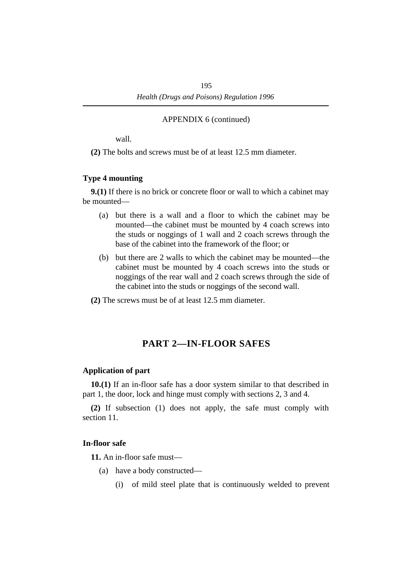wall.

**(2)** The bolts and screws must be of at least 12.5 mm diameter.

### **˙Type 4 mounting**

**9.(1)** If there is no brick or concrete floor or wall to which a cabinet may be mounted—

- (a) but there is a wall and a floor to which the cabinet may be mounted—the cabinet must be mounted by 4 coach screws into the studs or noggings of 1 wall and 2 coach screws through the base of the cabinet into the framework of the floor; or
- (b) but there are 2 walls to which the cabinet may be mounted—the cabinet must be mounted by 4 coach screws into the studs or noggings of the rear wall and 2 coach screws through the side of the cabinet into the studs or noggings of the second wall.
- **(2)** The screws must be of at least 12.5 mm diameter.

# **†PART 2—IN-FLOOR SAFES**

### **˙Application of part**

**10.(1)** If an in-floor safe has a door system similar to that described in part 1, the door, lock and hinge must comply with sections 2, 3 and 4.

**(2)** If subsection (1) does not apply, the safe must comply with section 11.

### **˙In-floor safe**

**11.** An in-floor safe must—

- (a) have a body constructed—
	- (i) of mild steel plate that is continuously welded to prevent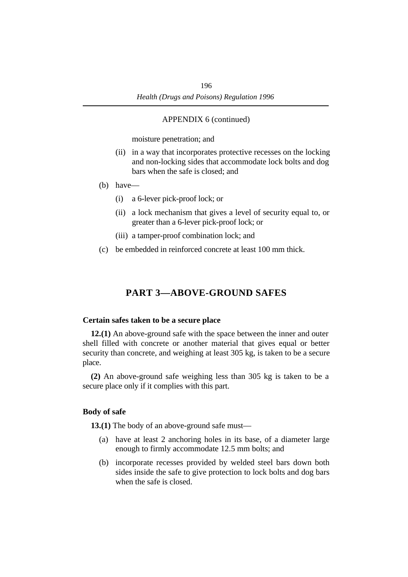moisture penetration; and

- (ii) in a way that incorporates protective recesses on the locking and non-locking sides that accommodate lock bolts and dog bars when the safe is closed; and
- (b) have—
	- (i) a 6-lever pick-proof lock; or
	- (ii) a lock mechanism that gives a level of security equal to, or greater than a 6-lever pick-proof lock; or
	- (iii) a tamper-proof combination lock; and
- (c) be embedded in reinforced concrete at least 100 mm thick.

## **†PART 3—ABOVE-GROUND SAFES**

#### **˙Certain safes taken to be a secure place**

**12.(1)** An above-ground safe with the space between the inner and outer shell filled with concrete or another material that gives equal or better security than concrete, and weighing at least 305 kg, is taken to be a secure place.

**(2)** An above-ground safe weighing less than 305 kg is taken to be a secure place only if it complies with this part.

#### **˙Body of safe**

**13.(1)** The body of an above-ground safe must—

- (a) have at least 2 anchoring holes in its base, of a diameter large enough to firmly accommodate 12.5 mm bolts; and
- (b) incorporate recesses provided by welded steel bars down both sides inside the safe to give protection to lock bolts and dog bars when the safe is closed.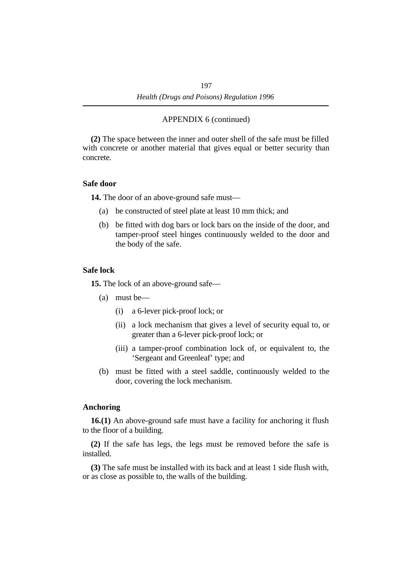**(2)** The space between the inner and outer shell of the safe must be filled with concrete or another material that gives equal or better security than concrete.

#### **˙Safe door**

**14.** The door of an above-ground safe must—

- (a) be constructed of steel plate at least 10 mm thick; and
- (b) be fitted with dog bars or lock bars on the inside of the door, and tamper-proof steel hinges continuously welded to the door and the body of the safe.

### **˙Safe lock**

**15.** The lock of an above-ground safe—

- (a) must be—
	- (i) a 6-lever pick-proof lock; or
	- (ii) a lock mechanism that gives a level of security equal to, or greater than a 6-lever pick-proof lock; or
	- (iii) a tamper-proof combination lock of, or equivalent to, the 'Sergeant and Greenleaf' type; and
- (b) must be fitted with a steel saddle, continuously welded to the door, covering the lock mechanism.

### **˙Anchoring**

**16.(1)** An above-ground safe must have a facility for anchoring it flush to the floor of a building.

**(2)** If the safe has legs, the legs must be removed before the safe is installed.

**(3)** The safe must be installed with its back and at least 1 side flush with, or as close as possible to, the walls of the building.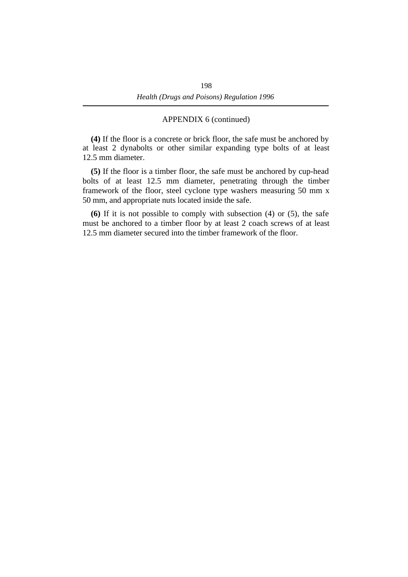**(4)** If the floor is a concrete or brick floor, the safe must be anchored by at least 2 dynabolts or other similar expanding type bolts of at least 12.5 mm diameter.

**(5)** If the floor is a timber floor, the safe must be anchored by cup-head bolts of at least 12.5 mm diameter, penetrating through the timber framework of the floor, steel cyclone type washers measuring 50 mm x 50 mm, and appropriate nuts located inside the safe.

**(6)** If it is not possible to comply with subsection (4) or (5), the safe must be anchored to a timber floor by at least 2 coach screws of at least 12.5 mm diameter secured into the timber framework of the floor.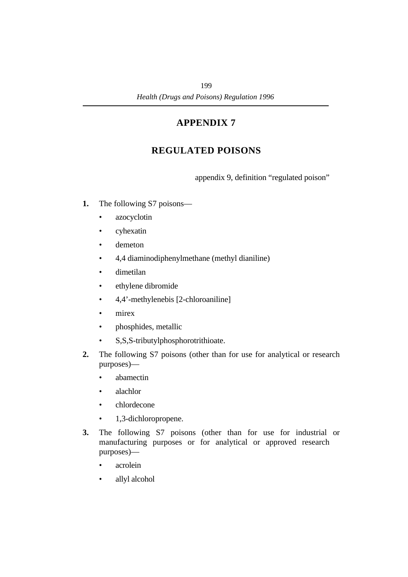# **†REGULATED POISONS**

appendix 9, definition "regulated poison"

- **1.** The following S7 poisons—
	- azocyclotin
	- cyhexatin
	- demeton
	- 4,4 diaminodiphenylmethane (methyl dianiline)
	- dimetilan
	- ethylene dibromide
	- 4,4'-methylenebis [2-chloroaniline]
	- mirex
	- phosphides, metallic
	- S,S,S-tributylphosphorotrithioate.
- **2.** The following S7 poisons (other than for use for analytical or research purposes)—
	- abamectin
	- alachlor
	- chlordecone
	- 1,3-dichloropropene.
- **3.** The following S7 poisons (other than for use for industrial or manufacturing purposes or for analytical or approved research purposes)—
	- acrolein
	- allyl alcohol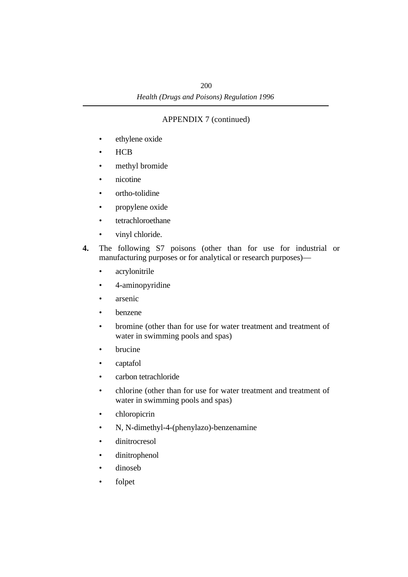- ethylene oxide
- HCB
- methyl bromide
- nicotine
- ortho-tolidine
- propylene oxide
- tetrachloroethane
- vinyl chloride.
- **4.** The following S7 poisons (other than for use for industrial or manufacturing purposes or for analytical or research purposes)—
	- acrylonitrile
	- 4-aminopyridine
	- arsenic
	- benzene
	- bromine (other than for use for water treatment and treatment of water in swimming pools and spas)
	- brucine
	- captafol
	- carbon tetrachloride
	- chlorine (other than for use for water treatment and treatment of water in swimming pools and spas)
	- chloropicrin
	- N, N-dimethyl-4-(phenylazo)-benzenamine
	- dinitrocresol
	- dinitrophenol
	- dinoseb
	- folpet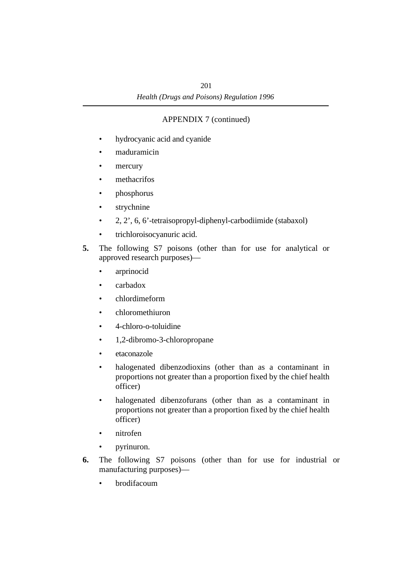- hydrocyanic acid and cyanide
- maduramicin
- mercury
- methacrifos
- phosphorus
- strychnine
- 2, 2', 6, 6'-tetraisopropyl-diphenyl-carbodiimide (stabaxol)
- trichloroisocyanuric acid.
- **5.** The following S7 poisons (other than for use for analytical or approved research purposes)—
	- arprinocid
	- carbadox
	- chlordimeform
	- chloromethiuron
	- 4-chloro-o-toluidine
	- 1,2-dibromo-3-chloropropane
	- etaconazole
	- halogenated dibenzodioxins (other than as a contaminant in proportions not greater than a proportion fixed by the chief health officer)
	- halogenated dibenzofurans (other than as a contaminant in proportions not greater than a proportion fixed by the chief health officer)
	- nitrofen
	- pyrinuron.
- **6.** The following S7 poisons (other than for use for industrial or manufacturing purposes)—
	- brodifacoum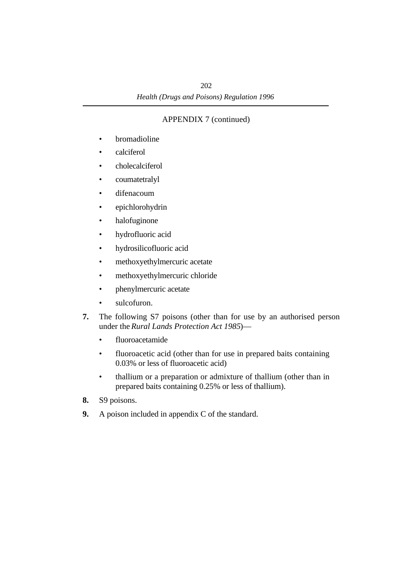- bromadioline
- calciferol
- cholecalciferol
- coumatetralyl
- difenacoum
- epichlorohydrin
- halofuginone
- hydrofluoric acid
- hydrosilicofluoric acid
- methoxyethylmercuric acetate
- methoxyethylmercuric chloride
- phenylmercuric acetate
- sulcofuron.
- **7.** The following S7 poisons (other than for use by an authorised person under the *Rural Lands Protection Act 1985*)—
	- fluoroacetamide
	- fluoroacetic acid (other than for use in prepared baits containing 0.03% or less of fluoroacetic acid)
	- thallium or a preparation or admixture of thallium (other than in prepared baits containing 0.25% or less of thallium).
- **8.** S9 poisons.
- **9.** A poison included in appendix C of the standard.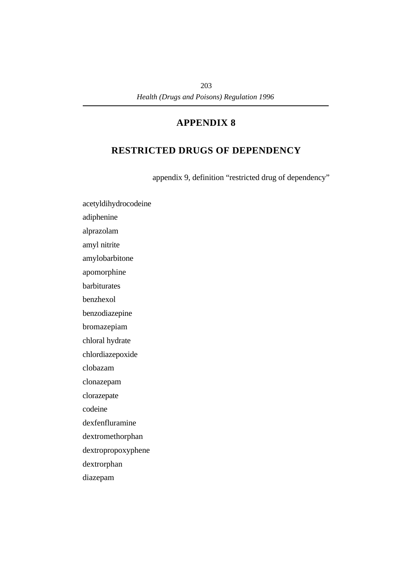# **†RESTRICTED DRUGS OF DEPENDENCY**

appendix 9, definition "restricted drug of dependency"

acetyldihydrocodeine

adiphenine

alprazolam

amyl nitrite

amylobarbitone

apomorphine

barbiturates

benzhexol

benzodiazepine

bromazepiam

chloral hydrate

chlordiazepoxide

clobazam

clonazepam

clorazepate

codeine

dexfenfluramine

dextromethorphan

dextropropoxyphene

dextrorphan

diazepam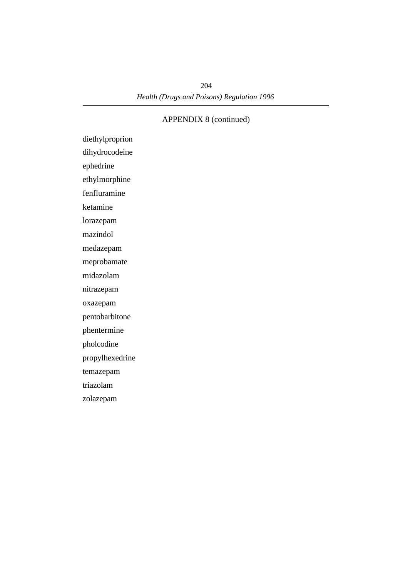diethylproprion dihydrocodeine

ephedrine

ethylmorphine

fenfluramine

ketamine

lorazepam

mazindol

medazepam

meprobamate

midazolam

nitrazepam

oxazepam

pentobarbitone

phentermine

pholcodine

propylhexedrine

temazepam

triazolam

zolazepam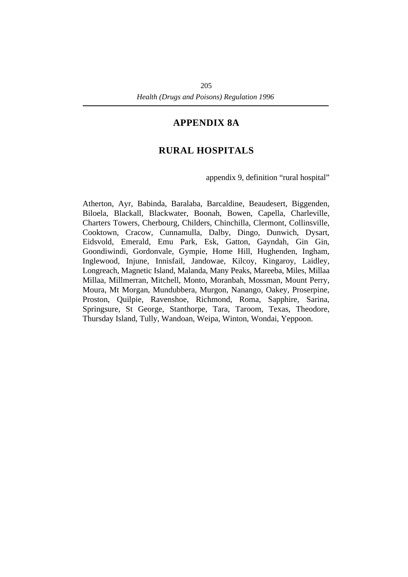## **¡APPENDIX 8A**

# **†RURAL HOSPITALS**

appendix 9, definition "rural hospital"

Atherton, Ayr, Babinda, Baralaba, Barcaldine, Beaudesert, Biggenden, Biloela, Blackall, Blackwater, Boonah, Bowen, Capella, Charleville, Charters Towers, Cherbourg, Childers, Chinchilla, Clermont, Collinsville, Cooktown, Cracow, Cunnamulla, Dalby, Dingo, Dunwich, Dysart, Eidsvold, Emerald, Emu Park, Esk, Gatton, Gayndah, Gin Gin, Goondiwindi, Gordonvale, Gympie, Home Hill, Hughenden, Ingham, Inglewood, Injune, Innisfail, Jandowae, Kilcoy, Kingaroy, Laidley, Longreach, Magnetic Island, Malanda, Many Peaks, Mareeba, Miles, Millaa Millaa, Millmerran, Mitchell, Monto, Moranbah, Mossman, Mount Perry, Moura, Mt Morgan, Mundubbera, Murgon, Nanango, Oakey, Proserpine, Proston, Quilpie, Ravenshoe, Richmond, Roma, Sapphire, Sarina, Springsure, St George, Stanthorpe, Tara, Taroom, Texas, Theodore, Thursday Island, Tully, Wandoan, Weipa, Winton, Wondai, Yeppoon.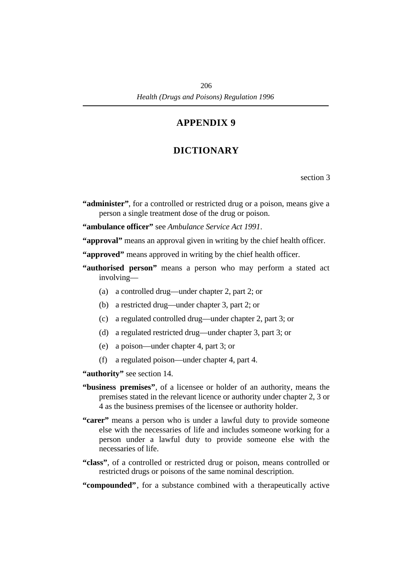# **†DICTIONARY**

section 3

**"administer"**, for a controlled or restricted drug or a poison, means give a person a single treatment dose of the drug or poison.

**"ambulance officer"** see *Ambulance Service Act 1991*.

**"approval"** means an approval given in writing by the chief health officer.

**"approved"** means approved in writing by the chief health officer.

**"authorised person"** means a person who may perform a stated act involving—

- (a) a controlled drug—under chapter 2, part 2; or
- (b) a restricted drug—under chapter 3, part 2; or
- (c) a regulated controlled drug—under chapter 2, part 3; or
- (d) a regulated restricted drug—under chapter 3, part 3; or
- (e) a poison—under chapter 4, part 3; or
- (f) a regulated poison—under chapter 4, part 4.

**"authority"** see section 14.

- **"business premises"**, of a licensee or holder of an authority, means the premises stated in the relevant licence or authority under chapter 2, 3 or 4 as the business premises of the licensee or authority holder.
- **"carer"** means a person who is under a lawful duty to provide someone else with the necessaries of life and includes someone working for a person under a lawful duty to provide someone else with the necessaries of life.
- **"class"**, of a controlled or restricted drug or poison, means controlled or restricted drugs or poisons of the same nominal description.

**"compounded"**, for a substance combined with a therapeutically active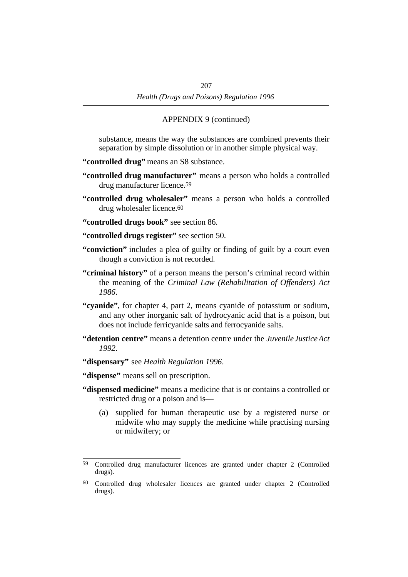substance, means the way the substances are combined prevents their separation by simple dissolution or in another simple physical way.

- **"controlled drug"** means an S8 substance.
- **"controlled drug manufacturer"** means a person who holds a controlled drug manufacturer licence.59
- **"controlled drug wholesaler"** means a person who holds a controlled drug wholesaler licence.60
- **"controlled drugs book"** see section 86.
- **"controlled drugs register"** see section 50.
- **"conviction"** includes a plea of guilty or finding of guilt by a court even though a conviction is not recorded.
- **"criminal history"** of a person means the person's criminal record within the meaning of the *Criminal Law (Rehabilitation of Offenders) Act 1986*.
- **"cyanide"**, for chapter 4, part 2, means cyanide of potassium or sodium, and any other inorganic salt of hydrocyanic acid that is a poison, but does not include ferricyanide salts and ferrocyanide salts.
- **"detention centre"** means a detention centre under the *Juvenile Justice Act 1992*.
- **"dispensary"** see *Health Regulation 1996*.
- **"dispense"** means sell on prescription.
- **"dispensed medicine"** means a medicine that is or contains a controlled or restricted drug or a poison and is—
	- (a) supplied for human therapeutic use by a registered nurse or midwife who may supply the medicine while practising nursing or midwifery; or

<sup>59</sup> Controlled drug manufacturer licences are granted under chapter 2 (Controlled drugs).

<sup>60</sup> Controlled drug wholesaler licences are granted under chapter 2 (Controlled drugs).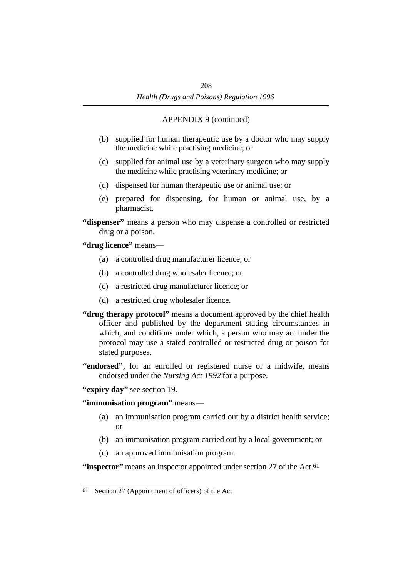- (b) supplied for human therapeutic use by a doctor who may supply the medicine while practising medicine; or
- (c) supplied for animal use by a veterinary surgeon who may supply the medicine while practising veterinary medicine; or
- (d) dispensed for human therapeutic use or animal use; or
- (e) prepared for dispensing, for human or animal use, by a pharmacist.
- **"dispenser"** means a person who may dispense a controlled or restricted drug or a poison.

**"drug licence"** means—

- (a) a controlled drug manufacturer licence; or
- (b) a controlled drug wholesaler licence; or
- (c) a restricted drug manufacturer licence; or
- (d) a restricted drug wholesaler licence.
- **"drug therapy protocol"** means a document approved by the chief health officer and published by the department stating circumstances in which, and conditions under which, a person who may act under the protocol may use a stated controlled or restricted drug or poison for stated purposes.
- **"endorsed"**, for an enrolled or registered nurse or a midwife, means endorsed under the *Nursing Act 1992* for a purpose.
- **"expiry day"** see section 19.

**"immunisation program"** means—

- (a) an immunisation program carried out by a district health service; or
- (b) an immunisation program carried out by a local government; or
- (c) an approved immunisation program.

**"inspector"** means an inspector appointed under section 27 of the Act.<sup>61</sup>

<sup>61</sup> Section 27 (Appointment of officers) of the Act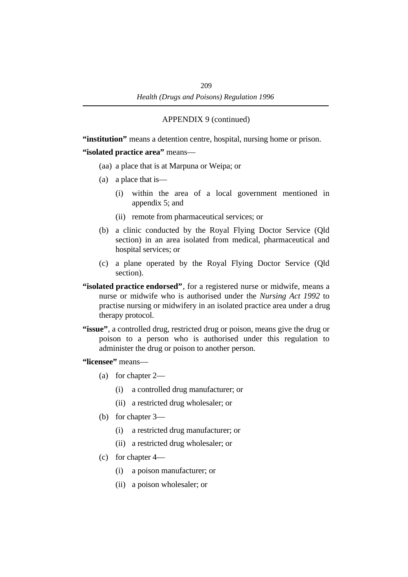**"institution"** means a detention centre, hospital, nursing home or prison.

**"isolated practice area"** means—

- (aa) a place that is at Marpuna or Weipa; or
- (a) a place that is—
	- (i) within the area of a local government mentioned in appendix 5; and
	- (ii) remote from pharmaceutical services; or
- (b) a clinic conducted by the Royal Flying Doctor Service (Qld section) in an area isolated from medical, pharmaceutical and hospital services; or
- (c) a plane operated by the Royal Flying Doctor Service (Qld section).
- **"isolated practice endorsed"**, for a registered nurse or midwife, means a nurse or midwife who is authorised under the *Nursing Act 1992* to practise nursing or midwifery in an isolated practice area under a drug therapy protocol.
- **"issue"**, a controlled drug, restricted drug or poison, means give the drug or poison to a person who is authorised under this regulation to administer the drug or poison to another person.

**"licensee"** means—

- (a) for chapter 2—
	- (i) a controlled drug manufacturer; or
	- (ii) a restricted drug wholesaler; or
- (b) for chapter 3—
	- (i) a restricted drug manufacturer; or
	- (ii) a restricted drug wholesaler; or
- (c) for chapter 4—
	- (i) a poison manufacturer; or
	- (ii) a poison wholesaler; or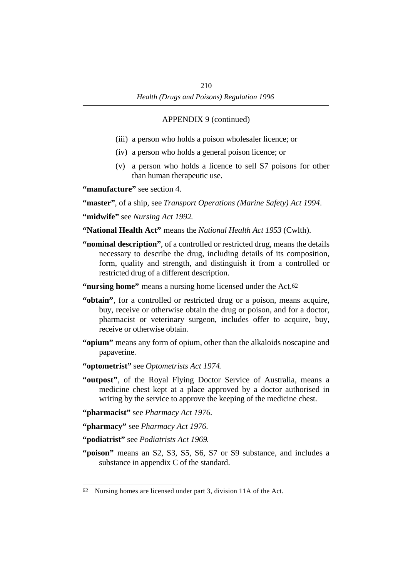- (iii) a person who holds a poison wholesaler licence; or
- (iv) a person who holds a general poison licence; or
- (v) a person who holds a licence to sell S7 poisons for other than human therapeutic use.

**"manufacture"** see section 4.

**"master"**, of a ship, see *Transport Operations (Marine Safety) Act 1994*.

**"midwife"** see *Nursing Act 1992*.

**"National Health Act"** means the *National Health Act 1953* (Cwlth).

**"nominal description"**, of a controlled or restricted drug, means the details necessary to describe the drug, including details of its composition, form, quality and strength, and distinguish it from a controlled or restricted drug of a different description.

**"nursing home"** means a nursing home licensed under the Act.62

- **"obtain"**, for a controlled or restricted drug or a poison, means acquire, buy, receive or otherwise obtain the drug or poison, and for a doctor, pharmacist or veterinary surgeon, includes offer to acquire, buy, receive or otherwise obtain.
- **"opium"** means any form of opium, other than the alkaloids noscapine and papaverine.
- **"optometrist"** see *Optometrists Act 1974*.
- **"outpost"**, of the Royal Flying Doctor Service of Australia, means a medicine chest kept at a place approved by a doctor authorised in writing by the service to approve the keeping of the medicine chest.

**"pharmacist"** see *Pharmacy Act 1976*.

**"pharmacy"** see *Pharmacy Act 1976*.

**"podiatrist"** see *Podiatrists Act 1969*.

**"poison"** means an S2, S3, S5, S6, S7 or S9 substance, and includes a substance in appendix C of the standard.

<sup>62</sup> Nursing homes are licensed under part 3, division 11A of the Act.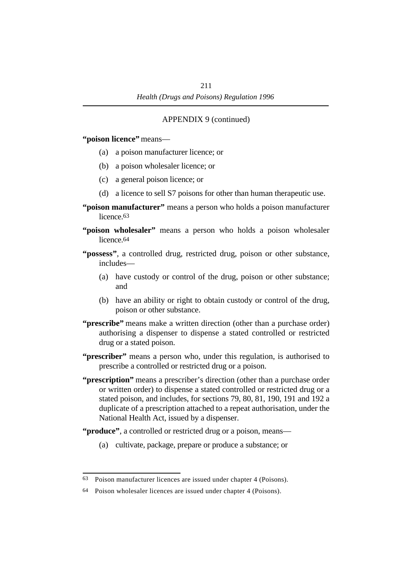**"poison licence"** means—

- (a) a poison manufacturer licence; or
- (b) a poison wholesaler licence; or
- (c) a general poison licence; or
- (d) a licence to sell S7 poisons for other than human therapeutic use.
- **"poison manufacturer"** means a person who holds a poison manufacturer licence.<sup>63</sup>
- **"poison wholesaler"** means a person who holds a poison wholesaler licence.64
- **"possess"**, a controlled drug, restricted drug, poison or other substance, includes—
	- (a) have custody or control of the drug, poison or other substance; and
	- (b) have an ability or right to obtain custody or control of the drug, poison or other substance.
- **"prescribe"** means make a written direction (other than a purchase order) authorising a dispenser to dispense a stated controlled or restricted drug or a stated poison.
- **"prescriber"** means a person who, under this regulation, is authorised to prescribe a controlled or restricted drug or a poison.
- **"prescription"** means a prescriber's direction (other than a purchase order or written order) to dispense a stated controlled or restricted drug or a stated poison, and includes, for sections 79, 80, 81, 190, 191 and 192 a duplicate of a prescription attached to a repeat authorisation, under the National Health Act, issued by a dispenser.
- **"produce"**, a controlled or restricted drug or a poison, means—
	- (a) cultivate, package, prepare or produce a substance; or

<sup>63</sup> Poison manufacturer licences are issued under chapter 4 (Poisons).

<sup>64</sup> Poison wholesaler licences are issued under chapter 4 (Poisons).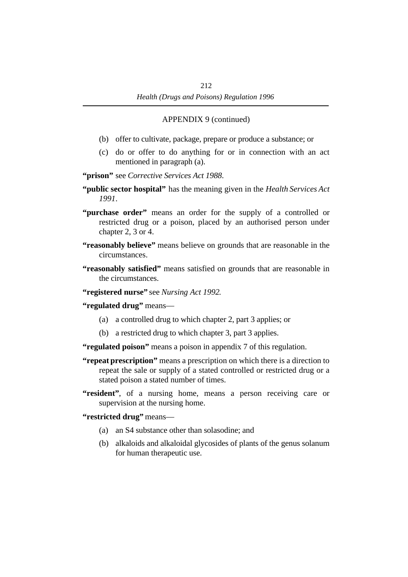- (b) offer to cultivate, package, prepare or produce a substance; or
- (c) do or offer to do anything for or in connection with an act mentioned in paragraph (a).

**"prison"** see *Corrective Services Act 1988*.

- **"public sector hospital"** has the meaning given in the *Health Services Act 1991*.
- **"purchase order"** means an order for the supply of a controlled or restricted drug or a poison, placed by an authorised person under chapter 2, 3 or 4.
- **"reasonably believe"** means believe on grounds that are reasonable in the circumstances.
- **"reasonably satisfied"** means satisfied on grounds that are reasonable in the circumstances.
- **"registered nurse"** see *Nursing Act 1992*.

**"regulated drug"** means—

- (a) a controlled drug to which chapter 2, part 3 applies; or
- (b) a restricted drug to which chapter 3, part 3 applies.

**"regulated poison"** means a poison in appendix 7 of this regulation.

- **"repeat prescription"** means a prescription on which there is a direction to repeat the sale or supply of a stated controlled or restricted drug or a stated poison a stated number of times.
- **"resident"**, of a nursing home, means a person receiving care or supervision at the nursing home.

**"restricted drug"** means—

- (a) an S4 substance other than solasodine; and
- (b) alkaloids and alkaloidal glycosides of plants of the genus solanum for human therapeutic use.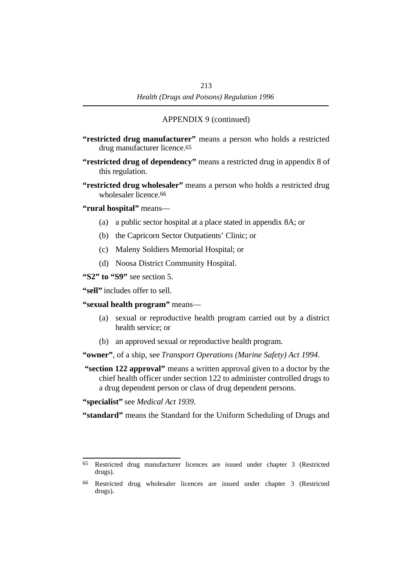- **"restricted drug manufacturer"** means a person who holds a restricted drug manufacturer licence.65
- **"restricted drug of dependency"** means a restricted drug in appendix 8 of this regulation.
- **"restricted drug wholesaler"** means a person who holds a restricted drug wholesaler licence.66
- **"rural hospital"** means—
	- (a) a public sector hospital at a place stated in appendix 8A; or
	- (b) the Capricorn Sector Outpatients' Clinic; or
	- (c) Maleny Soldiers Memorial Hospital; or
	- (d) Noosa District Community Hospital.

**"S2" to "S9"** see section 5.

**"sell"** includes offer to sell.

**"sexual health program"** means—

- (a) sexual or reproductive health program carried out by a district health service; or
- (b) an approved sexual or reproductive health program.

**"owner"**, of a ship, see *Transport Operations (Marine Safety) Act 1994*.

 **"section 122 approval"** means a written approval given to a doctor by the chief health officer under section 122 to administer controlled drugs to a drug dependent person or class of drug dependent persons.

**"specialist"** see *Medical Act 1939*.

**"standard"** means the Standard for the Uniform Scheduling of Drugs and

<sup>65</sup> Restricted drug manufacturer licences are issued under chapter 3 (Restricted drugs).

<sup>66</sup> Restricted drug wholesaler licences are issued under chapter 3 (Restricted drugs).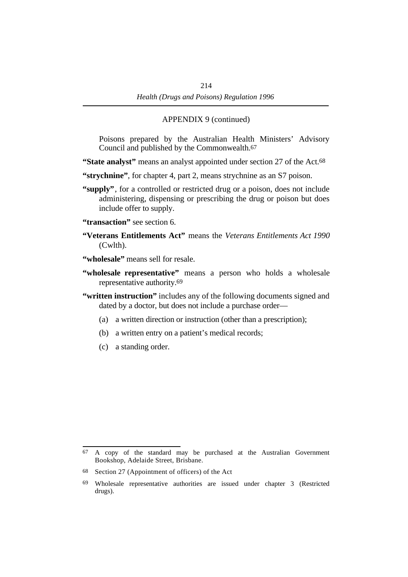Poisons prepared by the Australian Health Ministers' Advisory Council and published by the Commonwealth.67

**"State analyst"** means an analyst appointed under section 27 of the Act.<sup>68</sup>

**"strychnine"**, for chapter 4, part 2, means strychnine as an S7 poison.

- **"supply"**, for a controlled or restricted drug or a poison, does not include administering, dispensing or prescribing the drug or poison but does include offer to supply.
- **"transaction"** see section 6.
- **"Veterans Entitlements Act"** means the *Veterans Entitlements Act 1990* (Cwlth).
- **"wholesale"** means sell for resale.
- **"wholesale representative"** means a person who holds a wholesale representative authority.69
- **"written instruction"** includes any of the following documents signed and dated by a doctor, but does not include a purchase order—
	- (a) a written direction or instruction (other than a prescription);
	- (b) a written entry on a patient's medical records;
	- (c) a standing order.

<sup>67</sup> A copy of the standard may be purchased at the Australian Government Bookshop, Adelaide Street, Brisbane.

<sup>68</sup> Section 27 (Appointment of officers) of the Act

<sup>69</sup> Wholesale representative authorities are issued under chapter 3 (Restricted drugs).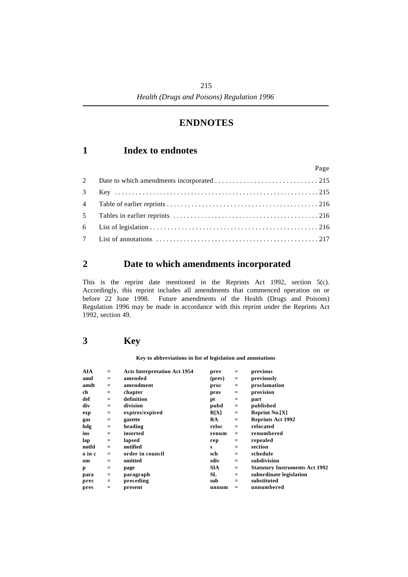## **†ENDNOTES**

## **´1 Index to endnotes**

|  | Page |
|--|------|
|  |      |
|  |      |
|  |      |
|  |      |
|  |      |
|  |      |

## **´2 Date to which amendments incorporated**

This is the reprint date mentioned in the Reprints Act 1992, section 5(c). Accordingly, this reprint includes all amendments that commenced operation on or before 22 June 1998. Future amendments of the Health (Drugs and Poisons) Regulation 1996 may be made in accordance with this reprint under the Reprints Act 1992, section 49.

## **´3 Key**

### **Key to abbreviations in list of legislation and annotations**

| AIA    | $=$               | <b>Acts Interpretation Act 1954</b> | prev       | $=$ | previous                              |
|--------|-------------------|-------------------------------------|------------|-----|---------------------------------------|
| amd    | $=$               | amended                             | (prev)     | $=$ | previously                            |
| amdt   | $=$               | amendment                           | proc       | $=$ | proclamation                          |
| ch     | $=$               | chapter                             | prov       | $=$ | provision                             |
| def    | $=$               | definition                          | pt         | $=$ | part                                  |
| div    | $=$               | division                            | pubd       | $=$ | published                             |
| exp    | $=$               | expires/expired                     | R[X]       | $=$ | <b>Reprint No.[X]</b>                 |
| gaz    | $\qquad \qquad =$ | gazette                             | <b>RA</b>  | $=$ | <b>Reprints Act 1992</b>              |
| hdg    | $\equiv$          | heading                             | reloc      | $=$ | relocated                             |
| ins    | $=$               | inserted                            | renum      | $=$ | renumbered                            |
| lap    | $=$               | lapsed                              | rep        | $=$ | repealed                              |
| notfd  | $=$               | notified                            | S          | $=$ | section                               |
| o in c | $=$               | order in council                    | sch        | $=$ | schedule                              |
| om     | $=$               | omitted                             | sdiv       | $=$ | subdivision                           |
| p      | $=$               | page                                | <b>SIA</b> | $=$ | <b>Statutory Instruments Act 1992</b> |
| para   | $\qquad \qquad =$ | paragraph                           | SL         | $=$ | subordinate legislation               |
| prec   | $=$               | preceding                           | sub        | $=$ | substituted                           |
| pres   | $=$               | present                             | unnum      |     | unnumbered                            |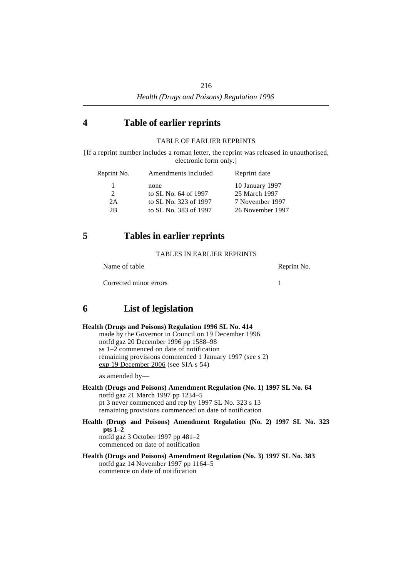## **´4 Table of earlier reprints**

## TABLE OF EARLIER REPRINTS

[If a reprint number includes a roman letter, the reprint was released in unauthorised, electronic form only.]

| Reprint No.   | Amendments included   | Reprint date     |
|---------------|-----------------------|------------------|
|               | none                  | 10 January 1997  |
| $\mathcal{L}$ | to SL No. 64 of 1997  | 25 March 1997    |
| 2A            | to SL No. 323 of 1997 | 7 November 1997  |
| 2B            | to SL No. 383 of 1997 | 26 November 1997 |

## **´5 Tables in earlier reprints**

### TABLES IN EARLIER REPRINTS

Name of table Reprint No.

Corrected minor errors 1

## **´6 List of legislation**

| Health (Drugs and Poisons) Regulation 1996 SL No. 414                                                                                                                                                                         |
|-------------------------------------------------------------------------------------------------------------------------------------------------------------------------------------------------------------------------------|
| made by the Governor in Council on 19 December 1996                                                                                                                                                                           |
| notfd gaz $20$ December 1996 pp 1588–98                                                                                                                                                                                       |
| ss 1–2 commenced on date of notification                                                                                                                                                                                      |
| remaining provisions commenced 1 January 1997 (see s 2)                                                                                                                                                                       |
| exp 19 December 2006 (see SIA s 54)                                                                                                                                                                                           |
| as amended by—                                                                                                                                                                                                                |
| Health (Drugs and Poisons) Amendment Regulation (No. 1) 1997 SL No. 64<br>notfd gaz 21 March 1997 pp 1234–5<br>pt 3 never commenced and rep by 1997 SL No. 323 s 13<br>remaining provisions commenced on date of notification |
| Health (Drugs and Poisons) Amendment Regulation (No. 2) 1997 SL No. 323<br>$pts 1-2$                                                                                                                                          |

notfd gaz 3 October 1997 pp 481–2 commenced on date of notification

### **Health (Drugs and Poisons) Amendment Regulation (No. 3) 1997 SL No. 383** notfd gaz 14 November 1997 pp 1164–5 commence on date of notification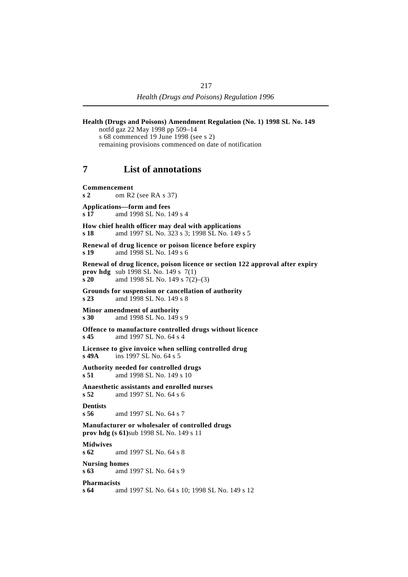**Health (Drugs and Poisons) Amendment Regulation (No. 1) 1998 SL No. 149** notfd gaz 22 May 1998 pp 509–14 s 68 commenced 19 June 1998 (see s 2) remaining provisions commenced on date of notification **´7 List of annotations Commencement s 2** om R2 (see RA s 37) **Applications—form and fees s 17** amd 1998 SL No. 149 s 4 **How chief health officer may deal with applications s 18** amd 1997 SL No. 323 s 3; 1998 SL No. 149 s 5 **Renewal of drug licence or poison licence before expiry**<br>s 19 and 1998 SL No. 149 s 6 **s 19** amd 1998 SL No. 149 s 6 **Renewal of drug licence, poison licence or section 122 approval after expiry prov hdg** sub 1998 SL No. 149 s 7(1) **s 20** amd 1998 SL No. 149 s 7(2)–(3) **Grounds for suspension or cancellation of authority s 23** amd 1998 SL No. 149 s 8 **Minor amendment of authority**<br>s 30 amd 1998 SL No. 149 **s 30** amd 1998 SL No. 149 s 9 **Offence to manufacture controlled drugs without licence s 45** amd 1997 SL No. 64 s 4 **Licensee to give invoice when selling controlled drug s 49A** ins 1997 SL No. 64 s 5 **Authority needed for controlled drugs s 51** amd 1998 SL No. 149 s 10 **Anaesthetic assistants and enrolled nurses s 52** amd 1997 SL No. 64 s 6 **Dentists s 56** amd 1997 SL No. 64 s 7 **Manufacturer or wholesaler of controlled drugs prov hdg (s 61)**sub 1998 SL No. 149 s 11 **Midwives s 62** amd 1997 SL No. 64 s 8 **Nursing homes s 63** amd 1997 SL No. 64 s 9 **Pharmacists s 64** amd 1997 SL No. 64 s 10; 1998 SL No. 149 s 12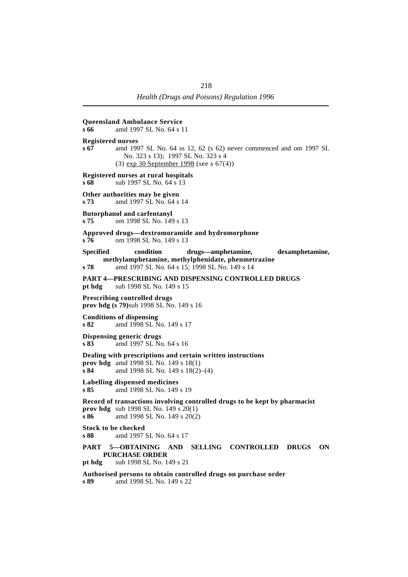| s 66                                                                                                                                             | <b>Queensland Ambulance Service</b><br>amd 1997 SL No. 64 s 11                                                                                             |
|--------------------------------------------------------------------------------------------------------------------------------------------------|------------------------------------------------------------------------------------------------------------------------------------------------------------|
| <b>Registered nurses</b><br>s 67                                                                                                                 | amd 1997 SL No. 64 ss 12, 62 (s 62) never commenced and om 1997 SL<br>No. 323 s 13); 1997 SL No. 323 s 4<br>$(3)$ exp 30 September 1998 (see s 67(4))      |
| s 68                                                                                                                                             | Registered nurses at rural hospitals<br>sub 1997 SL No. 64 s 13                                                                                            |
| s <sub>73</sub>                                                                                                                                  | Other authorities may be given<br>amd 1997 SL No. 64 s 14                                                                                                  |
| s 75                                                                                                                                             | <b>Butorphanol and carfentanyl</b><br>om 1998 SL No. 149 s 13                                                                                              |
| s 76                                                                                                                                             | Approved drugs-dextromoramide and hydromorphone<br>om 1998 SL No. 149 s 13                                                                                 |
| <b>Specified</b><br>s 78                                                                                                                         | condition<br>drugs—amphetamine,<br>dexamphetamine,<br>methylamphetamine, methylphenidate, phenmetrazine<br>amd 1997 SL No. 64 s 15; 1998 SL No. 149 s 14   |
| pt hdg                                                                                                                                           | <b>PART 4-PRESCRIBING AND DISPENSING CONTROLLED DRUGS</b><br>sub 1998 SL No. 149 s 15                                                                      |
| <b>Prescribing controlled drugs</b><br><b>prov hdg (s 79)</b> sub 1998 SL No. 149 s 16                                                           |                                                                                                                                                            |
| s82                                                                                                                                              | <b>Conditions of dispensing</b><br>amd 1998 SL No. 149 s 17                                                                                                |
| s 83                                                                                                                                             | Dispensing generic drugs<br>amd 1997 SL No. 64 s 16                                                                                                        |
| s84                                                                                                                                              | Dealing with prescriptions and certain written instructions<br>prov hdg amd 1998 SL No. 149 s 18(1)<br>amd 1998 SL No. 149 s 18(2)–(4)                     |
| s85                                                                                                                                              | Labelling dispensed medicines<br>amd 1998 SL No. 149 s 19                                                                                                  |
| s 86                                                                                                                                             | Record of transactions involving controlled drugs to be kept by pharmacist<br><b>prov hdg</b> sub 1998 SL No. 149 s $20(1)$<br>amd 1998 SL No. 149 s 20(2) |
| <b>Stock to be checked</b><br>s 88                                                                                                               | amd 1997 SL No. 64 s 17                                                                                                                                    |
| PART 5-OBTAINING AND<br><b>SELLING</b><br><b>CONTROLLED</b><br><b>DRUGS</b><br>ON<br><b>PURCHASE ORDER</b><br>sub 1998 SL No. 149 s 21<br>pt hdg |                                                                                                                                                            |
| s 89                                                                                                                                             | Authorised persons to obtain controlled drugs on purchase order<br>amd 1998 SL No. 149 s 22                                                                |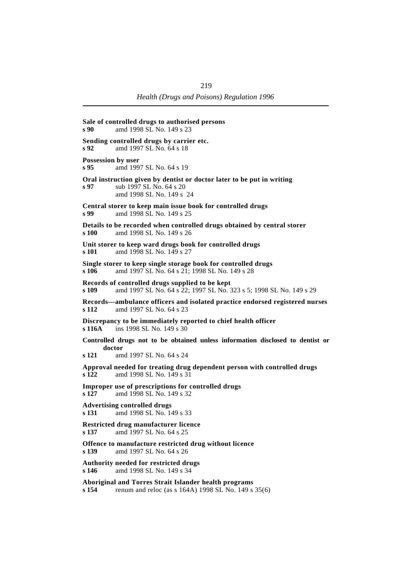| s 90                       | Sale of controlled drugs to authorised persons<br>amd 1998 SL No. 149 s 23                                                    |
|----------------------------|-------------------------------------------------------------------------------------------------------------------------------|
| $s\,92$                    | Sending controlled drugs by carrier etc.<br>amd 1997 SL No. 64 s 18                                                           |
| Possession by user<br>s 95 | amd 1997 SL No. 64 s 19                                                                                                       |
| s 97                       | Oral instruction given by dentist or doctor later to be put in writing<br>sub 1997 SL No. 64 s 20<br>amd 1998 SL No. 149 s 24 |
| s 99                       | Central storer to keep main issue book for controlled drugs<br>amd 1998 SL No. 149 s 25                                       |
| s 100                      | Details to be recorded when controlled drugs obtained by central storer<br>amd 1998 SL No. 149 s 26                           |
| s 101                      | Unit storer to keep ward drugs book for controlled drugs<br>amd 1998 SL No. 149 s 27                                          |
| s 106                      | Single storer to keep single storage book for controlled drugs<br>amd 1997 SL No. 64 s 21; 1998 SL No. 149 s 28               |
| s 109                      | Records of controlled drugs supplied to be kept<br>amd 1997 SL No. 64 s 22; 1997 SL No. 323 s 5; 1998 SL No. 149 s 29         |
| s 112                      | Records—ambulance officers and isolated practice endorsed registered nurses<br>amd 1997 SL No. 64 s 23                        |
| s 116A                     | Discrepancy to be immediately reported to chief health officer<br>ins 1998 SL No. 149 s 30                                    |
| doctor<br>s 121            | Controlled drugs not to be obtained unless information disclosed to dentist or<br>amd 1997 SL No. 64 s 24                     |
| s 122                      | Approval needed for treating drug dependent person with controlled drugs<br>amd 1998 SL No. 149 s 31                          |
| s 127                      | Improper use of prescriptions for controlled drugs<br>amd 1998 SL No. 149 s 32                                                |
| s 131                      | <b>Advertising controlled drugs</b><br>amd 1998 SL No. 149 s 33                                                               |
| s 137                      | Restricted drug manufacturer licence<br>amd 1997 SL No. 64 s 25                                                               |
| s 139                      | Offence to manufacture restricted drug without licence<br>amd 1997 SL No. 64 s 26                                             |
| s 146                      | Authority needed for restricted drugs<br>amd 1998 SL No. 149 s 34                                                             |
| s 154                      | Aboriginal and Torres Strait Islander health programs<br>renum and reloc (as s 164A) 1998 SL No. 149 s 35(6)                  |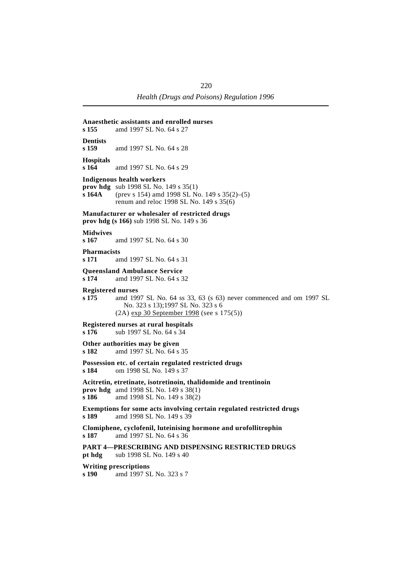| s <sub>155</sub>                  | Anaesthetic assistants and enrolled nurses<br>amd 1997 SL No. 64 s 27                                                                                                           |
|-----------------------------------|---------------------------------------------------------------------------------------------------------------------------------------------------------------------------------|
| <b>Dentists</b><br>s 159          | amd 1997 SL No. 64 s 28                                                                                                                                                         |
| <b>Hospitals</b><br>s 164         | amd 1997 SL No. 64 s 29                                                                                                                                                         |
| s 164A                            | <b>Indigenous health workers</b><br><b>prov hdg</b> sub 1998 SL No. 149 s $35(1)$<br>(prev s 154) amd 1998 SL No. 149 s $35(2)$ –(5)<br>renum and reloc 1998 SL No. 149 s 35(6) |
|                                   | Manufacturer or wholesaler of restricted drugs<br>prov hdg (s 166) sub 1998 SL No. 149 s 36                                                                                     |
| <b>Midwives</b><br>s 167          | amd 1997 SL No. 64 s 30                                                                                                                                                         |
| <b>Pharmacists</b><br>s 171       | amd 1997 SL No. 64 s 31                                                                                                                                                         |
| s 174                             | <b>Oueensland Ambulance Service</b><br>amd 1997 SL No. 64 s 32                                                                                                                  |
| <b>Registered nurses</b><br>s 175 | amd 1997 SL No. 64 ss 33, 63 (s 63) never commenced and om 1997 SL<br>No. 323 s 13);1997 SL No. 323 s 6<br>$(2A)$ exp 30 September 1998 (see s 175(5))                          |
| s 176                             | Registered nurses at rural hospitals<br>sub 1997 SL No. 64 s 34                                                                                                                 |
| s 182                             | Other authorities may be given<br>amd 1997 SL No. 64 s 35                                                                                                                       |
| s 184                             | Possession etc. of certain regulated restricted drugs<br>om 1998 SL No. 149 s 37                                                                                                |
| s 186                             | Acitretin, etretinate, isotretinoin, thalidomide and trentinoin<br><b>prov hdg</b> amd 1998 SL No. 149 s $38(1)$<br>amd 1998 SL No. 149 s 38(2)                                 |
| s 189                             | Exemptions for some acts involving certain regulated restricted drugs<br>amd 1998 SL No. 149 s 39                                                                               |
| s 187                             | Clomiphene, cyclofenil, luteinising hormone and urofollitrophin<br>amd 1997 SL No. 64 s 36                                                                                      |
| pt hdg                            | <b>PART 4-PRESCRIBING AND DISPENSING RESTRICTED DRUGS</b><br>sub 1998 SL No. 149 s 40                                                                                           |
| s 190                             | <b>Writing prescriptions</b><br>amd 1997 SL No. 323 s 7                                                                                                                         |
|                                   |                                                                                                                                                                                 |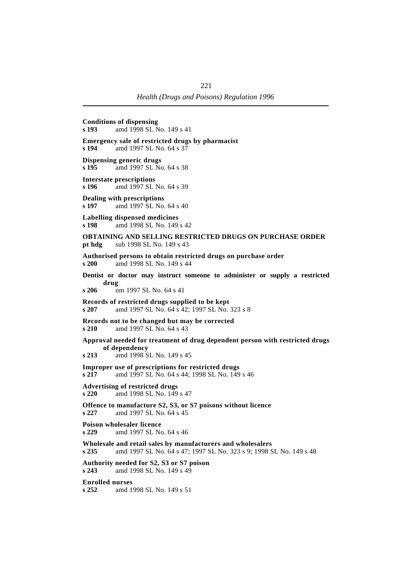**Conditions of dispensing**<br>s 193 amd 1998 SL N **s 193** amd 1998 SL No. 149 s 41 **Emergency sale of restricted drugs by pharmacist s 194** amd 1997 SL No. 64 s 37 **Dispensing generic drugs s 195** amd 1997 SL No. 64 s 38 **Interstate prescriptions s 196** amd 1997 SL No. 64 s 39 **Dealing with prescriptions s 197** amd 1997 SL No. 64 s 40 **Labelling dispensed medicines s 198** amd 1998 SL No. 149 s 42 **OBTAINING AND SELLING RESTRICTED DRUGS ON PURCHASE ORDER pt hdg** sub 1998 SL No. 149 s 43 **Authorised persons to obtain restricted drugs on purchase order s 200** amd 1998 SL No. 149 s 44 **Dentist or doctor may instruct someone to administer or supply a restricted drug s 206** om 1997 SL No. 64 s 41 **Records of restricted drugs supplied to be kept s 207** amd 1997 SL No. 64 s 42; 1997 SL No. 323 s 8 **Records not to be changed but may be corrected s 210** amd 1997 SL No. 64 s 43 **Approval needed for treatment of drug dependent person with restricted drugs of dependency s 213** amd 1998 SL No. 149 s 45 **Improper use of prescriptions for restricted drugs s 217** amd 1997 SL No. 64 s 44; 1998 SL No. 149 s 46 **Advertising of restricted drugs s 220** amd 1998 SL No. 149 s 47 **Offence to manufacture S2, S3, or S7 poisons without licence s 227** amd 1997 SL No. 64 s 45 **Poison wholesaler licence s 229** amd 1997 SL No. 64 s 46 **Wholesale and retail sales by manufacturers and wholesalers s 235** amd 1997 SL No. 64 s 47; 1997 SL No. 323 s 9; 1998 SL No. 149 s 48 **Authority needed for S2, S3 or S7 poison s 243** amd 1998 SL No. 149 s 49 **Enrolled nurses s 252** amd 1998 SL No. 149 s 51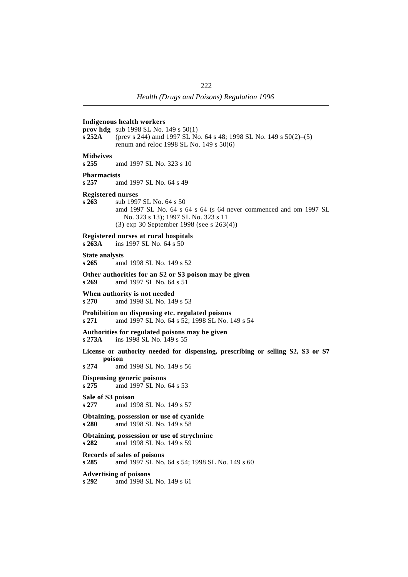### **Indigenous health workers**

**prov hdg** sub 1998 SL No. 149 s 50(1)

**s 252A** (prev s 244) amd 1997 SL No. 64 s 48; 1998 SL No. 149 s 50(2)–(5) renum and reloc 1998 SL No. 149 s 50(6)

### **Midwives**

**s 255** amd 1997 SL No. 323 s 10

# **Pharmacists**<br>s 257 and

**s 257** amd 1997 SL No. 64 s 49

#### **Registered nurses**

**s 263** sub 1997 SL No. 64 s 50 amd 1997 SL No. 64 s 64 s 64 (s 64 never commenced and om 1997 SL No. 323 s 13); 1997 SL No. 323 s 11 (3) exp 30 September 1998 (see s 263(4))

#### **Registered nurses at rural hospitals**

**s 263A** ins 1997 SL No. 64 s 50

### **State analysts**

**s 265** amd 1998 SL No. 149 s 52

### **Other authorities for an S2 or S3 poison may be given**

**s 269** amd 1997 SL No. 64 s 51

### **When authority is not needed**

**s 270** amd 1998 SL No. 149 s 53

#### **Prohibition on dispensing etc. regulated poisons**

**s 271** amd 1997 SL No. 64 s 52; 1998 SL No. 149 s 54

## **Authorities for regulated poisons may be given**

**s 273A** ins 1998 SL No. 149 s 55

### **License or authority needed for dispensing, prescribing or selling S2, S3 or S7 poison**

**s 274** amd 1998 SL No. 149 s 56

#### **Dispensing generic poisons s 275** amd 1997 SL No. 64 s 53

#### **Sale of S3 poison s 277** amd 1998 SL No. 149 s 57

#### **Obtaining, possession or use of cyanide s 280** amd 1998 SL No. 149 s 58

**Obtaining, possession or use of strychnine s 282** amd 1998 SL No. 149 s 59

**Records of sales of poisons s 285** amd 1997 SL No. 64 s 54; 1998 SL No. 149 s 60

**Advertising of poisons s 292** amd 1998 SL No. 149 s 61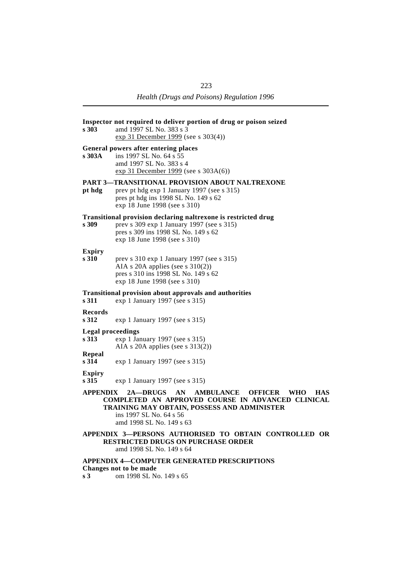| s 303                      | Inspector not required to deliver portion of drug or poison seized<br>amd 1997 SL No. 383 s 3<br>exp 31 December 1999 (see s 303(4))                                                                                                        |
|----------------------------|---------------------------------------------------------------------------------------------------------------------------------------------------------------------------------------------------------------------------------------------|
| s 303A                     | General powers after entering places<br>ins 1997 SL No. 64 s 55<br>amd 1997 SL No. 383 s 4<br>$\exp 31$ December 1999 (see s 303A(6))                                                                                                       |
| pt hdg                     | <b>PART 3—TRANSITIONAL PROVISION ABOUT NALTREXONE</b><br>prev pt hdg exp 1 January 1997 (see s 315)<br>pres pt hdg ins 1998 SL No. 149 s 62<br>exp 18 June 1998 (see s 310)                                                                 |
| s 309                      | Transitional provision declaring naltrexone is restricted drug<br>prev s 309 exp 1 January 1997 (see s 315)<br>pres s 309 ins 1998 SL No. 149 s 62<br>exp 18 June 1998 (see s 310)                                                          |
| <b>Expiry</b><br>s 310     | prev s 310 exp 1 January 1997 (see s 315)<br>AIA s 20A applies (see s $310(2)$ )<br>pres s 310 ins 1998 SL No. 149 s 62<br>exp 18 June 1998 (see s 310)                                                                                     |
| s 311                      | <b>Transitional provision about approvals and authorities</b><br>exp 1 January 1997 (see s 315)                                                                                                                                             |
| <b>Records</b><br>s 312    | exp 1 January 1997 (see s 315)                                                                                                                                                                                                              |
| Legal proceedings<br>s 313 | exp 1 January 1997 (see s 315)<br>AIA s 20A applies (see s $313(2)$ )                                                                                                                                                                       |
| Repeal<br>s 314            | exp 1 January 1997 (see s 315)                                                                                                                                                                                                              |
| <b>Expiry</b><br>s 315     | exp 1 January 1997 (see s 315)                                                                                                                                                                                                              |
| <b>APPENDIX</b>            | 2A—DRUGS<br>AN<br><b>AMBULANCE</b><br><b>OFFICER</b><br><b>WHO</b><br><b>HAS</b><br>COMPLETED AN APPROVED COURSE IN ADVANCED CLINICAL<br>TRAINING MAY OBTAIN, POSSESS AND ADMINISTER<br>ins 1997 SL No. 64 s 56<br>amd 1998 SL No. 149 s 63 |
|                            | APPENDIX 3—PERSONS AUTHORISED TO OBTAIN CONTROLLED OR<br><b>RESTRICTED DRUGS ON PURCHASE ORDER</b><br>amd 1998 SL No. 149 s 64                                                                                                              |
|                            | <b>APPENDIX 4—COMPUTER GENERATED PRESCRIPTIONS</b><br>Changes not to be made                                                                                                                                                                |

**s 3** om 1998 SL No. 149 s 65